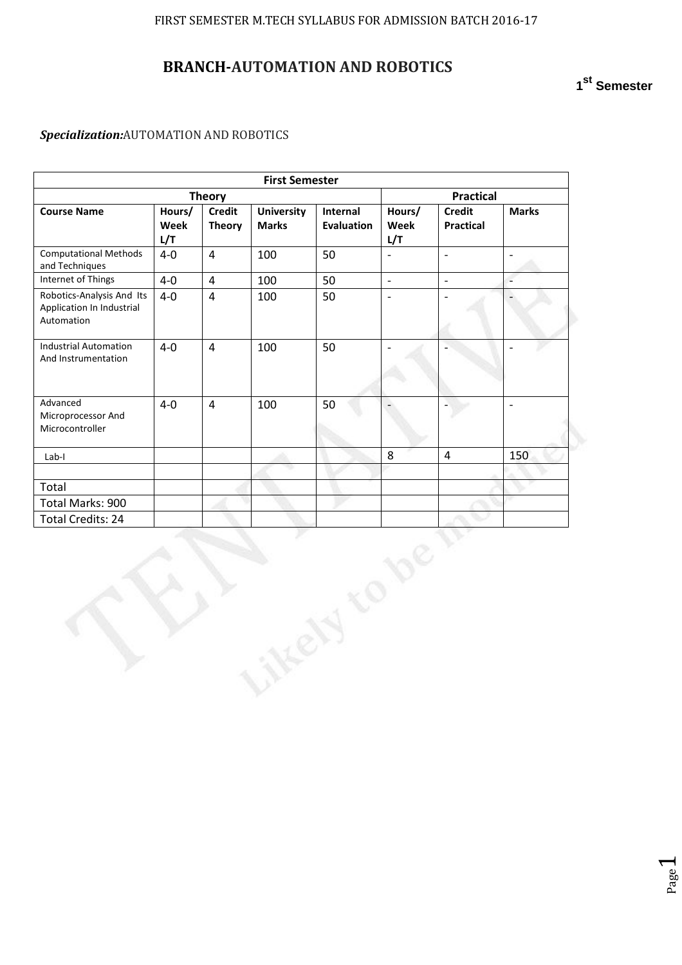# **BRANCH-AUTOMATION AND ROBOTICS**

# **1 st Semester**

Page  $\overline{\phantom{0}}$ 

## *Specialization:*AUTOMATION AND ROBOTICS

| <b>First Semester</b>             |  |                               |                          |                                   |                          |
|-----------------------------------|--|-------------------------------|--------------------------|-----------------------------------|--------------------------|
| <b>Theory</b>                     |  |                               |                          |                                   | <b>Practical</b>         |
| <b>University</b><br><b>Marks</b> |  | Internal<br><b>Evaluation</b> | Hours/<br>Week<br>L/T    | <b>Credit</b><br><b>Practical</b> | <b>Marks</b>             |
| 100                               |  | 50                            | $\overline{\phantom{0}}$ | $\overline{\phantom{a}}$          | $\overline{a}$           |
| 100                               |  | 50                            | $\overline{\phantom{a}}$ | $\mathbb{Z}^2$                    | $\overline{\phantom{a}}$ |
| 100                               |  | 50                            | $\overline{\phantom{a}}$ | $\overline{a}$                    | $\overline{\phantom{0}}$ |
| 100                               |  | 50                            |                          |                                   | $\overline{\phantom{a}}$ |
| 100                               |  | 50                            |                          |                                   | $\overline{\phantom{a}}$ |
|                                   |  |                               | 8                        | $\overline{4}$                    | 150                      |
|                                   |  |                               |                          |                                   |                          |
|                                   |  |                               |                          |                                   |                          |
|                                   |  |                               |                          |                                   |                          |
|                                   |  |                               |                          |                                   |                          |
|                                   |  |                               |                          |                                   |                          |
|                                   |  |                               |                          |                                   |                          |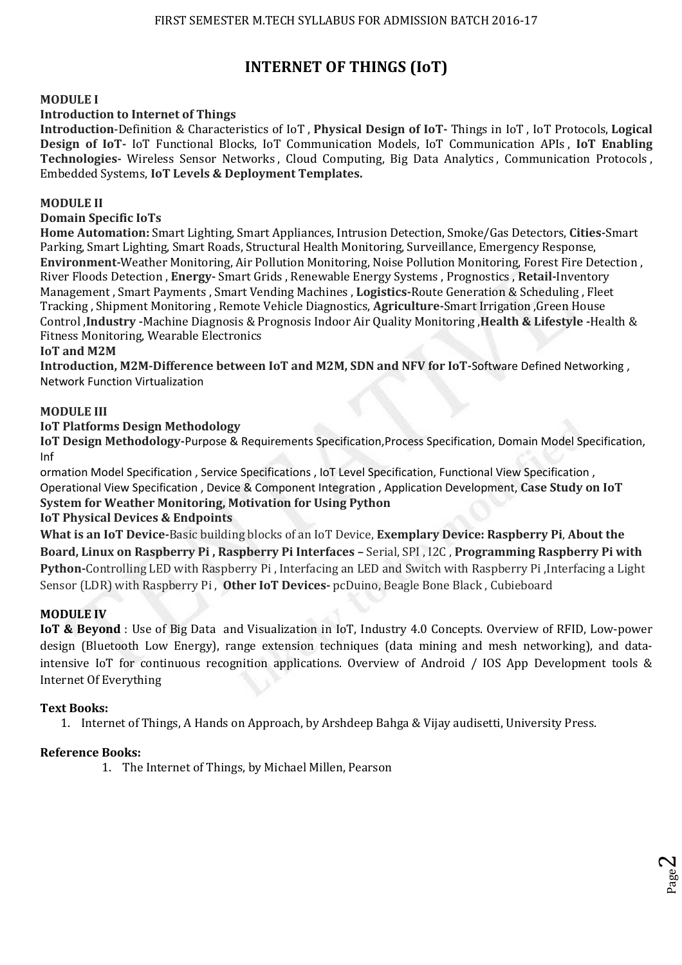# **INTERNET OF THINGS (IoT)**

### **MODULE I**

#### **Introduction to Internet of Things**

**Introduction**-Definition & Characteristics of IoT , **Physical Design of IoT-** Things in IoT , IoT Protocols, **Logical Design of IoT-** IoT Functional Blocks, IoT Communication Models, IoT Communication APIs , **IoT Enabling Technologies-** Wireless Sensor Networks , Cloud Computing, Big Data Analytics , Communication Protocols , Embedded Systems, **IoT Levels & Deployment Templates.** 

#### **MODULE II**

## **Domain Specific IoTs**

**Home Automation:** Smart Lighting, Smart Appliances, Intrusion Detection, Smoke/Gas Detectors, **Cities-**Smart Parking, Smart Lighting, Smart Roads, Structural Health Monitoring, Surveillance, Emergency Response, **Environment-**Weather Monitoring, Air Pollution Monitoring, Noise Pollution Monitoring, Forest Fire Detection , River Floods Detection , **Energy-** Smart Grids , Renewable Energy Systems , Prognostics , **Retail-**Inventory Management , Smart Payments , Smart Vending Machines , **Logistics-**Route Generation & Scheduling , Fleet Tracking , Shipment Monitoring , Remote Vehicle Diagnostics, **Agriculture-**Smart Irrigation ,Green House Control ,**Industry -**Machine Diagnosis & Prognosis Indoor Air Quality Monitoring ,**Health & Lifestyle -**Health & Fitness Monitoring, Wearable Electronics

#### **IoT and M2M**

**Introduction, M2M-Difference between IoT and M2M, SDN and NFV for IoT-**Software Defined Networking , Network Function Virtualization

#### **MODULE III**

#### **IoT Platforms Design Methodology**

**IoT Design Methodology-**Purpose & Requirements Specification,Process Specification, Domain Model Specification, Inf

ormation Model Specification , Service Specifications , IoT Level Specification, Functional View Specification , Operational View Specification , Device & Component Integration , Application Development, **Case Study on IoT System for Weather Monitoring, Motivation for Using Python** 

#### **IoT Physical Devices & Endpoints**

**What is an IoT Device-**Basic building blocks of an IoT Device, **Exemplary Device: Raspberry Pi**, **About the Board, Linux on Raspberry Pi , Raspberry Pi Interfaces –** Serial, SPI , I2C , **Programming Raspberry Pi with Python-**Controlling LED with Raspberry Pi , Interfacing an LED and Switch with Raspberry Pi ,Interfacing a Light Sensor (LDR) with Raspberry Pi , **Other IoT Devices-** pcDuino, Beagle Bone Black , Cubieboard

#### **MODULE IV**

**IoT & Beyond** : Use of Big Data and Visualization in IoT, Industry 4.0 Concepts. Overview of RFID, Low-power design (Bluetooth Low Energy), range extension techniques (data mining and mesh networking), and dataintensive IoT for continuous recognition applications. Overview of Android / IOS App Development tools & Internet Of Everything

#### **Text Books:**

1. Internet of Things, A Hands on Approach, by Arshdeep Bahga & Vijay audisetti, University Press.

## **Reference Books:**

1. The Internet of Things, by Michael Millen, Pearson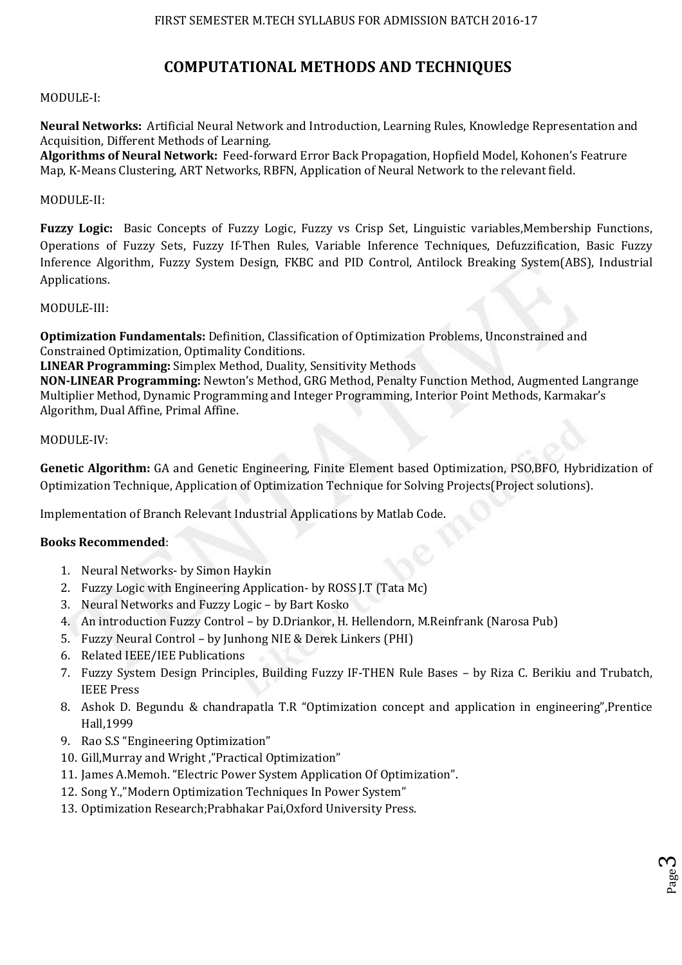# **COMPUTATIONAL METHODS AND TECHNIQUES**

## MODULE-I:

**Neural Networks:** Artificial Neural Network and Introduction, Learning Rules, Knowledge Representation and Acquisition, Different Methods of Learning.

**Algorithms of Neural Network:** Feed-forward Error Back Propagation, Hopfield Model, Kohonen's Featrure Map, K-Means Clustering, ART Networks, RBFN, Application of Neural Network to the relevant field.

#### MODULE-II:

**Fuzzy Logic:** Basic Concepts of Fuzzy Logic, Fuzzy vs Crisp Set, Linguistic variables,Membership Functions, Operations of Fuzzy Sets, Fuzzy If-Then Rules, Variable Inference Techniques, Defuzzification, Basic Fuzzy Inference Algorithm, Fuzzy System Design, FKBC and PID Control, Antilock Breaking System(ABS), Industrial Applications.

#### MODULE-III:

**Optimization Fundamentals:** Definition, Classification of Optimization Problems, Unconstrained and Constrained Optimization, Optimality Conditions.

**LINEAR Programming:** Simplex Method, Duality, Sensitivity Methods

**NON-LINEAR Programming:** Newton's Method, GRG Method, Penalty Function Method, Augmented Langrange Multiplier Method, Dynamic Programming and Integer Programming, Interior Point Methods, Karmakar's Algorithm, Dual Affine, Primal Affine.

#### MODULE-IV:

**Genetic Algorithm:** GA and Genetic Engineering, Finite Element based Optimization, PSO,BFO, Hybridization of Optimization Technique, Application of Optimization Technique for Solving Projects(Project solutions).

Implementation of Branch Relevant Industrial Applications by Matlab Code.

## **Books Recommended**:

- 1. Neural Networks- by Simon Haykin
- 2. Fuzzy Logic with Engineering Application- by ROSS J.T (Tata Mc)
- 3. Neural Networks and Fuzzy Logic by Bart Kosko
- 4. An introduction Fuzzy Control by D.Driankor, H. Hellendorn, M.Reinfrank (Narosa Pub)
- 5. Fuzzy Neural Control by Junhong NIE & Derek Linkers (PHI)
- 6. Related IEEE/IEE Publications
- 7. Fuzzy System Design Principles, Building Fuzzy IF-THEN Rule Bases by Riza C. Berikiu and Trubatch, IEEE Press
- 8. Ashok D. Begundu & chandrapatla T.R "Optimization concept and application in engineering",Prentice Hall,1999
- 9. Rao S.S "Engineering Optimization"
- 10. Gill,Murray and Wright ,"Practical Optimization"
- 11. James A.Memoh. "Electric Power System Application Of Optimization".
- 12. Song Y.,"Modern Optimization Techniques In Power System"
- 13. Optimization Research;Prabhakar Pai,Oxford University Press.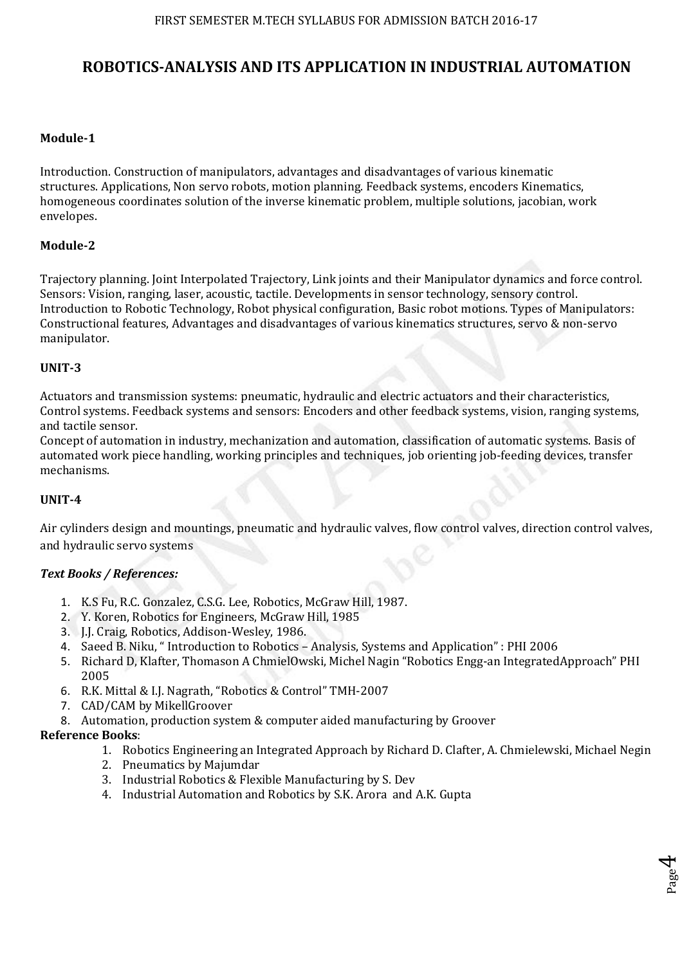# **ROBOTICS-ANALYSIS AND ITS APPLICATION IN INDUSTRIAL AUTOMATION**

### **Module-1**

Introduction. Construction of manipulators, advantages and disadvantages of various kinematic structures. Applications, Non servo robots, motion planning. Feedback systems, encoders Kinematics, homogeneous coordinates solution of the inverse kinematic problem, multiple solutions, jacobian, work envelopes.

#### **Module-2**

Trajectory planning. Joint Interpolated Trajectory, Link joints and their Manipulator dynamics and force control. Sensors: Vision, ranging, laser, acoustic, tactile. Developments in sensor technology, sensory control. Introduction to Robotic Technology, Robot physical configuration, Basic robot motions. Types of Manipulators: Constructional features, Advantages and disadvantages of various kinematics structures, servo & non-servo manipulator.

#### **UNIT-3**

Actuators and transmission systems: pneumatic, hydraulic and electric actuators and their characteristics, Control systems. Feedback systems and sensors: Encoders and other feedback systems, vision, ranging systems, and tactile sensor.

Concept of automation in industry, mechanization and automation, classification of automatic systems. Basis of automated work piece handling, working principles and techniques, job orienting job-feeding devices, transfer mechanisms.

#### **UNIT-4**

Air cylinders design and mountings, pneumatic and hydraulic valves, flow control valves, direction control valves, and hydraulic servo systems

## *Text Books / References:*

- 1. K.S Fu, R.C. Gonzalez, C.S.G. Lee, Robotics, McGraw Hill, 1987.
- 2. Y. Koren, Robotics for Engineers, McGraw Hill, 1985
- 3. J.J. Craig, Robotics, Addison-Wesley, 1986.
- 4. Saeed B. Niku, " Introduction to Robotics Analysis, Systems and Application" : PHI 2006
- 5. Richard D, Klafter, Thomason A ChmielOwski, Michel Nagin "Robotics Engg-an IntegratedApproach" PHI 2005
- 6. R.K. Mittal & I.J. Nagrath, "Robotics & Control" TMH-2007
- 7. CAD/CAM by MikellGroover
- 8. Automation, production system & computer aided manufacturing by Groover

### **Reference Books**:

1. Robotics Engineering an Integrated Approach by Richard D. Clafter, A. Chmielewski, Michael Negin

Page 4

- 2. Pneumatics by Majumdar
- 3. Industrial Robotics & Flexible Manufacturing by S. Dev
- 4. Industrial Automation and Robotics by S.K. Arora and A.K. Gupta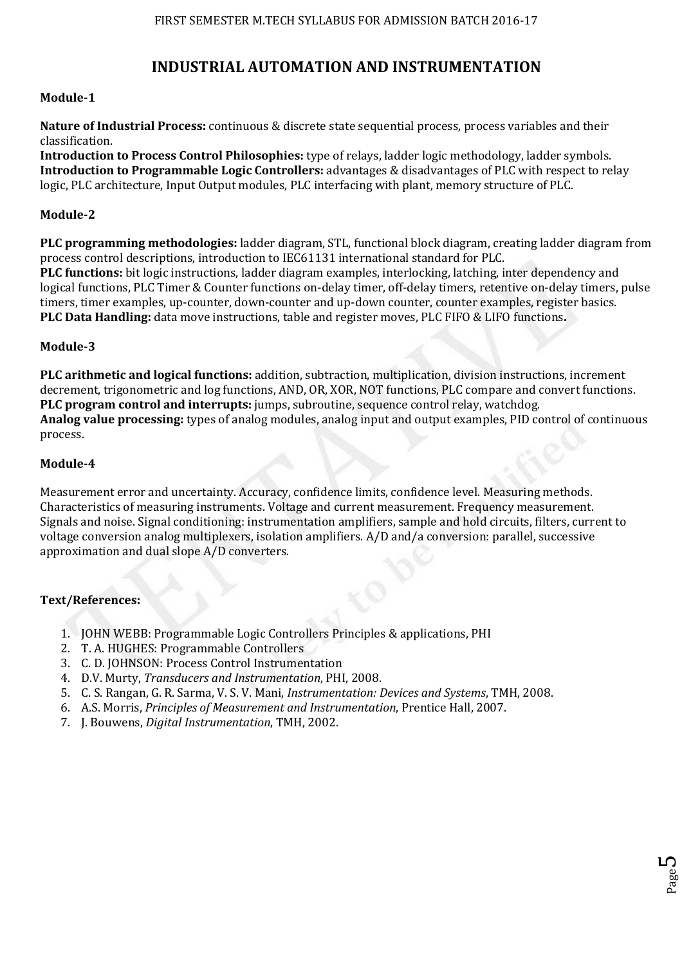## **INDUSTRIAL AUTOMATION AND INSTRUMENTATION**

## **Module-1**

**Nature of Industrial Process:** continuous & discrete state sequential process, process variables and their classification.

**Introduction to Process Control Philosophies:** type of relays, ladder logic methodology, ladder symbols. **Introduction to Programmable Logic Controllers:** advantages & disadvantages of PLC with respect to relay logic, PLC architecture, Input Output modules, PLC interfacing with plant, memory structure of PLC.

#### **Module-2**

**PLC programming methodologies:** ladder diagram, STL, functional block diagram, creating ladder diagram from process control descriptions, introduction to IEC61131 international standard for PLC. **PLC functions:** bit logic instructions, ladder diagram examples, interlocking, latching, inter dependency and logical functions, PLC Timer & Counter functions on-delay timer, off-delay timers, retentive on-delay timers, pulse timers, timer examples, up-counter, down-counter and up-down counter, counter examples, register basics. **PLC Data Handling:** data move instructions, table and register moves, PLC FIFO & LIFO functions**.** 

#### **Module-3**

**PLC arithmetic and logical functions:** addition, subtraction, multiplication, division instructions, increment decrement, trigonometric and log functions, AND, OR, XOR, NOT functions, PLC compare and convert functions. **PLC program control and interrupts:** jumps, subroutine, sequence control relay, watchdog. **Analog value processing:** types of analog modules, analog input and output examples, PID control of continuous process.

#### **Module-4**

Measurement error and uncertainty. Accuracy, confidence limits, confidence level. Measuring methods. Characteristics of measuring instruments. Voltage and current measurement. Frequency measurement. Signals and noise. Signal conditioning: instrumentation amplifiers, sample and hold circuits, filters, current to voltage conversion analog multiplexers, isolation amplifiers. A/D and/a conversion: parallel, successive approximation and dual slope A/D converters.

#### **Text/References:**

- 1. JOHN WEBB: Programmable Logic Controllers Principles & applications, PHI
- 2. T. A. HUGHES: Programmable Controllers
- 3. C. D. JOHNSON: Process Control Instrumentation
- 4. D.V. Murty, *Transducers and Instrumentation*, PHI, 2008.
- 5. C. S. Rangan, G. R. Sarma, V. S. V. Mani, *Instrumentation: Devices and Systems*, TMH, 2008.
- 6. A.S. Morris, *Principles of Measurement and Instrumentation*, Prentice Hall, 2007.
- 7. J. Bouwens, *Digital Instrumentation*, TMH, 2002.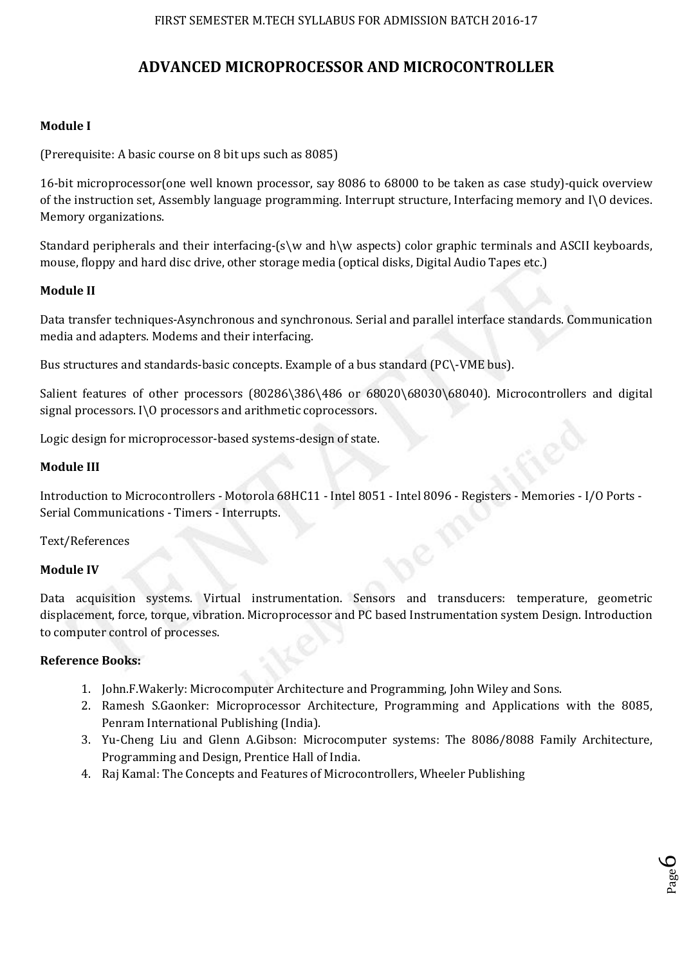# **ADVANCED MICROPROCESSOR AND MICROCONTROLLER**

## **Module I**

(Prerequisite: A basic course on 8 bit ups such as 8085)

16-bit microprocessor(one well known processor, say 8086 to 68000 to be taken as case study)-quick overview of the instruction set, Assembly language programming. Interrupt structure, Interfacing memory and I\O devices. Memory organizations.

Standard peripherals and their interfacing-(s\w and h\w aspects) color graphic terminals and ASCII keyboards, mouse, floppy and hard disc drive, other storage media (optical disks, Digital Audio Tapes etc.)

## **Module II**

Data transfer techniques-Asynchronous and synchronous. Serial and parallel interface standards. Communication media and adapters. Modems and their interfacing.

Bus structures and standards-basic concepts. Example of a bus standard (PC\-VME bus).

Salient features of other processors (80286\386\486 or 68020\68030\68040). Microcontrollers and digital signal processors. I\O processors and arithmetic coprocessors.

Logic design for microprocessor-based systems-design of state.

#### **Module III**

Introduction to Microcontrollers - Motorola 68HC11 - Intel 8051 - Intel 8096 - Registers - Memories - I/O Ports - Serial Communications - Timers - Interrupts.

## Text/References

#### **Module IV**

Data acquisition systems. Virtual instrumentation. Sensors and transducers: temperature, geometric displacement, force, torque, vibration. Microprocessor and PC based Instrumentation system Design. Introduction to computer control of processes.

## **Reference Books:**

- 1. John.F.Wakerly: Microcomputer Architecture and Programming, John Wiley and Sons.
- 2. Ramesh S.Gaonker: Microprocessor Architecture, Programming and Applications with the 8085, Penram International Publishing (India).
- 3. Yu-Cheng Liu and Glenn A.Gibson: Microcomputer systems: The 8086/8088 Family Architecture, Programming and Design, Prentice Hall of India.
- 4. Raj Kamal: The Concepts and Features of Microcontrollers, Wheeler Publishing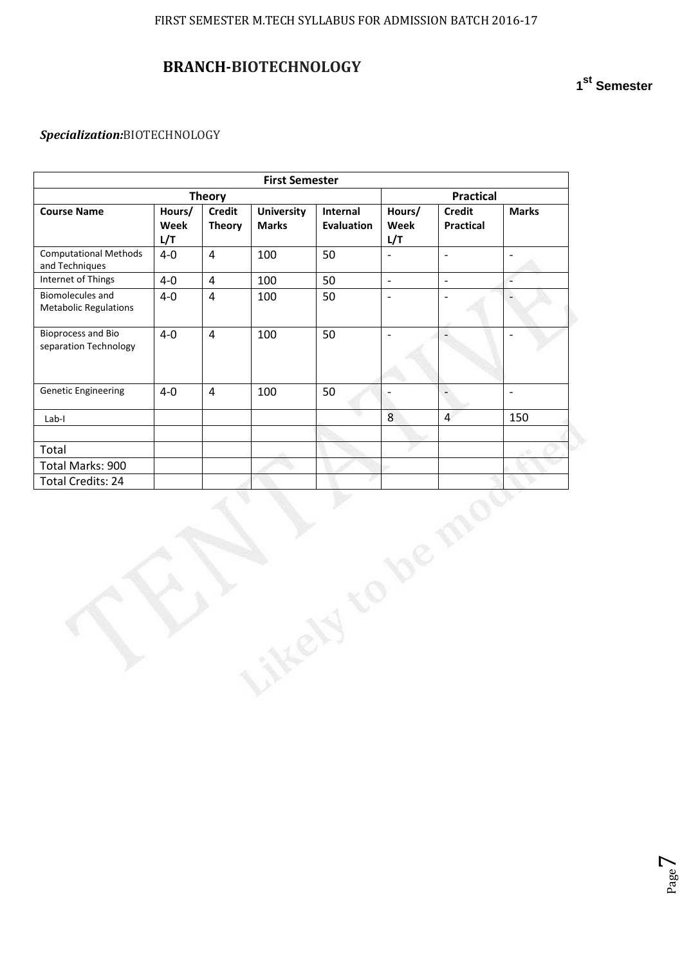# **BRANCH-BIOTECHNOLOGY**

## *Specialization:*BIOTECHNOLOGY

| <b>Theory</b>  |                                |                                   | Practical                     |                          |                                   |                          |
|----------------|--------------------------------|-----------------------------------|-------------------------------|--------------------------|-----------------------------------|--------------------------|
| Hours/<br>Week | <b>Credit</b><br><b>Theory</b> | <b>University</b><br><b>Marks</b> | Internal<br><b>Evaluation</b> | Hours/<br>Week           | <b>Credit</b><br><b>Practical</b> | <b>Marks</b>             |
| $4-0$          | $\overline{\mathbf{4}}$        | 100                               | 50                            | $\overline{a}$           | $\overline{a}$                    | $\overline{a}$           |
| $4-0$          | $\overline{\mathbf{4}}$        | 100                               | 50                            | $\mathbb{L}$             | $\overline{\phantom{a}}$          | $\overline{a}$           |
| $4-0$          | $\overline{4}$                 | 100                               | 50                            | $\overline{\phantom{a}}$ | $\overline{\phantom{a}}$          | $\qquad \qquad -$        |
| $4-0$          | $\overline{4}$                 | 100                               | 50                            | $\overline{\phantom{a}}$ |                                   |                          |
| $4 - 0$        | $\overline{4}$                 | 100                               | 50                            | $\overline{\phantom{m}}$ | $\overline{a}$                    | $\overline{\phantom{0}}$ |
|                |                                |                                   |                               | 8                        | $\overline{4}$                    | 150                      |
|                |                                |                                   |                               |                          |                                   |                          |
|                |                                |                                   |                               |                          |                                   |                          |
|                |                                |                                   |                               |                          |                                   |                          |
|                |                                |                                   |                               |                          |                                   |                          |
|                |                                |                                   |                               |                          |                                   |                          |
|                | L/T                            |                                   |                               | <b>First Semester</b>    | L/T                               |                          |

**1 st Semester**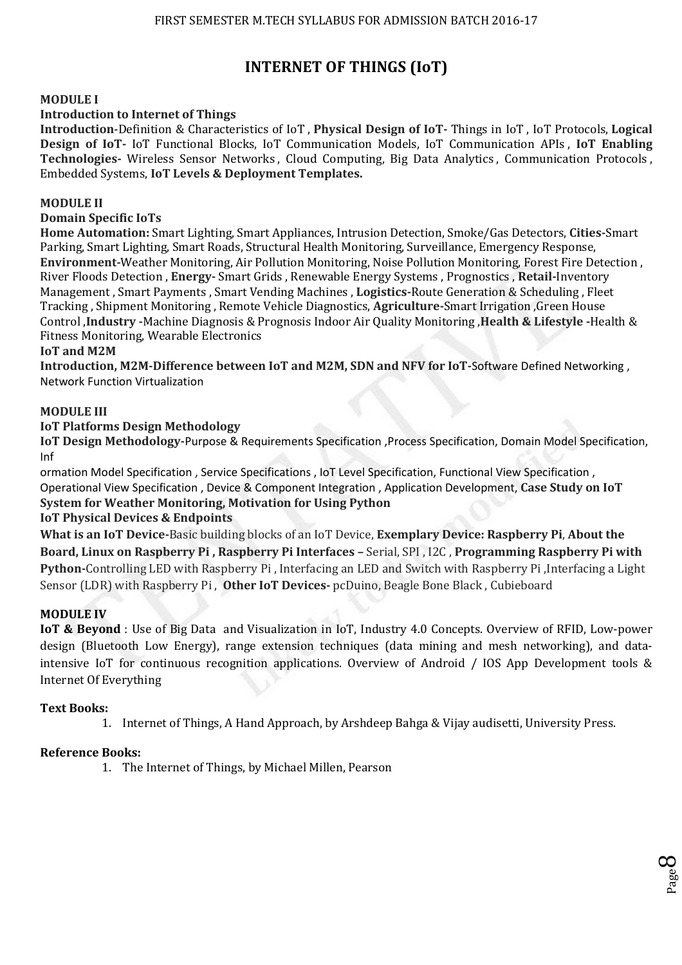# **INTERNET OF THINGS (IoT)**

### **MODULE I**

#### **Introduction to Internet of Things**

**Introduction**-Definition & Characteristics of IoT , **Physical Design of IoT-** Things in IoT , IoT Protocols, **Logical Design of IoT-** IoT Functional Blocks, IoT Communication Models, IoT Communication APIs , **IoT Enabling Technologies-** Wireless Sensor Networks , Cloud Computing, Big Data Analytics , Communication Protocols , Embedded Systems, **IoT Levels & Deployment Templates.** 

#### **MODULE II**

## **Domain Specific IoTs**

**Home Automation:** Smart Lighting, Smart Appliances, Intrusion Detection, Smoke/Gas Detectors, **Cities-**Smart Parking, Smart Lighting, Smart Roads, Structural Health Monitoring, Surveillance, Emergency Response, **Environment-**Weather Monitoring, Air Pollution Monitoring, Noise Pollution Monitoring, Forest Fire Detection , River Floods Detection , **Energy-** Smart Grids , Renewable Energy Systems , Prognostics , **Retail-**Inventory Management , Smart Payments , Smart Vending Machines , **Logistics-**Route Generation & Scheduling , Fleet Tracking , Shipment Monitoring , Remote Vehicle Diagnostics, **Agriculture-**Smart Irrigation ,Green House Control ,**Industry -**Machine Diagnosis & Prognosis Indoor Air Quality Monitoring ,**Health & Lifestyle -**Health & Fitness Monitoring, Wearable Electronics

#### **IoT and M2M**

**Introduction, M2M-Difference between IoT and M2M, SDN and NFV for IoT-**Software Defined Networking , Network Function Virtualization

#### **MODULE III**

#### **IoT Platforms Design Methodology**

**IoT Design Methodology-**Purpose & Requirements Specification ,Process Specification, Domain Model Specification, Inf

ormation Model Specification , Service Specifications , IoT Level Specification, Functional View Specification , Operational View Specification , Device & Component Integration , Application Development, **Case Study on IoT System for Weather Monitoring, Motivation for Using Python** 

#### **IoT Physical Devices & Endpoints**

**What is an IoT Device-**Basic building blocks of an IoT Device, **Exemplary Device: Raspberry Pi**, **About the Board, Linux on Raspberry Pi , Raspberry Pi Interfaces –** Serial, SPI , I2C , **Programming Raspberry Pi with Python-**Controlling LED with Raspberry Pi , Interfacing an LED and Switch with Raspberry Pi ,Interfacing a Light Sensor (LDR) with Raspberry Pi , **Other IoT Devices-** pcDuino, Beagle Bone Black , Cubieboard

#### **MODULE IV**

**IoT & Beyond** : Use of Big Data and Visualization in IoT, Industry 4.0 Concepts. Overview of RFID, Low-power design (Bluetooth Low Energy), range extension techniques (data mining and mesh networking), and dataintensive IoT for continuous recognition applications. Overview of Android / IOS App Development tools & Internet Of Everything

#### **Text Books:**

1. Internet of Things, A Hand Approach, by Arshdeep Bahga & Vijay audisetti, University Press.

Page  $\infty$ 

## **Reference Books:**

1. The Internet of Things, by Michael Millen, Pearson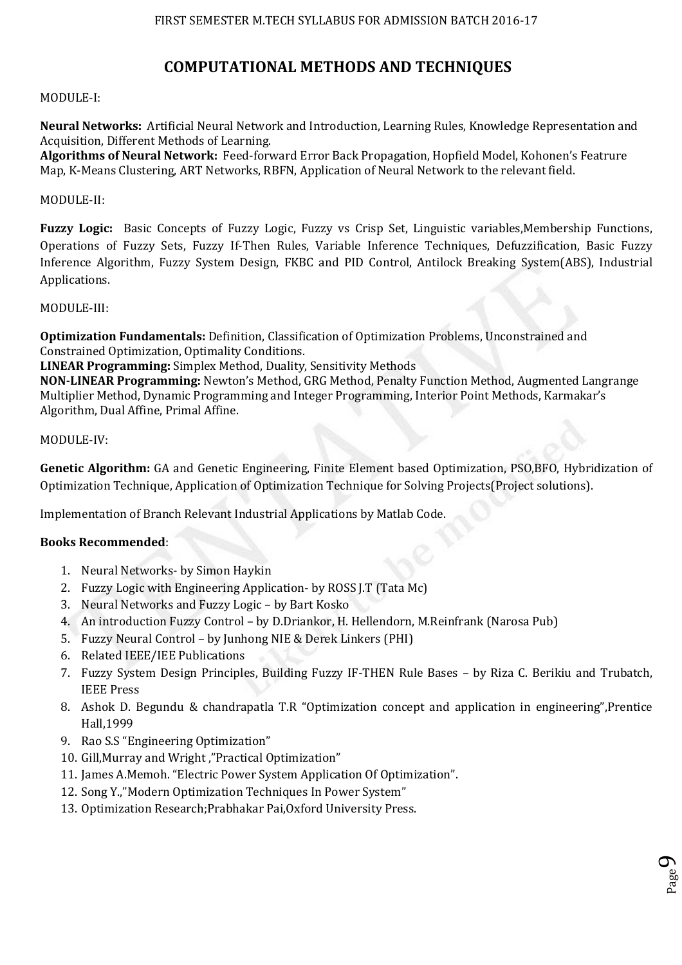# **COMPUTATIONAL METHODS AND TECHNIQUES**

## MODULE-I:

**Neural Networks:** Artificial Neural Network and Introduction, Learning Rules, Knowledge Representation and Acquisition, Different Methods of Learning.

**Algorithms of Neural Network:** Feed-forward Error Back Propagation, Hopfield Model, Kohonen's Featrure Map, K-Means Clustering, ART Networks, RBFN, Application of Neural Network to the relevant field.

#### MODULE-II:

**Fuzzy Logic:** Basic Concepts of Fuzzy Logic, Fuzzy vs Crisp Set, Linguistic variables,Membership Functions, Operations of Fuzzy Sets, Fuzzy If-Then Rules, Variable Inference Techniques, Defuzzification, Basic Fuzzy Inference Algorithm, Fuzzy System Design, FKBC and PID Control, Antilock Breaking System(ABS), Industrial Applications.

#### MODULE-III:

**Optimization Fundamentals:** Definition, Classification of Optimization Problems, Unconstrained and Constrained Optimization, Optimality Conditions.

**LINEAR Programming:** Simplex Method, Duality, Sensitivity Methods

**NON-LINEAR Programming:** Newton's Method, GRG Method, Penalty Function Method, Augmented Langrange Multiplier Method, Dynamic Programming and Integer Programming, Interior Point Methods, Karmakar's Algorithm, Dual Affine, Primal Affine.

#### MODULE-IV:

**Genetic Algorithm:** GA and Genetic Engineering, Finite Element based Optimization, PSO,BFO, Hybridization of Optimization Technique, Application of Optimization Technique for Solving Projects(Project solutions).

Implementation of Branch Relevant Industrial Applications by Matlab Code.

## **Books Recommended**:

- 1. Neural Networks- by Simon Haykin
- 2. Fuzzy Logic with Engineering Application- by ROSS J.T (Tata Mc)
- 3. Neural Networks and Fuzzy Logic by Bart Kosko
- 4. An introduction Fuzzy Control by D.Driankor, H. Hellendorn, M.Reinfrank (Narosa Pub)
- 5. Fuzzy Neural Control by Junhong NIE & Derek Linkers (PHI)
- 6. Related IEEE/IEE Publications
- 7. Fuzzy System Design Principles, Building Fuzzy IF-THEN Rule Bases by Riza C. Berikiu and Trubatch, IEEE Press
- 8. Ashok D. Begundu & chandrapatla T.R "Optimization concept and application in engineering",Prentice Hall,1999
- 9. Rao S.S "Engineering Optimization"
- 10. Gill,Murray and Wright ,"Practical Optimization"
- 11. James A.Memoh. "Electric Power System Application Of Optimization".
- 12. Song Y.,"Modern Optimization Techniques In Power System"
- 13. Optimization Research;Prabhakar Pai,Oxford University Press.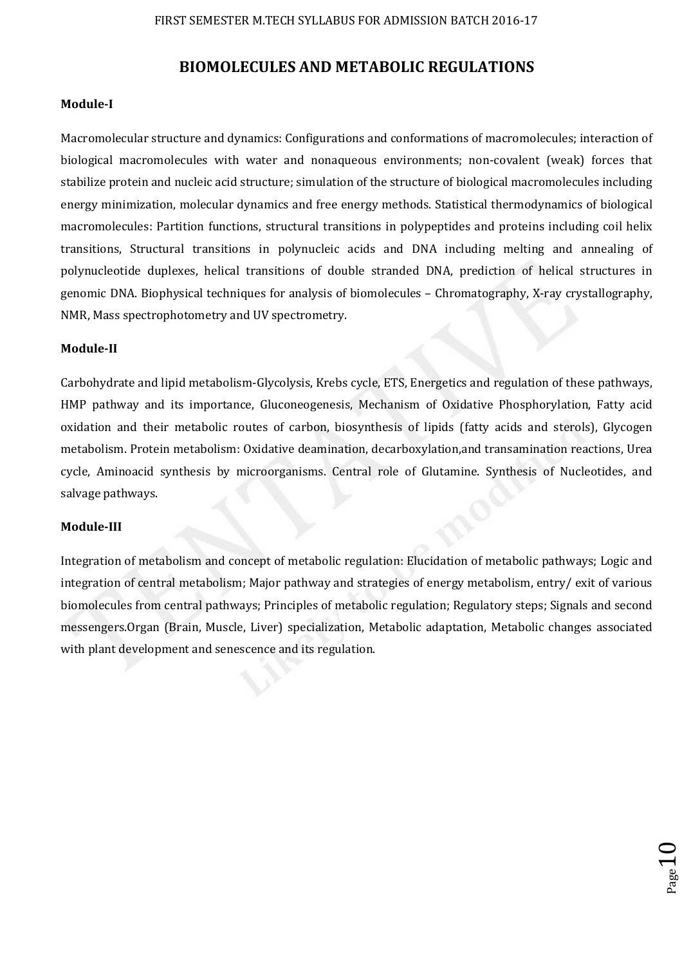## **BIOMOLECULES AND METABOLIC REGULATIONS**

#### **Module-I**

Macromolecular structure and dynamics: Configurations and conformations of macromolecules; interaction of biological macromolecules with water and nonaqueous environments; non-covalent (weak) forces that stabilize protein and nucleic acid structure; simulation of the structure of biological macromolecules including energy minimization, molecular dynamics and free energy methods. Statistical thermodynamics of biological macromolecules: Partition functions, structural transitions in polypeptides and proteins including coil helix transitions, Structural transitions in polynucleic acids and DNA including melting and annealing of polynucleotide duplexes, helical transitions of double stranded DNA, prediction of helical structures in genomic DNA. Biophysical techniques for analysis of biomolecules – Chromatography, X-ray crystallography, NMR, Mass spectrophotometry and UV spectrometry.

#### **Module-II**

Carbohydrate and lipid metabolism-Glycolysis, Krebs cycle, ETS, Energetics and regulation of these pathways, HMP pathway and its importance, Gluconeogenesis, Mechanism of Oxidative Phosphorylation, Fatty acid oxidation and their metabolic routes of carbon, biosynthesis of lipids (fatty acids and sterols), Glycogen metabolism. Protein metabolism: Oxidative deamination, decarboxylation,and transamination reactions, Urea cycle, Aminoacid synthesis by microorganisms. Central role of Glutamine. Synthesis of Nucleotides, and salvage pathways.

#### **Module-III**

Integration of metabolism and concept of metabolic regulation: Elucidation of metabolic pathways; Logic and integration of central metabolism; Major pathway and strategies of energy metabolism, entry/ exit of various biomolecules from central pathways; Principles of metabolic regulation; Regulatory steps; Signals and second messengers.Organ (Brain, Muscle, Liver) specialization, Metabolic adaptation, Metabolic changes associated with plant development and senescence and its regulation.

 $_{\textrm{Page}}10$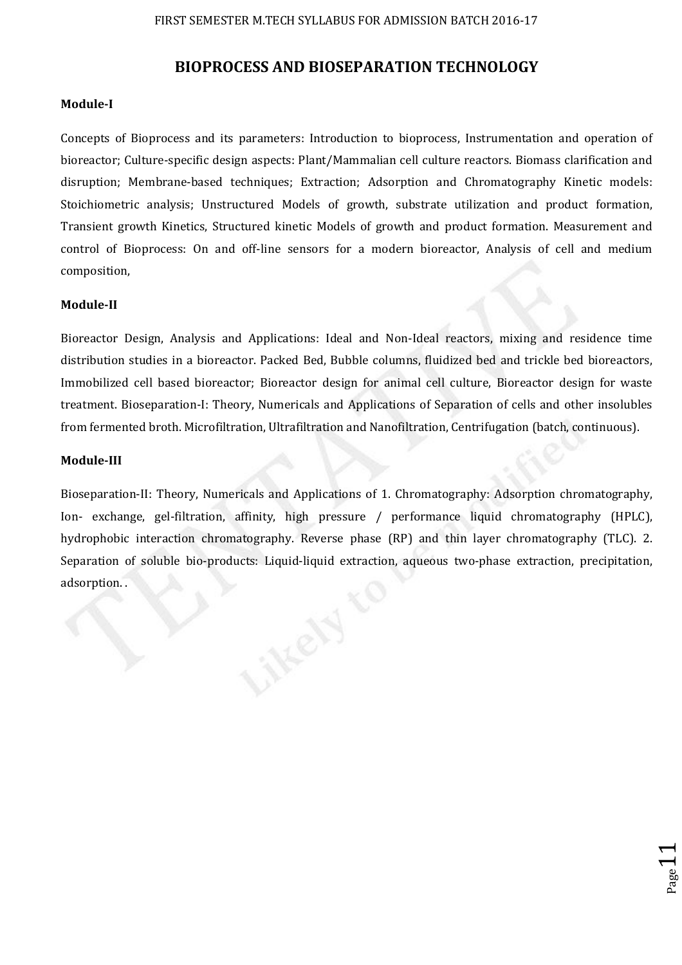## **BIOPROCESS AND BIOSEPARATION TECHNOLOGY**

#### **Module-I**

Concepts of Bioprocess and its parameters: Introduction to bioprocess, Instrumentation and operation of bioreactor; Culture-specific design aspects: Plant/Mammalian cell culture reactors. Biomass clarification and disruption; Membrane-based techniques; Extraction; Adsorption and Chromatography Kinetic models: Stoichiometric analysis; Unstructured Models of growth, substrate utilization and product formation, Transient growth Kinetics, Structured kinetic Models of growth and product formation. Measurement and control of Bioprocess: On and off-line sensors for a modern bioreactor, Analysis of cell and medium composition,

#### **Module-II**

Bioreactor Design, Analysis and Applications: Ideal and Non-Ideal reactors, mixing and residence time distribution studies in a bioreactor. Packed Bed, Bubble columns, fluidized bed and trickle bed bioreactors, Immobilized cell based bioreactor; Bioreactor design for animal cell culture, Bioreactor design for waste treatment. Bioseparation-I: Theory, Numericals and Applications of Separation of cells and other insolubles from fermented broth. Microfiltration, Ultrafiltration and Nanofiltration, Centrifugation (batch, continuous).

#### **Module-III**

Bioseparation-II: Theory, Numericals and Applications of 1. Chromatography: Adsorption chromatography, Ion- exchange, gel-filtration, affinity, high pressure / performance liquid chromatography (HPLC), hydrophobic interaction chromatography. Reverse phase (RP) and thin layer chromatography (TLC). 2. Separation of soluble bio-products: Liquid-liquid extraction, aqueous two-phase extraction, precipitation, adsorption. .

 $_{\rm Page}11$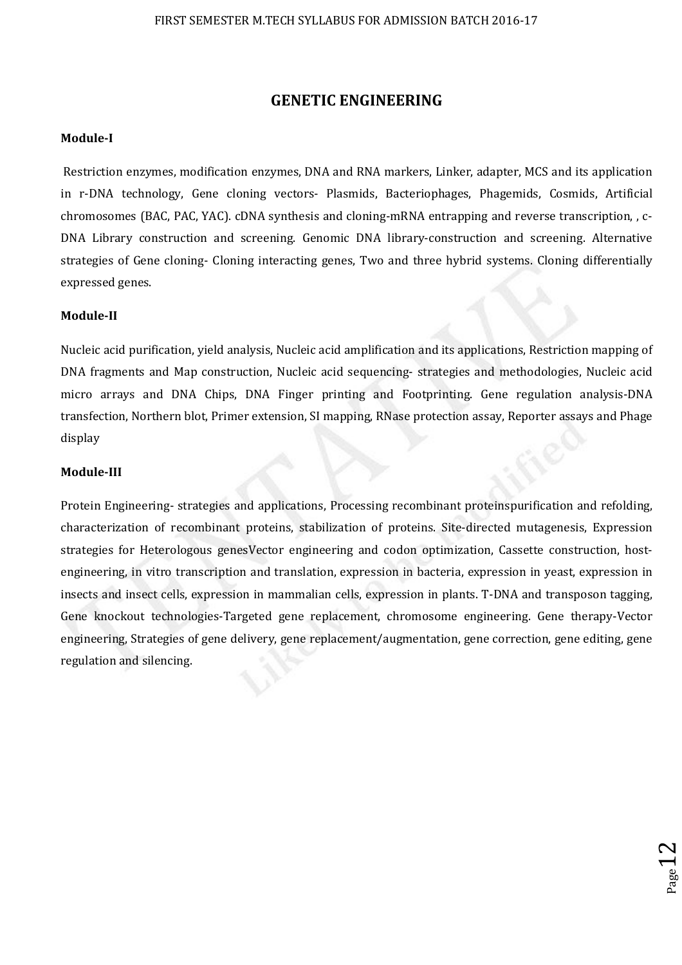## **GENETIC ENGINEERING**

#### **Module-I**

 Restriction enzymes, modification enzymes, DNA and RNA markers, Linker, adapter, MCS and its application in r-DNA technology, Gene cloning vectors- Plasmids, Bacteriophages, Phagemids, Cosmids, Artificial chromosomes (BAC, PAC, YAC). cDNA synthesis and cloning-mRNA entrapping and reverse transcription, , c-DNA Library construction and screening. Genomic DNA library-construction and screening. Alternative strategies of Gene cloning- Cloning interacting genes, Two and three hybrid systems. Cloning differentially expressed genes.

#### **Module-II**

Nucleic acid purification, yield analysis, Nucleic acid amplification and its applications, Restriction mapping of DNA fragments and Map construction, Nucleic acid sequencing- strategies and methodologies, Nucleic acid micro arrays and DNA Chips, DNA Finger printing and Footprinting. Gene regulation analysis-DNA transfection, Northern blot, Primer extension, SI mapping, RNase protection assay, Reporter assays and Phage display

#### **Module-III**

Protein Engineering- strategies and applications, Processing recombinant proteinspurification and refolding, characterization of recombinant proteins, stabilization of proteins. Site-directed mutagenesis, Expression strategies for Heterologous genesVector engineering and codon optimization, Cassette construction, hostengineering, in vitro transcription and translation, expression in bacteria, expression in yeast, expression in insects and insect cells, expression in mammalian cells, expression in plants. T-DNA and transposon tagging, Gene knockout technologies-Targeted gene replacement, chromosome engineering. Gene therapy-Vector engineering, Strategies of gene delivery, gene replacement/augmentation, gene correction, gene editing, gene regulation and silencing.

 $_{\textrm{\tiny{Page}}}12$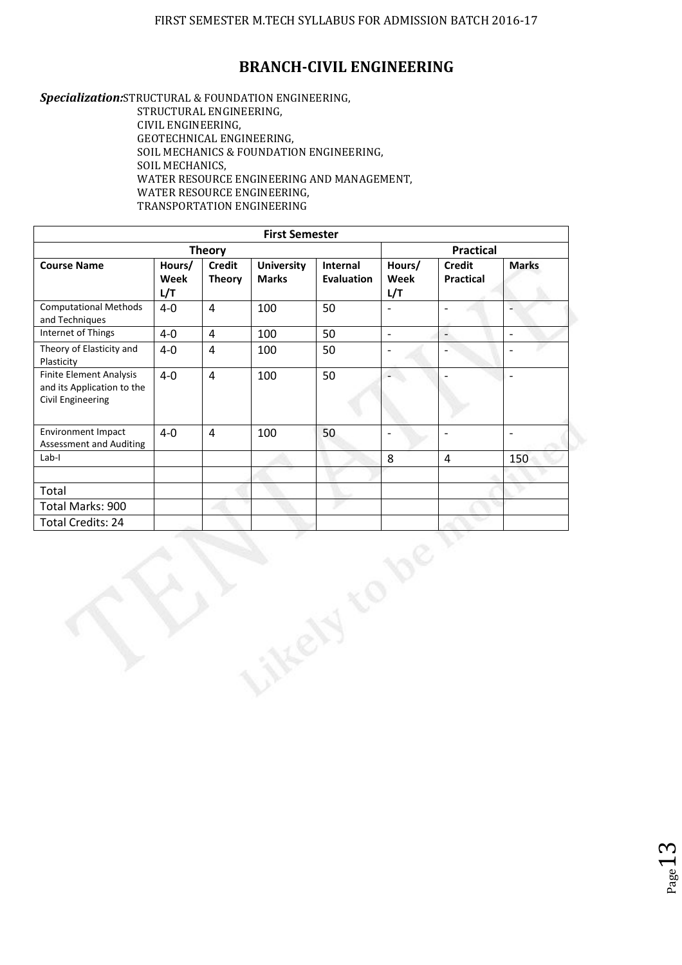## **BRANCH-CIVIL ENGINEERING**

*Specialization:*STRUCTURAL & FOUNDATION ENGINEERING,

STRUCTURAL ENGINEERING, CIVIL ENGINEERING, GEOTECHNICAL ENGINEERING, SOIL MECHANICS & FOUNDATION ENGINEERING, SOIL MECHANICS, WATER RESOURCE ENGINEERING AND MANAGEMENT, WATER RESOURCE ENGINEERING, TRANSPORTATION ENGINEERING

|                                                                            |                       |                                | <b>First Semester</b>             |                               |                          |                                   |                          |
|----------------------------------------------------------------------------|-----------------------|--------------------------------|-----------------------------------|-------------------------------|--------------------------|-----------------------------------|--------------------------|
| <b>Theory</b>                                                              |                       |                                |                                   |                               |                          | <b>Practical</b>                  |                          |
| <b>Course Name</b>                                                         | Hours/<br>Week<br>L/T | <b>Credit</b><br><b>Theory</b> | <b>University</b><br><b>Marks</b> | Internal<br><b>Evaluation</b> | Hours/<br>Week<br>L/T    | <b>Credit</b><br><b>Practical</b> | <b>Marks</b>             |
| <b>Computational Methods</b><br>and Techniques                             | $4 - 0$               | $\overline{4}$                 | 100                               | 50                            | $\overline{\phantom{a}}$ |                                   |                          |
| Internet of Things                                                         | $4-0$                 | $\overline{4}$                 | 100                               | 50                            | $\blacksquare$           | $\frac{1}{2}$                     | $\blacksquare$           |
| Theory of Elasticity and<br>Plasticity                                     | $4-0$                 | $\overline{4}$                 | 100                               | 50                            | $\overline{\phantom{0}}$ |                                   | $\overline{a}$           |
| Finite Element Analysis<br>and its Application to the<br>Civil Engineering | $4-0$                 | $\overline{4}$                 | 100                               | 50                            |                          |                                   | $\blacksquare$           |
| Environment Impact<br><b>Assessment and Auditing</b>                       | $4 - 0$               | $\overline{4}$                 | 100                               | 50                            | $\overline{a}$           | $\overline{\phantom{a}}$          | $\overline{\phantom{a}}$ |
| $Lab-I$                                                                    |                       |                                |                                   |                               | 8                        | $\overline{4}$                    | 150                      |
|                                                                            |                       |                                |                                   |                               |                          |                                   |                          |
| Total                                                                      |                       |                                |                                   |                               |                          |                                   |                          |
| Total Marks: 900                                                           |                       |                                |                                   |                               |                          |                                   |                          |
| Total Credits: 24                                                          |                       |                                |                                   |                               |                          |                                   |                          |
|                                                                            |                       |                                |                                   |                               |                          |                                   |                          |

Page -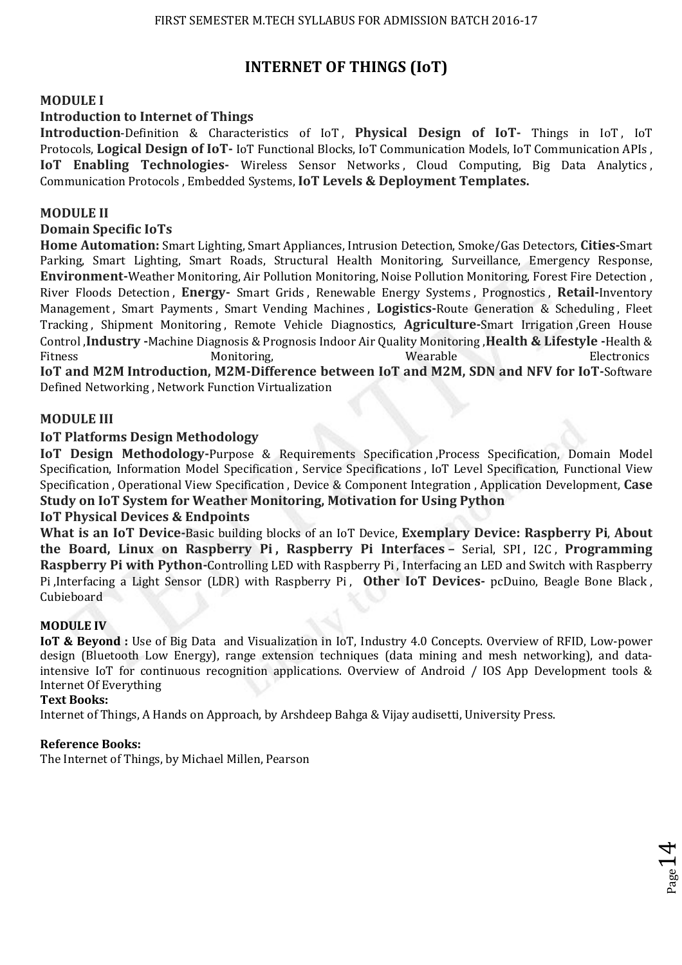# **INTERNET OF THINGS (IoT)**

## **MODULE I**

## **Introduction to Internet of Things**

**Introduction-Definition & Characteristics of IoT, Physical Design of IoT- Things in IoT, IoT** Protocols, **Logical Design of IoT-** IoT Functional Blocks, IoT Communication Models, IoT Communication APIs , **IoT Enabling Technologies-** Wireless Sensor Networks, Cloud Computing, Big Data Analytics, Communication Protocols , Embedded Systems, **IoT Levels & Deployment Templates.** 

#### **MODULE II**

### **Domain Specific IoTs**

**Home Automation:** Smart Lighting, Smart Appliances, Intrusion Detection, Smoke/Gas Detectors, **Cities-**Smart Parking, Smart Lighting, Smart Roads, Structural Health Monitoring, Surveillance, Emergency Response, **Environment-**Weather Monitoring, Air Pollution Monitoring, Noise Pollution Monitoring, Forest Fire Detection , River Floods Detection , **Energy-** Smart Grids , Renewable Energy Systems , Prognostics , **Retail-**Inventory Management , Smart Payments , Smart Vending Machines , **Logistics-**Route Generation & Scheduling , Fleet Tracking , Shipment Monitoring , Remote Vehicle Diagnostics, **Agriculture-**Smart Irrigation ,Green House Control ,**Industry -**Machine Diagnosis & Prognosis Indoor Air Quality Monitoring ,**Health & Lifestyle -**Health & Fitness Electronics Monitoring, Santa Controllering, School and Monitoring, School and Monitoring, School and Monitoring, School and Monitoring, School and Monitoring, School and Monitoring, School and Monitoring, School a **IoT and M2M Introduction, M2M-Difference between IoT and M2M, SDN and NFV for IoT-**Software

Defined Networking , Network Function Virtualization

#### **MODULE III**

#### **IoT Platforms Design Methodology**

**IoT Design Methodology-**Purpose & Requirements Specification ,Process Specification, Domain Model Specification, Information Model Specification , Service Specifications , IoT Level Specification, Functional View Specification , Operational View Specification , Device & Component Integration , Application Development, **Case Study on IoT System for Weather Monitoring, Motivation for Using Python** 

#### **IoT Physical Devices & Endpoints**

**What is an IoT Device-**Basic building blocks of an IoT Device, **Exemplary Device: Raspberry Pi**, **About the Board, Linux on Raspberry Pi , Raspberry Pi Interfaces –** Serial, SPI , I2C , **Programming Raspberry Pi with Python-**Controlling LED with Raspberry Pi , Interfacing an LED and Switch with Raspberry Pi ,Interfacing a Light Sensor (LDR) with Raspberry Pi , **Other IoT Devices-** pcDuino, Beagle Bone Black , Cubieboard

#### **MODULE IV**

**IoT & Beyond :** Use of Big Data and Visualization in IoT, Industry 4.0 Concepts. Overview of RFID, Low-power design (Bluetooth Low Energy), range extension techniques (data mining and mesh networking), and dataintensive IoT for continuous recognition applications. Overview of Android / IOS App Development tools & Internet Of Everything

 $_{\textrm{\tiny{Page}}}$ 14

#### **Text Books:**

Internet of Things, A Hands on Approach, by Arshdeep Bahga & Vijay audisetti, University Press.

#### **Reference Books:**

The Internet of Things, by Michael Millen, Pearson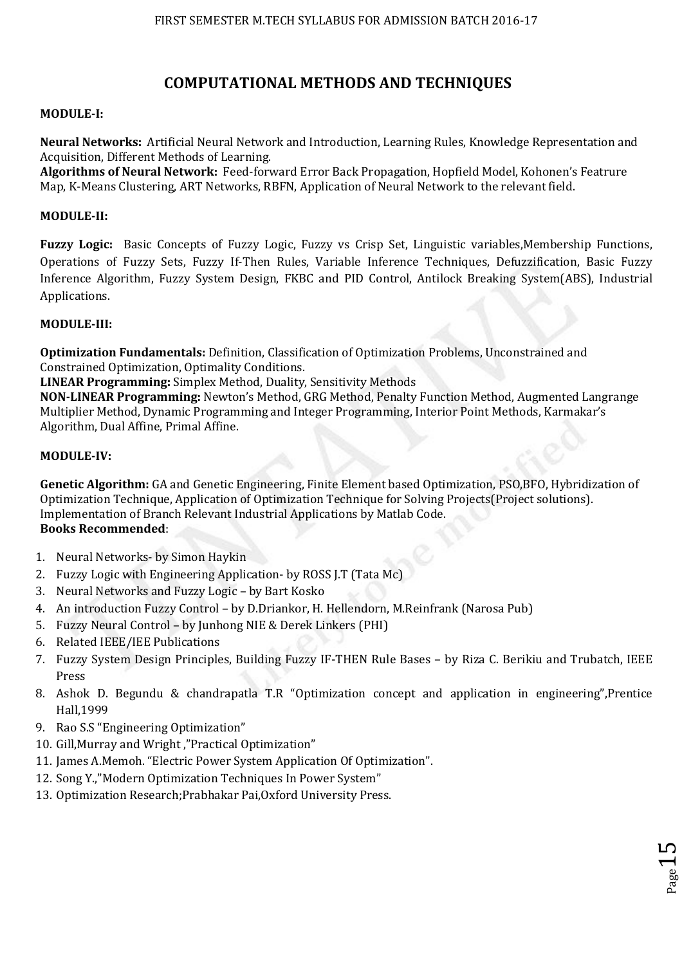## **COMPUTATIONAL METHODS AND TECHNIQUES**

#### **MODULE-I:**

**Neural Networks:** Artificial Neural Network and Introduction, Learning Rules, Knowledge Representation and Acquisition, Different Methods of Learning.

**Algorithms of Neural Network:** Feed-forward Error Back Propagation, Hopfield Model, Kohonen's Featrure Map, K-Means Clustering, ART Networks, RBFN, Application of Neural Network to the relevant field.

#### **MODULE-II:**

**Fuzzy Logic:** Basic Concepts of Fuzzy Logic, Fuzzy vs Crisp Set, Linguistic variables,Membership Functions, Operations of Fuzzy Sets, Fuzzy If-Then Rules, Variable Inference Techniques, Defuzzification, Basic Fuzzy Inference Algorithm, Fuzzy System Design, FKBC and PID Control, Antilock Breaking System(ABS), Industrial Applications.

#### **MODULE-III:**

**Optimization Fundamentals:** Definition, Classification of Optimization Problems, Unconstrained and Constrained Optimization, Optimality Conditions.

**LINEAR Programming:** Simplex Method, Duality, Sensitivity Methods

**NON-LINEAR Programming:** Newton's Method, GRG Method, Penalty Function Method, Augmented Langrange Multiplier Method, Dynamic Programming and Integer Programming, Interior Point Methods, Karmakar's Algorithm, Dual Affine, Primal Affine.

#### **MODULE-IV:**

**Genetic Algorithm:** GA and Genetic Engineering, Finite Element based Optimization, PSO,BFO, Hybridization of Optimization Technique, Application of Optimization Technique for Solving Projects(Project solutions). Implementation of Branch Relevant Industrial Applications by Matlab Code. **Books Recommended**:

- 1. Neural Networks- by Simon Haykin
- 2. Fuzzy Logic with Engineering Application- by ROSS J.T (Tata Mc)
- 3. Neural Networks and Fuzzy Logic by Bart Kosko
- 4. An introduction Fuzzy Control by D.Driankor, H. Hellendorn, M.Reinfrank (Narosa Pub)
- 5. Fuzzy Neural Control by Junhong NIE & Derek Linkers (PHI)
- 6. Related IEEE/IEE Publications
- 7. Fuzzy System Design Principles, Building Fuzzy IF-THEN Rule Bases by Riza C. Berikiu and Trubatch, IEEE Press
- 8. Ashok D. Begundu & chandrapatla T.R "Optimization concept and application in engineering",Prentice Hall,1999

Page15

- 9. Rao S.S "Engineering Optimization"
- 10. Gill,Murray and Wright ,"Practical Optimization"
- 11. James A.Memoh. "Electric Power System Application Of Optimization".
- 12. Song Y.,"Modern Optimization Techniques In Power System"
- 13. Optimization Research;Prabhakar Pai,Oxford University Press.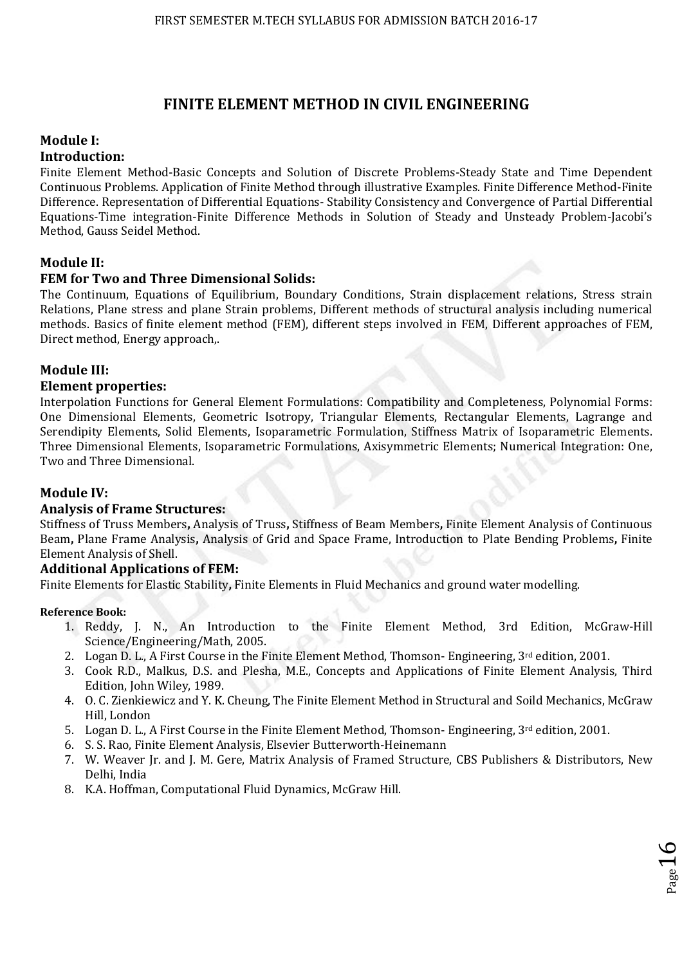## **FINITE ELEMENT METHOD IN CIVIL ENGINEERING**

## **Module I:**

## **Introduction:**

Finite Element Method-Basic Concepts and Solution of Discrete Problems-Steady State and Time Dependent Continuous Problems. Application of Finite Method through illustrative Examples. Finite Difference Method-Finite Difference. Representation of Differential Equations- Stability Consistency and Convergence of Partial Differential Equations-Time integration-Finite Difference Methods in Solution of Steady and Unsteady Problem-Jacobi's Method, Gauss Seidel Method.

## **Module II:**

## **FEM for Two and Three Dimensional Solids:**

The Continuum, Equations of Equilibrium, Boundary Conditions, Strain displacement relations, Stress strain Relations, Plane stress and plane Strain problems, Different methods of structural analysis including numerical methods. Basics of finite element method (FEM), different steps involved in FEM, Different approaches of FEM, Direct method, Energy approach,.

## **Module III:**

## **Element properties:**

Interpolation Functions for General Element Formulations: Compatibility and Completeness, Polynomial Forms: One Dimensional Elements, Geometric Isotropy, Triangular Elements, Rectangular Elements, Lagrange and Serendipity Elements, Solid Elements, Isoparametric Formulation, Stiffness Matrix of Isoparametric Elements. Three Dimensional Elements, Isoparametric Formulations, Axisymmetric Elements; Numerical Integration: One, Two and Three Dimensional.

## **Module IV:**

## **Analysis of Frame Structures:**

Stiffness of Truss Members**,** Analysis of Truss**,** Stiffness of Beam Members**,** Finite Element Analysis of Continuous Beam**,** Plane Frame Analysis**,** Analysis of Grid and Space Frame, Introduction to Plate Bending Problems**,** Finite Element Analysis of Shell.

## **Additional Applications of FEM:**

Finite Elements for Elastic Stability**,** Finite Elements in Fluid Mechanics and ground water modelling.

## **Reference Book:**

- 1. Reddy, J. N., An Introduction to the Finite Element Method, 3rd Edition, McGraw-Hill Science/Engineering/Math, 2005.
- 2. Logan D. L., A First Course in the Finite Element Method, Thomson- Engineering,  $3<sup>rd</sup>$  edition, 2001.
- 3. Cook R.D., Malkus, D.S. and Plesha, M.E., Concepts and Applications of Finite Element Analysis, Third Edition, John Wiley, 1989.
- 4. O. C. Zienkiewicz and Y. K. Cheung, The Finite Element Method in Structural and Soild Mechanics, McGraw Hill, London
- 5. Logan D. L., A First Course in the Finite Element Method, Thomson- Engineering,  $3^{rd}$  edition, 2001.
- 6. S. S. Rao, Finite Element Analysis, Elsevier Butterworth-Heinemann
- 7. W. Weaver Jr. and J. M. Gere, Matrix Analysis of Framed Structure, CBS Publishers & Distributors, New Delhi, India
- 8. K.A. Hoffman, Computational Fluid Dynamics, McGraw Hill.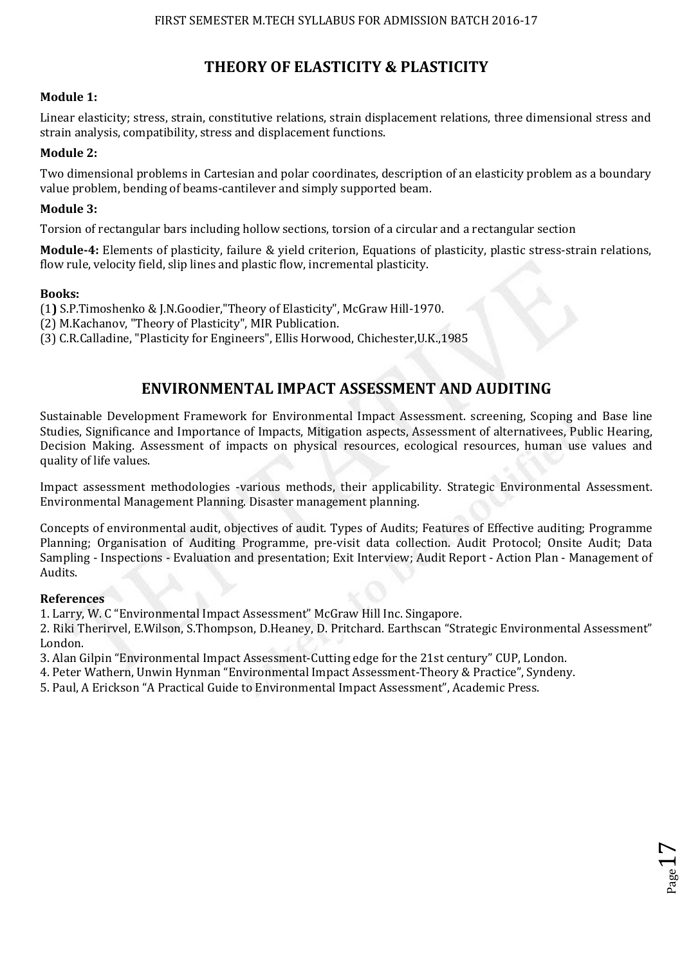# **THEORY OF ELASTICITY & PLASTICITY**

## **Module 1:**

Linear elasticity; stress, strain, constitutive relations, strain displacement relations, three dimensional stress and strain analysis, compatibility, stress and displacement functions.

## **Module 2:**

Two dimensional problems in Cartesian and polar coordinates, description of an elasticity problem as a boundary value problem, bending of beams-cantilever and simply supported beam.

## **Module 3:**

Torsion of rectangular bars including hollow sections, torsion of a circular and a rectangular section

**Module-4:** Elements of plasticity, failure & yield criterion, Equations of plasticity, plastic stress-strain relations, flow rule, velocity field, slip lines and plastic flow, incremental plasticity.

## **Books:**

(1**)** S.P.Timoshenko & J.N.Goodier,"Theory of Elasticity", McGraw Hill-1970.

(2) M.Kachanov, "Theory of Plasticity", MIR Publication.

(3) C.R.Calladine, "Plasticity for Engineers", Ellis Horwood, Chichester,U.K.,1985

# **ENVIRONMENTAL IMPACT ASSESSMENT AND AUDITING**

Sustainable Development Framework for Environmental Impact Assessment. screening, Scoping and Base line Studies, Significance and Importance of Impacts, Mitigation aspects, Assessment of alternativees, Public Hearing, Decision Making. Assessment of impacts on physical resources, ecological resources, human use values and quality of life values.

Impact assessment methodologies -various methods, their applicability. Strategic Environmental Assessment. Environmental Management Planning. Disaster management planning.

Concepts of environmental audit, objectives of audit. Types of Audits; Features of Effective auditing; Programme Planning; Organisation of Auditing Programme, pre-visit data collection. Audit Protocol; Onsite Audit; Data Sampling - Inspections - Evaluation and presentation; Exit Interview; Audit Report - Action Plan - Management of Audits.

## **References**

1. Larry, W. C "Environmental Impact Assessment" McGraw Hill Inc. Singapore.

2. Riki Therirvel, E.Wilson, S.Thompson, D.Heaney, D. Pritchard. Earthscan "Strategic Environmental Assessment" London.

 $_{\rm Page}17$ 

3. Alan Gilpin "Environmental Impact Assessment-Cutting edge for the 21st century" CUP, London.

4. Peter Wathern, Unwin Hynman "Environmental Impact Assessment-Theory & Practice", Syndeny.

5. Paul, A Erickson "A Practical Guide to Environmental Impact Assessment", Academic Press.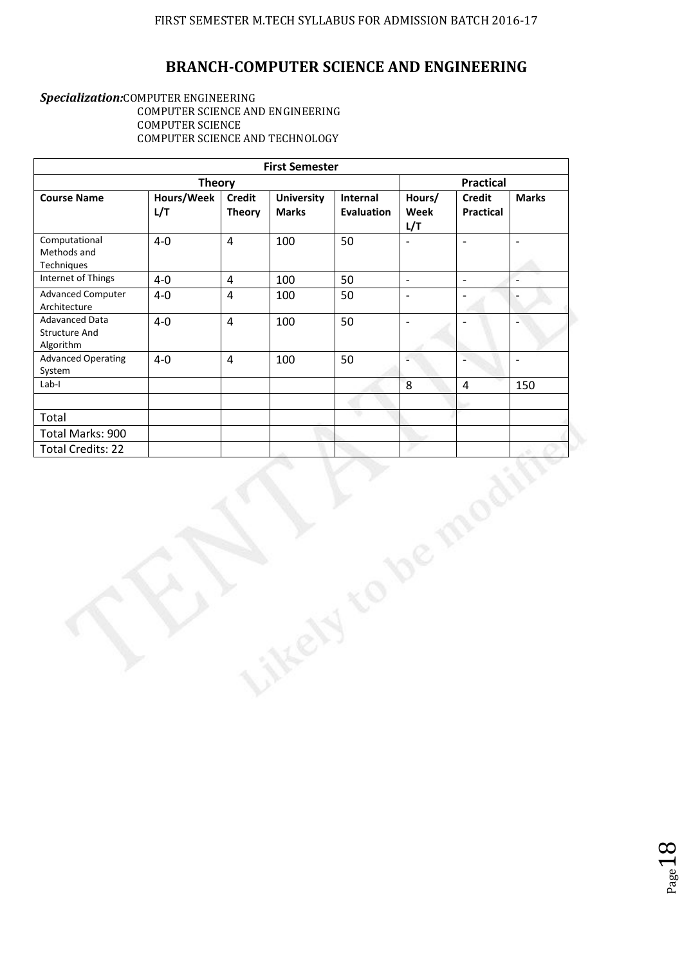# **BRANCH-COMPUTER SCIENCE AND ENGINEERING**

#### *Specialization:*COMPUTER ENGINEERING COMPUTER SCIENCE AND ENGINEERING COMPUTER SCIENCE COMPUTER SCIENCE AND TECHNOLOGY

|                                                     |                   |                                | <b>First Semester</b>             |                               |                          |                                   |                          |  |
|-----------------------------------------------------|-------------------|--------------------------------|-----------------------------------|-------------------------------|--------------------------|-----------------------------------|--------------------------|--|
| <b>Theory</b>                                       |                   |                                |                                   |                               |                          | <b>Practical</b>                  |                          |  |
| <b>Course Name</b>                                  | Hours/Week<br>L/T | <b>Credit</b><br><b>Theory</b> | <b>University</b><br><b>Marks</b> | Internal<br><b>Evaluation</b> | Hours/<br>Week<br>L/T    | <b>Credit</b><br><b>Practical</b> | <b>Marks</b>             |  |
| Computational<br>Methods and<br>Techniques          | $4-0$             | $\overline{4}$                 | 100                               | 50                            | $\frac{1}{2}$            | $\Box$                            | $\Box$                   |  |
| Internet of Things                                  | $4-0$             | $\overline{4}$                 | 100                               | 50                            | $\mathbb{L}$             | $\Box$                            | $\overline{\phantom{a}}$ |  |
| <b>Advanced Computer</b><br>Architecture            | $4-0$             | $\overline{4}$                 | 100                               | 50                            | $\overline{\phantom{a}}$ | $\overline{\phantom{a}}$          | $\overline{\phantom{a}}$ |  |
| Adavanced Data<br><b>Structure And</b><br>Algorithm | $4-0$             | $\overline{4}$                 | 100                               | 50                            | $\qquad \qquad -$        |                                   | $\overline{\phantom{a}}$ |  |
| <b>Advanced Operating</b><br>System                 | $4-0$             | $\overline{4}$                 | 100                               | 50                            | ÷                        | $\overline{a}$                    | $\overline{\phantom{0}}$ |  |
| $Lab-I$                                             |                   |                                |                                   |                               | 8                        | $\overline{4}$                    | 150                      |  |
|                                                     |                   |                                |                                   |                               |                          |                                   |                          |  |
| Total                                               |                   |                                |                                   | v                             |                          |                                   |                          |  |
| Total Marks: 900                                    |                   |                                |                                   |                               |                          |                                   |                          |  |
| <b>Total Credits: 22</b>                            |                   |                                |                                   |                               |                          |                                   |                          |  |
|                                                     |                   |                                |                                   |                               |                          |                                   |                          |  |

Page 18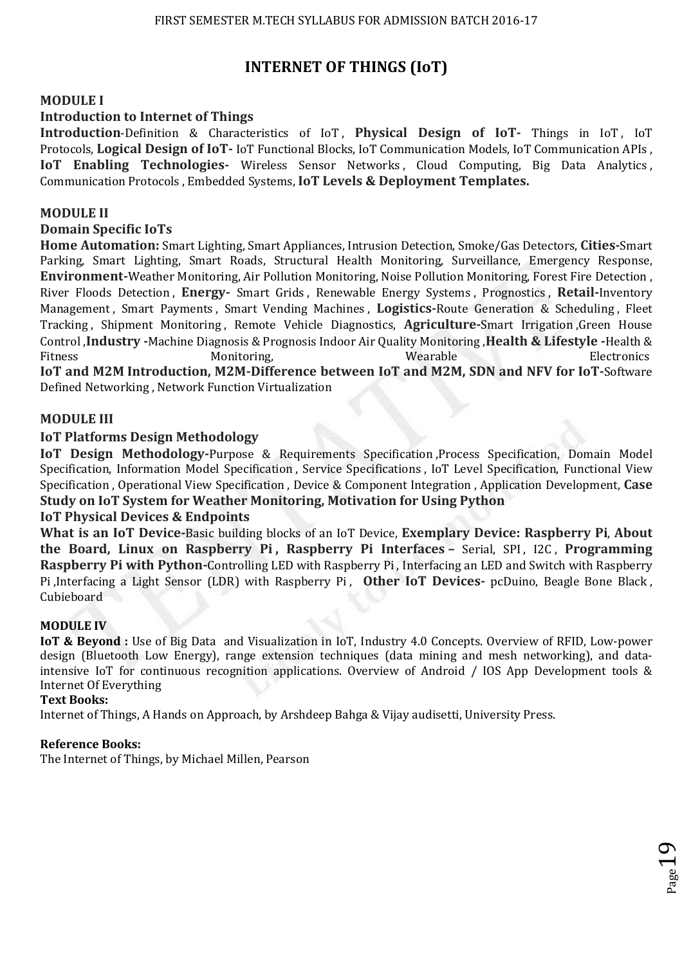# **INTERNET OF THINGS (IoT)**

## **MODULE I**

## **Introduction to Internet of Things**

**Introduction-Definition & Characteristics of IoT, Physical Design of IoT- Things in IoT, IoT** Protocols, **Logical Design of IoT-** IoT Functional Blocks, IoT Communication Models, IoT Communication APIs , **IoT Enabling Technologies-** Wireless Sensor Networks, Cloud Computing, Big Data Analytics, Communication Protocols , Embedded Systems, **IoT Levels & Deployment Templates.** 

#### **MODULE II**

### **Domain Specific IoTs**

**Home Automation:** Smart Lighting, Smart Appliances, Intrusion Detection, Smoke/Gas Detectors, **Cities-**Smart Parking, Smart Lighting, Smart Roads, Structural Health Monitoring, Surveillance, Emergency Response, **Environment-**Weather Monitoring, Air Pollution Monitoring, Noise Pollution Monitoring, Forest Fire Detection , River Floods Detection , **Energy-** Smart Grids , Renewable Energy Systems , Prognostics , **Retail-**Inventory Management , Smart Payments , Smart Vending Machines , **Logistics-**Route Generation & Scheduling , Fleet Tracking , Shipment Monitoring , Remote Vehicle Diagnostics, **Agriculture-**Smart Irrigation ,Green House Control ,**Industry -**Machine Diagnosis & Prognosis Indoor Air Quality Monitoring ,**Health & Lifestyle -**Health & Fitness Electronics Monitoring, Santa Controllering, School and Monitoring, School and Monitoring, School and Monitoring, School and Monitoring, School and Monitoring, School and Monitoring, School and Monitoring, School a **IoT and M2M Introduction, M2M-Difference between IoT and M2M, SDN and NFV for IoT-**Software

Defined Networking , Network Function Virtualization

#### **MODULE III**

#### **IoT Platforms Design Methodology**

**IoT Design Methodology-**Purpose & Requirements Specification ,Process Specification, Domain Model Specification, Information Model Specification , Service Specifications , IoT Level Specification, Functional View Specification , Operational View Specification , Device & Component Integration , Application Development, **Case Study on IoT System for Weather Monitoring, Motivation for Using Python** 

#### **IoT Physical Devices & Endpoints**

**What is an IoT Device-**Basic building blocks of an IoT Device, **Exemplary Device: Raspberry Pi**, **About the Board, Linux on Raspberry Pi , Raspberry Pi Interfaces –** Serial, SPI , I2C , **Programming Raspberry Pi with Python-**Controlling LED with Raspberry Pi , Interfacing an LED and Switch with Raspberry Pi ,Interfacing a Light Sensor (LDR) with Raspberry Pi , **Other IoT Devices-** pcDuino, Beagle Bone Black , Cubieboard

#### **MODULE IV**

**IoT & Beyond :** Use of Big Data and Visualization in IoT, Industry 4.0 Concepts. Overview of RFID, Low-power design (Bluetooth Low Energy), range extension techniques (data mining and mesh networking), and dataintensive IoT for continuous recognition applications. Overview of Android / IOS App Development tools & Internet Of Everything

 $_{\rm Page}19$ 

#### **Text Books:**

Internet of Things, A Hands on Approach, by Arshdeep Bahga & Vijay audisetti, University Press.

#### **Reference Books:**

The Internet of Things, by Michael Millen, Pearson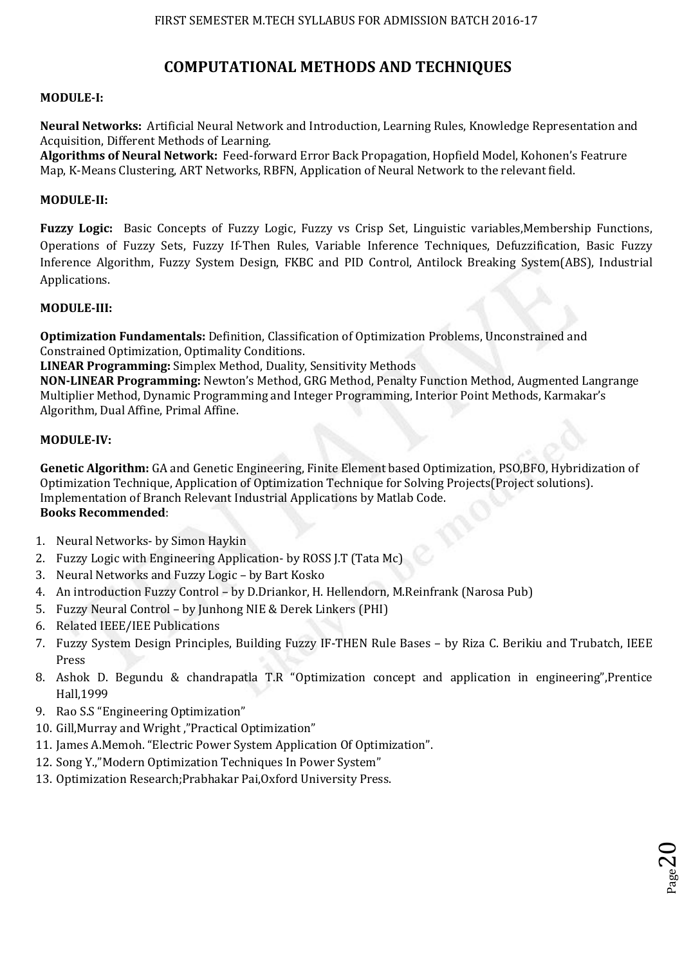# **COMPUTATIONAL METHODS AND TECHNIQUES**

#### **MODULE-I:**

**Neural Networks:** Artificial Neural Network and Introduction, Learning Rules, Knowledge Representation and Acquisition, Different Methods of Learning.

**Algorithms of Neural Network:** Feed-forward Error Back Propagation, Hopfield Model, Kohonen's Featrure Map, K-Means Clustering, ART Networks, RBFN, Application of Neural Network to the relevant field.

### **MODULE-II:**

**Fuzzy Logic:** Basic Concepts of Fuzzy Logic, Fuzzy vs Crisp Set, Linguistic variables,Membership Functions, Operations of Fuzzy Sets, Fuzzy If-Then Rules, Variable Inference Techniques, Defuzzification, Basic Fuzzy Inference Algorithm, Fuzzy System Design, FKBC and PID Control, Antilock Breaking System(ABS), Industrial Applications.

#### **MODULE-III:**

**Optimization Fundamentals:** Definition, Classification of Optimization Problems, Unconstrained and Constrained Optimization, Optimality Conditions.

**LINEAR Programming:** Simplex Method, Duality, Sensitivity Methods

**NON-LINEAR Programming:** Newton's Method, GRG Method, Penalty Function Method, Augmented Langrange Multiplier Method, Dynamic Programming and Integer Programming, Interior Point Methods, Karmakar's Algorithm, Dual Affine, Primal Affine.

#### **MODULE-IV:**

**Genetic Algorithm:** GA and Genetic Engineering, Finite Element based Optimization, PSO,BFO, Hybridization of Optimization Technique, Application of Optimization Technique for Solving Projects(Project solutions). Implementation of Branch Relevant Industrial Applications by Matlab Code.

# **Books Recommended**:

- 1. Neural Networks- by Simon Haykin
- 2. Fuzzy Logic with Engineering Application- by ROSS J.T (Tata Mc)
- 3. Neural Networks and Fuzzy Logic by Bart Kosko
- 4. An introduction Fuzzy Control by D.Driankor, H. Hellendorn, M.Reinfrank (Narosa Pub)
- 5. Fuzzy Neural Control by Junhong NIE & Derek Linkers (PHI)
- 6. Related IEEE/IEE Publications
- 7. Fuzzy System Design Principles, Building Fuzzy IF-THEN Rule Bases by Riza C. Berikiu and Trubatch, IEEE Press
- 8. Ashok D. Begundu & chandrapatla T.R "Optimization concept and application in engineering",Prentice Hall,1999
- 9. Rao S.S "Engineering Optimization"
- 10. Gill,Murray and Wright ,"Practical Optimization"
- 11. James A.Memoh. "Electric Power System Application Of Optimization".
- 12. Song Y.,"Modern Optimization Techniques In Power System"
- 13. Optimization Research;Prabhakar Pai,Oxford University Press.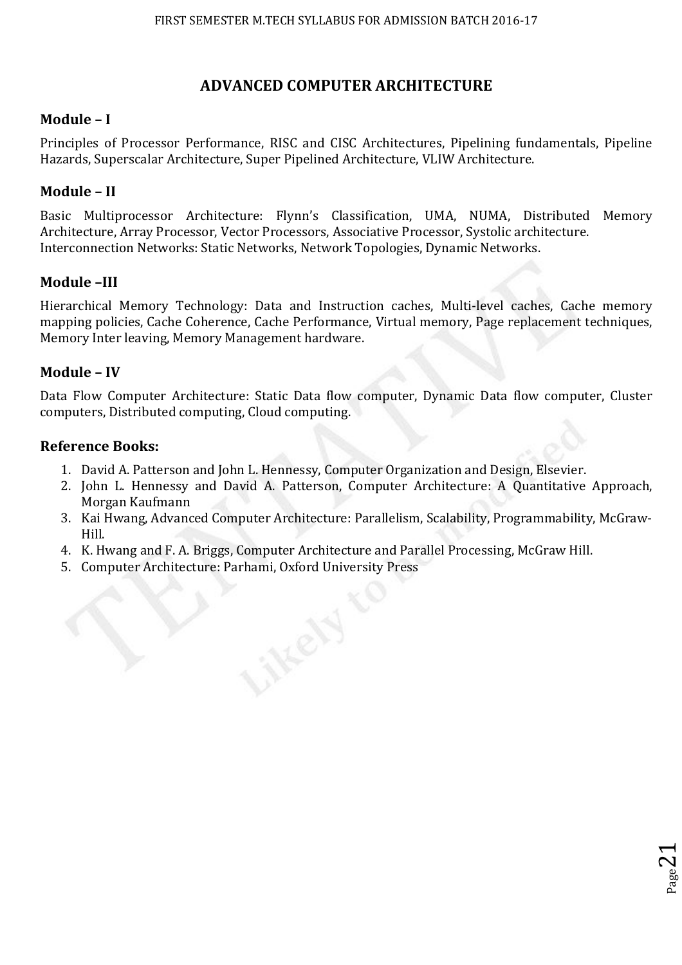# **ADVANCED COMPUTER ARCHITECTURE**

## **Module – I**

Principles of Processor Performance, RISC and CISC Architectures, Pipelining fundamentals, Pipeline Hazards, Superscalar Architecture, Super Pipelined Architecture, VLIW Architecture.

## **Module – II**

Basic Multiprocessor Architecture: Flynn's Classification, UMA, NUMA, Distributed Memory Architecture, Array Processor, Vector Processors, Associative Processor, Systolic architecture. Interconnection Networks: Static Networks, Network Topologies, Dynamic Networks.

## **Module –III**

Hierarchical Memory Technology: Data and Instruction caches, Multi-level caches, Cache memory mapping policies, Cache Coherence, Cache Performance, Virtual memory, Page replacement techniques, Memory Inter leaving, Memory Management hardware.

## **Module – IV**

Data Flow Computer Architecture: Static Data flow computer, Dynamic Data flow computer, Cluster computers, Distributed computing, Cloud computing.

## **Reference Books:**

- 1. David A. Patterson and John L. Hennessy, Computer Organization and Design, Elsevier.
- 2. John L. Hennessy and David A. Patterson, Computer Architecture: A Quantitative Approach, Morgan Kaufmann
- 3. Kai Hwang, Advanced Computer Architecture: Parallelism, Scalability, Programmability, McGraw-Hill.

 $P_{{\rm age}}$ 21

- 4. K. Hwang and F. A. Briggs, Computer Architecture and Parallel Processing, McGraw Hill.
- 5. Computer Architecture: Parhami, Oxford University Press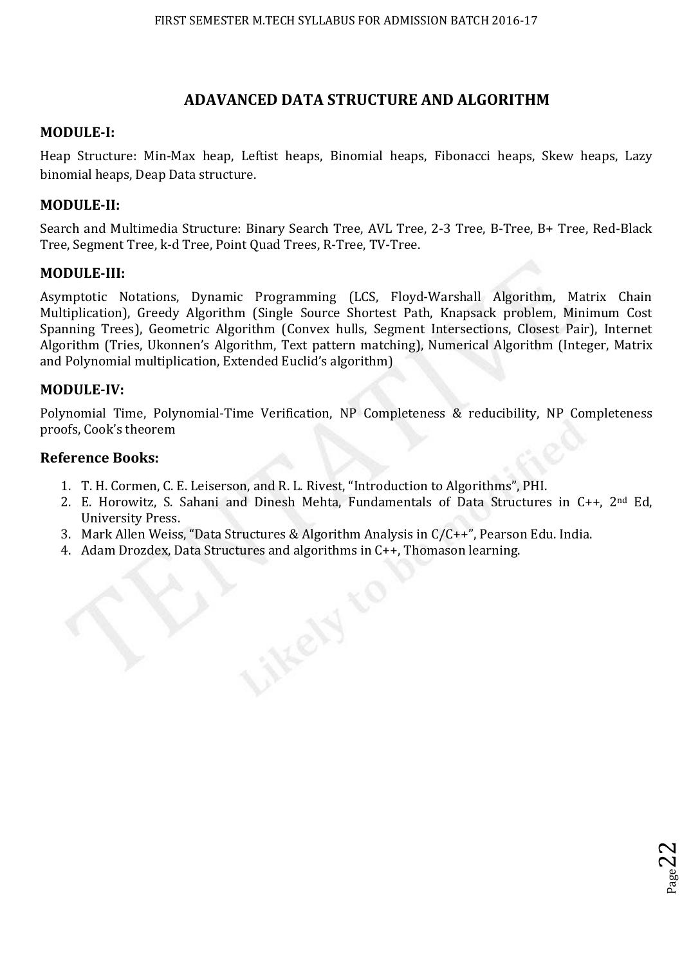## **ADAVANCED DATA STRUCTURE AND ALGORITHM**

## **MODULE-I:**

Heap Structure: Min-Max heap, Leftist heaps, Binomial heaps, Fibonacci heaps, Skew heaps, Lazy binomial heaps, Deap Data structure.

## **MODULE-II:**

Search and Multimedia Structure: Binary Search Tree, AVL Tree, 2-3 Tree, B-Tree, B+ Tree, Red-Black Tree, Segment Tree, k-d Tree, Point Quad Trees, R-Tree, TV-Tree.

## **MODULE-III:**

Asymptotic Notations, Dynamic Programming (LCS, Floyd-Warshall Algorithm, Matrix Chain Multiplication), Greedy Algorithm (Single Source Shortest Path, Knapsack problem, Minimum Cost Spanning Trees), Geometric Algorithm (Convex hulls, Segment Intersections, Closest Pair), Internet Algorithm (Tries, Ukonnen's Algorithm, Text pattern matching), Numerical Algorithm (Integer, Matrix and Polynomial multiplication, Extended Euclid's algorithm)

## **MODULE-IV:**

Polynomial Time, Polynomial-Time Verification, NP Completeness & reducibility, NP Completeness proofs, Cook's theorem

## **Reference Books:**

- 1. T. H. Cormen, C. E. Leiserson, and R. L. Rivest, "Introduction to Algorithms", PHI.
- 2. E. Horowitz, S. Sahani and Dinesh Mehta, Fundamentals of Data Structures in C++, 2nd Ed, University Press.

 $_{\rm Page}$ 22

- 3. Mark Allen Weiss, "Data Structures & Algorithm Analysis in C/C++", Pearson Edu. India.
- 4. Adam Drozdex, Data Structures and algorithms in C++, Thomason learning.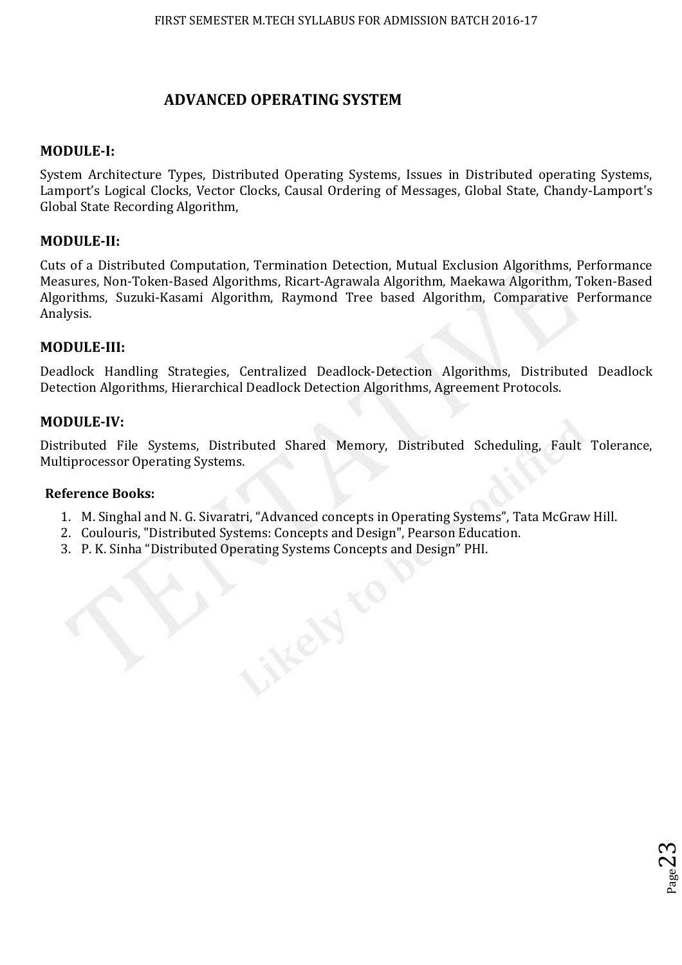## **ADVANCED OPERATING SYSTEM**

## **MODULE-I:**

System Architecture Types, Distributed Operating Systems, Issues in Distributed operating Systems, Lamport's Logical Clocks, Vector Clocks, Causal Ordering of Messages, Global State, Chandy-Lamport's Global State Recording Algorithm,

## **MODULE-II:**

Cuts of a Distributed Computation, Termination Detection, Mutual Exclusion Algorithms, Performance Measures, Non-Token-Based Algorithms, Ricart-Agrawala Algorithm, Maekawa Algorithm, Token-Based Algorithms, Suzuki-Kasami Algorithm, Raymond Tree based Algorithm, Comparative Performance Analysis.

## **MODULE-III:**

Deadlock Handling Strategies, Centralized Deadlock-Detection Algorithms, Distributed Deadlock Detection Algorithms, Hierarchical Deadlock Detection Algorithms, Agreement Protocols.

## **MODULE-IV:**

Distributed File Systems, Distributed Shared Memory, Distributed Scheduling, Fault Tolerance, Multiprocessor Operating Systems.

## **Reference Books:**

1. M. Singhal and N. G. Sivaratri, "Advanced concepts in Operating Systems", Tata McGraw Hill.

 $_{\rm Page}23$ 

- 2. Coulouris, "Distributed Systems: Concepts and Design", Pearson Education.
- 3. P. K. Sinha "Distributed Operating Systems Concepts and Design" PHI.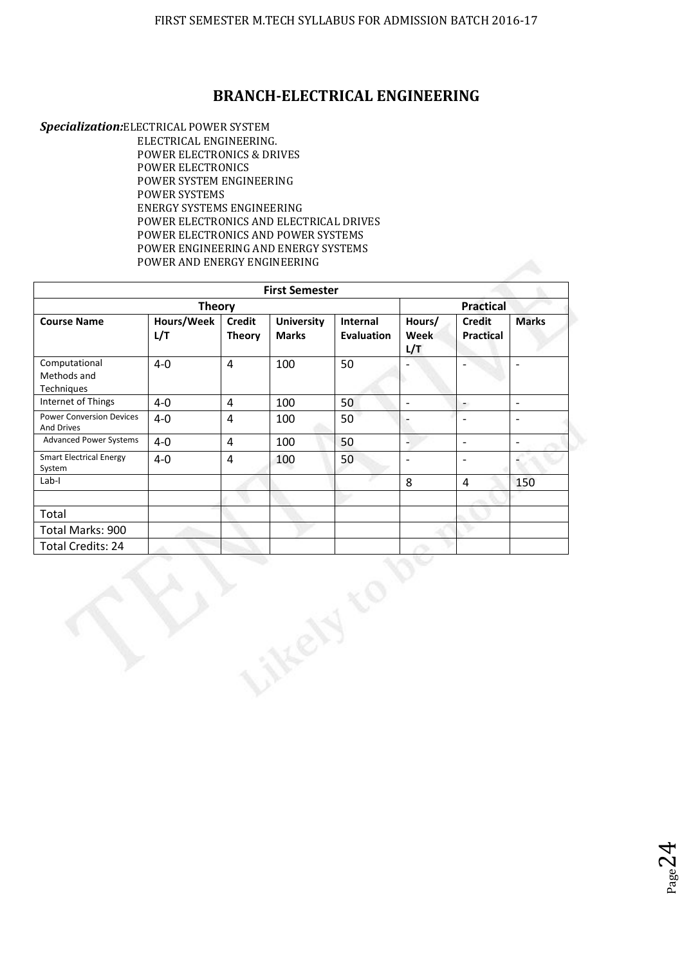## **BRANCH-ELECTRICAL ENGINEERING**

*Specialization:*ELECTRICAL POWER SYSTEM ELECTRICAL ENGINEERING. POWER ELECTRONICS & DRIVES POWER ELECTRONICS POWER SYSTEM ENGINEERING POWER SYSTEMS ENERGY SYSTEMS ENGINEERING POWER ELECTRONICS AND ELECTRICAL DRIVES POWER ELECTRONICS AND POWER SYSTEMS POWER ENGINEERING AND ENERGY SYSTEMS POWER AND ENERGY ENGINEERING

|                                                      |                   |                                | <b>First Semester</b>             |                               |                          |                                   |                          |
|------------------------------------------------------|-------------------|--------------------------------|-----------------------------------|-------------------------------|--------------------------|-----------------------------------|--------------------------|
|                                                      | <b>Practical</b>  |                                |                                   |                               |                          |                                   |                          |
| <b>Course Name</b>                                   | Hours/Week<br>L/T | <b>Credit</b><br><b>Theory</b> | <b>University</b><br><b>Marks</b> | Internal<br><b>Evaluation</b> | Hours/<br>Week<br>L/T    | <b>Credit</b><br><b>Practical</b> | <b>Marks</b>             |
| Computational<br>Methods and<br>Techniques           | $4 - 0$           | $\overline{4}$                 | 100                               | 50                            |                          |                                   | $\overline{\phantom{m}}$ |
| Internet of Things                                   | $4 - 0$           | $\overline{4}$                 | 100                               | 50                            | $\overline{\phantom{a}}$ | $\overline{\phantom{a}}$          | $\overline{a}$           |
| <b>Power Conversion Devices</b><br><b>And Drives</b> | $4 - 0$           | $\overline{4}$                 | 100                               | 50                            |                          | $\overline{\phantom{a}}$          | $\overline{\phantom{a}}$ |
| <b>Advanced Power Systems</b>                        | $4-0$             | $\overline{4}$                 | 100                               | 50                            | $\overline{a}$           | $\overline{\phantom{a}}$          | $\overline{\phantom{a}}$ |
| <b>Smart Electrical Energy</b><br>System             | $4 - 0$           | $\overline{4}$                 | 100                               | 50                            | $\overline{\phantom{a}}$ | $\overline{\phantom{a}}$          |                          |
| $Lab-I$                                              |                   |                                |                                   |                               | 8                        | $\overline{4}$                    | 150                      |
|                                                      |                   |                                |                                   |                               |                          |                                   |                          |
| Total                                                |                   |                                |                                   |                               |                          |                                   |                          |
| Total Marks: 900                                     |                   |                                |                                   |                               |                          |                                   |                          |
| Total Credits: 24                                    |                   |                                |                                   |                               |                          |                                   |                          |
|                                                      |                   |                                |                                   |                               |                          |                                   |                          |

 $_{\rm Page}$ 24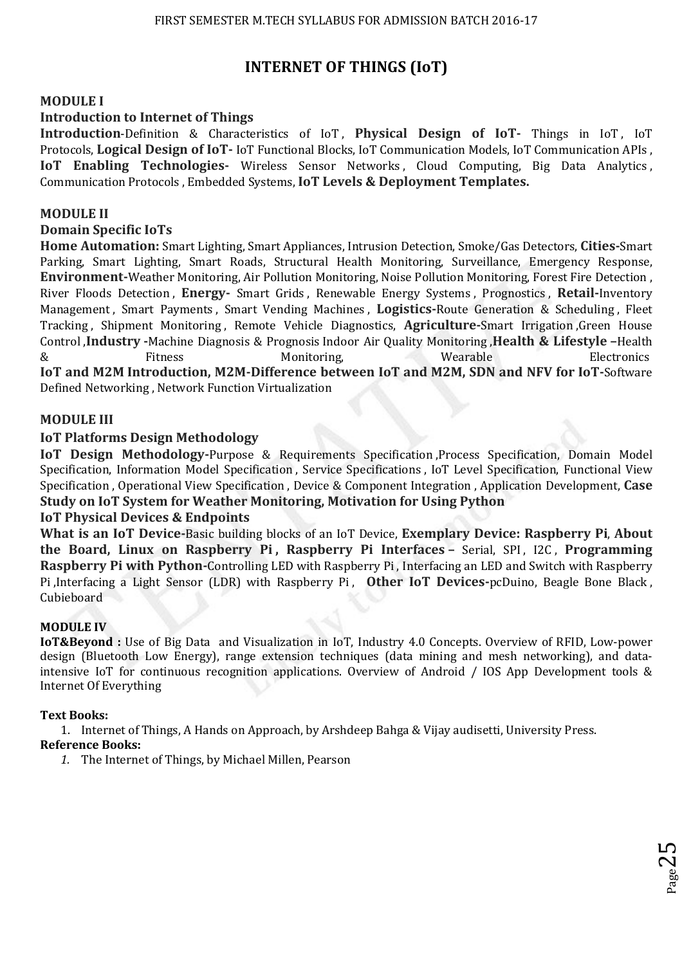# **INTERNET OF THINGS (IoT)**

## **MODULE I**

## **Introduction to Internet of Things**

**Introduction-Definition & Characteristics of IoT, Physical Design of IoT- Things in IoT, IoT** Protocols, **Logical Design of IoT-** IoT Functional Blocks, IoT Communication Models, IoT Communication APIs , **IoT Enabling Technologies-** Wireless Sensor Networks, Cloud Computing, Big Data Analytics, Communication Protocols , Embedded Systems, **IoT Levels & Deployment Templates.** 

### **MODULE II**

### **Domain Specific IoTs**

**Home Automation:** Smart Lighting, Smart Appliances, Intrusion Detection, Smoke/Gas Detectors, **Cities-**Smart Parking, Smart Lighting, Smart Roads, Structural Health Monitoring, Surveillance, Emergency Response, **Environment-**Weather Monitoring, Air Pollution Monitoring, Noise Pollution Monitoring, Forest Fire Detection , River Floods Detection , **Energy-** Smart Grids , Renewable Energy Systems , Prognostics , **Retail-**Inventory Management , Smart Payments , Smart Vending Machines , **Logistics-**Route Generation & Scheduling , Fleet Tracking , Shipment Monitoring , Remote Vehicle Diagnostics, **Agriculture-**Smart Irrigation ,Green House Control ,**Industry -**Machine Diagnosis & Prognosis Indoor Air Quality Monitoring ,**Health & Lifestyle –**Health & Fitness Monitoring, Wearable Electronics **IoT and M2M Introduction, M2M-Difference between IoT and M2M, SDN and NFV for IoT-**Software

Defined Networking , Network Function Virtualization

#### **MODULE III**

#### **IoT Platforms Design Methodology**

**IoT Design Methodology-**Purpose & Requirements Specification ,Process Specification, Domain Model Specification, Information Model Specification , Service Specifications , IoT Level Specification, Functional View Specification , Operational View Specification , Device & Component Integration , Application Development, **Case Study on IoT System for Weather Monitoring, Motivation for Using Python** 

#### **IoT Physical Devices & Endpoints**

**What is an IoT Device-**Basic building blocks of an IoT Device, **Exemplary Device: Raspberry Pi**, **About the Board, Linux on Raspberry Pi , Raspberry Pi Interfaces –** Serial, SPI , I2C , **Programming Raspberry Pi with Python-**Controlling LED with Raspberry Pi , Interfacing an LED and Switch with Raspberry Pi ,Interfacing a Light Sensor (LDR) with Raspberry Pi , **Other IoT Devices-**pcDuino, Beagle Bone Black , Cubieboard

#### **MODULE IV**

**IoT&Beyond :** Use of Big Data and Visualization in IoT, Industry 4.0 Concepts. Overview of RFID, Low-power design (Bluetooth Low Energy), range extension techniques (data mining and mesh networking), and dataintensive IoT for continuous recognition applications. Overview of Android / IOS App Development tools & Internet Of Everything

p<sub>age</sub>z<br>Page

#### **Text Books:**

1. Internet of Things, A Hands on Approach, by Arshdeep Bahga & Vijay audisetti, University Press. **Reference Books:** 

*1.* The Internet of Things, by Michael Millen, Pearson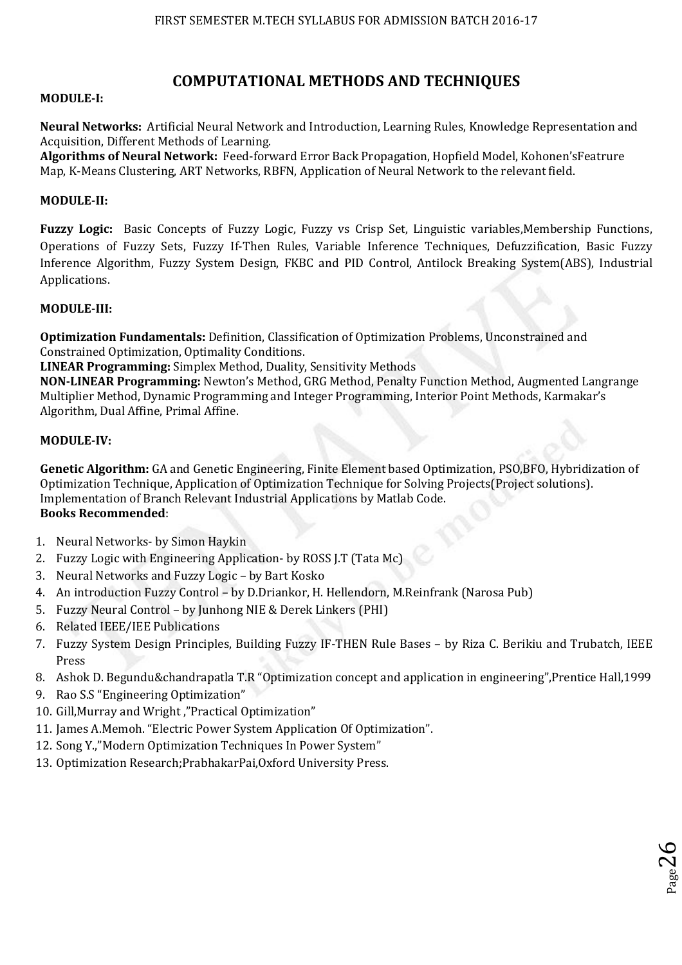## **COMPUTATIONAL METHODS AND TECHNIQUES**

#### **MODULE-I:**

**Neural Networks:** Artificial Neural Network and Introduction, Learning Rules, Knowledge Representation and Acquisition, Different Methods of Learning.

**Algorithms of Neural Network:** Feed-forward Error Back Propagation, Hopfield Model, Kohonen'sFeatrure Map, K-Means Clustering, ART Networks, RBFN, Application of Neural Network to the relevant field.

#### **MODULE-II:**

**Fuzzy Logic:** Basic Concepts of Fuzzy Logic, Fuzzy vs Crisp Set, Linguistic variables,Membership Functions, Operations of Fuzzy Sets, Fuzzy If-Then Rules, Variable Inference Techniques, Defuzzification, Basic Fuzzy Inference Algorithm, Fuzzy System Design, FKBC and PID Control, Antilock Breaking System(ABS), Industrial Applications.

#### **MODULE-III:**

**Optimization Fundamentals:** Definition, Classification of Optimization Problems, Unconstrained and Constrained Optimization, Optimality Conditions.

**LINEAR Programming:** Simplex Method, Duality, Sensitivity Methods

**NON-LINEAR Programming:** Newton's Method, GRG Method, Penalty Function Method, Augmented Langrange Multiplier Method, Dynamic Programming and Integer Programming, Interior Point Methods, Karmakar's Algorithm, Dual Affine, Primal Affine.

#### **MODULE-IV:**

**Genetic Algorithm:** GA and Genetic Engineering, Finite Element based Optimization, PSO,BFO, Hybridization of Optimization Technique, Application of Optimization Technique for Solving Projects(Project solutions). Implementation of Branch Relevant Industrial Applications by Matlab Code. **Books Recommended**:

- 1. Neural Networks- by Simon Haykin
- 2. Fuzzy Logic with Engineering Application- by ROSS J.T (Tata Mc)
- 3. Neural Networks and Fuzzy Logic by Bart Kosko
- 4. An introduction Fuzzy Control by D.Driankor, H. Hellendorn, M.Reinfrank (Narosa Pub)
- 5. Fuzzy Neural Control by Junhong NIE & Derek Linkers (PHI)
- 6. Related IEEE/IEE Publications
- 7. Fuzzy System Design Principles, Building Fuzzy IF-THEN Rule Bases by Riza C. Berikiu and Trubatch, IEEE Press
- 8. Ashok D. Begundu&chandrapatla T.R "Optimization concept and application in engineering",Prentice Hall,1999

 $26$ 

- 9. Rao S.S "Engineering Optimization"
- 10. Gill,Murray and Wright ,"Practical Optimization"
- 11. James A.Memoh. "Electric Power System Application Of Optimization".
- 12. Song Y.,"Modern Optimization Techniques In Power System"
- 13. Optimization Research;PrabhakarPai,Oxford University Press.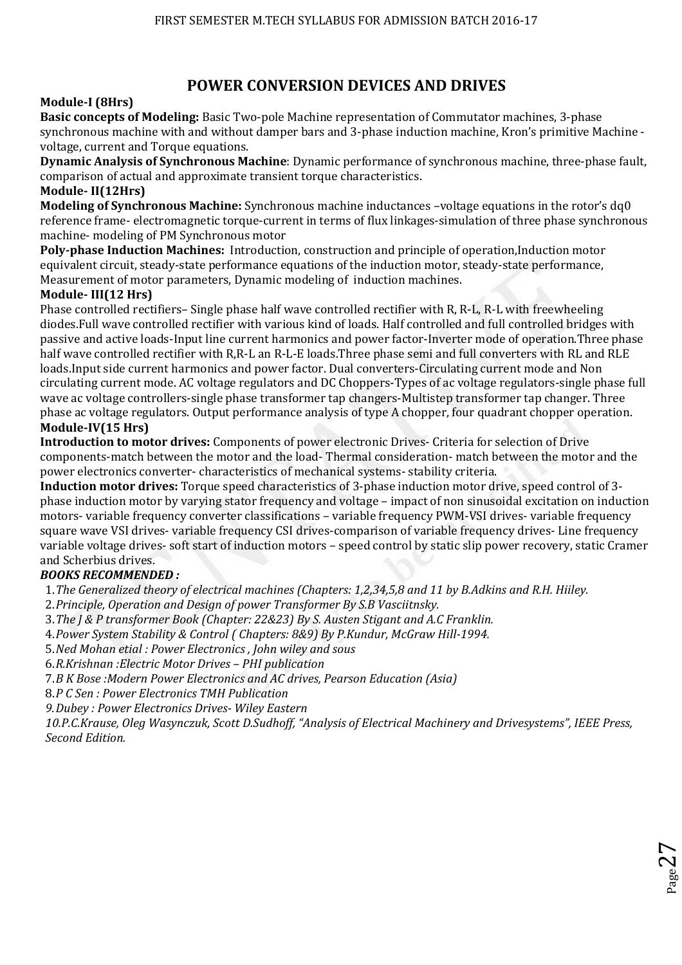# **POWER CONVERSION DEVICES AND DRIVES**

## **Module-I (8Hrs)**

**Basic concepts of Modeling:** Basic Two-pole Machine representation of Commutator machines, 3-phase synchronous machine with and without damper bars and 3-phase induction machine, Kron's primitive Machine voltage, current and Torque equations.

**Dynamic Analysis of Synchronous Machine**: Dynamic performance of synchronous machine, three-phase fault, comparison of actual and approximate transient torque characteristics.

### **Module- II(12Hrs)**

**Modeling of Synchronous Machine:** Synchronous machine inductances –voltage equations in the rotor's dq0 reference frame- electromagnetic torque-current in terms of flux linkages-simulation of three phase synchronous machine- modeling of PM Synchronous motor

**Poly-phase Induction Machines:** Introduction, construction and principle of operation,Induction motor equivalent circuit, steady-state performance equations of the induction motor, steady-state performance, Measurement of motor parameters, Dynamic modeling of induction machines.

## **Module- III(12 Hrs)**

Phase controlled rectifiers– Single phase half wave controlled rectifier with R, R-L, R-L with freewheeling diodes.Full wave controlled rectifier with various kind of loads. Half controlled and full controlled bridges with passive and active loads-Input line current harmonics and power factor-Inverter mode of operation.Three phase half wave controlled rectifier with R,R-L an R-L-E loads.Three phase semi and full converters with RL and RLE loads.Input side current harmonics and power factor. Dual converters-Circulating current mode and Non circulating current mode. AC voltage regulators and DC Choppers-Types of ac voltage regulators-single phase full wave ac voltage controllers-single phase transformer tap changers-Multistep transformer tap changer. Three phase ac voltage regulators. Output performance analysis of type A chopper, four quadrant chopper operation. **Module-IV(15 Hrs)** 

**Introduction to motor drives:** Components of power electronic Drives- Criteria for selection of Drive components-match between the motor and the load- Thermal consideration- match between the motor and the power electronics converter- characteristics of mechanical systems- stability criteria.

**Induction motor drives:** Torque speed characteristics of 3-phase induction motor drive, speed control of 3 phase induction motor by varying stator frequency and voltage – impact of non sinusoidal excitation on induction motors- variable frequency converter classifications – variable frequency PWM-VSI drives- variable frequency square wave VSI drives- variable frequency CSI drives-comparison of variable frequency drives- Line frequency variable voltage drives- soft start of induction motors – speed control by static slip power recovery, static Cramer and Scherbius drives.

## *BOOKS RECOMMENDED :*

1.*The Generalized theory of electrical machines (Chapters: 1,2,34,5,8 and 11 by B.Adkins and R.H. Hiiley.* 

2.*Principle, Operation and Design of power Transformer By S.B Vasciitnsky.* 

3.*The J & P transformer Book (Chapter: 22&23) By S. Austen Stigant and A.C Franklin.* 

4.*Power System Stability & Control ( Chapters: 8&9) By P.Kundur, McGraw Hill-1994.* 

5.*Ned Mohan etial : Power Electronics , John wiley and sous* 

6.*R.Krishnan :Electric Motor Drives – PHI publication*

7.*B K Bose :Modern Power Electronics and AC drives, Pearson Education (Asia)* 

8.*P C Sen : Power Electronics TMH Publication* 

*9.Dubey : Power Electronics Drives- Wiley Eastern* 

*10.P.C.Krause, Oleg Wasynczuk, Scott D.Sudhoff, "Analysis of Electrical Machinery and Drivesystems", IEEE Press, Second Edition.* 

 $_{\rm Page}$ 27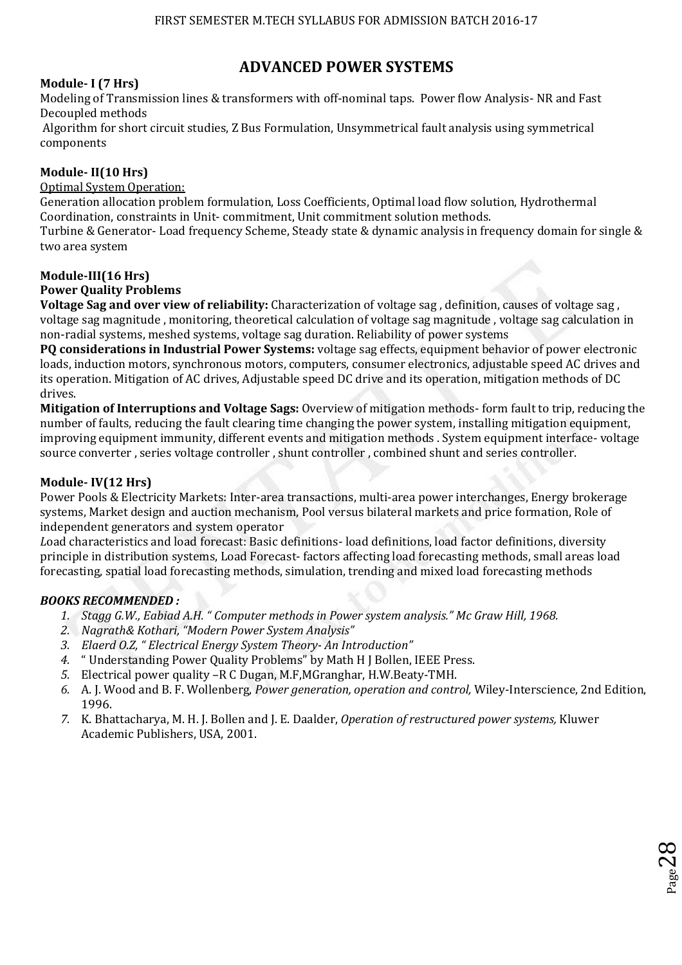# **ADVANCED POWER SYSTEMS**

## **Module- I (7 Hrs)**

Modeling of Transmission lines & transformers with off-nominal taps. Power flow Analysis- NR and Fast Decoupled methods

 Algorithm for short circuit studies, Z Bus Formulation, Unsymmetrical fault analysis using symmetrical components

## **Module- II(10 Hrs)**

#### Optimal System Operation:

Generation allocation problem formulation, Loss Coefficients, Optimal load flow solution, Hydrothermal Coordination, constraints in Unit- commitment, Unit commitment solution methods. Turbine & Generator- Load frequency Scheme, Steady state & dynamic analysis in frequency domain for single & two area system

#### **Module-III(16 Hrs)**

#### **Power Quality Problems**

**Voltage Sag and over view of reliability:** Characterization of voltage sag , definition, causes of voltage sag , voltage sag magnitude , monitoring, theoretical calculation of voltage sag magnitude , voltage sag calculation in non-radial systems, meshed systems, voltage sag duration. Reliability of power systems

**PQ considerations in Industrial Power Systems:** voltage sag effects, equipment behavior of power electronic loads, induction motors, synchronous motors, computers, consumer electronics, adjustable speed AC drives and its operation. Mitigation of AC drives, Adjustable speed DC drive and its operation, mitigation methods of DC drives.

**Mitigation of Interruptions and Voltage Sags:** Overview of mitigation methods- form fault to trip, reducing the number of faults, reducing the fault clearing time changing the power system, installing mitigation equipment, improving equipment immunity, different events and mitigation methods . System equipment interface- voltage source converter , series voltage controller , shunt controller , combined shunt and series controller.

### **Module- IV(12 Hrs)**

Power Pools & Electricity Markets: Inter-area transactions, multi-area power interchanges, Energy brokerage systems, Market design and auction mechanism, Pool versus bilateral markets and price formation, Role of independent generators and system operator

*L*oad characteristics and load forecast: Basic definitions- load definitions, load factor definitions, diversity principle in distribution systems, Load Forecast- factors affecting load forecasting methods, small areas load forecasting, spatial load forecasting methods, simulation, trending and mixed load forecasting methods

#### *BOOKS RECOMMENDED :*

- *1. Stagg G.W., Eabiad A.H. " Computer methods in Power system analysis." Mc Graw Hill, 1968.*
- *2. Nagrath& Kothari, "Modern Power System Analysis"*
- *3. Elaerd O.Z, " Electrical Energy System Theory- An Introduction"*
- *4.* " Understanding Power Quality Problems" by Math H J Bollen, IEEE Press.
- *5.* Electrical power quality –R C Dugan, M.F,MGranghar, H.W.Beaty-TMH.
- *6.* A. J. Wood and B. F. Wollenberg, *Power generation, operation and control,* Wiley-Interscience, 2nd Edition, 1996.

 $28^{\rm{ps}}$ 

*7.* K. Bhattacharya, M. H. J. Bollen and J. E. Daalder, *Operation of restructured power systems,* Kluwer Academic Publishers, USA, 2001.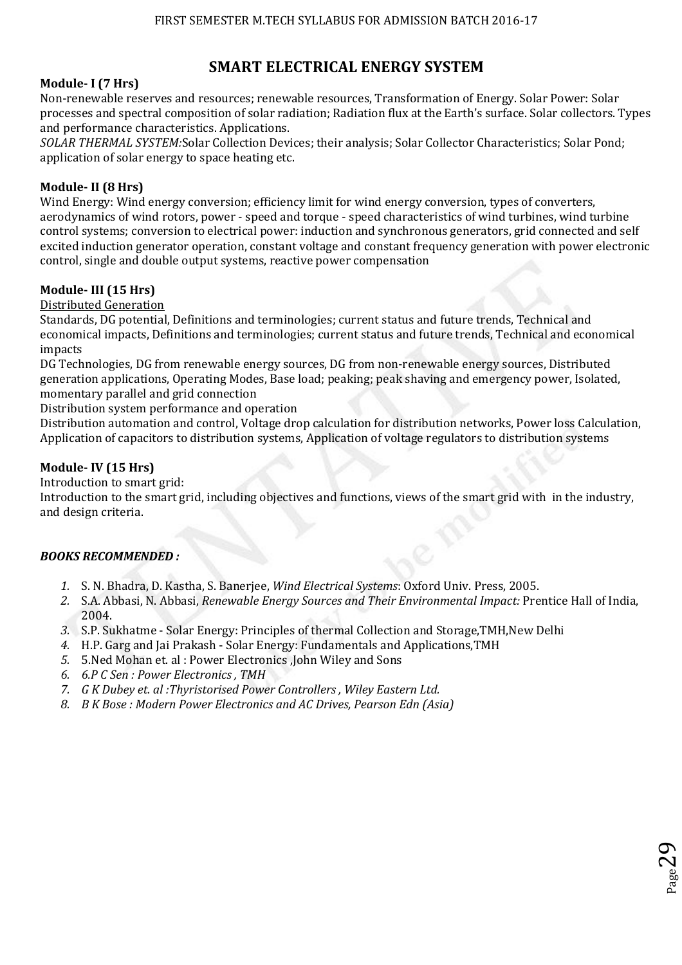# **SMART ELECTRICAL ENERGY SYSTEM**

## **Module- I (7 Hrs)**

Non-renewable reserves and resources; renewable resources, Transformation of Energy. Solar Power: Solar processes and spectral composition of solar radiation; Radiation flux at the Earth's surface. Solar collectors. Types and performance characteristics. Applications.

*SOLAR THERMAL SYSTEM:*Solar Collection Devices; their analysis; Solar Collector Characteristics; Solar Pond; application of solar energy to space heating etc.

## **Module- II (8 Hrs)**

Wind Energy: Wind energy conversion; efficiency limit for wind energy conversion, types of converters, aerodynamics of wind rotors, power - speed and torque - speed characteristics of wind turbines, wind turbine control systems; conversion to electrical power: induction and synchronous generators, grid connected and self excited induction generator operation, constant voltage and constant frequency generation with power electronic control, single and double output systems, reactive power compensation

## **Module- III (15 Hrs)**

Distributed Generation

Standards, DG potential, Definitions and terminologies; current status and future trends, Technical and economical impacts, Definitions and terminologies; current status and future trends, Technical and economical impacts

DG Technologies, DG from renewable energy sources, DG from non-renewable energy sources, Distributed generation applications, Operating Modes, Base load; peaking; peak shaving and emergency power, Isolated, momentary parallel and grid connection

Distribution system performance and operation

Distribution automation and control, Voltage drop calculation for distribution networks, Power loss Calculation, Application of capacitors to distribution systems, Application of voltage regulators to distribution systems

## **Module- IV (15 Hrs)**

Introduction to smart grid:

Introduction to the smart grid, including objectives and functions, views of the smart grid with in the industry, and design criteria.

## *BOOKS RECOMMENDED :*

- *1.* S. N. Bhadra, D. Kastha, S. Banerjee, *Wind Electrical Systems*: Oxford Univ. Press, 2005.
- *2.* S.A. Abbasi, N. Abbasi, *Renewable Energy Sources and Their Environmental Impact:* Prentice Hall of India, 2004.
- *3.* S.P. Sukhatme Solar Energy: Principles of thermal Collection and Storage,TMH,New Delhi
- *4.* H.P. Garg and Jai Prakash Solar Energy: Fundamentals and Applications,TMH
- *5.* 5.Ned Mohan et. al : Power Electronics ,John Wiley and Sons
- *6. 6.P C Sen : Power Electronics , TMH*
- *7. G K Dubey et. al :Thyristorised Power Controllers , Wiley Eastern Ltd.*
- *8. B K Bose : Modern Power Electronics and AC Drives, Pearson Edn (Asia)*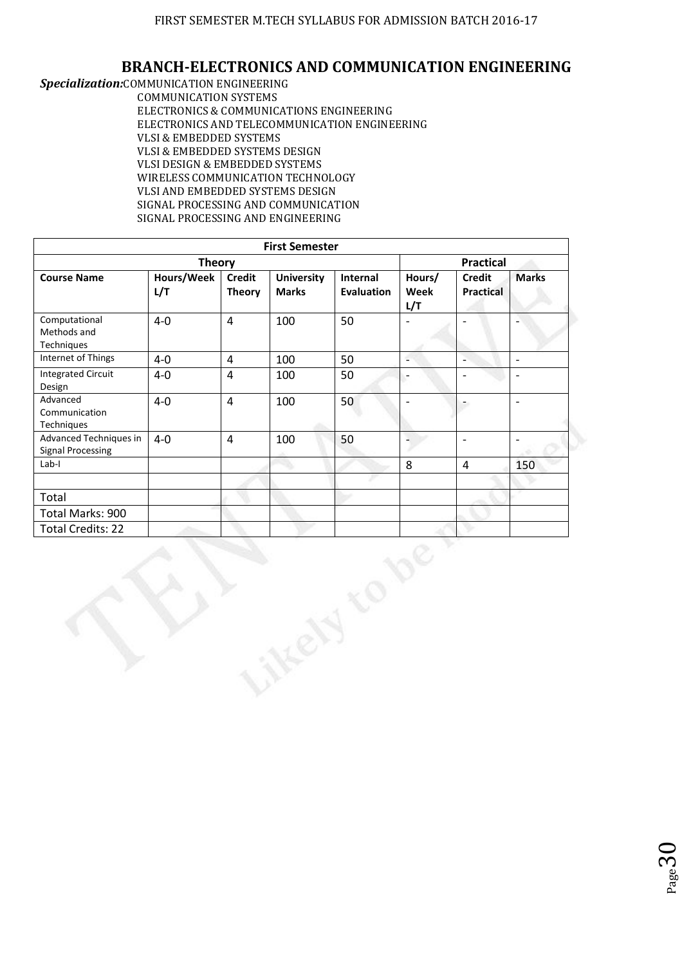## **BRANCH-ELECTRONICS AND COMMUNICATION ENGINEERING**

*Specialization:*COMMUNICATION ENGINEERING COMMUNICATION SYSTEMS ELECTRONICS & COMMUNICATIONS ENGINEERING ELECTRONICS AND TELECOMMUNICATION ENGINEERING VLSI & EMBEDDED SYSTEMS VLSI & EMBEDDED SYSTEMS DESIGN VLSI DESIGN & EMBEDDED SYSTEMS WIRELESS COMMUNICATION TECHNOLOGY VLSI AND EMBEDDED SYSTEMS DESIGN SIGNAL PROCESSING AND COMMUNICATION SIGNAL PROCESSING AND ENGINEERING

|                                                    |                   |                                | <b>First Semester</b>             |                               |                       |                                   |                          |  |
|----------------------------------------------------|-------------------|--------------------------------|-----------------------------------|-------------------------------|-----------------------|-----------------------------------|--------------------------|--|
| <b>Theory</b>                                      |                   |                                |                                   |                               |                       | <b>Practical</b>                  |                          |  |
| <b>Course Name</b>                                 | Hours/Week<br>L/T | <b>Credit</b><br><b>Theory</b> | <b>University</b><br><b>Marks</b> | Internal<br><b>Evaluation</b> | Hours/<br>Week<br>L/T | <b>Credit</b><br><b>Practical</b> | <b>Marks</b>             |  |
| Computational<br>Methods and<br>Techniques         | $4-0$             | $\overline{4}$                 | 100                               | 50                            |                       | $\blacksquare$                    |                          |  |
| Internet of Things                                 | $4-0$             | $\overline{4}$                 | 100                               | 50                            | ÷                     | Ξ                                 | $\blacksquare$           |  |
| <b>Integrated Circuit</b><br>Design                | $4 - 0$           | $\overline{4}$                 | 100                               | 50                            | $\overline{a}$        | $\blacksquare$                    | $\overline{\phantom{a}}$ |  |
| Advanced<br>Communication<br>Techniques            | $4-0$             | $\overline{4}$                 | 100                               | 50                            | $\overline{a}$        | $\overline{\phantom{a}}$          | $\overline{a}$           |  |
| Advanced Techniques in<br><b>Signal Processing</b> | $4-0$             | $\overline{4}$                 | 100                               | 50                            |                       | $\frac{1}{2}$                     | $\overline{\phantom{a}}$ |  |
| $Lab-I$                                            |                   |                                |                                   |                               | 8                     | $\overline{4}$                    | 150                      |  |
|                                                    |                   |                                |                                   |                               |                       |                                   |                          |  |
| Total                                              |                   |                                |                                   |                               |                       |                                   |                          |  |
| Total Marks: 900                                   |                   |                                |                                   |                               |                       |                                   |                          |  |
| <b>Total Credits: 22</b>                           |                   |                                |                                   |                               |                       |                                   |                          |  |
|                                                    |                   |                                |                                   |                               |                       |                                   |                          |  |

 $_{\rm Page}$ 30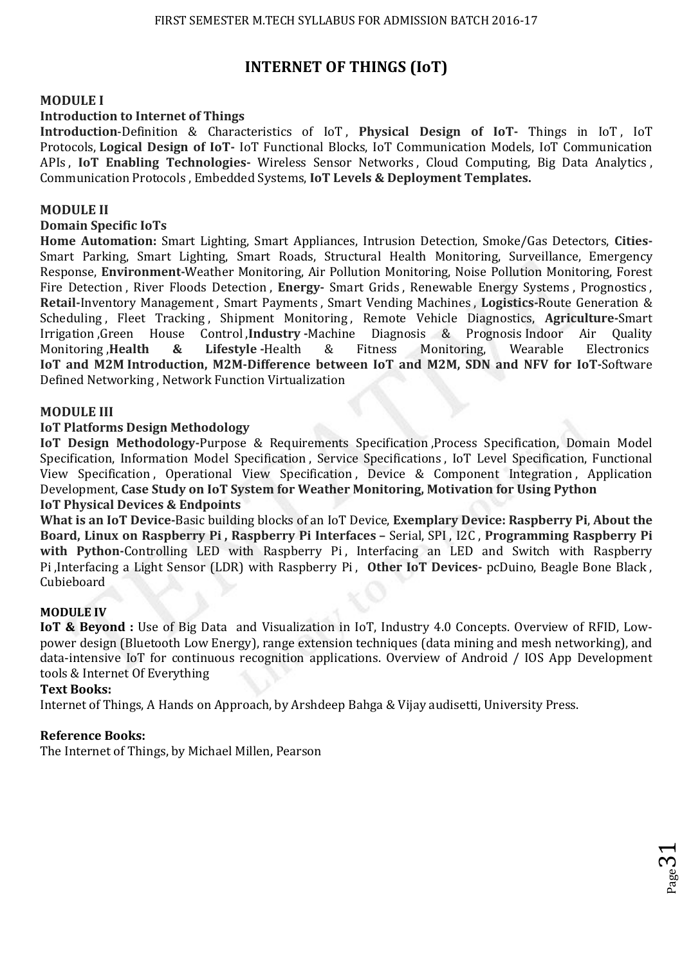# **INTERNET OF THINGS (IoT)**

## **MODULE I**

### **Introduction to Internet of Things**

**Introduction**-Definition & Characteristics of IoT , **Physical Design of IoT-** Things in IoT , IoT Protocols, **Logical Design of IoT-** IoT Functional Blocks, IoT Communication Models, IoT Communication APIs , **IoT Enabling Technologies-** Wireless Sensor Networks , Cloud Computing, Big Data Analytics , Communication Protocols , Embedded Systems, **IoT Levels & Deployment Templates.** 

### **MODULE II**

#### **Domain Specific IoTs**

**Home Automation:** Smart Lighting, Smart Appliances, Intrusion Detection, Smoke/Gas Detectors, **Cities-**Smart Parking, Smart Lighting, Smart Roads, Structural Health Monitoring, Surveillance, Emergency Response, **Environment-**Weather Monitoring, Air Pollution Monitoring, Noise Pollution Monitoring, Forest Fire Detection , River Floods Detection , **Energy-** Smart Grids , Renewable Energy Systems , Prognostics , **Retail-**Inventory Management , Smart Payments , Smart Vending Machines , **Logistics-**Route Generation & Scheduling , Fleet Tracking , Shipment Monitoring , Remote Vehicle Diagnostics, **Agriculture-**Smart Irrigation ,Green House Control ,**Industry** -Machine Diagnosis & Prognosis Indoor Air Quality<br>Monitoring ,**Health & Lifestyle** -Health & Fitness Monitoring. Wearable Electronics Monitoring ,**Health & Lifestyle -**Health & Fitness Monitoring, Wearable Electronics **IoT and M2M Introduction, M2M-Difference between IoT and M2M, SDN and NFV for IoT-**Software Defined Networking , Network Function Virtualization

## **MODULE III**

#### **IoT Platforms Design Methodology**

**IoT Design Methodology-Purpose & Requirements Specification, Process Specification, Domain Model** Specification, Information Model Specification , Service Specifications , IoT Level Specification, Functional View Specification , Operational View Specification , Device & Component Integration , Application Development, **Case Study on IoT System for Weather Monitoring, Motivation for Using Python IoT Physical Devices & Endpoints** 

**What is an IoT Device-**Basic building blocks of an IoT Device, **Exemplary Device: Raspberry Pi**, **About the Board, Linux on Raspberry Pi , Raspberry Pi Interfaces –** Serial, SPI , I2C , **Programming Raspberry Pi**  with Python-Controlling LED with Raspberry Pi, Interfacing an LED and Switch with Raspberry Pi ,Interfacing a Light Sensor (LDR) with Raspberry Pi , **Other IoT Devices-** pcDuino, Beagle Bone Black , Cubieboard

#### **MODULE IV**

**IoT & Beyond :** Use of Big Data and Visualization in IoT, Industry 4.0 Concepts. Overview of RFID, Lowpower design (Bluetooth Low Energy), range extension techniques (data mining and mesh networking), and data-intensive IoT for continuous recognition applications. Overview of Android / IOS App Development tools & Internet Of Everything

 $_{\rm Page}$ 31

#### **Text Books:**

Internet of Things, A Hands on Approach, by Arshdeep Bahga & Vijay audisetti, University Press.

#### **Reference Books:**

The Internet of Things, by Michael Millen, Pearson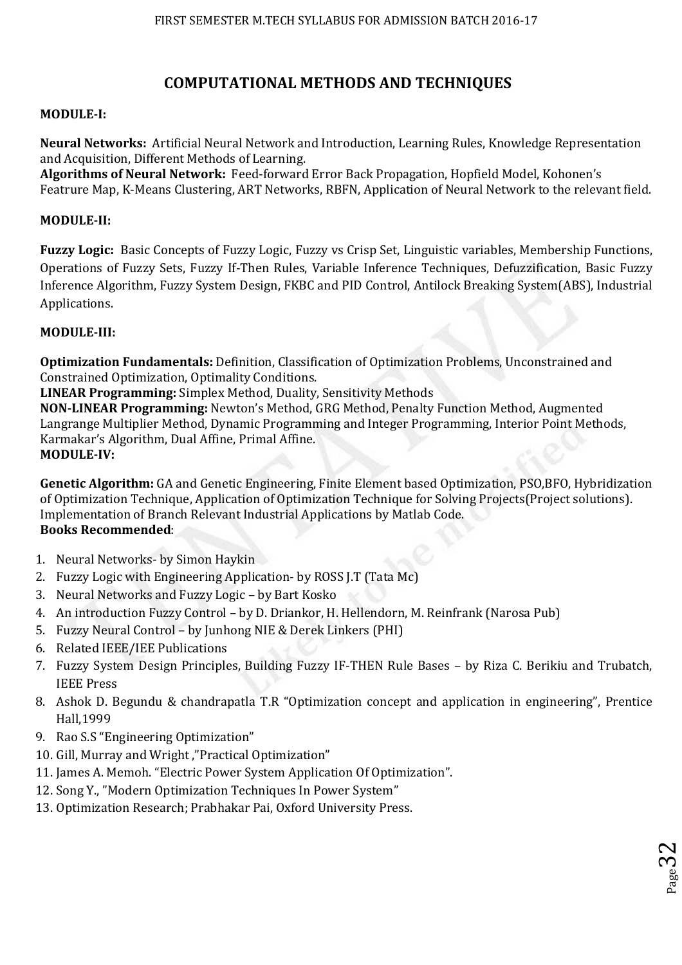# **COMPUTATIONAL METHODS AND TECHNIQUES**

## **MODULE-I:**

**Neural Networks:** Artificial Neural Network and Introduction, Learning Rules, Knowledge Representation and Acquisition, Different Methods of Learning.

**Algorithms of Neural Network:** Feed-forward Error Back Propagation, Hopfield Model, Kohonen's Featrure Map, K-Means Clustering, ART Networks, RBFN, Application of Neural Network to the relevant field.

## **MODULE-II:**

**Fuzzy Logic:** Basic Concepts of Fuzzy Logic, Fuzzy vs Crisp Set, Linguistic variables, Membership Functions, Operations of Fuzzy Sets, Fuzzy If-Then Rules, Variable Inference Techniques, Defuzzification, Basic Fuzzy Inference Algorithm, Fuzzy System Design, FKBC and PID Control, Antilock Breaking System(ABS), Industrial Applications.

## **MODULE-III:**

**Optimization Fundamentals:** Definition, Classification of Optimization Problems, Unconstrained and Constrained Optimization, Optimality Conditions.

**LINEAR Programming:** Simplex Method, Duality, Sensitivity Methods

**NON-LINEAR Programming:** Newton's Method, GRG Method, Penalty Function Method, Augmented Langrange Multiplier Method, Dynamic Programming and Integer Programming, Interior Point Methods, Karmakar's Algorithm, Dual Affine, Primal Affine. **MODULE-IV:** 

**Genetic Algorithm:** GA and Genetic Engineering, Finite Element based Optimization, PSO,BFO, Hybridization of Optimization Technique, Application of Optimization Technique for Solving Projects(Project solutions). Implementation of Branch Relevant Industrial Applications by Matlab Code. **Books Recommended**:

- 1. Neural Networks- by Simon Haykin
- 2. Fuzzy Logic with Engineering Application- by ROSS J.T (Tata Mc)
- 3. Neural Networks and Fuzzy Logic by Bart Kosko
- 4. An introduction Fuzzy Control by D. Driankor, H. Hellendorn, M. Reinfrank (Narosa Pub)
- 5. Fuzzy Neural Control by Junhong NIE & Derek Linkers (PHI)
- 6. Related IEEE/IEE Publications
- 7. Fuzzy System Design Principles, Building Fuzzy IF-THEN Rule Bases by Riza C. Berikiu and Trubatch, IEEE Press
- 8. Ashok D. Begundu & chandrapatla T.R "Optimization concept and application in engineering", Prentice Hall,1999
- 9. Rao S.S "Engineering Optimization"
- 10. Gill, Murray and Wright ,"Practical Optimization"
- 11. James A. Memoh. "Electric Power System Application Of Optimization".
- 12. Song Y., "Modern Optimization Techniques In Power System"
- 13. Optimization Research; Prabhakar Pai, Oxford University Press.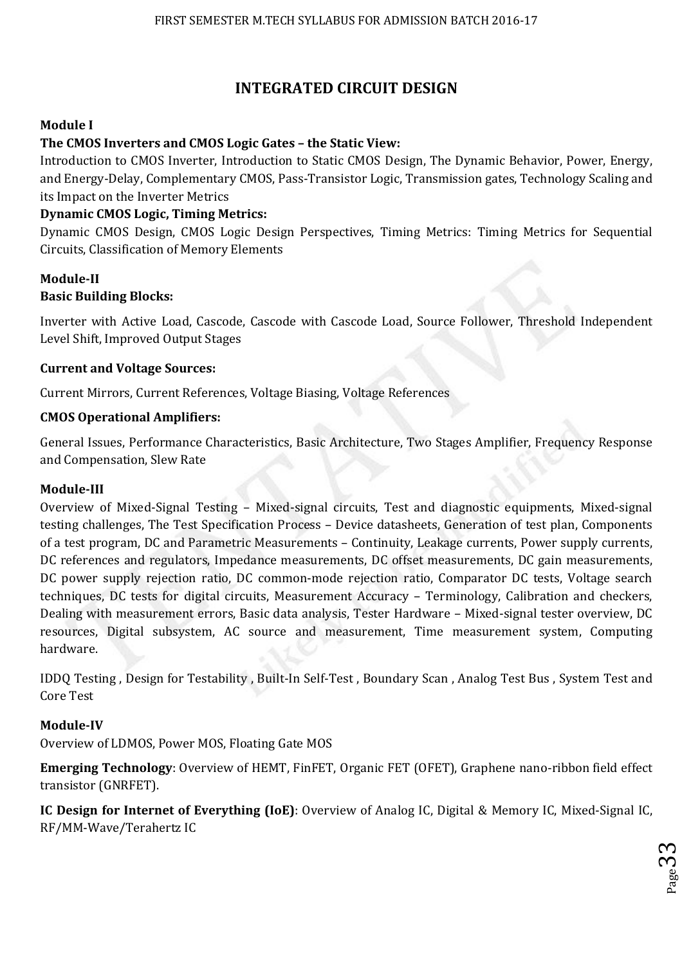# **INTEGRATED CIRCUIT DESIGN**

## **Module I**

## **The CMOS Inverters and CMOS Logic Gates – the Static View:**

Introduction to CMOS Inverter, Introduction to Static CMOS Design, The Dynamic Behavior, Power, Energy, and Energy-Delay, Complementary CMOS, Pass-Transistor Logic, Transmission gates, Technology Scaling and its Impact on the Inverter Metrics

## **Dynamic CMOS Logic, Timing Metrics:**

Dynamic CMOS Design, CMOS Logic Design Perspectives, Timing Metrics: Timing Metrics for Sequential Circuits, Classification of Memory Elements

## **Module-II Basic Building Blocks:**

Inverter with Active Load, Cascode, Cascode with Cascode Load, Source Follower, Threshold Independent Level Shift, Improved Output Stages

## **Current and Voltage Sources:**

Current Mirrors, Current References, Voltage Biasing, Voltage References

## **CMOS Operational Amplifiers:**

General Issues, Performance Characteristics, Basic Architecture, Two Stages Amplifier, Frequency Response and Compensation, Slew Rate

## **Module-III**

Overview of Mixed-Signal Testing – Mixed-signal circuits, Test and diagnostic equipments, Mixed-signal testing challenges, The Test Specification Process – Device datasheets, Generation of test plan, Components of a test program, DC and Parametric Measurements – Continuity, Leakage currents, Power supply currents, DC references and regulators, Impedance measurements, DC offset measurements, DC gain measurements, DC power supply rejection ratio, DC common-mode rejection ratio, Comparator DC tests, Voltage search techniques, DC tests for digital circuits, Measurement Accuracy – Terminology, Calibration and checkers, Dealing with measurement errors, Basic data analysis, Tester Hardware – Mixed-signal tester overview, DC resources, Digital subsystem, AC source and measurement, Time measurement system, Computing hardware.

IDDQ Testing , Design for Testability , Built-In Self-Test , Boundary Scan , Analog Test Bus , System Test and Core Test

## **Module-IV**

Overview of LDMOS, Power MOS, Floating Gate MOS

**Emerging Technology**: Overview of HEMT, FinFET, Organic FET (OFET), Graphene nano-ribbon field effect transistor (GNRFET).

**IC Design for Internet of Everything (IoE)**: Overview of Analog IC, Digital & Memory IC, Mixed-Signal IC, RF/MM-Wave/Terahertz IC

p<sub>age</sub>33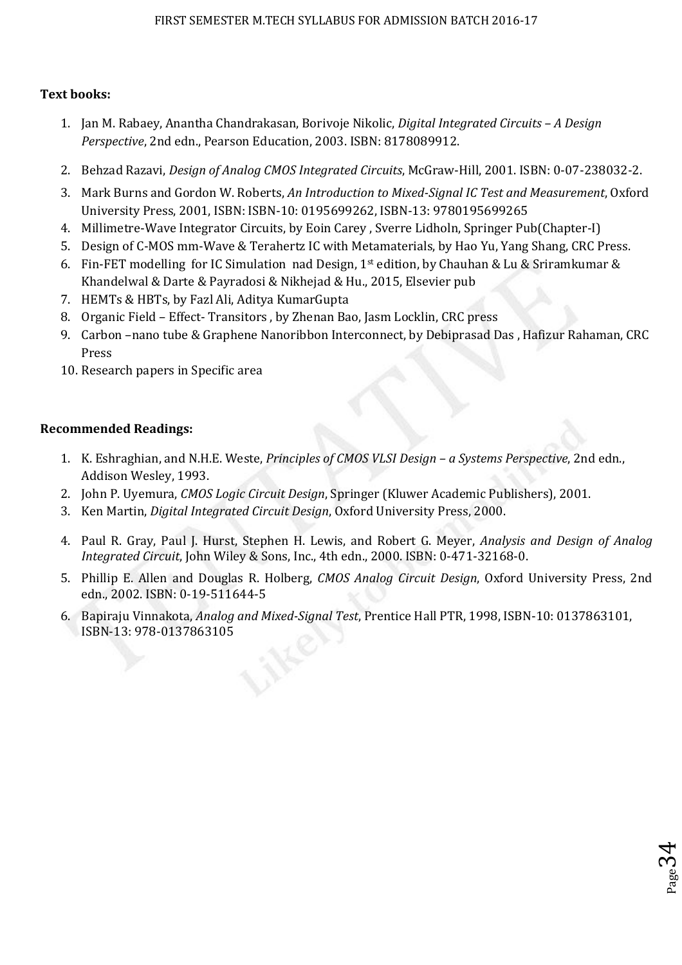## **Text books:**

- 1. Jan M. Rabaey, Anantha Chandrakasan, Borivoje Nikolic, *Digital Integrated Circuits A Design Perspective*, 2nd edn., Pearson Education, 2003. ISBN: 8178089912.
- 2. Behzad Razavi, *Design of Analog CMOS Integrated Circuits*, McGraw-Hill, 2001. ISBN: 0-07-238032-2.
- 3. Mark Burns and Gordon W. Roberts, *An Introduction to Mixed-Signal IC Test and Measurement*, Oxford University Press, 2001, ISBN: ISBN-10: 0195699262, ISBN-13: 9780195699265
- 4. Millimetre-Wave Integrator Circuits, by Eoin Carey , Sverre Lidholn, Springer Pub(Chapter-I)
- 5. Design of C-MOS mm-Wave & Terahertz IC with Metamaterials, by Hao Yu, Yang Shang, CRC Press.
- 6. Fin-FET modelling for IC Simulation nad Design, 1<sup>st</sup> edition, by Chauhan & Lu & Sriramkumar & Khandelwal & Darte & Payradosi & Nikhejad & Hu., 2015, Elsevier pub
- 7. HEMTs & HBTs, by Fazl Ali, Aditya KumarGupta
- 8. Organic Field Effect- Transitors , by Zhenan Bao, Jasm Locklin, CRC press
- 9. Carbon –nano tube & Graphene Nanoribbon Interconnect, by Debiprasad Das , Hafizur Rahaman, CRC Press
- 10. Research papers in Specific area

## **Recommended Readings:**

- 1. K. Eshraghian, and N.H.E. Weste, *Principles of CMOS VLSI Design a Systems Perspective*, 2nd edn., Addison Wesley, 1993.
- 2. John P. Uyemura, *CMOS Logic Circuit Design*, Springer (Kluwer Academic Publishers), 2001.
- 3. Ken Martin, *Digital Integrated Circuit Design*, Oxford University Press, 2000.
- 4. Paul R. Gray, Paul J. Hurst, Stephen H. Lewis, and Robert G. Meyer, *Analysis and Design of Analog Integrated Circuit*, John Wiley & Sons, Inc., 4th edn., 2000. ISBN: 0-471-32168-0.
- 5. Phillip E. Allen and Douglas R. Holberg, *CMOS Analog Circuit Design*, Oxford University Press, 2nd edn., 2002. ISBN: 0-19-511644-5

 $_{\rm Page}$ 34

6. Bapiraju Vinnakota, *Analog and Mixed-Signal Test*, Prentice Hall PTR, 1998, ISBN-10: 0137863101, ISBN-13: 978-0137863105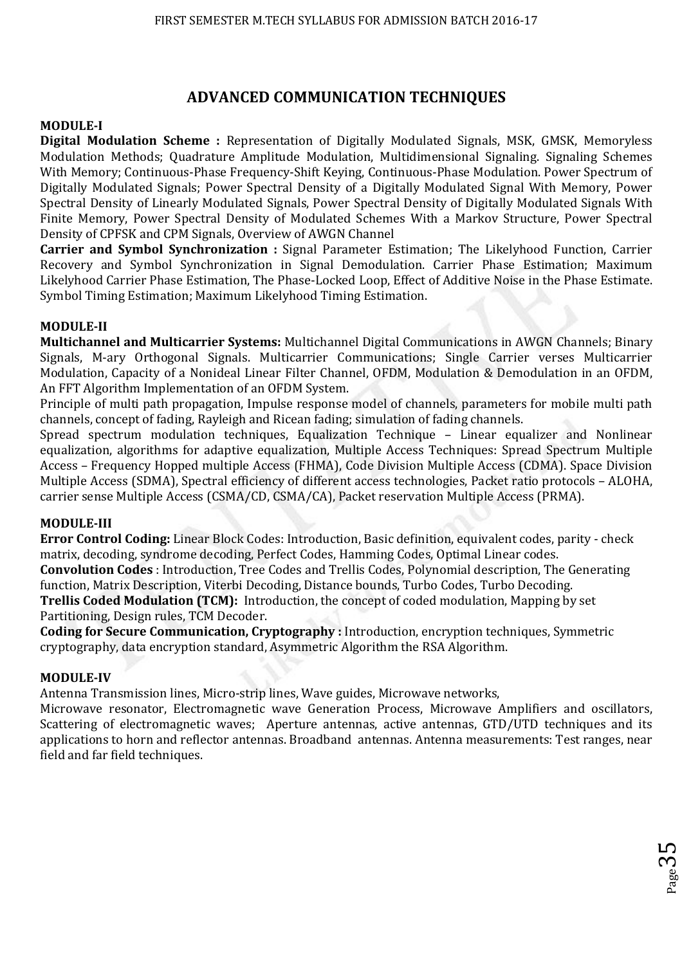## **ADVANCED COMMUNICATION TECHNIQUES**

## **MODULE-I**

**Digital Modulation Scheme :** Representation of Digitally Modulated Signals, MSK, GMSK, Memoryless Modulation Methods; Quadrature Amplitude Modulation, Multidimensional Signaling. Signaling Schemes With Memory; Continuous-Phase Frequency-Shift Keying, Continuous-Phase Modulation. Power Spectrum of Digitally Modulated Signals; Power Spectral Density of a Digitally Modulated Signal With Memory, Power Spectral Density of Linearly Modulated Signals, Power Spectral Density of Digitally Modulated Signals With Finite Memory, Power Spectral Density of Modulated Schemes With a Markov Structure, Power Spectral Density of CPFSK and CPM Signals, Overview of AWGN Channel

**Carrier and Symbol Synchronization :** Signal Parameter Estimation; The Likelyhood Function, Carrier Recovery and Symbol Synchronization in Signal Demodulation. Carrier Phase Estimation; Maximum Likelyhood Carrier Phase Estimation, The Phase-Locked Loop, Effect of Additive Noise in the Phase Estimate. Symbol Timing Estimation; Maximum Likelyhood Timing Estimation.

## **MODULE-II**

**Multichannel and Multicarrier Systems:** Multichannel Digital Communications in AWGN Channels; Binary Signals, M-ary Orthogonal Signals. Multicarrier Communications; Single Carrier verses Multicarrier Modulation, Capacity of a Nonideal Linear Filter Channel, OFDM, Modulation & Demodulation in an OFDM, An FFT Algorithm Implementation of an OFDM System.

Principle of multi path propagation, Impulse response model of channels, parameters for mobile multi path channels, concept of fading, Rayleigh and Ricean fading; simulation of fading channels.

Spread spectrum modulation techniques, Equalization Technique – Linear equalizer and Nonlinear equalization, algorithms for adaptive equalization, Multiple Access Techniques: Spread Spectrum Multiple Access – Frequency Hopped multiple Access (FHMA), Code Division Multiple Access (CDMA). Space Division Multiple Access (SDMA), Spectral efficiency of different access technologies, Packet ratio protocols – ALOHA, carrier sense Multiple Access (CSMA/CD, CSMA/CA), Packet reservation Multiple Access (PRMA).

## **MODULE-III**

**Error Control Coding:** Linear Block Codes: Introduction, Basic definition, equivalent codes, parity - check matrix, decoding, syndrome decoding, Perfect Codes, Hamming Codes, Optimal Linear codes. **Convolution Codes** : Introduction, Tree Codes and Trellis Codes, Polynomial description, The Generating function, Matrix Description, Viterbi Decoding, Distance bounds, Turbo Codes, Turbo Decoding. **Trellis Coded Modulation (TCM):** Introduction, the concept of coded modulation, Mapping by set Partitioning, Design rules, TCM Decoder.

**Coding for Secure Communication, Cryptography :** Introduction, encryption techniques, Symmetric cryptography, data encryption standard, Asymmetric Algorithm the RSA Algorithm.

## **MODULE-IV**

Antenna Transmission lines, Micro-strip lines, Wave guides, Microwave networks,

Microwave resonator, Electromagnetic wave Generation Process, Microwave Amplifiers and oscillators, Scattering of electromagnetic waves; Aperture antennas, active antennas, GTD/UTD techniques and its applications to horn and reflector antennas. Broadband antennas. Antenna measurements: Test ranges, near field and far field techniques.

Page35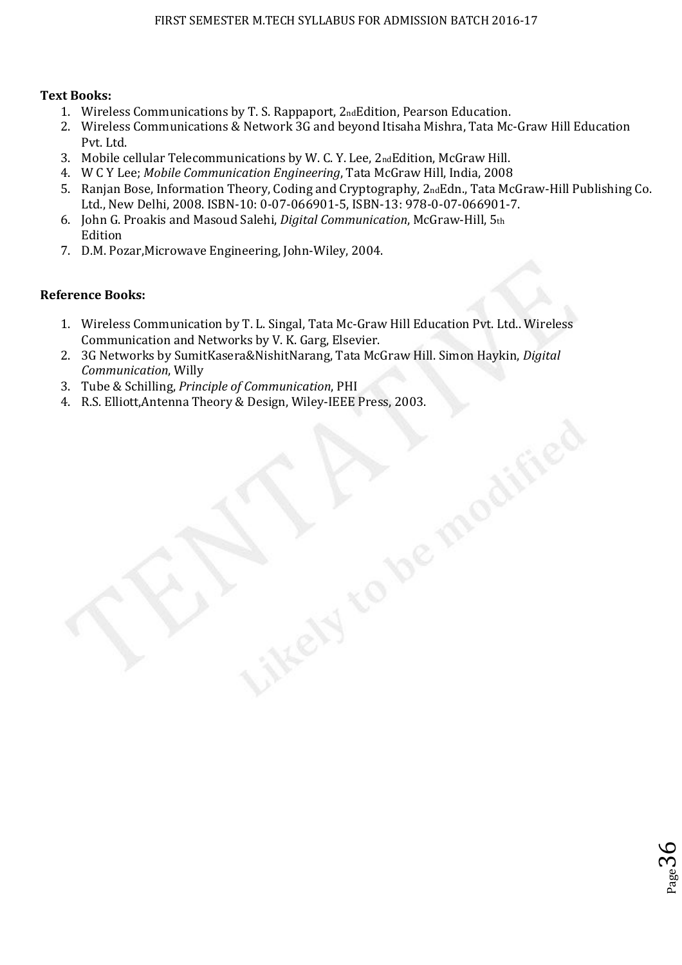## **Text Books:**

- 1. Wireless Communications by T. S. Rappaport, 2ndEdition, Pearson Education.
- 2. Wireless Communications & Network 3G and beyond Itisaha Mishra, Tata Mc-Graw Hill Education Pvt. Ltd.
- 3. Mobile cellular Telecommunications by W. C. Y. Lee, 2ndEdition, McGraw Hill.
- 4. W C Y Lee; *Mobile Communication Engineering*, Tata McGraw Hill, India, 2008
- 5. Ranjan Bose, Information Theory, Coding and Cryptography, 2ndEdn., Tata McGraw-Hill Publishing Co. Ltd., New Delhi, 2008. ISBN-10: 0-07-066901-5, ISBN-13: 978-0-07-066901-7.

 $^{26}$ Page $36$ 

- 6. John G. Proakis and Masoud Salehi, *Digital Communication*, McGraw-Hill, 5th Edition
- 7. D.M. Pozar,Microwave Engineering, John-Wiley, 2004.

## **Reference Books:**

- 1. Wireless Communication by T. L. Singal, Tata Mc-Graw Hill Education Pvt. Ltd.. Wireless Communication and Networks by V. K. Garg, Elsevier.
- 2. 3G Networks by SumitKasera&NishitNarang, Tata McGraw Hill. Simon Haykin, *Digital Communication*, Willy
- 3. Tube & Schilling, *Principle of Communication*, PHI
- 4. R.S. Elliott,Antenna Theory & Design, Wiley-IEEE Press, 2003.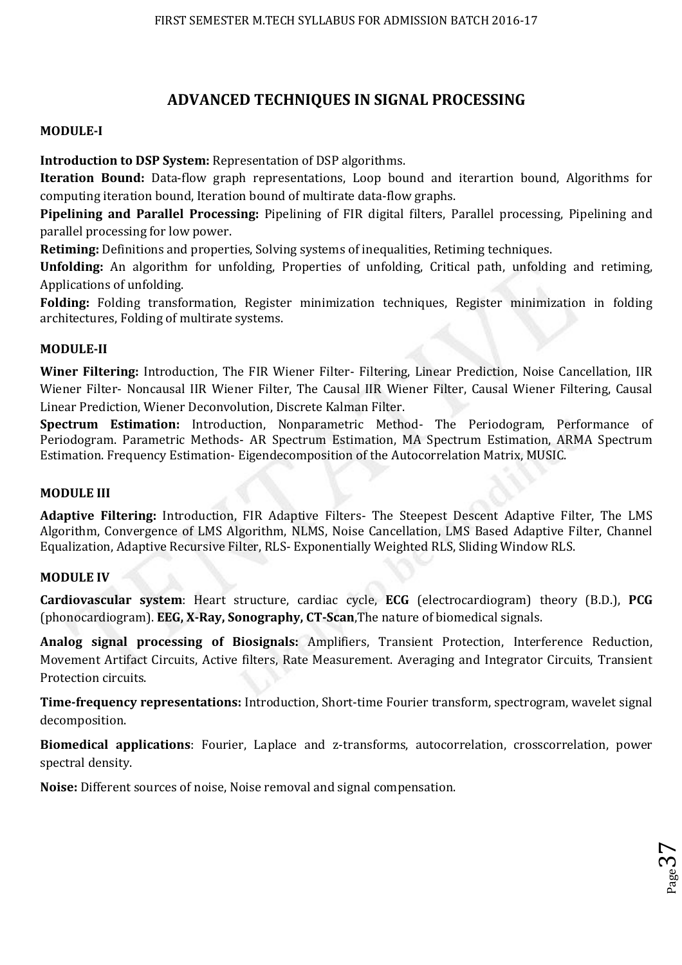## **ADVANCED TECHNIQUES IN SIGNAL PROCESSING**

### **MODULE-I**

**Introduction to DSP System:** Representation of DSP algorithms.

**Iteration Bound:** Data-flow graph representations, Loop bound and iterartion bound, Algorithms for computing iteration bound, Iteration bound of multirate data-flow graphs.

**Pipelining and Parallel Processing:** Pipelining of FIR digital filters, Parallel processing, Pipelining and parallel processing for low power.

**Retiming:** Definitions and properties, Solving systems of inequalities, Retiming techniques.

**Unfolding:** An algorithm for unfolding, Properties of unfolding, Critical path, unfolding and retiming, Applications of unfolding.

**Folding:** Folding transformation, Register minimization techniques, Register minimization in folding architectures, Folding of multirate systems.

## **MODULE-II**

**Winer Filtering:** Introduction, The FIR Wiener Filter- Filtering, Linear Prediction, Noise Cancellation, IIR Wiener Filter- Noncausal IIR Wiener Filter, The Causal IIR Wiener Filter, Causal Wiener Filtering, Causal Linear Prediction, Wiener Deconvolution, Discrete Kalman Filter.

**Spectrum Estimation:** Introduction, Nonparametric Method- The Periodogram, Performance of Periodogram. Parametric Methods- AR Spectrum Estimation, MA Spectrum Estimation, ARMA Spectrum Estimation. Frequency Estimation- Eigendecomposition of the Autocorrelation Matrix, MUSIC.

### **MODULE III**

**Adaptive Filtering:** Introduction, FIR Adaptive Filters- The Steepest Descent Adaptive Filter, The LMS Algorithm, Convergence of LMS Algorithm, NLMS, Noise Cancellation, LMS Based Adaptive Filter, Channel Equalization, Adaptive Recursive Filter, RLS- Exponentially Weighted RLS, Sliding Window RLS.

### **MODULE IV**

**Cardiovascular system**: Heart structure, cardiac cycle, **ECG** (electrocardiogram) theory (B.D.), **PCG**  (phonocardiogram). **EEG, X-Ray, Sonography, CT-Scan**,The nature of biomedical signals.

**Analog signal processing of Biosignals:** Amplifiers, Transient Protection, Interference Reduction, Movement Artifact Circuits, Active filters, Rate Measurement. Averaging and Integrator Circuits, Transient Protection circuits.

**Time-frequency representations:** Introduction, Short-time Fourier transform, spectrogram, wavelet signal decomposition.

**Biomedical applications**: Fourier, Laplace and z-transforms, autocorrelation, crosscorrelation, power spectral density.

**Noise:** Different sources of noise, Noise removal and signal compensation.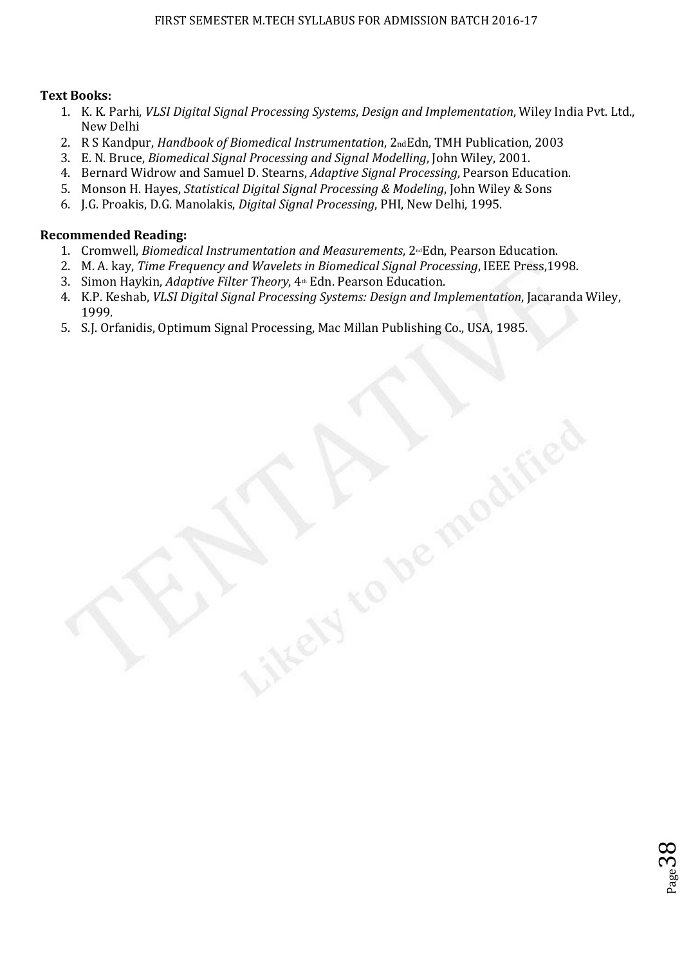### **Text Books:**

- 1. K. K. Parhi, *VLSI Digital Signal Processing Systems*, *Design and Implementation*, Wiley India Pvt. Ltd., New Delhi
- 2. R S Kandpur, *Handbook of Biomedical Instrumentation*, 2ndEdn, TMH Publication, 2003
- 3. E. N. Bruce, *Biomedical Signal Processing and Signal Modelling*, John Wiley, 2001.
- 4. Bernard Widrow and Samuel D. Stearns, *Adaptive Signal Processing*, Pearson Education.
- 5. Monson H. Hayes, *Statistical Digital Signal Processing & Modeling*, John Wiley & Sons
- 6. J.G. Proakis, D.G. Manolakis, *Digital Signal Processing*, PHI, New Delhi, 1995.

#### **Recommended Reading:**

- 1. Cromwell, *Biomedical Instrumentation and Measurements*, 2<sup>nd</sup>Edn, Pearson Education.
- 2. M. A. kay, *Time Frequency and Wavelets in Biomedical Signal Processing*, IEEE Press,1998.
- 3. Simon Haykin, *Adaptive Filter Theory*, 4<sup>th</sup> Edn. Pearson Education.
- 4. K.P. Keshab, *VLSI Digital Signal Processing Systems: Design and Implementation*, Jacaranda Wiley, 1999.
- 5. S.J. Orfanidis, Optimum Signal Processing, Mac Millan Publishing Co., USA, 1985.

 $28^{\rm{mag}}$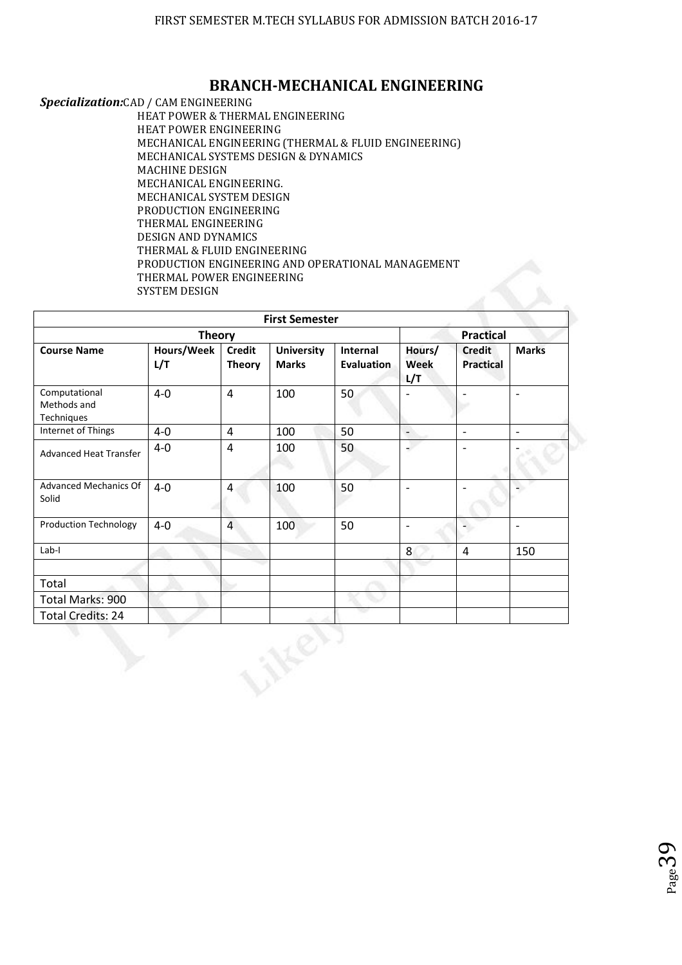## **BRANCH-MECHANICAL ENGINEERING**

*Specialization:*CAD / CAM ENGINEERING

HEAT POWER & THERMAL ENGINEERING HEAT POWER ENGINEERING MECHANICAL ENGINEERING (THERMAL & FLUID ENGINEERING) MECHANICAL SYSTEMS DESIGN & DYNAMICS MACHINE DESIGN MECHANICAL ENGINEERING. MECHANICAL SYSTEM DESIGN PRODUCTION ENGINEERING THERMAL ENGINEERING DESIGN AND DYNAMICS THERMAL & FLUID ENGINEERING PRODUCTION ENGINEERING AND OPERATIONAL MANAGEMENT THERMAL POWER ENGINEERING SYSTEM DESIGN

| <b>First Semester</b>                      |                   |                                |                                   |                               |                          |                                   |                          |  |  |
|--------------------------------------------|-------------------|--------------------------------|-----------------------------------|-------------------------------|--------------------------|-----------------------------------|--------------------------|--|--|
|                                            |                   | <b>Practical</b>               |                                   |                               |                          |                                   |                          |  |  |
| <b>Course Name</b>                         | Hours/Week<br>L/T | <b>Credit</b><br><b>Theory</b> | <b>University</b><br><b>Marks</b> | Internal<br><b>Evaluation</b> | Hours/<br>Week<br>L/T    | <b>Credit</b><br><b>Practical</b> | <b>Marks</b>             |  |  |
| Computational<br>Methods and<br>Techniques | $4-0$             | $\overline{4}$                 | 100                               | 50                            |                          | $\overline{\phantom{0}}$          | $\overline{\phantom{a}}$ |  |  |
| Internet of Things                         | $4-0$             | $\overline{4}$                 | 100                               | 50                            | $\overline{\phantom{a}}$ | $\overline{\phantom{a}}$          | $\overline{\phantom{a}}$ |  |  |
| <b>Advanced Heat Transfer</b>              | $4 - 0$           | $\overline{4}$                 | 100                               | 50                            | a.                       | $\overline{\phantom{0}}$          |                          |  |  |
| Advanced Mechanics Of<br>Solid             | $4 - 0$           | $\overline{4}$                 | 100                               | 50                            | $\overline{\phantom{a}}$ | $\overline{\phantom{a}}$          |                          |  |  |
| <b>Production Technology</b>               | $4 - 0$           | $\overline{4}$                 | 100                               | 50                            | $\overline{\phantom{a}}$ | $\sim$                            | $\overline{\phantom{a}}$ |  |  |
| Lab-I                                      |                   |                                |                                   |                               | 8                        | $\pmb{4}$                         | 150                      |  |  |
|                                            |                   |                                |                                   |                               |                          |                                   |                          |  |  |
| Total                                      |                   |                                |                                   |                               |                          |                                   |                          |  |  |
| Total Marks: 900                           |                   |                                |                                   |                               |                          |                                   |                          |  |  |
| <b>Total Credits: 24</b>                   |                   |                                |                                   |                               |                          |                                   |                          |  |  |

 $P_{\text{age}}$ 39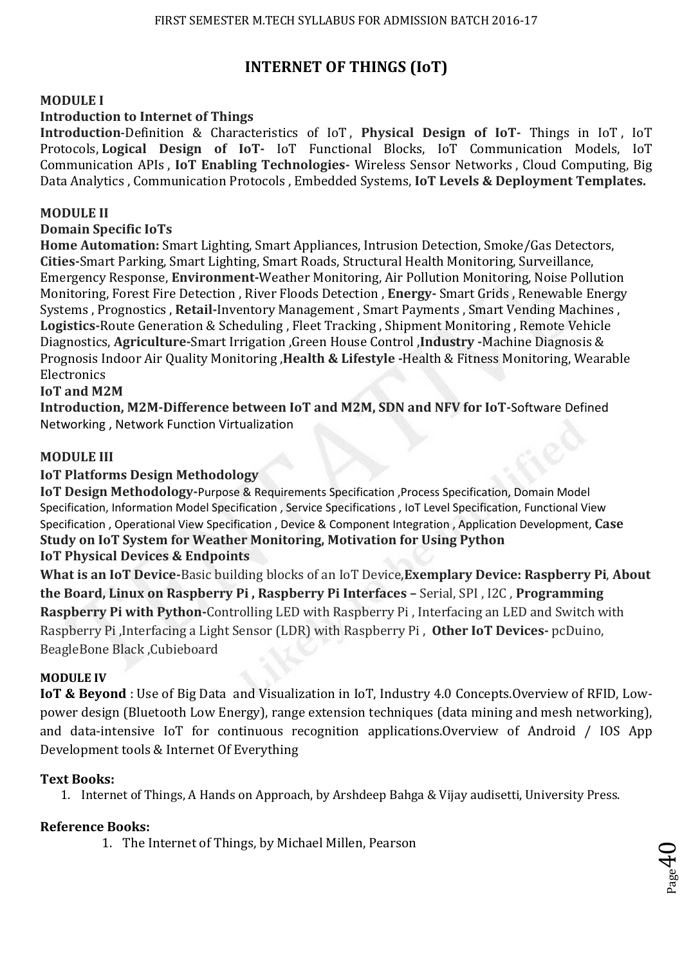# **INTERNET OF THINGS (IoT)**

## **MODULE I**

## **Introduction to Internet of Things**

**Introduction**-Definition & Characteristics of IoT , **Physical Design of IoT-** Things in IoT , IoT Protocols, **Logical Design of IoT-** IoT Functional Blocks, IoT Communication Models, IoT Communication APIs , **IoT Enabling Technologies-** Wireless Sensor Networks , Cloud Computing, Big Data Analytics , Communication Protocols , Embedded Systems, **IoT Levels & Deployment Templates.** 

## **MODULE II**

## **Domain Specific IoTs**

**Home Automation:** Smart Lighting, Smart Appliances, Intrusion Detection, Smoke/Gas Detectors, **Cities-**Smart Parking, Smart Lighting, Smart Roads, Structural Health Monitoring, Surveillance, Emergency Response, **Environment-**Weather Monitoring, Air Pollution Monitoring, Noise Pollution Monitoring, Forest Fire Detection , River Floods Detection , **Energy-** Smart Grids , Renewable Energy Systems , Prognostics , **Retail-**Inventory Management , Smart Payments , Smart Vending Machines , **Logistics-**Route Generation & Scheduling , Fleet Tracking , Shipment Monitoring , Remote Vehicle Diagnostics, **Agriculture-**Smart Irrigation ,Green House Control ,**Industry -**Machine Diagnosis & Prognosis Indoor Air Quality Monitoring ,**Health & Lifestyle -**Health & Fitness Monitoring, Wearable Electronics

## **IoT and M2M**

**Introduction, M2M-Difference between IoT and M2M, SDN and NFV for IoT-**Software Defined Networking , Network Function Virtualization

## **MODULE III**

## **IoT Platforms Design Methodology**

**IoT Design Methodology-**Purpose & Requirements Specification ,Process Specification, Domain Model Specification, Information Model Specification , Service Specifications , IoT Level Specification, Functional View Specification , Operational View Specification , Device & Component Integration , Application Development, **Case Study on IoT System for Weather Monitoring, Motivation for Using Python IoT Physical Devices & Endpoints** 

**What is an IoT Device-**Basic building blocks of an IoT Device,**Exemplary Device: Raspberry Pi**, **About the Board, Linux on Raspberry Pi , Raspberry Pi Interfaces –** Serial, SPI , I2C , **Programming Raspberry Pi with Python-**Controlling LED with Raspberry Pi , Interfacing an LED and Switch with Raspberry Pi ,Interfacing a Light Sensor (LDR) with Raspberry Pi , **Other IoT Devices-** pcDuino, BeagleBone Black ,Cubieboard

### **MODULE IV**

**IoT & Beyond** : Use of Big Data and Visualization in IoT, Industry 4.0 Concepts.Overview of RFID, Lowpower design (Bluetooth Low Energy), range extension techniques (data mining and mesh networking), and data-intensive IoT for continuous recognition applications.Overview of Android / IOS App Development tools & Internet Of Everything

### **Text Books:**

1. Internet of Things, A Hands on Approach, by Arshdeep Bahga & Vijay audisetti, University Press.

 $\rho_{\rm age}$ 40

## **Reference Books:**

1. The Internet of Things, by Michael Millen, Pearson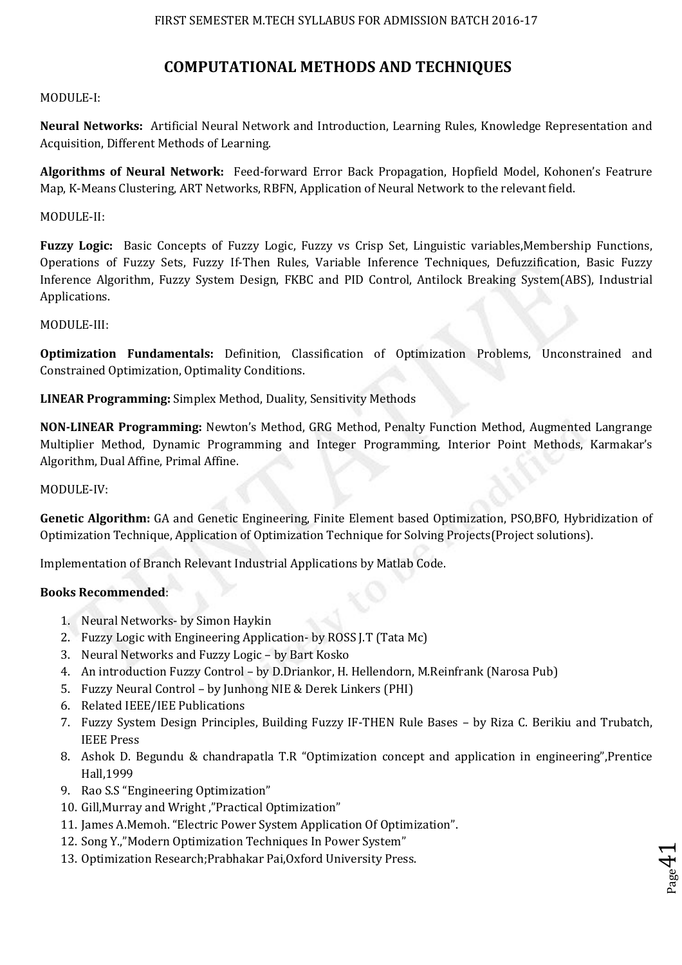## **COMPUTATIONAL METHODS AND TECHNIQUES**

### MODULE-I:

**Neural Networks:** Artificial Neural Network and Introduction, Learning Rules, Knowledge Representation and Acquisition, Different Methods of Learning.

**Algorithms of Neural Network:** Feed-forward Error Back Propagation, Hopfield Model, Kohonen's Featrure Map, K-Means Clustering, ART Networks, RBFN, Application of Neural Network to the relevant field.

### MODULE-II:

**Fuzzy Logic:** Basic Concepts of Fuzzy Logic, Fuzzy vs Crisp Set, Linguistic variables,Membership Functions, Operations of Fuzzy Sets, Fuzzy If-Then Rules, Variable Inference Techniques, Defuzzification, Basic Fuzzy Inference Algorithm, Fuzzy System Design, FKBC and PID Control, Antilock Breaking System(ABS), Industrial Applications.

### MODULE-III:

**Optimization Fundamentals:** Definition, Classification of Optimization Problems, Unconstrained and Constrained Optimization, Optimality Conditions.

### **LINEAR Programming:** Simplex Method, Duality, Sensitivity Methods

**NON-LINEAR Programming:** Newton's Method, GRG Method, Penalty Function Method, Augmented Langrange Multiplier Method, Dynamic Programming and Integer Programming, Interior Point Methods, Karmakar's Algorithm, Dual Affine, Primal Affine.

#### MODULE-IV:

**Genetic Algorithm:** GA and Genetic Engineering, Finite Element based Optimization, PSO,BFO, Hybridization of Optimization Technique, Application of Optimization Technique for Solving Projects(Project solutions).

Implementation of Branch Relevant Industrial Applications by Matlab Code.

### **Books Recommended**:

- 1. Neural Networks- by Simon Haykin
- 2. Fuzzy Logic with Engineering Application- by ROSS J.T (Tata Mc)
- 3. Neural Networks and Fuzzy Logic by Bart Kosko
- 4. An introduction Fuzzy Control by D.Driankor, H. Hellendorn, M.Reinfrank (Narosa Pub)
- 5. Fuzzy Neural Control by Junhong NIE & Derek Linkers (PHI)
- 6. Related IEEE/IEE Publications
- 7. Fuzzy System Design Principles, Building Fuzzy IF-THEN Rule Bases by Riza C. Berikiu and Trubatch, IEEE Press
- 8. Ashok D. Begundu & chandrapatla T.R "Optimization concept and application in engineering",Prentice Hall,1999

 $_{\rm Page}$ 41

- 9. Rao S.S "Engineering Optimization"
- 10. Gill,Murray and Wright ,"Practical Optimization"
- 11. James A.Memoh. "Electric Power System Application Of Optimization".
- 12. Song Y.,"Modern Optimization Techniques In Power System"
- 13. Optimization Research;Prabhakar Pai,Oxford University Press.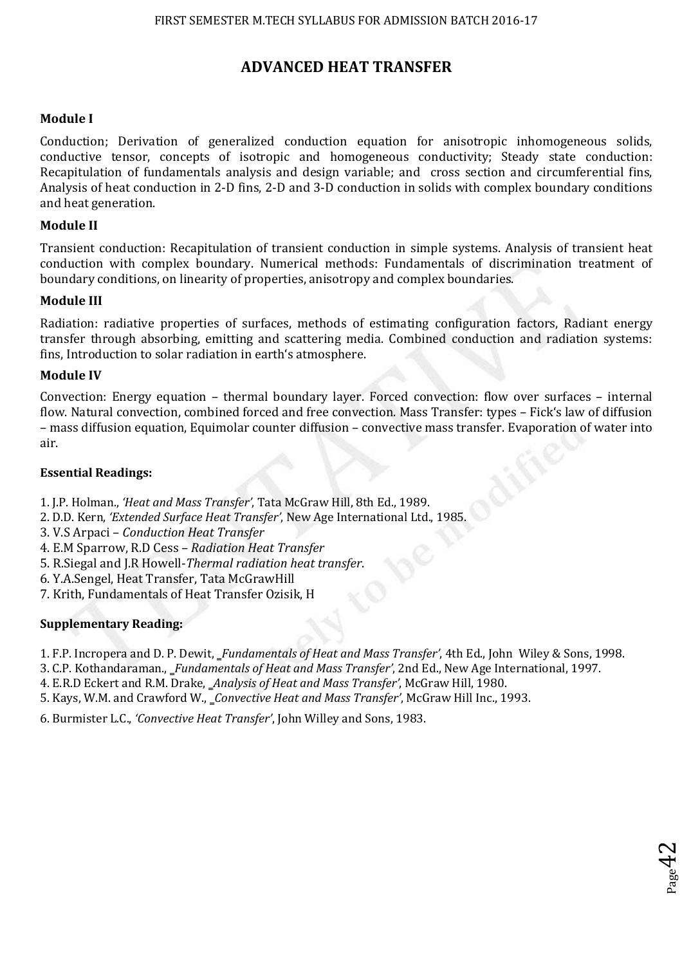## **ADVANCED HEAT TRANSFER**

### **Module I**

Conduction; Derivation of generalized conduction equation for anisotropic inhomogeneous solids, conductive tensor, concepts of isotropic and homogeneous conductivity; Steady state conduction: Recapitulation of fundamentals analysis and design variable; and cross section and circumferential fins, Analysis of heat conduction in 2-D fins, 2-D and 3-D conduction in solids with complex boundary conditions and heat generation.

### **Module II**

Transient conduction: Recapitulation of transient conduction in simple systems. Analysis of transient heat conduction with complex boundary. Numerical methods: Fundamentals of discrimination treatment of boundary conditions, on linearity of properties, anisotropy and complex boundaries.

### **Module III**

Radiation: radiative properties of surfaces, methods of estimating configuration factors, Radiant energy transfer through absorbing, emitting and scattering media. Combined conduction and radiation systems: fins, Introduction to solar radiation in earth's atmosphere.

### **Module IV**

Convection: Energy equation – thermal boundary layer. Forced convection: flow over surfaces – internal flow. Natural convection, combined forced and free convection. Mass Transfer: types – Fick's law of diffusion – mass diffusion equation, Equimolar counter diffusion – convective mass transfer. Evaporation of water into air.

### **Essential Readings:**

- 1. J.P. Holman., *'Heat and Mass Transfer'*, Tata McGraw Hill, 8th Ed., 1989.
- 2. D.D. Kern, *'Extended Surface Heat Transfer'*, New Age International Ltd., 1985.
- 3. V.S Arpaci *Conduction Heat Transfer*
- 4. E.M Sparrow, R.D Cess *Radiation Heat Transfer*
- 5. R.Siegal and J.R Howell-*Thermal radiation heat transfer*.

6. Y.A.Sengel, Heat Transfer, Tata McGrawHill

7. Krith, Fundamentals of Heat Transfer Ozisik, H

## **Supplementary Reading:**

1. F.P. Incropera and D. P. Dewit, ‗*Fundamentals of Heat and Mass Transfer'*, 4th Ed., John Wiley & Sons, 1998.

 $_{\rm Page}$ 42

3. C.P. Kothandaraman., ‗*Fundamentals of Heat and Mass Transfer'*, 2nd Ed., New Age International, 1997.

4. E.R.D Eckert and R.M. Drake, ‗*Analysis of Heat and Mass Transfer'*, McGraw Hill, 1980.

5. Kays, W.M. and Crawford W., ‗*Convective Heat and Mass Transfer'*, McGraw Hill Inc., 1993.

6. Burmister L.C., *'Convective Heat Transfer'*, John Willey and Sons, 1983.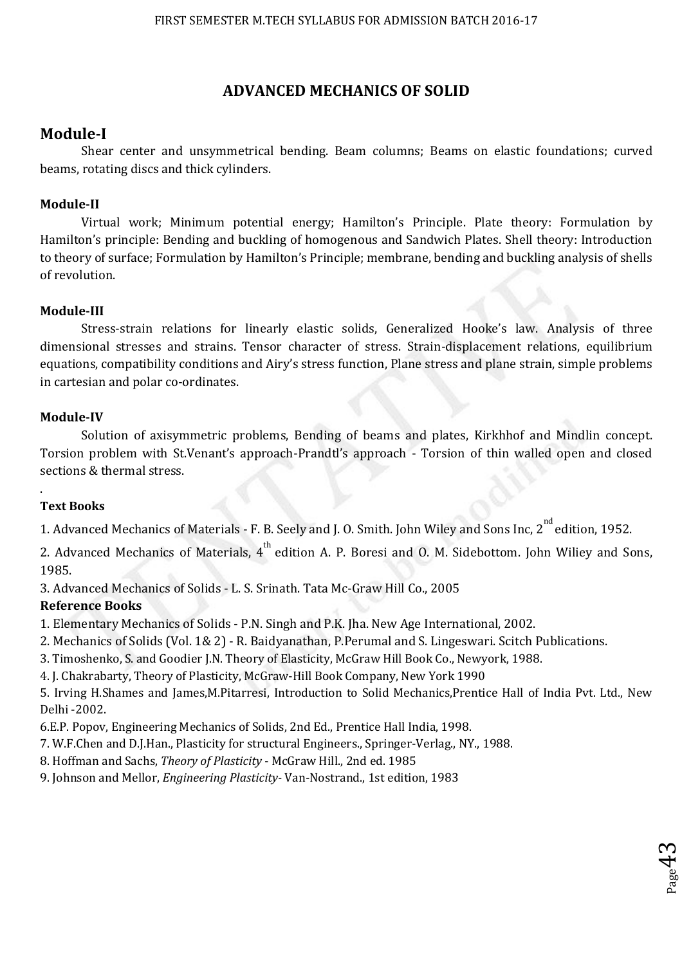# **ADVANCED MECHANICS OF SOLID**

## **Module-I**

 Shear center and unsymmetrical bending. Beam columns; Beams on elastic foundations; curved beams, rotating discs and thick cylinders.

## **Module-II**

 Virtual work; Minimum potential energy; Hamilton's Principle. Plate theory: Formulation by Hamilton's principle: Bending and buckling of homogenous and Sandwich Plates. Shell theory: Introduction to theory of surface; Formulation by Hamilton's Principle; membrane, bending and buckling analysis of shells of revolution.

## **Module-III**

 Stress-strain relations for linearly elastic solids, Generalized Hooke's law. Analysis of three dimensional stresses and strains. Tensor character of stress. Strain-displacement relations, equilibrium equations, compatibility conditions and Airy's stress function, Plane stress and plane strain, simple problems in cartesian and polar co-ordinates.

## **Module-IV**

 Solution of axisymmetric problems, Bending of beams and plates, Kirkhhof and Mindlin concept. Torsion problem with St.Venant's approach-Prandtl's approach - Torsion of thin walled open and closed sections & thermal stress.

## **Text Books**

.

1. Advanced Mechanics of Materials - F. B. Seely and J. O. Smith. John Wiley and Sons Inc, 2<sup>nd</sup> edition, 1952.

2. Advanced Mechanics of Materials,  $4^{\text{th}}$  edition A. P. Boresi and O. M. Sidebottom. John Wiliey and Sons, 1985.

3. Advanced Mechanics of Solids - L. S. Srinath. Tata Mc-Graw Hill Co., 2005

## **Reference Books**

1. Elementary Mechanics of Solids - P.N. Singh and P.K. Jha. New Age International, 2002.

2. Mechanics of Solids (Vol. 1& 2) - R. Baidyanathan, P.Perumal and S. Lingeswari. Scitch Publications.

3. Timoshenko, S. and Goodier J.N. Theory of Elasticity, McGraw Hill Book Co., Newyork, 1988.

4. J. Chakrabarty, Theory of Plasticity, McGraw-Hill Book Company, New York 1990

5. Irving H.Shames and James,M.Pitarresi, Introduction to Solid Mechanics,Prentice Hall of India Pvt. Ltd., New Delhi -2002.

6.E.P. Popov, Engineering Mechanics of Solids, 2nd Ed., Prentice Hall India, 1998.

7. W.F.Chen and D.J.Han., Plasticity for structural Engineers., Springer-Verlag., NY., 1988.

8. Hoffman and Sachs, *Theory of Plasticity* - McGraw Hill., 2nd ed. 1985

9. Johnson and Mellor, *Engineering Plasticity-* Van-Nostrand., 1st edition, 1983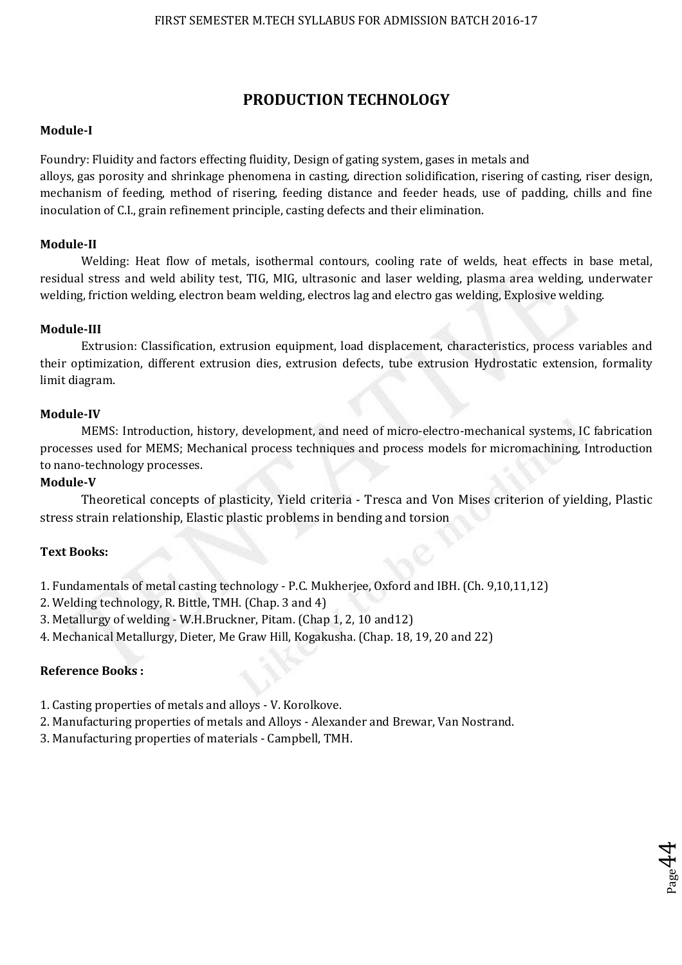## **PRODUCTION TECHNOLOGY**

#### **Module-I**

Foundry: Fluidity and factors effecting fluidity, Design of gating system, gases in metals and

alloys, gas porosity and shrinkage phenomena in casting, direction solidification, risering of casting, riser design, mechanism of feeding, method of risering, feeding distance and feeder heads, use of padding, chills and fine inoculation of C.I., grain refinement principle, casting defects and their elimination.

#### **Module-II**

 Welding: Heat flow of metals, isothermal contours, cooling rate of welds, heat effects in base metal, residual stress and weld ability test, TIG, MIG, ultrasonic and laser welding, plasma area welding, underwater welding, friction welding, electron beam welding, electros lag and electro gas welding, Explosive welding.

### **Module-III**

 Extrusion: Classification, extrusion equipment, load displacement, characteristics, process variables and their optimization, different extrusion dies, extrusion defects, tube extrusion Hydrostatic extension, formality limit diagram.

#### **Module-IV**

 MEMS: Introduction, history, development, and need of micro-electro-mechanical systems, IC fabrication processes used for MEMS; Mechanical process techniques and process models for micromachining, Introduction to nano-technology processes.

#### **Module-V**

Theoretical concepts of plasticity, Yield criteria - Tresca and Von Mises criterion of yielding, Plastic stress strain relationship, Elastic plastic problems in bending and torsion

 $_{\rm Page}$ 44

### **Text Books:**

- 1. Fundamentals of metal casting technology P.C. Mukherjee, Oxford and IBH. (Ch. 9,10,11,12)
- 2. Welding technology, R. Bittle, TMH. (Chap. 3 and 4)
- 3. Metallurgy of welding W.H.Bruckner, Pitam. (Chap 1, 2, 10 and12)
- 4. Mechanical Metallurgy, Dieter, Me Graw Hill, Kogakusha. (Chap. 18, 19, 20 and 22)

## **Reference Books :**

- 1. Casting properties of metals and alloys V. Korolkove.
- 2. Manufacturing properties of metals and Alloys Alexander and Brewar, Van Nostrand.
- 3. Manufacturing properties of materials Campbell, TMH.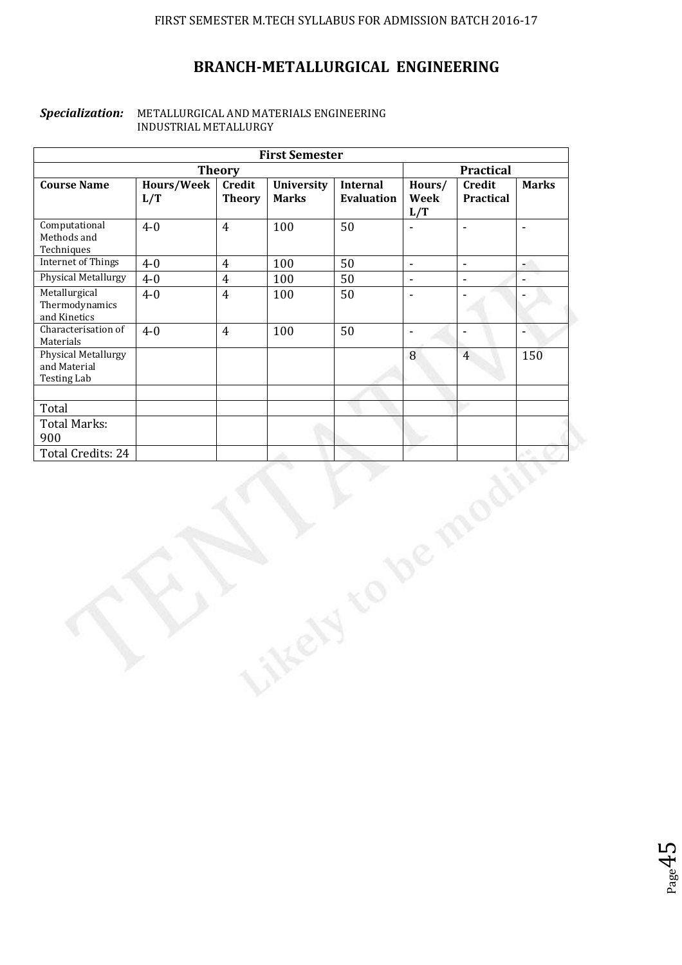# **BRANCH-METALLURGICAL ENGINEERING**

#### *Specialization:* METALLURGICAL AND MATERIALS ENGINEERING INDUSTRIAL METALLURGY

| <b>First Semester</b>                                            |                   |                                |                                   |                                      |                       |                            |                |  |
|------------------------------------------------------------------|-------------------|--------------------------------|-----------------------------------|--------------------------------------|-----------------------|----------------------------|----------------|--|
|                                                                  |                   | Practical                      |                                   |                                      |                       |                            |                |  |
| <b>Course Name</b>                                               | Hours/Week<br>L/T | <b>Credit</b><br><b>Theory</b> | <b>University</b><br><b>Marks</b> | <b>Internal</b><br><b>Evaluation</b> | Hours/<br>Week<br>L/T | Credit<br><b>Practical</b> | <b>Marks</b>   |  |
| Computational<br>Methods and<br>Techniques                       | $4 - 0$           | $\overline{4}$                 | 100                               | 50                                   | ä,                    | $\omega$                   | $\Box$         |  |
| <b>Internet of Things</b>                                        | $4-0$             | $\overline{4}$                 | 100                               | 50                                   | $\blacksquare$        | $\blacksquare$             | - 1            |  |
| <b>Physical Metallurgy</b>                                       | $4 - 0$           | $\overline{4}$                 | 100                               | 50                                   | $\blacksquare$        | $\blacksquare$             | $\blacksquare$ |  |
| Metallurgical<br>Thermodynamics<br>and Kinetics                  | $4-0$             | $\overline{4}$                 | 100                               | 50                                   | $\blacksquare$        |                            |                |  |
| Characterisation of<br>Materials                                 | $4 - 0$           | $\overline{4}$                 | 100                               | 50                                   | $\Box$                | $\blacksquare$             | Ξ              |  |
| <b>Physical Metallurgy</b><br>and Material<br><b>Testing Lab</b> |                   |                                |                                   |                                      | $\boldsymbol{8}$      | $\overline{4}$             | 150            |  |
|                                                                  |                   |                                |                                   |                                      |                       |                            |                |  |
| Total                                                            |                   |                                |                                   |                                      |                       |                            |                |  |
| <b>Total Marks:</b>                                              |                   |                                |                                   |                                      |                       |                            |                |  |
| 900                                                              |                   |                                |                                   |                                      |                       |                            |                |  |
|                                                                  |                   |                                |                                   |                                      |                       |                            |                |  |
| Total Credits: 24<br>De                                          |                   |                                |                                   |                                      |                       |                            |                |  |

 $P_{\text{age}}45$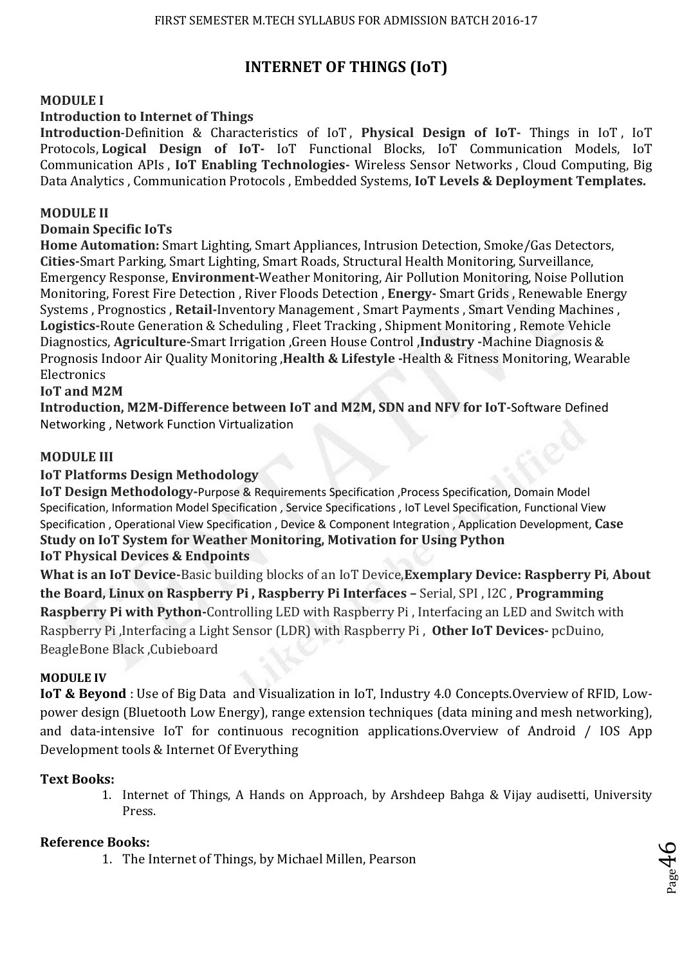# **INTERNET OF THINGS (IoT)**

## **MODULE I**

## **Introduction to Internet of Things**

**Introduction**-Definition & Characteristics of IoT , **Physical Design of IoT-** Things in IoT , IoT Protocols, **Logical Design of IoT-** IoT Functional Blocks, IoT Communication Models, IoT Communication APIs , **IoT Enabling Technologies-** Wireless Sensor Networks , Cloud Computing, Big Data Analytics , Communication Protocols , Embedded Systems, **IoT Levels & Deployment Templates.** 

## **MODULE II**

## **Domain Specific IoTs**

**Home Automation:** Smart Lighting, Smart Appliances, Intrusion Detection, Smoke/Gas Detectors, **Cities-**Smart Parking, Smart Lighting, Smart Roads, Structural Health Monitoring, Surveillance, Emergency Response, **Environment-**Weather Monitoring, Air Pollution Monitoring, Noise Pollution Monitoring, Forest Fire Detection , River Floods Detection , **Energy-** Smart Grids , Renewable Energy Systems , Prognostics , **Retail-**Inventory Management , Smart Payments , Smart Vending Machines , **Logistics-**Route Generation & Scheduling , Fleet Tracking , Shipment Monitoring , Remote Vehicle Diagnostics, **Agriculture-**Smart Irrigation ,Green House Control ,**Industry -**Machine Diagnosis & Prognosis Indoor Air Quality Monitoring ,**Health & Lifestyle -**Health & Fitness Monitoring, Wearable Electronics

## **IoT and M2M**

**Introduction, M2M-Difference between IoT and M2M, SDN and NFV for IoT-**Software Defined Networking , Network Function Virtualization

## **MODULE III**

## **IoT Platforms Design Methodology**

**IoT Design Methodology-**Purpose & Requirements Specification ,Process Specification, Domain Model Specification, Information Model Specification , Service Specifications , IoT Level Specification, Functional View Specification , Operational View Specification , Device & Component Integration , Application Development, **Case Study on IoT System for Weather Monitoring, Motivation for Using Python IoT Physical Devices & Endpoints** 

**What is an IoT Device-**Basic building blocks of an IoT Device,**Exemplary Device: Raspberry Pi**, **About the Board, Linux on Raspberry Pi , Raspberry Pi Interfaces –** Serial, SPI , I2C , **Programming Raspberry Pi with Python-**Controlling LED with Raspberry Pi , Interfacing an LED and Switch with Raspberry Pi ,Interfacing a Light Sensor (LDR) with Raspberry Pi , **Other IoT Devices-** pcDuino, BeagleBone Black ,Cubieboard

### **MODULE IV**

**IoT & Beyond** : Use of Big Data and Visualization in IoT, Industry 4.0 Concepts.Overview of RFID, Lowpower design (Bluetooth Low Energy), range extension techniques (data mining and mesh networking), and data-intensive IoT for continuous recognition applications.Overview of Android / IOS App Development tools & Internet Of Everything

### **Text Books:**

1. Internet of Things, A Hands on Approach, by Arshdeep Bahga & Vijay audisetti, University Press.

## **Reference Books:**

1. The Internet of Things, by Michael Millen, Pearson

$$
\rho_{\rm age}46
$$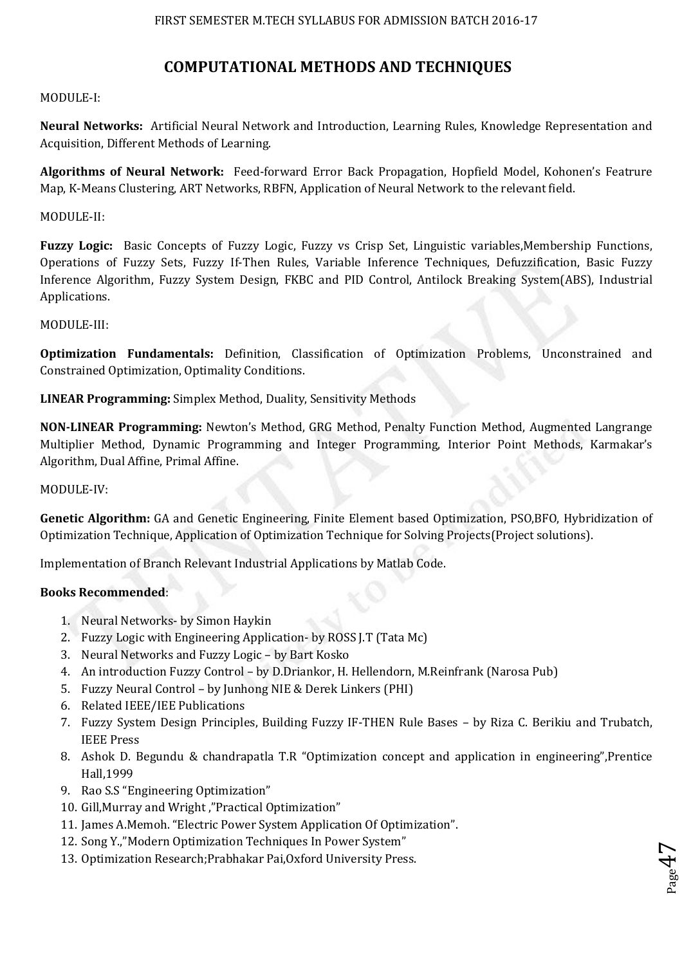## **COMPUTATIONAL METHODS AND TECHNIQUES**

#### MODULE-I:

**Neural Networks:** Artificial Neural Network and Introduction, Learning Rules, Knowledge Representation and Acquisition, Different Methods of Learning.

**Algorithms of Neural Network:** Feed-forward Error Back Propagation, Hopfield Model, Kohonen's Featrure Map, K-Means Clustering, ART Networks, RBFN, Application of Neural Network to the relevant field.

#### MODULE-II:

**Fuzzy Logic:** Basic Concepts of Fuzzy Logic, Fuzzy vs Crisp Set, Linguistic variables,Membership Functions, Operations of Fuzzy Sets, Fuzzy If-Then Rules, Variable Inference Techniques, Defuzzification, Basic Fuzzy Inference Algorithm, Fuzzy System Design, FKBC and PID Control, Antilock Breaking System(ABS), Industrial Applications.

#### MODULE-III:

**Optimization Fundamentals:** Definition, Classification of Optimization Problems, Unconstrained and Constrained Optimization, Optimality Conditions.

#### **LINEAR Programming:** Simplex Method, Duality, Sensitivity Methods

**NON-LINEAR Programming:** Newton's Method, GRG Method, Penalty Function Method, Augmented Langrange Multiplier Method, Dynamic Programming and Integer Programming, Interior Point Methods, Karmakar's Algorithm, Dual Affine, Primal Affine.

#### MODULE-IV:

**Genetic Algorithm:** GA and Genetic Engineering, Finite Element based Optimization, PSO,BFO, Hybridization of Optimization Technique, Application of Optimization Technique for Solving Projects(Project solutions).

Implementation of Branch Relevant Industrial Applications by Matlab Code.

#### **Books Recommended**:

- 1. Neural Networks- by Simon Haykin
- 2. Fuzzy Logic with Engineering Application- by ROSS J.T (Tata Mc)
- 3. Neural Networks and Fuzzy Logic by Bart Kosko
- 4. An introduction Fuzzy Control by D.Driankor, H. Hellendorn, M.Reinfrank (Narosa Pub)
- 5. Fuzzy Neural Control by Junhong NIE & Derek Linkers (PHI)
- 6. Related IEEE/IEE Publications
- 7. Fuzzy System Design Principles, Building Fuzzy IF-THEN Rule Bases by Riza C. Berikiu and Trubatch, IEEE Press
- 8. Ashok D. Begundu & chandrapatla T.R "Optimization concept and application in engineering",Prentice Hall,1999

 $_{\rm Page}$ 47

- 9. Rao S.S "Engineering Optimization"
- 10. Gill,Murray and Wright ,"Practical Optimization"
- 11. James A.Memoh. "Electric Power System Application Of Optimization".
- 12. Song Y.,"Modern Optimization Techniques In Power System"
- 13. Optimization Research;Prabhakar Pai,Oxford University Press.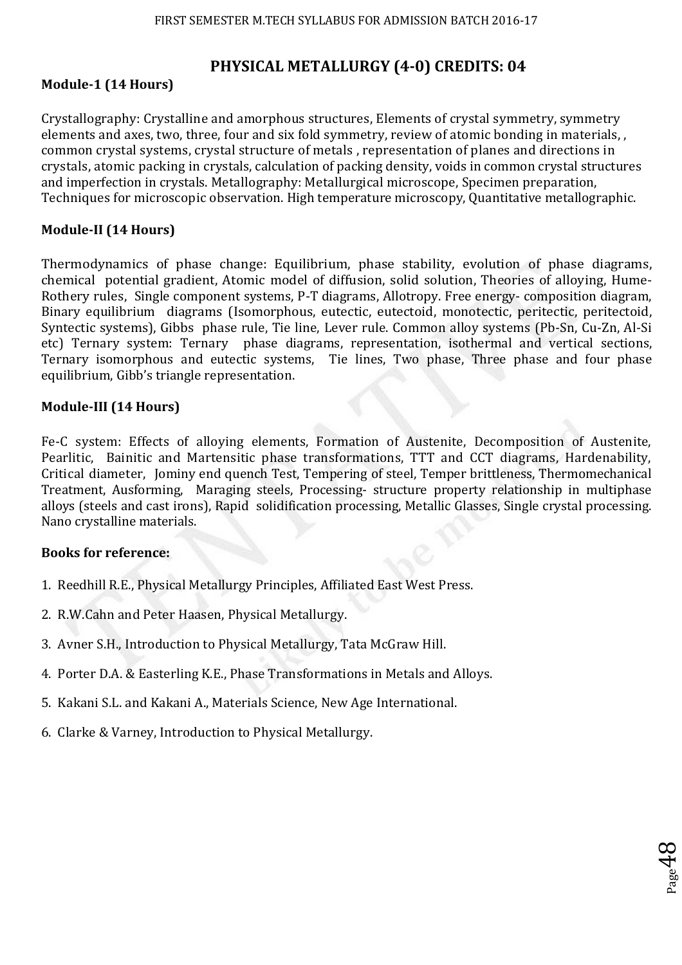## **PHYSICAL METALLURGY (4-0) CREDITS: 04**

## **Module-1 (14 Hours)**

Crystallography: Crystalline and amorphous structures, Elements of crystal symmetry, symmetry elements and axes, two, three, four and six fold symmetry, review of atomic bonding in materials, , common crystal systems, crystal structure of metals , representation of planes and directions in crystals, atomic packing in crystals, calculation of packing density, voids in common crystal structures and imperfection in crystals. Metallography: Metallurgical microscope, Specimen preparation, Techniques for microscopic observation. High temperature microscopy, Quantitative metallographic.

## **Module-II (14 Hours)**

Thermodynamics of phase change: Equilibrium, phase stability, evolution of phase diagrams, chemical potential gradient, Atomic model of diffusion, solid solution, Theories of alloying, Hume-Rothery rules, Single component systems, P-T diagrams, Allotropy. Free energy- composition diagram, Binary equilibrium diagrams (Isomorphous, eutectic, eutectoid, monotectic, peritectic, peritectoid, Syntectic systems), Gibbs phase rule, Tie line, Lever rule. Common alloy systems (Pb-Sn, Cu-Zn, Al-Si etc) Ternary system: Ternary phase diagrams, representation, isothermal and vertical sections, Ternary isomorphous and eutectic systems, Tie lines, Two phase, Three phase and four phase equilibrium, Gibb's triangle representation.

## **Module-III (14 Hours)**

Fe-C system: Effects of alloying elements, Formation of Austenite, Decomposition of Austenite, Pearlitic, Bainitic and Martensitic phase transformations, TTT and CCT diagrams, Hardenability, Critical diameter, Jominy end quench Test, Tempering of steel, Temper brittleness, Thermomechanical Treatment, Ausforming, Maraging steels, Processing- structure property relationship in multiphase alloys (steels and cast irons), Rapid solidification processing, Metallic Glasses, Single crystal processing. Nano crystalline materials.

 $_{\rm Page}$ 48

## **Books for reference:**

- 1. Reedhill R.E., Physical Metallurgy Principles, Affiliated East West Press.
- 2. R.W.Cahn and Peter Haasen, Physical Metallurgy.
- 3. Avner S.H., Introduction to Physical Metallurgy, Tata McGraw Hill.
- 4. Porter D.A. & Easterling K.E., Phase Transformations in Metals and Alloys.
- 5. Kakani S.L. and Kakani A., Materials Science, New Age International.
- 6. Clarke & Varney, Introduction to Physical Metallurgy.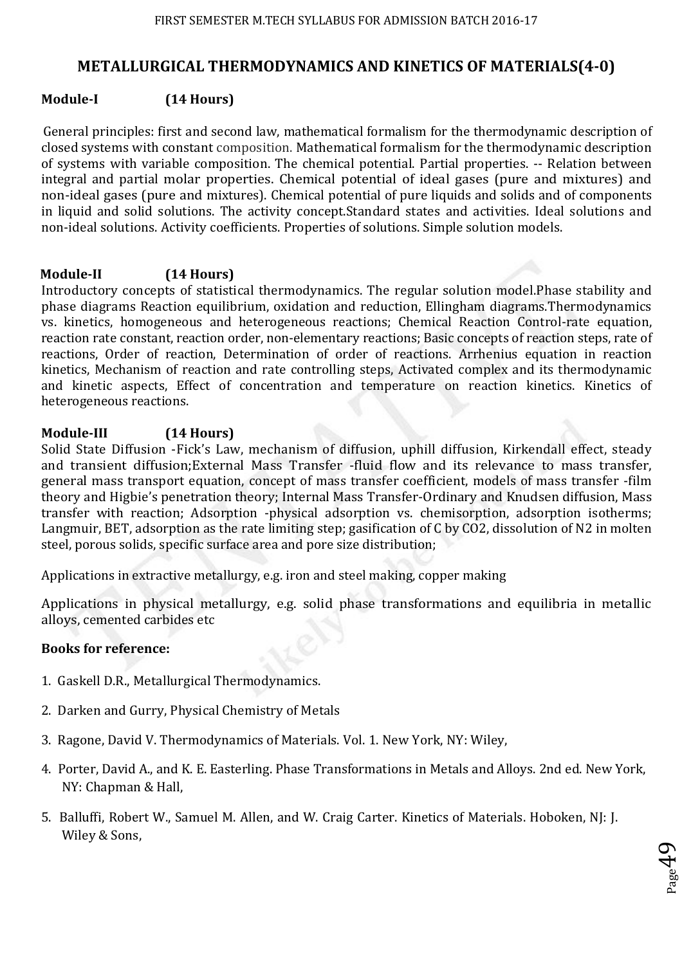## **METALLURGICAL THERMODYNAMICS AND KINETICS OF MATERIALS(4-0)**

## **Module-I (14 Hours)**

General principles: first and second law, mathematical formalism for the thermodynamic description of closed systems with constant composition. Mathematical formalism for the thermodynamic description of systems with variable composition. The chemical potential. Partial properties. -- Relation between integral and partial molar properties. Chemical potential of ideal gases (pure and mixtures) and non-ideal gases (pure and mixtures). Chemical potential of pure liquids and solids and of components in liquid and solid solutions. The activity concept.Standard states and activities. Ideal solutions and non-ideal solutions. Activity coefficients. Properties of solutions. Simple solution models.

## **Module-II (14 Hours)**

Introductory concepts of statistical thermodynamics. The regular solution model.Phase stability and phase diagrams Reaction equilibrium, oxidation and reduction, Ellingham diagrams.Thermodynamics vs. kinetics, homogeneous and heterogeneous reactions; Chemical Reaction Control-rate equation, reaction rate constant, reaction order, non-elementary reactions; Basic concepts of reaction steps, rate of reactions, Order of reaction, Determination of order of reactions. Arrhenius equation in reaction kinetics, Mechanism of reaction and rate controlling steps, Activated complex and its thermodynamic and kinetic aspects, Effect of concentration and temperature on reaction kinetics. Kinetics of heterogeneous reactions.

## **Module-III (14 Hours)**

Solid State Diffusion -Fick's Law, mechanism of diffusion, uphill diffusion, Kirkendall effect, steady and transient diffusion;External Mass Transfer -fluid flow and its relevance to mass transfer, general mass transport equation, concept of mass transfer coefficient, models of mass transfer -film theory and Higbie's penetration theory; Internal Mass Transfer-Ordinary and Knudsen diffusion, Mass transfer with reaction; Adsorption -physical adsorption vs. chemisorption, adsorption isotherms; Langmuir, BET, adsorption as the rate limiting step; gasification of C by CO2, dissolution of N2 in molten steel, porous solids, specific surface area and pore size distribution;

Applications in extractive metallurgy, e.g. iron and steel making, copper making

Applications in physical metallurgy, e.g. solid phase transformations and equilibria in metallic alloys, cemented carbides etc

## **Books for reference:**

- 1. Gaskell D.R., Metallurgical Thermodynamics.
- 2. Darken and Gurry, Physical Chemistry of Metals
- 3. Ragone, David V. Thermodynamics of Materials. Vol. 1. New York, NY: Wiley,
- 4. Porter, David A., and K. E. Easterling. Phase Transformations in Metals and Alloys. 2nd ed. New York, NY: Chapman & Hall,

 $P_{\rm age}$ 49

5. Balluffi, Robert W., Samuel M. Allen, and W. Craig Carter. Kinetics of Materials. Hoboken, NJ: J. Wiley & Sons,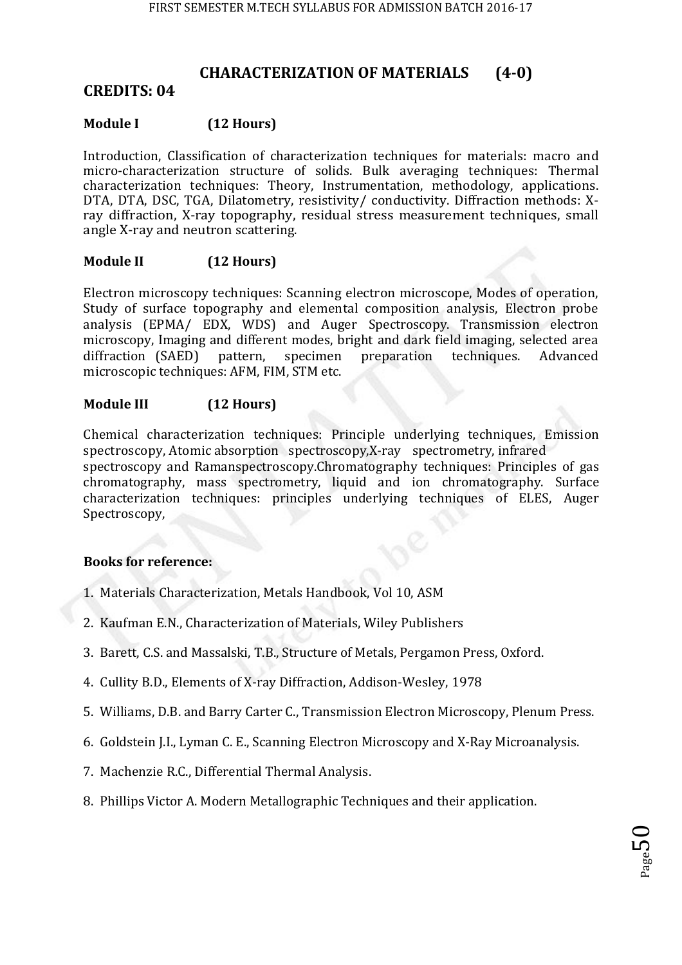## **CHARACTERIZATION OF MATERIALS (4-0)**

## **CREDITS: 04**

## **Module I (12 Hours)**

Introduction, Classification of characterization techniques for materials: macro and micro-characterization structure of solids. Bulk averaging techniques: Thermal characterization techniques: Theory, Instrumentation, methodology, applications. DTA, DTA, DSC, TGA, Dilatometry, resistivity/ conductivity. Diffraction methods: Xray diffraction, X-ray topography, residual stress measurement techniques, small angle X-ray and neutron scattering.

## **Module II (12 Hours)**

Electron microscopy techniques: Scanning electron microscope, Modes of operation, Study of surface topography and elemental composition analysis, Electron probe analysis (EPMA/ EDX, WDS) and Auger Spectroscopy. Transmission electron microscopy, Imaging and different modes, bright and dark field imaging, selected area diffraction (SAED) pattern, specimen preparation techniques. Advanced microscopic techniques: AFM, FIM, STM etc.

## **Module III (12 Hours)**

Chemical characterization techniques: Principle underlying techniques, Emission spectroscopy, Atomic absorption spectroscopy,X-ray spectrometry, infrared spectroscopy and Ramanspectroscopy.Chromatography techniques: Principles of gas chromatography, mass spectrometry, liquid and ion chromatography. Surface characterization techniques: principles underlying techniques of ELES, Auger Spectroscopy,

## **Books for reference:**

- 1. Materials Characterization, Metals Handbook, Vol 10, ASM
- 2. Kaufman E.N., Characterization of Materials, Wiley Publishers
- 3. Barett, C.S. and Massalski, T.B., Structure of Metals, Pergamon Press, Oxford.
- 4. Cullity B.D., Elements of X-ray Diffraction, Addison-Wesley, 1978
- 5. Williams, D.B. and Barry Carter C., Transmission Electron Microscopy, Plenum Press.
- 6. Goldstein J.I., Lyman C. E., Scanning Electron Microscopy and X-Ray Microanalysis.
- 7. Machenzie R.C., Differential Thermal Analysis.
- 8. Phillips Victor A. Modern Metallographic Techniques and their application.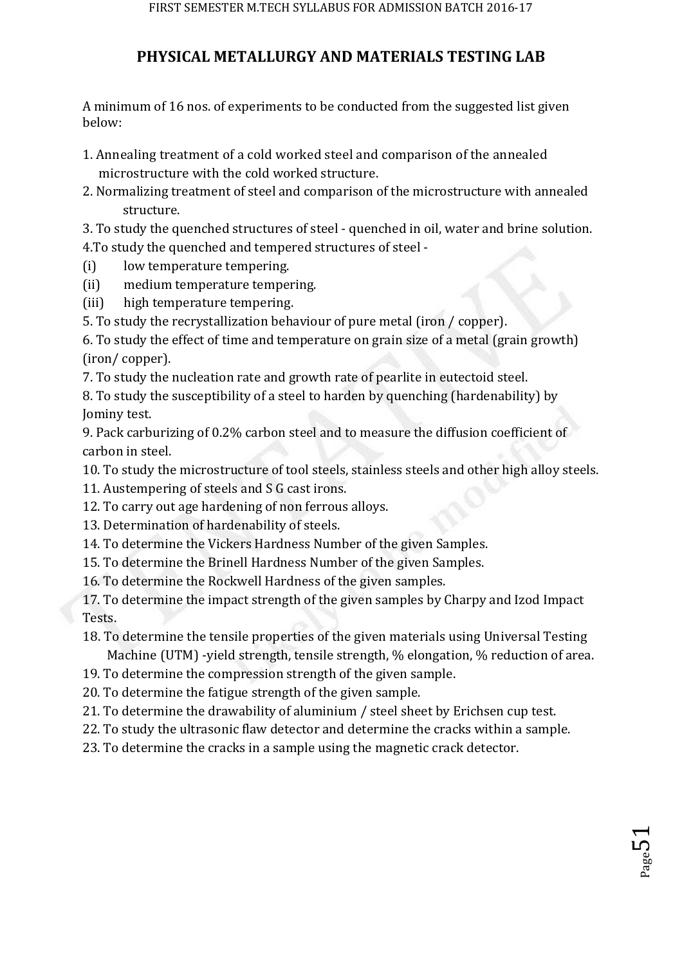# **PHYSICAL METALLURGY AND MATERIALS TESTING LAB**

A minimum of 16 nos. of experiments to be conducted from the suggested list given below:

- 1. Annealing treatment of a cold worked steel and comparison of the annealed microstructure with the cold worked structure.
- 2. Normalizing treatment of steel and comparison of the microstructure with annealed structure.

3. To study the quenched structures of steel - quenched in oil, water and brine solution. 4.To study the quenched and tempered structures of steel -

- (i) low temperature tempering.
- (ii) medium temperature tempering.
- (iii) high temperature tempering.
- 5. To study the recrystallization behaviour of pure metal (iron / copper).

6. To study the effect of time and temperature on grain size of a metal (grain growth) (iron/ copper).

7. To study the nucleation rate and growth rate of pearlite in eutectoid steel.

8. To study the susceptibility of a steel to harden by quenching (hardenability) by Jominy test.

9. Pack carburizing of 0.2% carbon steel and to measure the diffusion coefficient of carbon in steel.

10. To study the microstructure of tool steels, stainless steels and other high alloy steels.

- 11. Austempering of steels and S G cast irons.
- 12. To carry out age hardening of non ferrous alloys.
- 13. Determination of hardenability of steels.
- 14. To determine the Vickers Hardness Number of the given Samples.

15. To determine the Brinell Hardness Number of the given Samples.

16. To determine the Rockwell Hardness of the given samples.

17. To determine the impact strength of the given samples by Charpy and Izod Impact Tests.

- 18. To determine the tensile properties of the given materials using Universal Testing Machine (UTM) -yield strength, tensile strength, % elongation, % reduction of area.
- 19. To determine the compression strength of the given sample.

20. To determine the fatigue strength of the given sample.

21. To determine the drawability of aluminium / steel sheet by Erichsen cup test.

- 22. To study the ultrasonic flaw detector and determine the cracks within a sample.
- 23. To determine the cracks in a sample using the magnetic crack detector.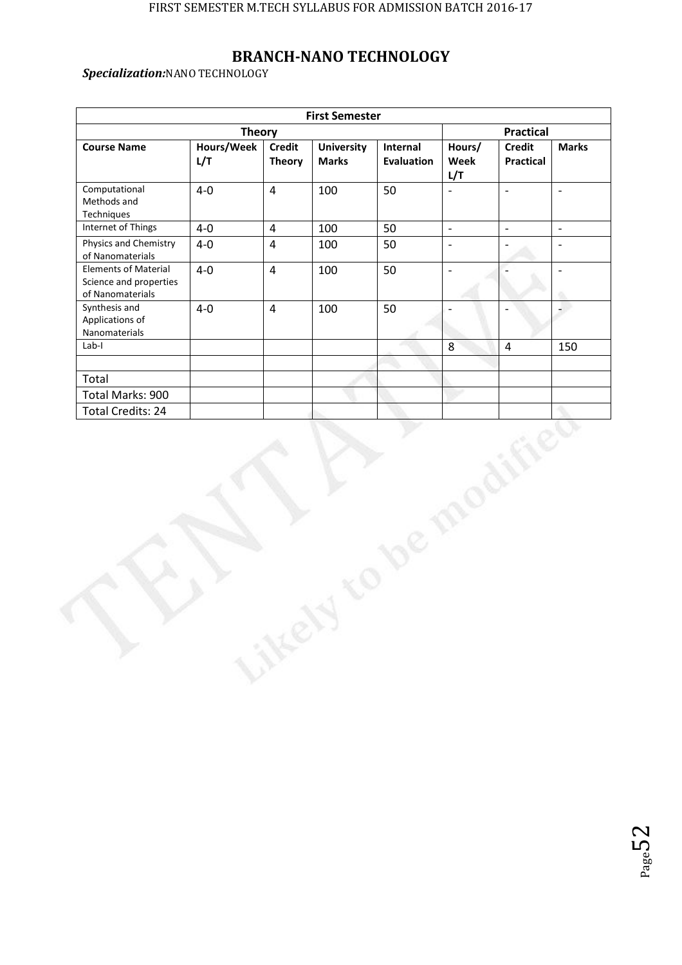# **BRANCH-NANO TECHNOLOGY**

*Specialization:*NANO TECHNOLOGY

|                                                                           |                   |                         | <b>First Semester</b>             |                               |                          |                                   |                           |  |
|---------------------------------------------------------------------------|-------------------|-------------------------|-----------------------------------|-------------------------------|--------------------------|-----------------------------------|---------------------------|--|
|                                                                           |                   | <b>Practical</b>        |                                   |                               |                          |                                   |                           |  |
| <b>Course Name</b>                                                        | Hours/Week<br>L/T | Credit<br><b>Theory</b> | <b>University</b><br><b>Marks</b> | Internal<br><b>Evaluation</b> | Hours/<br>Week<br>L/T    | <b>Credit</b><br><b>Practical</b> | <b>Marks</b>              |  |
| Computational<br>Methods and<br>Techniques                                | $4-0$             | $\overline{4}$          | 100                               | 50                            | $\overline{a}$           | $\overline{a}$                    | $\overline{\phantom{a}}$  |  |
| Internet of Things                                                        | $4-0$             | $\overline{4}$          | 100                               | 50                            | $\mathbb{L}$             | $\mathbb{L}$                      | $\overline{\phantom{a}}$  |  |
| Physics and Chemistry<br>of Nanomaterials                                 | $4-0$             | $\overline{4}$          | 100                               | 50                            | $\mathbb{L}$             | $\overline{\phantom{a}}$          | $\mathbb{L}^{\mathbb{Z}}$ |  |
| <b>Elements of Material</b><br>Science and properties<br>of Nanomaterials | $4-0$             | $\overline{4}$          | 100                               | 50                            | $\frac{1}{2}$            |                                   | $\overline{\phantom{a}}$  |  |
| Synthesis and<br>Applications of<br>Nanomaterials                         | $4-0$             | $\overline{4}$          | 100                               | 50                            | $\overline{\phantom{a}}$ | $\overline{a}$                    | 4                         |  |
| $Lab-I$                                                                   |                   |                         |                                   |                               | 8                        | $\overline{4}$                    | 150                       |  |
|                                                                           |                   |                         |                                   |                               |                          |                                   |                           |  |
| Total                                                                     |                   |                         |                                   |                               |                          |                                   |                           |  |
| Total Marks: 900                                                          |                   |                         |                                   |                               |                          |                                   |                           |  |
| <b>Total Credits: 24</b>                                                  |                   |                         |                                   |                               |                          |                                   |                           |  |
|                                                                           |                   |                         |                                   |                               |                          |                                   |                           |  |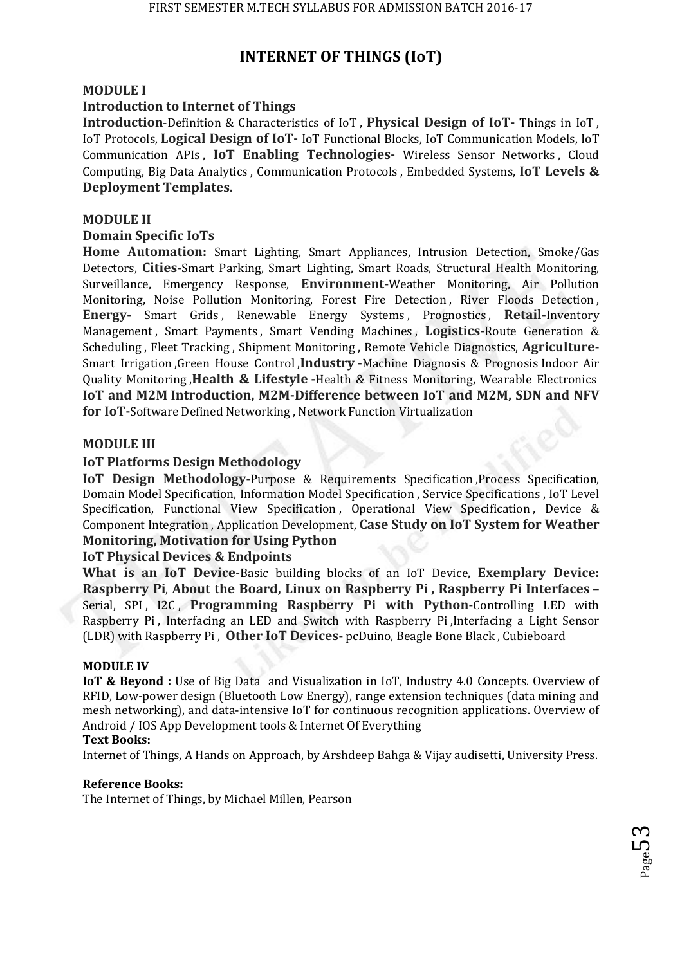# **INTERNET OF THINGS (IoT)**

## **MODULE I**

## **Introduction to Internet of Things**

**Introduction**-Definition & Characteristics of IoT , **Physical Design of IoT-** Things in IoT , IoT Protocols, **Logical Design of IoT-** IoT Functional Blocks, IoT Communication Models, IoT Communication APIs , **IoT Enabling Technologies-** Wireless Sensor Networks , Cloud Computing, Big Data Analytics , Communication Protocols , Embedded Systems, **IoT Levels & Deployment Templates.** 

### **MODULE II**

## **Domain Specific IoTs**

**Home Automation:** Smart Lighting, Smart Appliances, Intrusion Detection, Smoke/Gas Detectors, **Cities-**Smart Parking, Smart Lighting, Smart Roads, Structural Health Monitoring, Surveillance, Emergency Response, **Environment-**Weather Monitoring, Air Pollution Monitoring, Noise Pollution Monitoring, Forest Fire Detection , River Floods Detection , **Energy-** Smart Grids , Renewable Energy Systems , Prognostics , **Retail-**Inventory Management , Smart Payments , Smart Vending Machines , **Logistics-**Route Generation & Scheduling , Fleet Tracking , Shipment Monitoring , Remote Vehicle Diagnostics, **Agriculture-**Smart Irrigation ,Green House Control ,**Industry -**Machine Diagnosis & Prognosis Indoor Air Quality Monitoring ,**Health & Lifestyle -**Health & Fitness Monitoring, Wearable Electronics **IoT and M2M Introduction, M2M-Difference between IoT and M2M, SDN and NFV for IoT-**Software Defined Networking , Network Function Virtualization

## **MODULE III**

## **IoT Platforms Design Methodology**

**IoT Design Methodology-Purpose & Requirements Specification, Process Specification,** Domain Model Specification, Information Model Specification , Service Specifications , IoT Level Specification, Functional View Specification, Operational View Specification, Device & Component Integration , Application Development, **Case Study on IoT System for Weather Monitoring, Motivation for Using Python** 

## **IoT Physical Devices & Endpoints**

**What is an IoT Device-**Basic building blocks of an IoT Device, **Exemplary Device: Raspberry Pi**, **About the Board, Linux on Raspberry Pi , Raspberry Pi Interfaces –** Serial, SPI, I2C, **Programming Raspberry Pi with Python-**Controlling LED with Raspberry Pi , Interfacing an LED and Switch with Raspberry Pi ,Interfacing a Light Sensor (LDR) with Raspberry Pi , **Other IoT Devices-** pcDuino, Beagle Bone Black , Cubieboard

### **MODULE IV**

**IoT & Beyond :** Use of Big Data and Visualization in IoT, Industry 4.0 Concepts. Overview of RFID, Low-power design (Bluetooth Low Energy), range extension techniques (data mining and mesh networking), and data-intensive IoT for continuous recognition applications. Overview of Android / IOS App Development tools & Internet Of Everything

### **Text Books:**

Internet of Things, A Hands on Approach, by Arshdeep Bahga & Vijay audisetti, University Press.

### **Reference Books:**

The Internet of Things, by Michael Millen, Pearson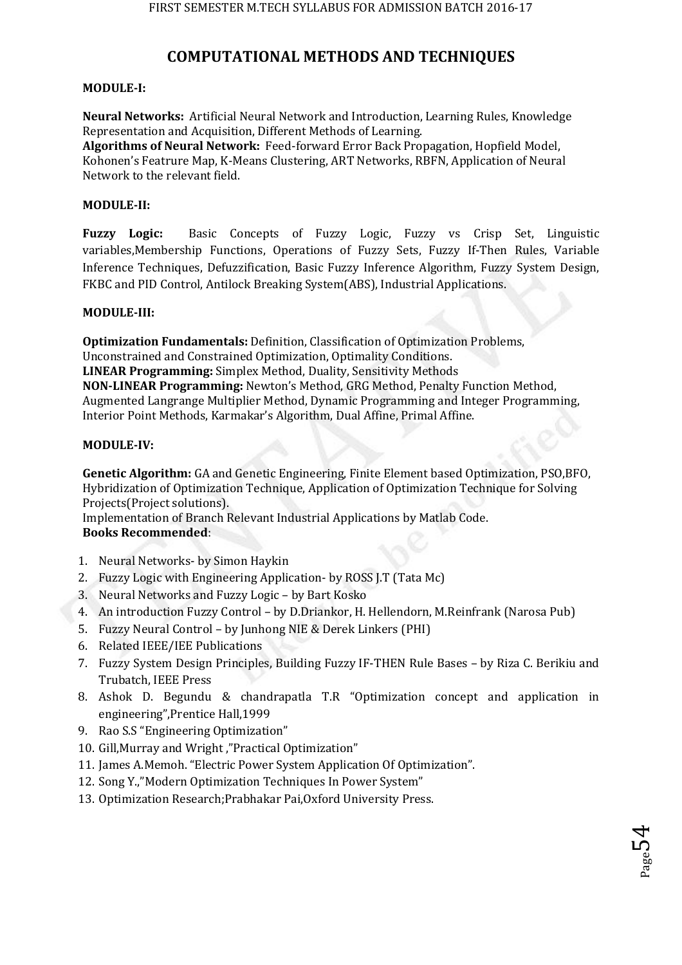# **COMPUTATIONAL METHODS AND TECHNIQUES**

#### **MODULE-I:**

**Neural Networks:** Artificial Neural Network and Introduction, Learning Rules, Knowledge Representation and Acquisition, Different Methods of Learning.

**Algorithms of Neural Network:** Feed-forward Error Back Propagation, Hopfield Model, Kohonen's Featrure Map, K-Means Clustering, ART Networks, RBFN, Application of Neural Network to the relevant field.

### **MODULE-II:**

**Fuzzy Logic:** Basic Concepts of Fuzzy Logic, Fuzzy vs Crisp Set, Linguistic variables,Membership Functions, Operations of Fuzzy Sets, Fuzzy If-Then Rules, Variable Inference Techniques, Defuzzification, Basic Fuzzy Inference Algorithm, Fuzzy System Design, FKBC and PID Control, Antilock Breaking System(ABS), Industrial Applications.

#### **MODULE-III:**

**Optimization Fundamentals:** Definition, Classification of Optimization Problems, Unconstrained and Constrained Optimization, Optimality Conditions. **LINEAR Programming:** Simplex Method, Duality, Sensitivity Methods **NON-LINEAR Programming:** Newton's Method, GRG Method, Penalty Function Method, Augmented Langrange Multiplier Method, Dynamic Programming and Integer Programming, Interior Point Methods, Karmakar's Algorithm, Dual Affine, Primal Affine.

#### **MODULE-IV:**

**Genetic Algorithm:** GA and Genetic Engineering, Finite Element based Optimization, PSO,BFO, Hybridization of Optimization Technique, Application of Optimization Technique for Solving Projects(Project solutions).

Implementation of Branch Relevant Industrial Applications by Matlab Code. **Books Recommended**:

- 1. Neural Networks- by Simon Haykin
- 2. Fuzzy Logic with Engineering Application- by ROSS J.T (Tata Mc)
- 3. Neural Networks and Fuzzy Logic by Bart Kosko
- 4. An introduction Fuzzy Control by D.Driankor, H. Hellendorn, M.Reinfrank (Narosa Pub)
- 5. Fuzzy Neural Control by Junhong NIE & Derek Linkers (PHI)
- 6. Related IEEE/IEE Publications
- 7. Fuzzy System Design Principles, Building Fuzzy IF-THEN Rule Bases by Riza C. Berikiu and Trubatch, IEEE Press
- 8. Ashok D. Begundu & chandrapatla T.R "Optimization concept and application in engineering",Prentice Hall,1999
- 9. Rao S.S "Engineering Optimization"
- 10. Gill,Murray and Wright ,"Practical Optimization"
- 11. James A.Memoh. "Electric Power System Application Of Optimization".
- 12. Song Y.,"Modern Optimization Techniques In Power System"
- 13. Optimization Research;Prabhakar Pai,Oxford University Press.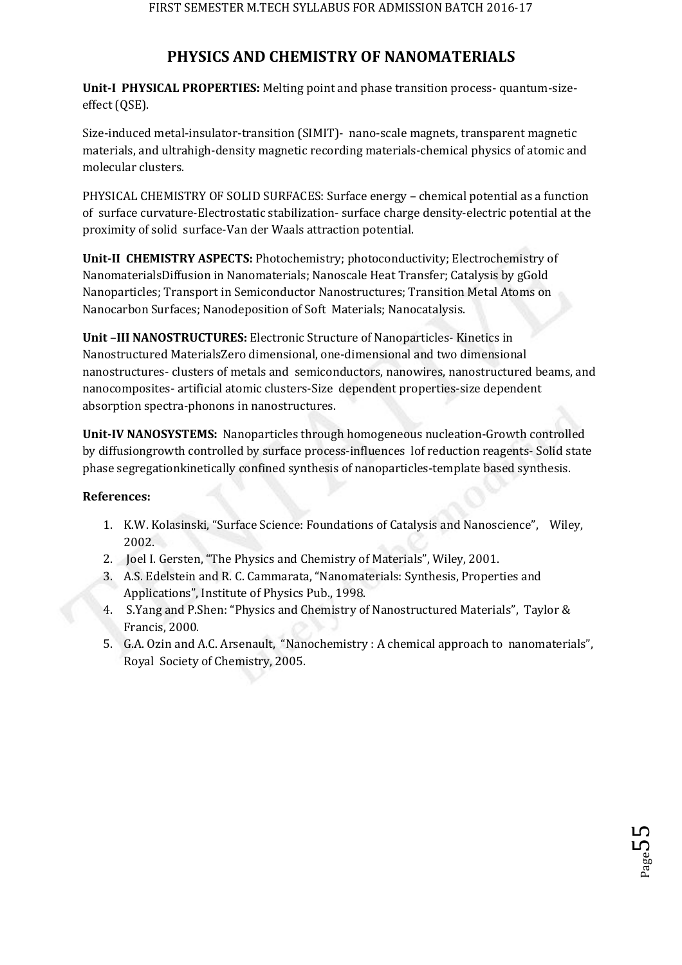# **PHYSICS AND CHEMISTRY OF NANOMATERIALS**

**Unit-I PHYSICAL PROPERTIES:** Melting point and phase transition process- quantum-sizeeffect (QSE).

Size-induced metal-insulator-transition (SIMIT)- nano-scale magnets, transparent magnetic materials, and ultrahigh-density magnetic recording materials-chemical physics of atomic and molecular clusters.

PHYSICAL CHEMISTRY OF SOLID SURFACES: Surface energy – chemical potential as a function of surface curvature-Electrostatic stabilization- surface charge density-electric potential at the proximity of solid surface-Van der Waals attraction potential.

**Unit-II CHEMISTRY ASPECTS:** Photochemistry; photoconductivity; Electrochemistry of NanomaterialsDiffusion in Nanomaterials; Nanoscale Heat Transfer; Catalysis by gGold Nanoparticles; Transport in Semiconductor Nanostructures; Transition Metal Atoms on Nanocarbon Surfaces; Nanodeposition of Soft Materials; Nanocatalysis.

**Unit –III NANOSTRUCTURES:** Electronic Structure of Nanoparticles- Kinetics in Nanostructured MaterialsZero dimensional, one-dimensional and two dimensional nanostructures- clusters of metals and semiconductors, nanowires, nanostructured beams, and nanocomposites- artificial atomic clusters-Size dependent properties-size dependent absorption spectra-phonons in nanostructures.

**Unit-IV NANOSYSTEMS:** Nanoparticles through homogeneous nucleation-Growth controlled by diffusiongrowth controlled by surface process-influences lof reduction reagents- Solid state phase segregationkinetically confined synthesis of nanoparticles-template based synthesis.

## **References:**

- 1. K.W. Kolasinski, "Surface Science: Foundations of Catalysis and Nanoscience", Wiley, 2002.
- 2. Joel I. Gersten, "The Physics and Chemistry of Materials", Wiley, 2001.
- 3. A.S. Edelstein and R. C. Cammarata, "Nanomaterials: Synthesis, Properties and Applications", Institute of Physics Pub., 1998.
- 4. S.Yang and P.Shen: "Physics and Chemistry of Nanostructured Materials", Taylor & Francis, 2000.
- 5. G.A. Ozin and A.C. Arsenault, "Nanochemistry : A chemical approach to nanomaterials", Royal Society of Chemistry, 2005.

 $_{\rm Page}$ 55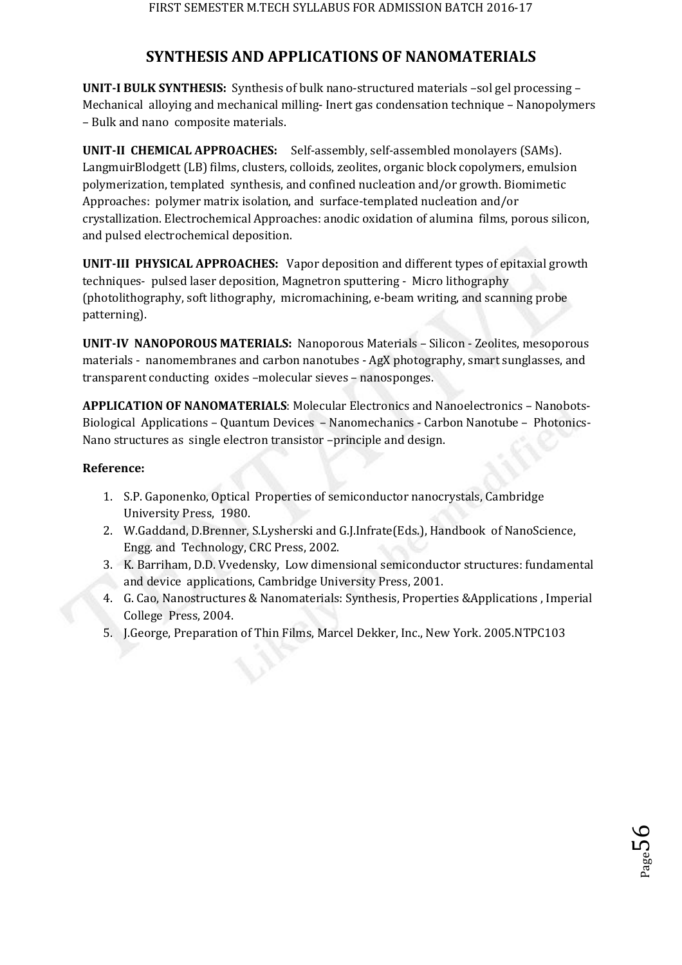# **SYNTHESIS AND APPLICATIONS OF NANOMATERIALS**

**UNIT-I BULK SYNTHESIS:** Synthesis of bulk nano-structured materials –sol gel processing – Mechanical alloying and mechanical milling- Inert gas condensation technique – Nanopolymers – Bulk and nano composite materials.

**UNIT-II CHEMICAL APPROACHES:** Self-assembly, self-assembled monolayers (SAMs). LangmuirBlodgett (LB) films, clusters, colloids, zeolites, organic block copolymers, emulsion polymerization, templated synthesis, and confined nucleation and/or growth. Biomimetic Approaches: polymer matrix isolation, and surface-templated nucleation and/or crystallization. Electrochemical Approaches: anodic oxidation of alumina films, porous silicon, and pulsed electrochemical deposition.

**UNIT-III PHYSICAL APPROACHES:** Vapor deposition and different types of epitaxial growth techniques- pulsed laser deposition, Magnetron sputtering - Micro lithography (photolithography, soft lithography, micromachining, e-beam writing, and scanning probe patterning).

**UNIT-IV NANOPOROUS MATERIALS:** Nanoporous Materials – Silicon - Zeolites, mesoporous materials - nanomembranes and carbon nanotubes - AgX photography, smart sunglasses, and transparent conducting oxides –molecular sieves – nanosponges.

**APPLICATION OF NANOMATERIALS**: Molecular Electronics and Nanoelectronics – Nanobots-Biological Applications – Quantum Devices – Nanomechanics - Carbon Nanotube – Photonics-Nano structures as single electron transistor –principle and design.

## **Reference:**

- 1. S.P. Gaponenko, Optical Properties of semiconductor nanocrystals, Cambridge University Press, 1980.
- 2. W.Gaddand, D.Brenner, S.Lysherski and G.J.Infrate(Eds.), Handbook of NanoScience, Engg. and Technology, CRC Press, 2002.
- 3. K. Barriham, D.D. Vvedensky, Low dimensional semiconductor structures: fundamental and device applications, Cambridge University Press, 2001.
- 4. G. Cao, Nanostructures & Nanomaterials: Synthesis, Properties &Applications , Imperial College Press, 2004.
- 5. J.George, Preparation of Thin Films, Marcel Dekker, Inc., New York. 2005.NTPC103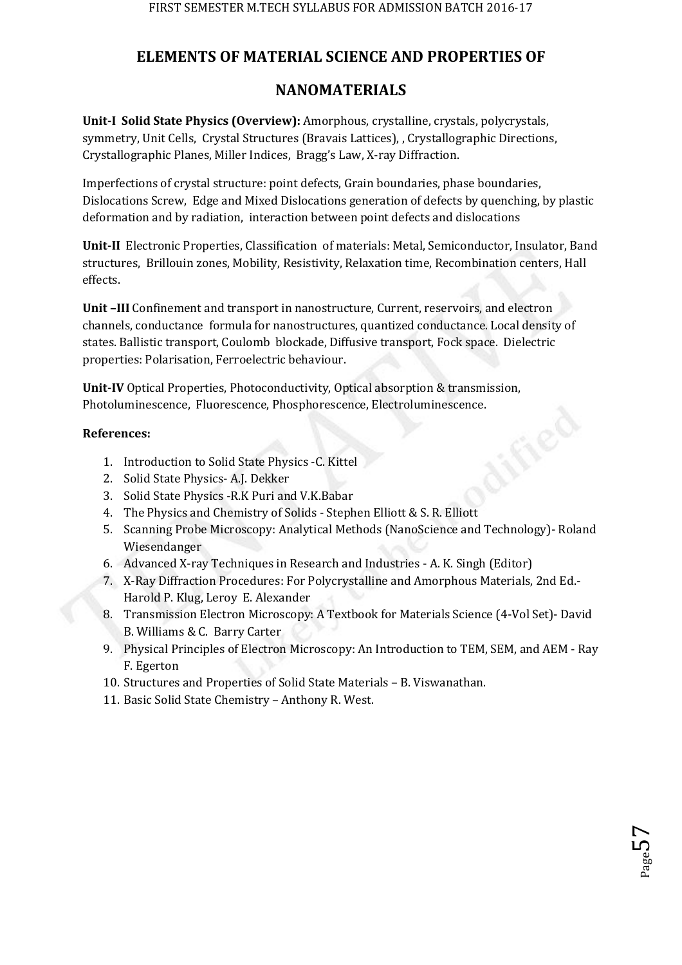# **ELEMENTS OF MATERIAL SCIENCE AND PROPERTIES OF**

# **NANOMATERIALS**

**Unit-I Solid State Physics (Overview):** Amorphous, crystalline, crystals, polycrystals, symmetry, Unit Cells, Crystal Structures (Bravais Lattices), , Crystallographic Directions, Crystallographic Planes, Miller Indices, Bragg's Law, X-ray Diffraction.

Imperfections of crystal structure: point defects, Grain boundaries, phase boundaries, Dislocations Screw, Edge and Mixed Dislocations generation of defects by quenching, by plastic deformation and by radiation, interaction between point defects and dislocations

**Unit-II** Electronic Properties, Classification of materials: Metal, Semiconductor, Insulator, Band structures, Brillouin zones, Mobility, Resistivity, Relaxation time, Recombination centers, Hall effects.

**Unit –III** Confinement and transport in nanostructure, Current, reservoirs, and electron channels, conductance formula for nanostructures, quantized conductance. Local density of states. Ballistic transport, Coulomb blockade, Diffusive transport, Fock space. Dielectric properties: Polarisation, Ferroelectric behaviour.

**Unit-IV** Optical Properties, Photoconductivity, Optical absorption & transmission, Photoluminescence, Fluorescence, Phosphorescence, Electroluminescence.

## **References:**

- 1. Introduction to Solid State Physics -C. Kittel
- 2. Solid State Physics- A.J. Dekker
- 3. Solid State Physics -R.K Puri and V.K.Babar
- 4. The Physics and Chemistry of Solids Stephen Elliott & S. R. Elliott
- 5. Scanning Probe Microscopy: Analytical Methods (NanoScience and Technology)- Roland Wiesendanger
- 6. Advanced X-ray Techniques in Research and Industries A. K. Singh (Editor)
- 7. X-Ray Diffraction Procedures: For Polycrystalline and Amorphous Materials, 2nd Ed.- Harold P. Klug, Leroy E. Alexander
- 8. Transmission Electron Microscopy: A Textbook for Materials Science (4-Vol Set)- David B. Williams & C. Barry Carter
- 9. Physical Principles of Electron Microscopy: An Introduction to TEM, SEM, and AEM Ray F. Egerton
- 10. Structures and Properties of Solid State Materials B. Viswanathan.
- 11. Basic Solid State Chemistry Anthony R. West.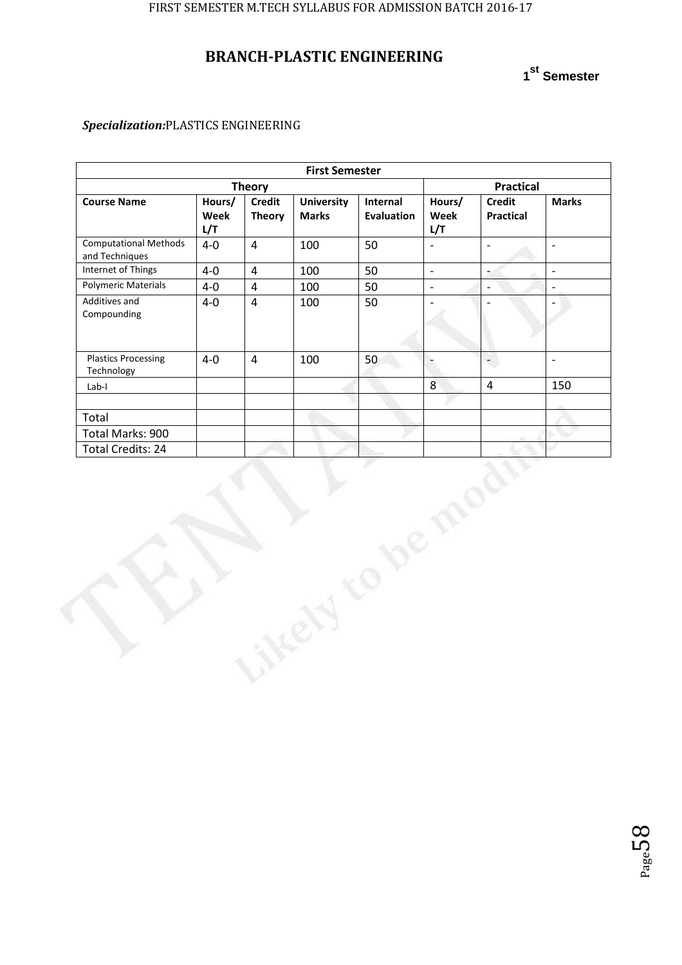# **BRANCH-PLASTIC ENGINEERING**

**1 st Semester**

## *Specialization:*PLASTICS ENGINEERING

| <b>First Semester</b>                          |                       |                                |                                   |                               |                          |                                   |                          |  |  |
|------------------------------------------------|-----------------------|--------------------------------|-----------------------------------|-------------------------------|--------------------------|-----------------------------------|--------------------------|--|--|
|                                                | <b>Theory</b>         |                                | <b>Practical</b>                  |                               |                          |                                   |                          |  |  |
| <b>Course Name</b>                             | Hours/<br>Week<br>L/T | <b>Credit</b><br><b>Theory</b> | <b>University</b><br><b>Marks</b> | Internal<br><b>Evaluation</b> | Hours/<br>Week<br>L/T    | <b>Credit</b><br><b>Practical</b> | <b>Marks</b>             |  |  |
| <b>Computational Methods</b><br>and Techniques | $4-0$                 | $\overline{4}$                 | 100                               | 50                            | $\overline{a}$           | $\overline{a}$                    | $\overline{\phantom{0}}$ |  |  |
| Internet of Things                             | $4-0$                 | $\overline{\mathbf{4}}$        | 100                               | 50                            | $\mathbb{L}$             | $\overline{\phantom{a}}$          | $\frac{1}{2}$            |  |  |
| <b>Polymeric Materials</b>                     | $4-0$                 | $\overline{4}$                 | 100                               | 50                            | $\mathbb{Z}$             | $\overline{\phantom{a}}$          | L,                       |  |  |
| Additives and<br>Compounding                   | $4-0$                 | $\overline{\mathbf{4}}$        | 100                               | 50                            |                          |                                   |                          |  |  |
| <b>Plastics Processing</b><br>Technology       | $4-0$                 | $\overline{4}$                 | 100                               | 50                            | $\overline{\phantom{0}}$ | $\overline{\phantom{a}}$          | $\frac{1}{2}$            |  |  |
| Lab-I                                          |                       |                                |                                   |                               | $\,8\,$                  | $\overline{4}$                    | 150                      |  |  |
|                                                |                       |                                |                                   |                               |                          |                                   |                          |  |  |
| Total                                          |                       |                                |                                   |                               |                          |                                   |                          |  |  |
| Total Marks: 900                               |                       |                                |                                   |                               |                          |                                   |                          |  |  |
| Total Credits: 24                              |                       |                                |                                   |                               |                          |                                   |                          |  |  |
|                                                |                       |                                |                                   |                               |                          |                                   |                          |  |  |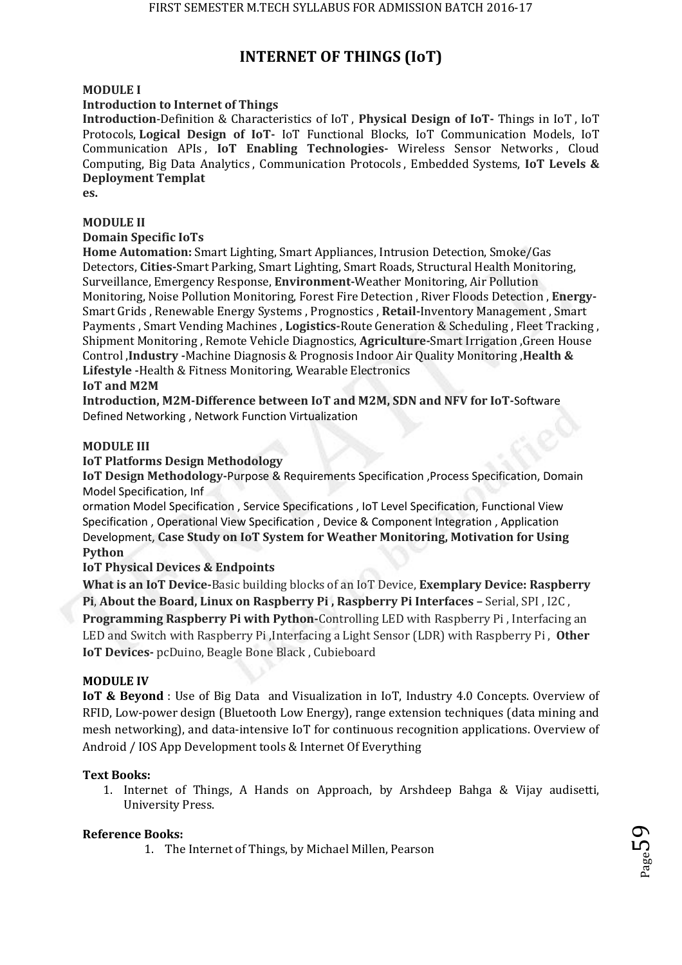# **INTERNET OF THINGS (IoT)**

### **MODULE I**

#### **Introduction to Internet of Things**

**Introduction**-Definition & Characteristics of IoT , **Physical Design of IoT-** Things in IoT , IoT Protocols, **Logical Design of IoT-** IoT Functional Blocks, IoT Communication Models, IoT Communication APIs , **IoT Enabling Technologies-** Wireless Sensor Networks , Cloud Computing, Big Data Analytics , Communication Protocols , Embedded Systems, **IoT Levels & Deployment Templat** 

**es.** 

### **MODULE II**

#### **Domain Specific IoTs**

**Home Automation:** Smart Lighting, Smart Appliances, Intrusion Detection, Smoke/Gas Detectors, **Cities-**Smart Parking, Smart Lighting, Smart Roads, Structural Health Monitoring, Surveillance, Emergency Response, **Environment-**Weather Monitoring, Air Pollution Monitoring, Noise Pollution Monitoring, Forest Fire Detection , River Floods Detection , **Energy-**Smart Grids , Renewable Energy Systems , Prognostics , **Retail-**Inventory Management , Smart Payments , Smart Vending Machines , **Logistics-**Route Generation & Scheduling , Fleet Tracking , Shipment Monitoring , Remote Vehicle Diagnostics, **Agriculture-**Smart Irrigation ,Green House Control ,**Industry -**Machine Diagnosis & Prognosis Indoor Air Quality Monitoring ,**Health & Lifestyle -**Health & Fitness Monitoring, Wearable Electronics

**IoT and M2M** 

**Introduction, M2M-Difference between IoT and M2M, SDN and NFV for IoT-**Software Defined Networking , Network Function Virtualization

#### **MODULE III**

#### **IoT Platforms Design Methodology**

**IoT Design Methodology-**Purpose & Requirements Specification ,Process Specification, Domain Model Specification, Inf

ormation Model Specification , Service Specifications , IoT Level Specification, Functional View Specification , Operational View Specification , Device & Component Integration , Application Development, **Case Study on IoT System for Weather Monitoring, Motivation for Using Python** 

### **IoT Physical Devices & Endpoints**

**What is an IoT Device-**Basic building blocks of an IoT Device, **Exemplary Device: Raspberry Pi**, **About the Board, Linux on Raspberry Pi , Raspberry Pi Interfaces –** Serial, SPI , I2C , **Programming Raspberry Pi with Python-**Controlling LED with Raspberry Pi , Interfacing an LED and Switch with Raspberry Pi ,Interfacing a Light Sensor (LDR) with Raspberry Pi , **Other IoT Devices-** pcDuino, Beagle Bone Black , Cubieboard

#### **MODULE IV**

**IoT & Beyond** : Use of Big Data and Visualization in IoT, Industry 4.0 Concepts. Overview of RFID, Low-power design (Bluetooth Low Energy), range extension techniques (data mining and mesh networking), and data-intensive IoT for continuous recognition applications. Overview of Android / IOS App Development tools & Internet Of Everything

### **Text Books:**

1. Internet of Things, A Hands on Approach, by Arshdeep Bahga & Vijay audisetti, University Press.

### **Reference Books:**

1. The Internet of Things, by Michael Millen, Pearson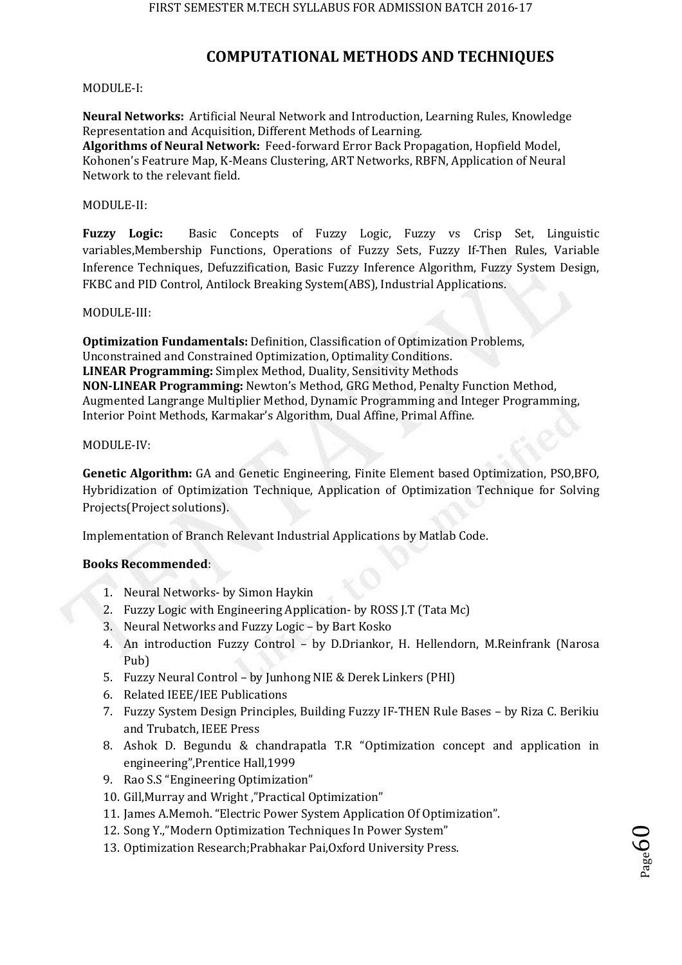# **COMPUTATIONAL METHODS AND TECHNIQUES**

#### MODULE-I:

**Neural Networks:** Artificial Neural Network and Introduction, Learning Rules, Knowledge Representation and Acquisition, Different Methods of Learning.

**Algorithms of Neural Network:** Feed-forward Error Back Propagation, Hopfield Model, Kohonen's Featrure Map, K-Means Clustering, ART Networks, RBFN, Application of Neural Network to the relevant field.

#### MODULE-II:

**Fuzzy Logic:** Basic Concepts of Fuzzy Logic, Fuzzy vs Crisp Set, Linguistic variables,Membership Functions, Operations of Fuzzy Sets, Fuzzy If-Then Rules, Variable Inference Techniques, Defuzzification, Basic Fuzzy Inference Algorithm, Fuzzy System Design, FKBC and PID Control, Antilock Breaking System(ABS), Industrial Applications.

#### MODULE-III:

**Optimization Fundamentals:** Definition, Classification of Optimization Problems, Unconstrained and Constrained Optimization, Optimality Conditions. **LINEAR Programming:** Simplex Method, Duality, Sensitivity Methods **NON-LINEAR Programming:** Newton's Method, GRG Method, Penalty Function Method, Augmented Langrange Multiplier Method, Dynamic Programming and Integer Programming, Interior Point Methods, Karmakar's Algorithm, Dual Affine, Primal Affine.

#### MODULE-IV:

**Genetic Algorithm:** GA and Genetic Engineering, Finite Element based Optimization, PSO,BFO, Hybridization of Optimization Technique, Application of Optimization Technique for Solving Projects(Project solutions).

Implementation of Branch Relevant Industrial Applications by Matlab Code.

### **Books Recommended**:

- 1. Neural Networks- by Simon Haykin
- 2. Fuzzy Logic with Engineering Application- by ROSS J.T (Tata Mc)
- 3. Neural Networks and Fuzzy Logic by Bart Kosko
- 4. An introduction Fuzzy Control by D.Driankor, H. Hellendorn, M.Reinfrank (Narosa Pub)
- 5. Fuzzy Neural Control by Junhong NIE & Derek Linkers (PHI)
- 6. Related IEEE/IEE Publications
- 7. Fuzzy System Design Principles, Building Fuzzy IF-THEN Rule Bases by Riza C. Berikiu and Trubatch, IEEE Press
- 8. Ashok D. Begundu & chandrapatla T.R "Optimization concept and application in engineering",Prentice Hall,1999
- 9. Rao S.S "Engineering Optimization"
- 10. Gill,Murray and Wright ,"Practical Optimization"
- 11. James A.Memoh. "Electric Power System Application Of Optimization".
- 12. Song Y.,"Modern Optimization Techniques In Power System"
- 13. Optimization Research;Prabhakar Pai,Oxford University Press.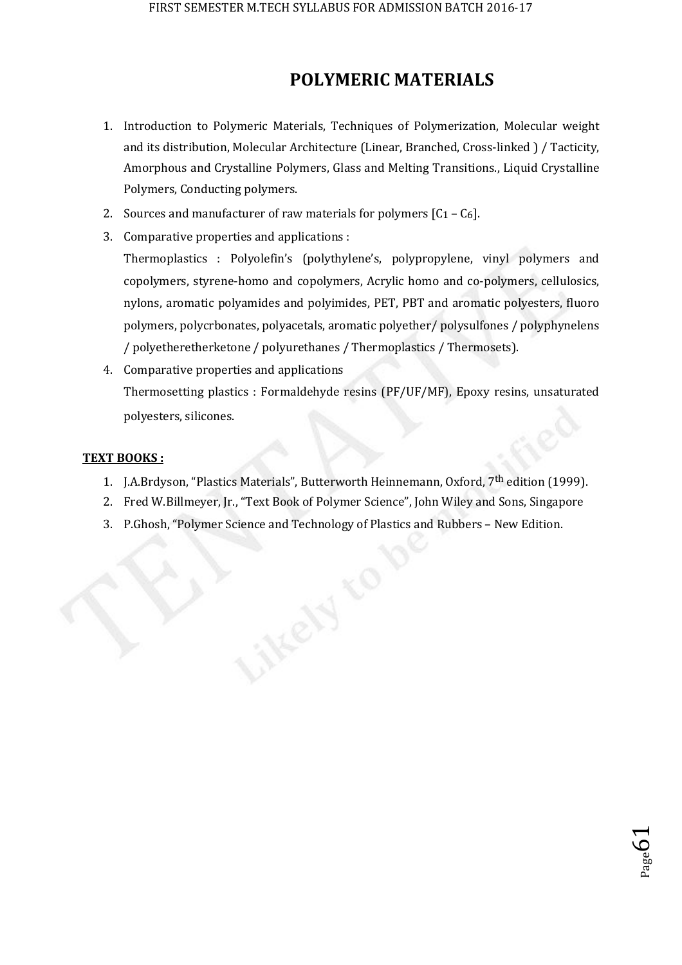# **POLYMERIC MATERIALS**

- 1. Introduction to Polymeric Materials, Techniques of Polymerization, Molecular weight and its distribution, Molecular Architecture (Linear, Branched, Cross-linked ) / Tacticity, Amorphous and Crystalline Polymers, Glass and Melting Transitions., Liquid Crystalline Polymers, Conducting polymers.
- 2. Sources and manufacturer of raw materials for polymers  $[C_1 C_6]$ .
- 3. Comparative properties and applications : Thermoplastics : Polyolefin's (polythylene's, polypropylene, vinyl polymers and copolymers, styrene-homo and copolymers, Acrylic homo and co-polymers, cellulosics, nylons, aromatic polyamides and polyimides, PET, PBT and aromatic polyesters, fluoro polymers, polycrbonates, polyacetals, aromatic polyether/ polysulfones / polyphynelens / polyetheretherketone / polyurethanes / Thermoplastics / Thermosets).
- 4. Comparative properties and applications Thermosetting plastics : Formaldehyde resins (PF/UF/MF), Epoxy resins, unsaturated polyesters, silicones.

### **TEXT BOOKS :**

- 1. J.A.Brdyson, "Plastics Materials", Butterworth Heinnemann, Oxford, 7<sup>th</sup> edition (1999).
- 2. Fred W.Billmeyer, Jr., "Text Book of Polymer Science", John Wiley and Sons, Singapore

 $_{\rm Page}$ 61

3. P.Ghosh, "Polymer Science and Technology of Plastics and Rubbers – New Edition.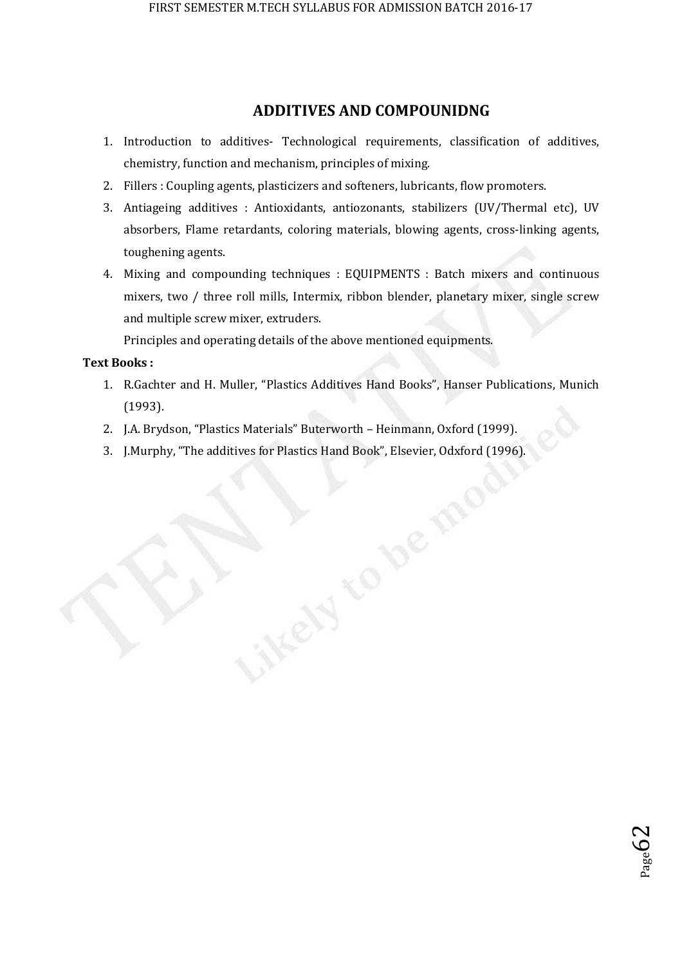## **ADDITIVES AND COMPOUNIDNG**

- 1. Introduction to additives- Technological requirements, classification of additives, chemistry, function and mechanism, principles of mixing.
- 2. Fillers : Coupling agents, plasticizers and softeners, lubricants, flow promoters.
- 3. Antiageing additives : Antioxidants, antiozonants, stabilizers (UV/Thermal etc), UV absorbers, Flame retardants, coloring materials, blowing agents, cross-linking agents, toughening agents.
- 4. Mixing and compounding techniques : EQUIPMENTS : Batch mixers and continuous mixers, two / three roll mills, Intermix, ribbon blender, planetary mixer, single screw and multiple screw mixer, extruders.

Principles and operating details of the above mentioned equipments.

## **Text Books :**

- 1. R.Gachter and H. Muller, "Plastics Additives Hand Books", Hanser Publications, Munich (1993).
- 2. J.A. Brydson, "Plastics Materials" Buterworth Heinmann, Oxford (1999).
- 3. J.Murphy, "The additives for Plastics Hand Book", Elsevier, Odxford (1996).

 $_{\rm Page}$ 62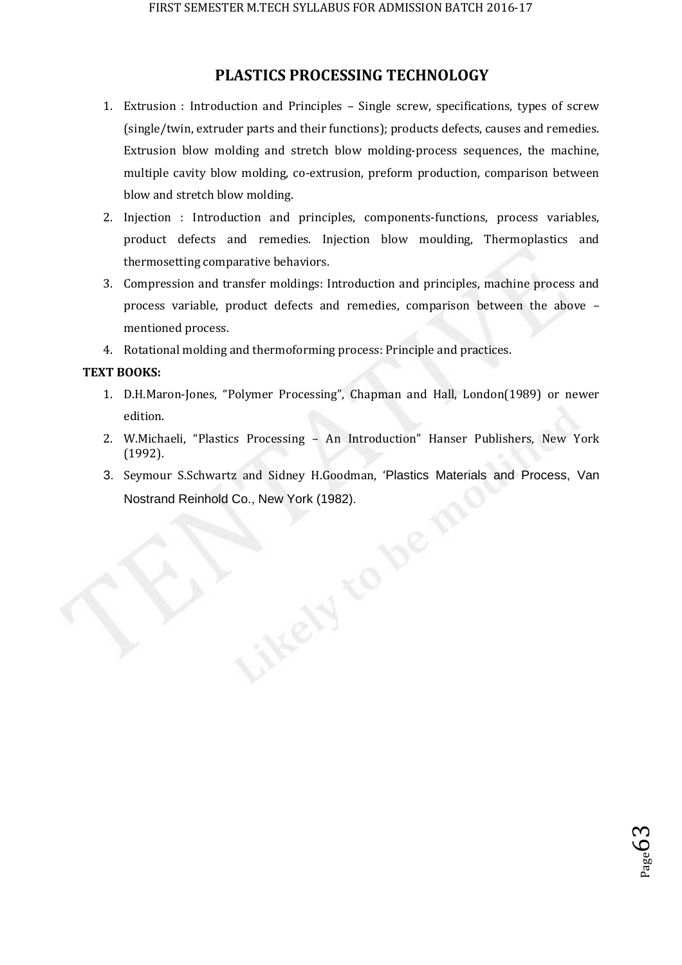## **PLASTICS PROCESSING TECHNOLOGY**

- 1. Extrusion : Introduction and Principles Single screw, specifications, types of screw (single/twin, extruder parts and their functions); products defects, causes and remedies. Extrusion blow molding and stretch blow molding-process sequences, the machine, multiple cavity blow molding, co-extrusion, preform production, comparison between blow and stretch blow molding.
- 2. Injection : Introduction and principles, components-functions, process variables, product defects and remedies. Injection blow moulding, Thermoplastics and thermosetting comparative behaviors.
- 3. Compression and transfer moldings: Introduction and principles, machine process and process variable, product defects and remedies, comparison between the above – mentioned process.
- 4. Rotational molding and thermoforming process: Principle and practices.

### **TEXT BOOKS:**

- 1. D.H.Maron-Jones, "Polymer Processing", Chapman and Hall, London(1989) or newer edition.
- 2. W.Michaeli, "Plastics Processing An Introduction" Hanser Publishers, New York (1992).
- 3. Seymour S.Schwartz and Sidney H.Goodman, 'Plastics Materials and Process, Van<br>Nostrand Reinhold Co., New York (1982). Nostrand Reinhold Co., New York (1982).

 $_{\rm Page}$ 63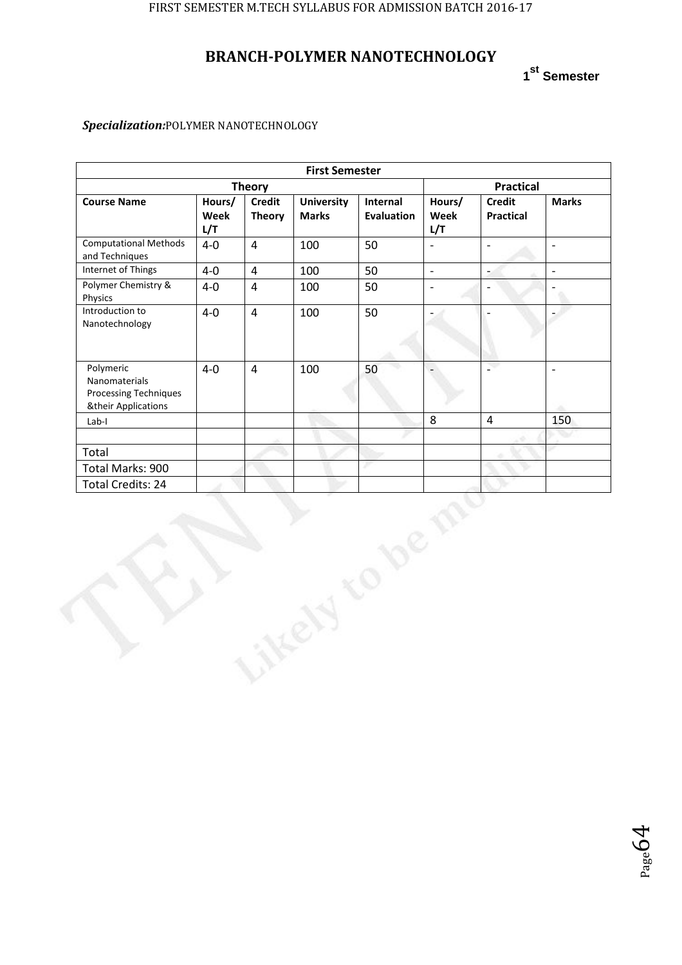# **BRANCH-POLYMER NANOTECHNOLOGY**

**1 st Semester**

| <b>First Semester</b>                                                      |                       |                                |                                   |                               |                          |                                   |                          |  |
|----------------------------------------------------------------------------|-----------------------|--------------------------------|-----------------------------------|-------------------------------|--------------------------|-----------------------------------|--------------------------|--|
| <b>Theory</b>                                                              |                       |                                |                                   |                               |                          | <b>Practical</b>                  |                          |  |
| <b>Course Name</b>                                                         | Hours/<br>Week<br>L/T | <b>Credit</b><br><b>Theory</b> | <b>University</b><br><b>Marks</b> | Internal<br><b>Evaluation</b> | Hours/<br>Week<br>L/T    | <b>Credit</b><br><b>Practical</b> | <b>Marks</b>             |  |
| <b>Computational Methods</b><br>and Techniques                             | $4-0$                 | $\overline{4}$                 | 100                               | 50                            | $\overline{a}$           | $\overline{\phantom{a}}$          | $\sim$                   |  |
| Internet of Things                                                         | $4-0$                 | $\pmb{4}$                      | 100                               | 50                            | $\mathbb{Z}^2$           | $\overline{\phantom{a}}$          | $\Box$                   |  |
| Polymer Chemistry &<br>Physics                                             | $4-0$                 | $\overline{4}$                 | 100                               | 50                            | $\overline{\phantom{a}}$ |                                   |                          |  |
| Introduction to<br>Nanotechnology                                          | $4-0$                 | $\overline{4}$                 | 100                               | 50                            |                          |                                   |                          |  |
| Polymeric<br>Nanomaterials<br>Processing Techniques<br>&their Applications | $4-0$                 | $\overline{4}$                 | 100                               | 50                            |                          | L.                                | $\overline{\phantom{a}}$ |  |
| Lab-I                                                                      |                       |                                |                                   |                               | 8                        | $\overline{4}$                    | 150                      |  |
|                                                                            |                       |                                |                                   |                               |                          |                                   |                          |  |
| Total                                                                      |                       |                                |                                   |                               |                          |                                   |                          |  |
| Total Marks: 900                                                           |                       |                                |                                   |                               |                          |                                   |                          |  |
| <b>Total Credits: 24</b>                                                   |                       |                                |                                   |                               |                          |                                   |                          |  |
|                                                                            |                       |                                |                                   |                               |                          |                                   |                          |  |

### *Specialization:*POLYMER NANOTECHNOLOGY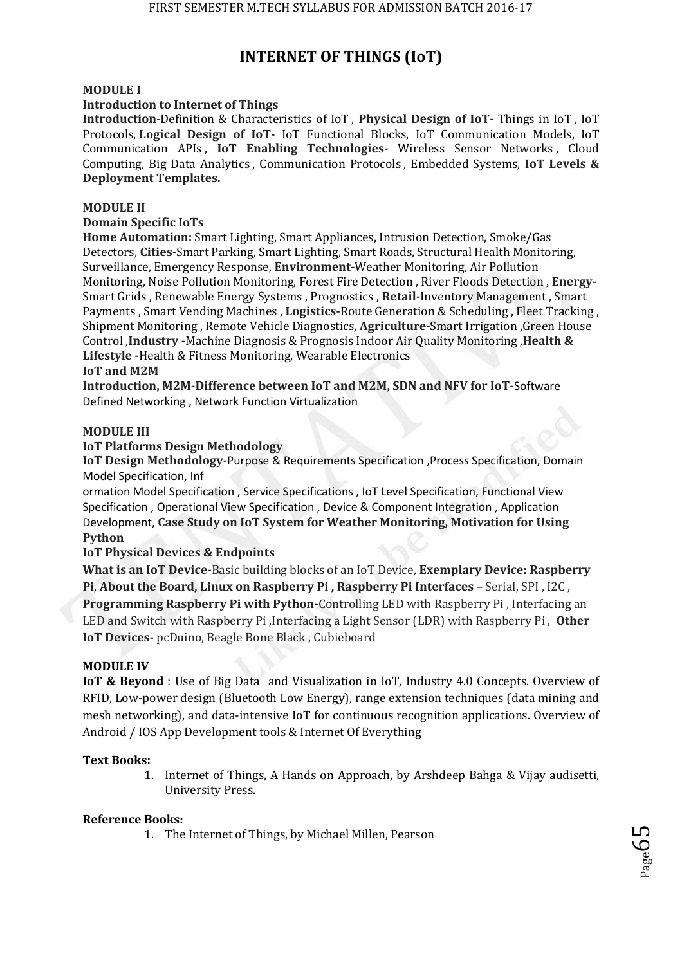# **INTERNET OF THINGS (IoT)**

### **MODULE I**

### **Introduction to Internet of Things**

**Introduction**-Definition & Characteristics of IoT , **Physical Design of IoT-** Things in IoT , IoT Protocols, **Logical Design of IoT-** IoT Functional Blocks, IoT Communication Models, IoT Communication APIs , **IoT Enabling Technologies-** Wireless Sensor Networks , Cloud Computing, Big Data Analytics , Communication Protocols , Embedded Systems, **IoT Levels & Deployment Templates.** 

### **MODULE II**

## **Domain Specific IoTs**

**Home Automation:** Smart Lighting, Smart Appliances, Intrusion Detection, Smoke/Gas Detectors, **Cities-**Smart Parking, Smart Lighting, Smart Roads, Structural Health Monitoring, Surveillance, Emergency Response, **Environment-**Weather Monitoring, Air Pollution Monitoring, Noise Pollution Monitoring, Forest Fire Detection , River Floods Detection , **Energy-**Smart Grids , Renewable Energy Systems , Prognostics , **Retail-**Inventory Management , Smart Payments , Smart Vending Machines , **Logistics-**Route Generation & Scheduling , Fleet Tracking , Shipment Monitoring , Remote Vehicle Diagnostics, **Agriculture-**Smart Irrigation ,Green House Control ,**Industry -**Machine Diagnosis & Prognosis Indoor Air Quality Monitoring ,**Health & Lifestyle -**Health & Fitness Monitoring, Wearable Electronics

### **IoT and M2M**

**Introduction, M2M-Difference between IoT and M2M, SDN and NFV for IoT-**Software Defined Networking , Network Function Virtualization

#### **MODULE III**

### **IoT Platforms Design Methodology**

**IoT Design Methodology-**Purpose & Requirements Specification ,Process Specification, Domain Model Specification, Inf

ormation Model Specification , Service Specifications , IoT Level Specification, Functional View Specification , Operational View Specification , Device & Component Integration , Application Development, **Case Study on IoT System for Weather Monitoring, Motivation for Using Python** 

## **IoT Physical Devices & Endpoints**

**What is an IoT Device-**Basic building blocks of an IoT Device, **Exemplary Device: Raspberry Pi**, **About the Board, Linux on Raspberry Pi , Raspberry Pi Interfaces –** Serial, SPI , I2C , **Programming Raspberry Pi with Python-**Controlling LED with Raspberry Pi , Interfacing an LED and Switch with Raspberry Pi ,Interfacing a Light Sensor (LDR) with Raspberry Pi , **Other IoT Devices-** pcDuino, Beagle Bone Black , Cubieboard

### **MODULE IV**

**IoT & Beyond** : Use of Big Data and Visualization in IoT, Industry 4.0 Concepts. Overview of RFID, Low-power design (Bluetooth Low Energy), range extension techniques (data mining and mesh networking), and data-intensive IoT for continuous recognition applications. Overview of Android / IOS App Development tools & Internet Of Everything

### **Text Books:**

1. Internet of Things, A Hands on Approach, by Arshdeep Bahga & Vijay audisetti, University Press.

### **Reference Books:**

1. The Internet of Things, by Michael Millen, Pearson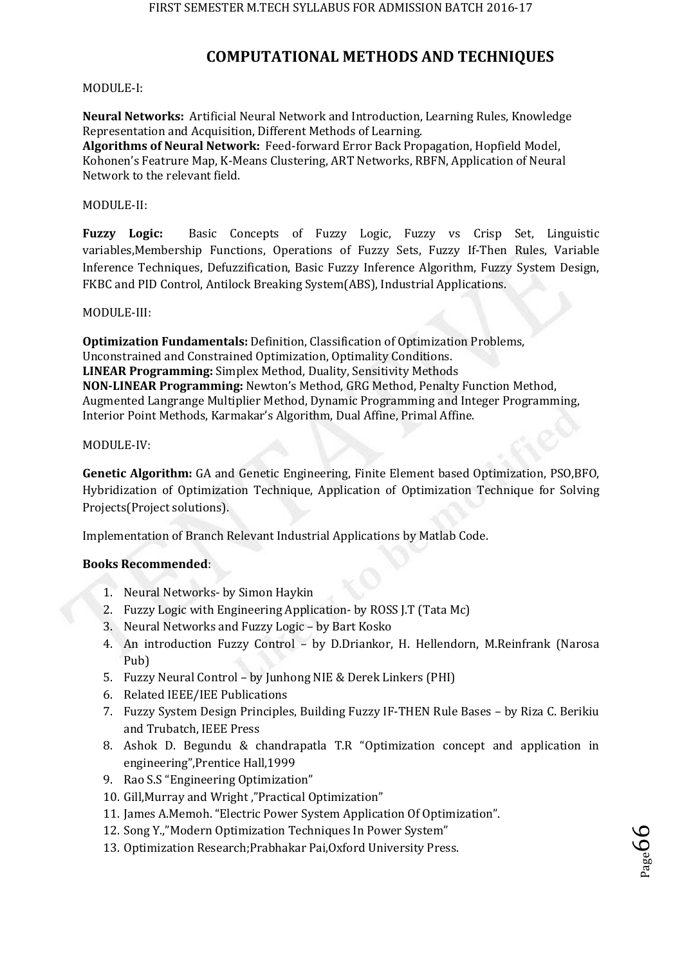# **COMPUTATIONAL METHODS AND TECHNIQUES**

#### MODULE-I:

**Neural Networks:** Artificial Neural Network and Introduction, Learning Rules, Knowledge Representation and Acquisition, Different Methods of Learning.

**Algorithms of Neural Network:** Feed-forward Error Back Propagation, Hopfield Model, Kohonen's Featrure Map, K-Means Clustering, ART Networks, RBFN, Application of Neural Network to the relevant field.

#### MODULE-II:

**Fuzzy Logic:** Basic Concepts of Fuzzy Logic, Fuzzy vs Crisp Set, Linguistic variables,Membership Functions, Operations of Fuzzy Sets, Fuzzy If-Then Rules, Variable Inference Techniques, Defuzzification, Basic Fuzzy Inference Algorithm, Fuzzy System Design, FKBC and PID Control, Antilock Breaking System(ABS), Industrial Applications.

#### MODULE-III:

**Optimization Fundamentals:** Definition, Classification of Optimization Problems, Unconstrained and Constrained Optimization, Optimality Conditions. **LINEAR Programming:** Simplex Method, Duality, Sensitivity Methods **NON-LINEAR Programming:** Newton's Method, GRG Method, Penalty Function Method, Augmented Langrange Multiplier Method, Dynamic Programming and Integer Programming, Interior Point Methods, Karmakar's Algorithm, Dual Affine, Primal Affine.

#### MODULE-IV:

**Genetic Algorithm:** GA and Genetic Engineering, Finite Element based Optimization, PSO,BFO, Hybridization of Optimization Technique, Application of Optimization Technique for Solving Projects(Project solutions).

Implementation of Branch Relevant Industrial Applications by Matlab Code.

### **Books Recommended**:

- 1. Neural Networks- by Simon Haykin
- 2. Fuzzy Logic with Engineering Application- by ROSS J.T (Tata Mc)
- 3. Neural Networks and Fuzzy Logic by Bart Kosko
- 4. An introduction Fuzzy Control by D.Driankor, H. Hellendorn, M.Reinfrank (Narosa Pub)
- 5. Fuzzy Neural Control by Junhong NIE & Derek Linkers (PHI)
- 6. Related IEEE/IEE Publications
- 7. Fuzzy System Design Principles, Building Fuzzy IF-THEN Rule Bases by Riza C. Berikiu and Trubatch, IEEE Press
- 8. Ashok D. Begundu & chandrapatla T.R "Optimization concept and application in engineering",Prentice Hall,1999
- 9. Rao S.S "Engineering Optimization"
- 10. Gill,Murray and Wright ,"Practical Optimization"
- 11. James A.Memoh. "Electric Power System Application Of Optimization".
- 12. Song Y.,"Modern Optimization Techniques In Power System"
- 13. Optimization Research;Prabhakar Pai,Oxford University Press.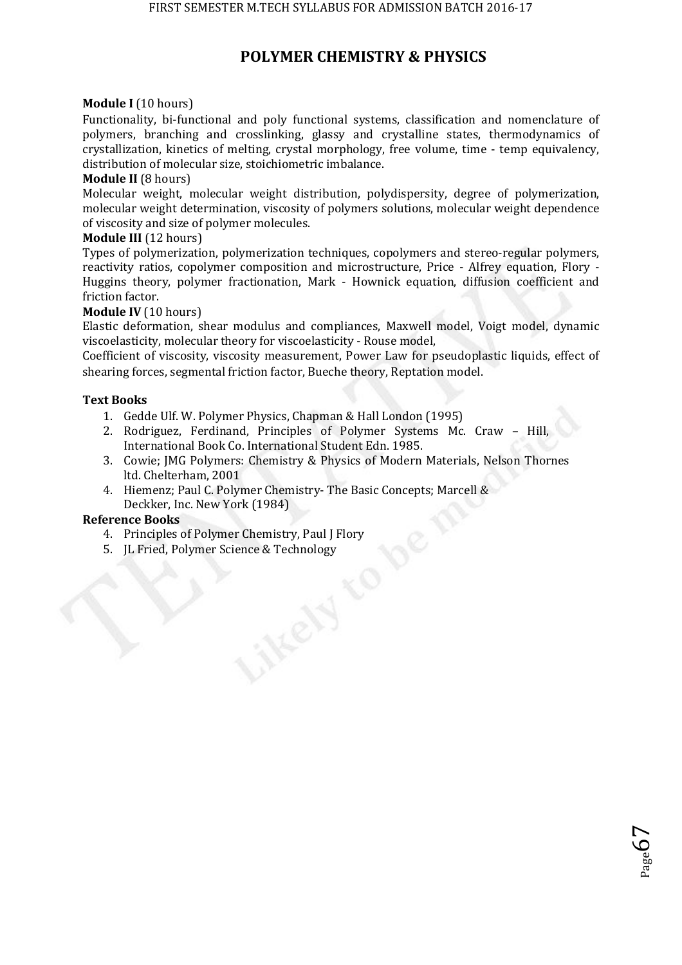## **POLYMER CHEMISTRY & PHYSICS**

#### **Module I** (10 hours)

Functionality, bi-functional and poly functional systems, classification and nomenclature of polymers, branching and crosslinking, glassy and crystalline states, thermodynamics of crystallization, kinetics of melting, crystal morphology, free volume, time - temp equivalency, distribution of molecular size, stoichiometric imbalance.

#### **Module II** (8 hours)

Molecular weight, molecular weight distribution, polydispersity, degree of polymerization, molecular weight determination, viscosity of polymers solutions, molecular weight dependence of viscosity and size of polymer molecules.

#### **Module III** (12 hours)

Types of polymerization, polymerization techniques, copolymers and stereo-regular polymers, reactivity ratios, copolymer composition and microstructure, Price - Alfrey equation, Flory - Huggins theory, polymer fractionation, Mark - Hownick equation, diffusion coefficient and friction factor.

#### **Module IV** (10 hours)

Elastic deformation, shear modulus and compliances, Maxwell model, Voigt model, dynamic viscoelasticity, molecular theory for viscoelasticity - Rouse model,

Coefficient of viscosity, viscosity measurement, Power Law for pseudoplastic liquids, effect of shearing forces, segmental friction factor, Bueche theory, Reptation model.

#### **Text Books**

- 1. Gedde Ulf. W. Polymer Physics, Chapman & Hall London (1995)
- 2. Rodriguez, Ferdinand, Principles of Polymer Systems Mc. Craw Hill, International Book Co. International Student Edn. 1985.
- 3. Cowie; JMG Polymers: Chemistry & Physics of Modern Materials, Nelson Thornes ltd. Chelterham, 2001

 $_{\rm Page}$ 67

4. Hiemenz; Paul C. Polymer Chemistry- The Basic Concepts; Marcell & Deckker, Inc. New York (1984)

#### **Reference Books**

- 4. Principles of Polymer Chemistry, Paul J Flory
- 5. JL Fried, Polymer Science & Technology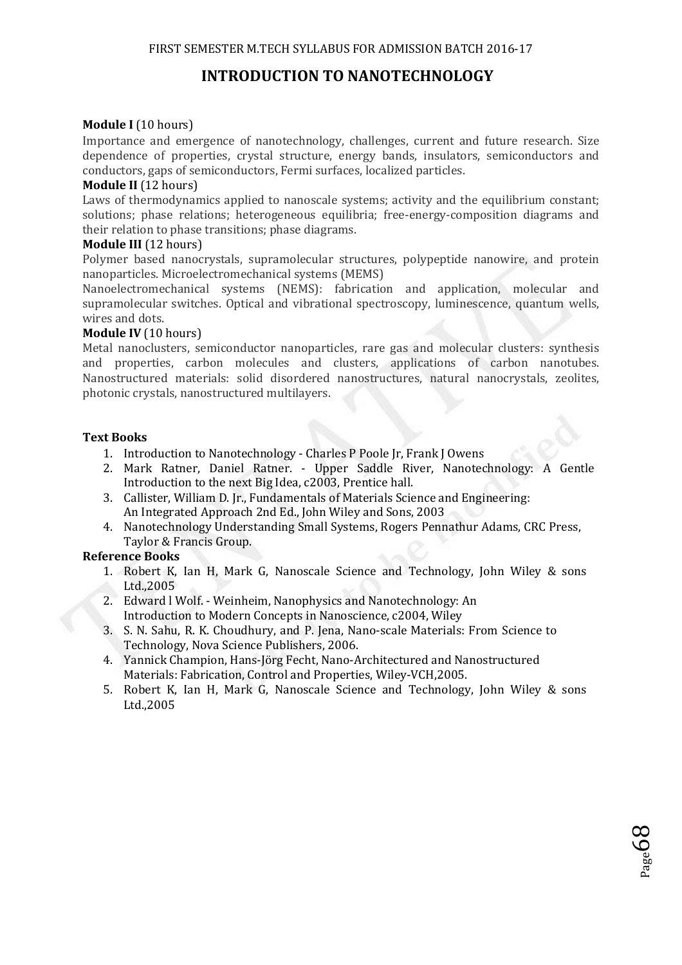# **INTRODUCTION TO NANOTECHNOLOGY**

### **Module I** (10 hours)

Importance and emergence of nanotechnology, challenges, current and future research. Size dependence of properties, crystal structure, energy bands, insulators, semiconductors and conductors, gaps of semiconductors, Fermi surfaces, localized particles.

### **Module II** (12 hours)

Laws of thermodynamics applied to nanoscale systems; activity and the equilibrium constant; solutions; phase relations; heterogeneous equilibria; free-energy-composition diagrams and their relation to phase transitions; phase diagrams.

#### **Module III** (12 hours)

Polymer based nanocrystals, supramolecular structures, polypeptide nanowire, and protein nanoparticles. Microelectromechanical systems (MEMS)

Nanoelectromechanical systems (NEMS): fabrication and application, molecular and supramolecular switches. Optical and vibrational spectroscopy, luminescence, quantum wells, wires and dots.

#### **Module IV** (10 hours)

Metal nanoclusters, semiconductor nanoparticles, rare gas and molecular clusters: synthesis and properties, carbon molecules and clusters, applications of carbon nanotubes. Nanostructured materials: solid disordered nanostructures, natural nanocrystals, zeolites, photonic crystals, nanostructured multilayers.

### **Text Books**

- 1. Introduction to Nanotechnology Charles P Poole Ir, Frank J Owens
- 2. Mark Ratner, Daniel Ratner. Upper Saddle River, Nanotechnology: A Gentle Introduction to the next Big Idea, c2003, Prentice hall.
- 3. Callister, William D. Jr., Fundamentals of Materials Science and Engineering: An Integrated Approach 2nd Ed., John Wiley and Sons, 2003
- 4. Nanotechnology Understanding Small Systems, Rogers Pennathur Adams, CRC Press, Taylor & Francis Group.

### **Reference Books**

- 1. Robert K, Ian H, Mark G, Nanoscale Science and Technology, John Wiley & sons Ltd.,2005
- 2. Edward l Wolf. Weinheim, Nanophysics and Nanotechnology: An Introduction to Modern Concepts in Nanoscience, c2004, Wiley
- 3. S. N. Sahu, R. K. Choudhury, and P. Jena, Nano-scale Materials: From Science to Technology, Nova Science Publishers, 2006.
- 4. Yannick Champion, Hans-Jörg Fecht, Nano-Architectured and Nanostructured Materials: Fabrication, Control and Properties, Wiley-VCH,2005.
- 5. Robert K, Ian H, Mark G, Nanoscale Science and Technology, John Wiley & sons Ltd.,2005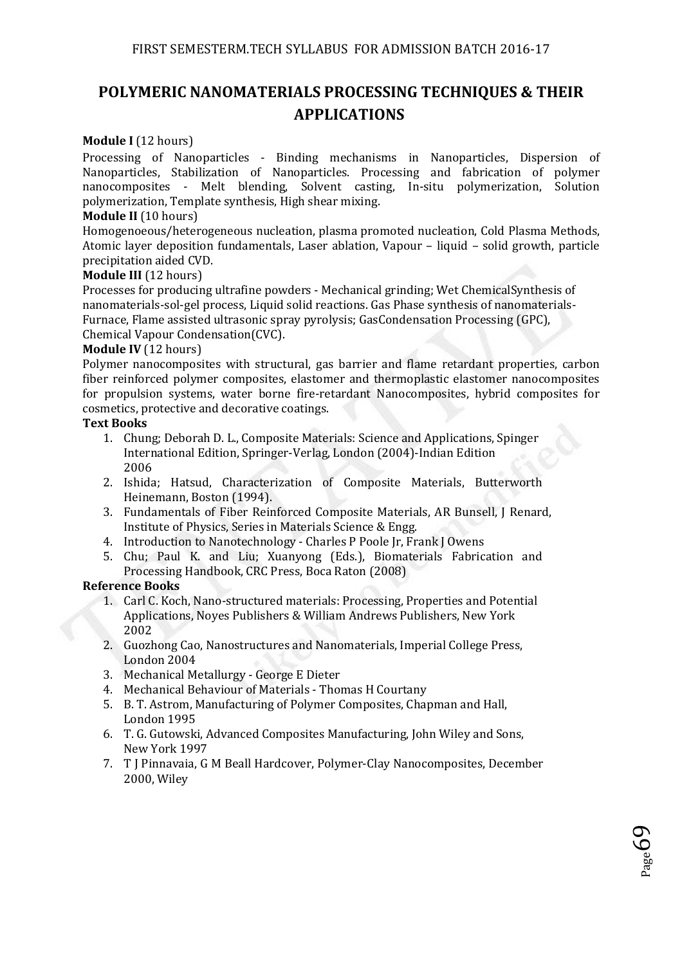# **POLYMERIC NANOMATERIALS PROCESSING TECHNIQUES & THEIR APPLICATIONS**

### **Module I** (12 hours)

Processing of Nanoparticles - Binding mechanisms in Nanoparticles, Dispersion of Nanoparticles, Stabilization of Nanoparticles. Processing and fabrication of polymer nanocomposites - Melt blending, Solvent casting, In-situ polymerization, Solution polymerization, Template synthesis, High shear mixing.

#### **Module II** (10 hours)

Homogenoeous/heterogeneous nucleation, plasma promoted nucleation, Cold Plasma Methods, Atomic layer deposition fundamentals, Laser ablation, Vapour – liquid – solid growth, particle precipitation aided CVD.

#### **Module III** (12 hours)

Processes for producing ultrafine powders - Mechanical grinding; Wet ChemicalSynthesis of nanomaterials-sol-gel process, Liquid solid reactions. Gas Phase synthesis of nanomaterials-Furnace, Flame assisted ultrasonic spray pyrolysis; GasCondensation Processing (GPC), Chemical Vapour Condensation(CVC).

#### **Module IV** (12 hours)

Polymer nanocomposites with structural, gas barrier and flame retardant properties, carbon fiber reinforced polymer composites, elastomer and thermoplastic elastomer nanocomposites for propulsion systems, water borne fire-retardant Nanocomposites, hybrid composites for cosmetics, protective and decorative coatings.

#### **Text Books**

- 1. Chung; Deborah D. L., Composite Materials: Science and Applications, Spinger International Edition, Springer-Verlag, London (2004)-Indian Edition 2006
- 2. Ishida; Hatsud, Characterization of Composite Materials, Butterworth Heinemann, Boston (1994).
- 3. Fundamentals of Fiber Reinforced Composite Materials, AR Bunsell, J Renard, Institute of Physics, Series in Materials Science & Engg.
- 4. Introduction to Nanotechnology Charles P Poole Jr, Frank J Owens
- 5. Chu; Paul K. and Liu; Xuanyong (Eds.), Biomaterials Fabrication and Processing Handbook, CRC Press, Boca Raton (2008)

#### **Reference Books**

- 1. Carl C. Koch, Nano-structured materials: Processing, Properties and Potential Applications, Noyes Publishers & William Andrews Publishers, New York 2002
- 2. Guozhong Cao, Nanostructures and Nanomaterials, Imperial College Press, London 2004
- 3. Mechanical Metallurgy George E Dieter
- 4. Mechanical Behaviour of Materials Thomas H Courtany
- 5. B. T. Astrom, Manufacturing of Polymer Composites, Chapman and Hall, London 1995
- 6. T. G. Gutowski, Advanced Composites Manufacturing, John Wiley and Sons, New York 1997
- 7. T J Pinnavaia, G M Beall Hardcover, Polymer-Clay Nanocomposites, December 2000, Wiley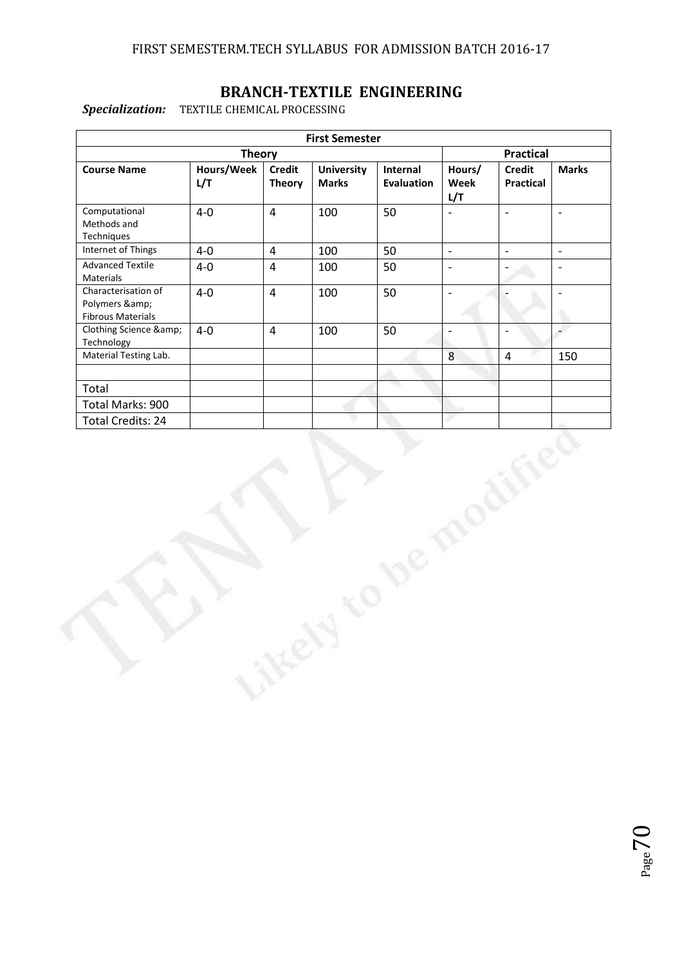# **BRANCH-TEXTILE ENGINEERING**

*Specialization:* TEXTILE CHEMICAL PROCESSING

|                                                               |                  |                | <b>First Semester</b> |                   |                              |                          |                              |
|---------------------------------------------------------------|------------------|----------------|-----------------------|-------------------|------------------------------|--------------------------|------------------------------|
|                                                               | <b>Practical</b> |                |                       |                   |                              |                          |                              |
| <b>Course Name</b>                                            | Hours/Week       | <b>Credit</b>  | <b>University</b>     | Internal          | Hours/                       | <b>Credit</b>            | <b>Marks</b>                 |
|                                                               | L/T              | <b>Theory</b>  | <b>Marks</b>          | <b>Evaluation</b> | Week<br>L/T                  | <b>Practical</b>         |                              |
| Computational<br>Methods and<br>Techniques                    | $4-0$            | $\overline{4}$ | 100                   | 50                | $\overline{\phantom{0}}$     | $\frac{1}{2}$            | $\overline{\phantom{a}}$     |
| Internet of Things                                            | $4-0$            | $\overline{4}$ | 100                   | 50                | $\Box$                       | $\overline{\phantom{a}}$ | $\blacksquare$               |
| <b>Advanced Textile</b><br>Materials                          | $4-0$            | $\overline{4}$ | 100                   | 50                | $\qquad \qquad \blacksquare$ | ÷,                       | $\overline{\phantom{0}}$     |
| Characterisation of<br>Polymers &<br><b>Fibrous Materials</b> | $4-0$            | $\overline{4}$ | 100                   | 50                | $\overline{\phantom{a}}$     | $\overline{a}$           | $\qquad \qquad \blacksquare$ |
| Clothing Science &<br>Technology                              | $4-0$            | $\overline{4}$ | 100                   | 50                | $\overline{\phantom{0}}$     | $\overline{\phantom{0}}$ | $\overline{a}$               |
| Material Testing Lab.                                         |                  |                |                       |                   | 8                            | $\overline{4}$           | 150                          |
|                                                               |                  |                |                       |                   |                              |                          |                              |
| Total                                                         |                  |                |                       |                   |                              |                          |                              |
| Total Marks: 900                                              |                  |                |                       |                   |                              |                          |                              |
| <b>Total Credits: 24</b>                                      |                  |                |                       |                   |                              |                          |                              |
|                                                               |                  |                |                       |                   |                              |                          |                              |
|                                                               |                  |                |                       |                   |                              |                          |                              |

itress

 $P_{\text{age}}$ 70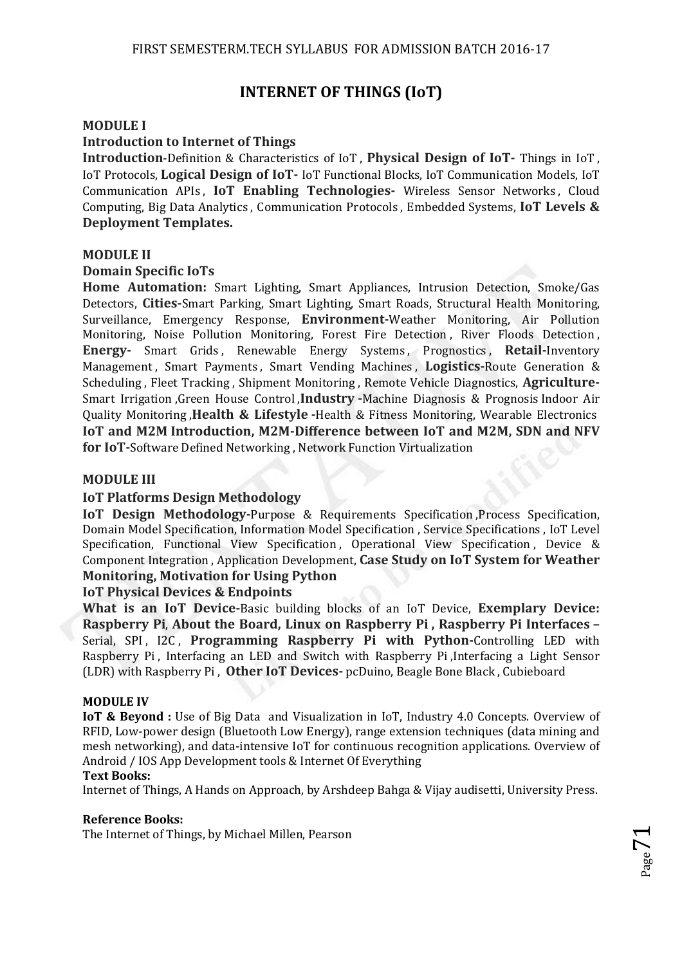## **INTERNET OF THINGS (IoT)**

#### **MODULE I**

#### **Introduction to Internet of Things**

**Introduction**-Definition & Characteristics of IoT , **Physical Design of IoT-** Things in IoT , IoT Protocols, **Logical Design of IoT-** IoT Functional Blocks, IoT Communication Models, IoT Communication APIs , **IoT Enabling Technologies-** Wireless Sensor Networks , Cloud Computing, Big Data Analytics , Communication Protocols , Embedded Systems, **IoT Levels & Deployment Templates.** 

#### **MODULE II**

#### **Domain Specific IoTs**

**Home Automation:** Smart Lighting, Smart Appliances, Intrusion Detection, Smoke/Gas Detectors, **Cities-**Smart Parking, Smart Lighting, Smart Roads, Structural Health Monitoring, Surveillance, Emergency Response, **Environment-**Weather Monitoring, Air Pollution Monitoring, Noise Pollution Monitoring, Forest Fire Detection , River Floods Detection , **Energy-** Smart Grids , Renewable Energy Systems , Prognostics , **Retail-**Inventory Management , Smart Payments , Smart Vending Machines , **Logistics-**Route Generation & Scheduling , Fleet Tracking , Shipment Monitoring , Remote Vehicle Diagnostics, **Agriculture-**Smart Irrigation ,Green House Control ,**Industry -**Machine Diagnosis & Prognosis Indoor Air Quality Monitoring ,**Health & Lifestyle -**Health & Fitness Monitoring, Wearable Electronics **IoT and M2M Introduction, M2M-Difference between IoT and M2M, SDN and NFV for IoT-**Software Defined Networking , Network Function Virtualization

#### **MODULE III**

#### **IoT Platforms Design Methodology**

**IoT Design Methodology-**Purpose & Requirements Specification ,Process Specification, Domain Model Specification, Information Model Specification , Service Specifications , IoT Level Specification, Functional View Specification, Operational View Specification, Device & Component Integration , Application Development, **Case Study on IoT System for Weather Monitoring, Motivation for Using Python** 

#### **IoT Physical Devices & Endpoints**

**What is an IoT Device-**Basic building blocks of an IoT Device, **Exemplary Device: Raspberry Pi**, **About the Board, Linux on Raspberry Pi , Raspberry Pi Interfaces –** Serial, SPI, I2C, **Programming Raspberry Pi with Python-**Controlling LED with Raspberry Pi , Interfacing an LED and Switch with Raspberry Pi ,Interfacing a Light Sensor (LDR) with Raspberry Pi , **Other IoT Devices-** pcDuino, Beagle Bone Black , Cubieboard

#### **MODULE IV**

**IoT & Beyond :** Use of Big Data and Visualization in IoT, Industry 4.0 Concepts. Overview of RFID, Low-power design (Bluetooth Low Energy), range extension techniques (data mining and mesh networking), and data-intensive IoT for continuous recognition applications. Overview of Android / IOS App Development tools & Internet Of Everything

#### **Text Books:**

Internet of Things, A Hands on Approach, by Arshdeep Bahga & Vijay audisetti, University Press.

#### **Reference Books:**

The Internet of Things, by Michael Millen, Pearson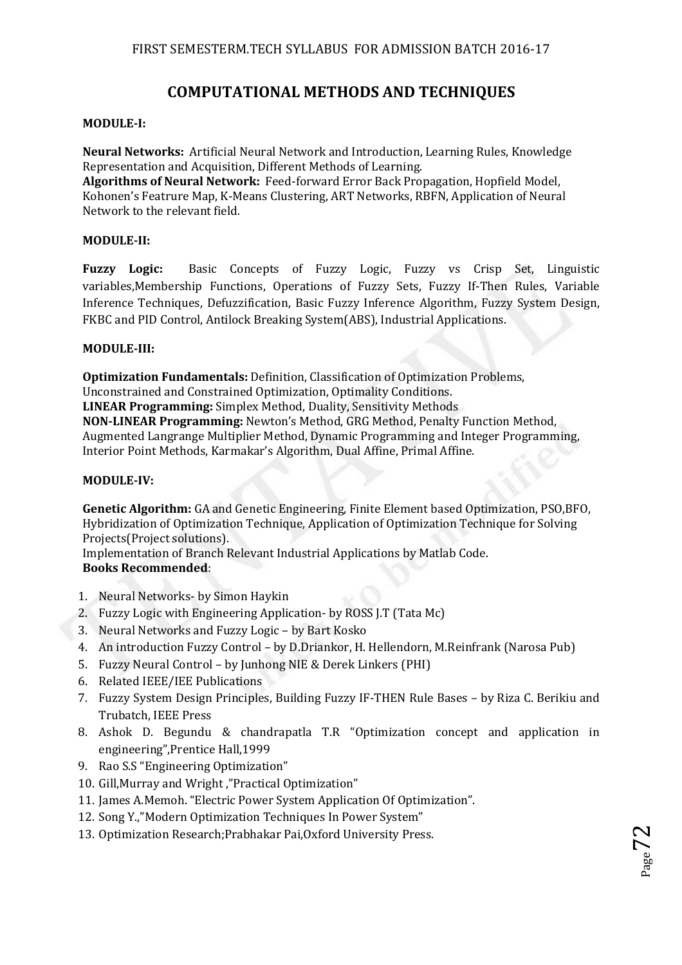## **COMPUTATIONAL METHODS AND TECHNIQUES**

#### **MODULE-I:**

**Neural Networks:** Artificial Neural Network and Introduction, Learning Rules, Knowledge Representation and Acquisition, Different Methods of Learning.

**Algorithms of Neural Network:** Feed-forward Error Back Propagation, Hopfield Model, Kohonen's Featrure Map, K-Means Clustering, ART Networks, RBFN, Application of Neural Network to the relevant field.

#### **MODULE-II:**

**Fuzzy Logic:** Basic Concepts of Fuzzy Logic, Fuzzy vs Crisp Set, Linguistic variables,Membership Functions, Operations of Fuzzy Sets, Fuzzy If-Then Rules, Variable Inference Techniques, Defuzzification, Basic Fuzzy Inference Algorithm, Fuzzy System Design, FKBC and PID Control, Antilock Breaking System(ABS), Industrial Applications.

#### **MODULE-III:**

**Optimization Fundamentals:** Definition, Classification of Optimization Problems, Unconstrained and Constrained Optimization, Optimality Conditions. **LINEAR Programming:** Simplex Method, Duality, Sensitivity Methods **NON-LINEAR Programming:** Newton's Method, GRG Method, Penalty Function Method, Augmented Langrange Multiplier Method, Dynamic Programming and Integer Programming, Interior Point Methods, Karmakar's Algorithm, Dual Affine, Primal Affine.

#### **MODULE-IV:**

**Genetic Algorithm:** GA and Genetic Engineering, Finite Element based Optimization, PSO,BFO, Hybridization of Optimization Technique, Application of Optimization Technique for Solving Projects(Project solutions).

Implementation of Branch Relevant Industrial Applications by Matlab Code. **Books Recommended**:

- 1. Neural Networks- by Simon Haykin
- 2. Fuzzy Logic with Engineering Application- by ROSS J.T (Tata Mc)
- 3. Neural Networks and Fuzzy Logic by Bart Kosko
- 4. An introduction Fuzzy Control by D.Driankor, H. Hellendorn, M.Reinfrank (Narosa Pub)
- 5. Fuzzy Neural Control by Junhong NIE & Derek Linkers (PHI)
- 6. Related IEEE/IEE Publications
- 7. Fuzzy System Design Principles, Building Fuzzy IF-THEN Rule Bases by Riza C. Berikiu and Trubatch, IEEE Press
- 8. Ashok D. Begundu & chandrapatla T.R "Optimization concept and application in engineering",Prentice Hall,1999
- 9. Rao S.S "Engineering Optimization"
- 10. Gill,Murray and Wright ,"Practical Optimization"
- 11. James A.Memoh. "Electric Power System Application Of Optimization".
- 12. Song Y.,"Modern Optimization Techniques In Power System"
- 13. Optimization Research;Prabhakar Pai,Oxford University Press.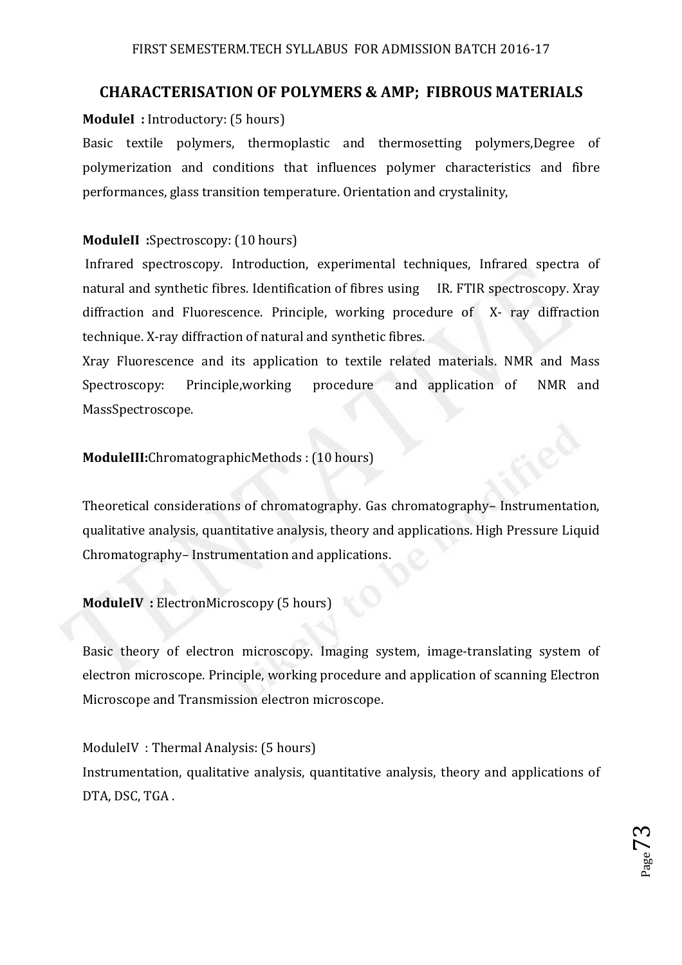# **CHARACTERISATION OF POLYMERS & AMP; FIBROUS MATERIALS**

### **ModuleI :** Introductory: (5 hours)

Basic textile polymers, thermoplastic and thermosetting polymers,Degree of polymerization and conditions that influences polymer characteristics and fibre performances, glass transition temperature. Orientation and crystalinity,

## **ModuleII :**Spectroscopy: (10 hours)

 Infrared spectroscopy. Introduction, experimental techniques, Infrared spectra of natural and synthetic fibres. Identification of fibres using IR. FTIR spectroscopy. Xray diffraction and Fluorescence. Principle, working procedure of X- ray diffraction technique. X-ray diffraction of natural and synthetic fibres.

Xray Fluorescence and its application to textile related materials. NMR and Mass Spectroscopy: Principle,working procedure and application of NMR and MassSpectroscope.

## **ModuleIII:**ChromatographicMethods : (10 hours)

Theoretical considerations of chromatography. Gas chromatography– Instrumentation, qualitative analysis, quantitative analysis, theory and applications. High Pressure Liquid Chromatography– Instrumentation and applications.

### **ModuleIV :** ElectronMicroscopy (5 hours)

Basic theory of electron microscopy. Imaging system, image-translating system of electron microscope. Principle, working procedure and application of scanning Electron Microscope and Transmission electron microscope.

ModuleIV : Thermal Analysis: (5 hours) Instrumentation, qualitative analysis, quantitative analysis, theory and applications of DTA, DSC, TGA .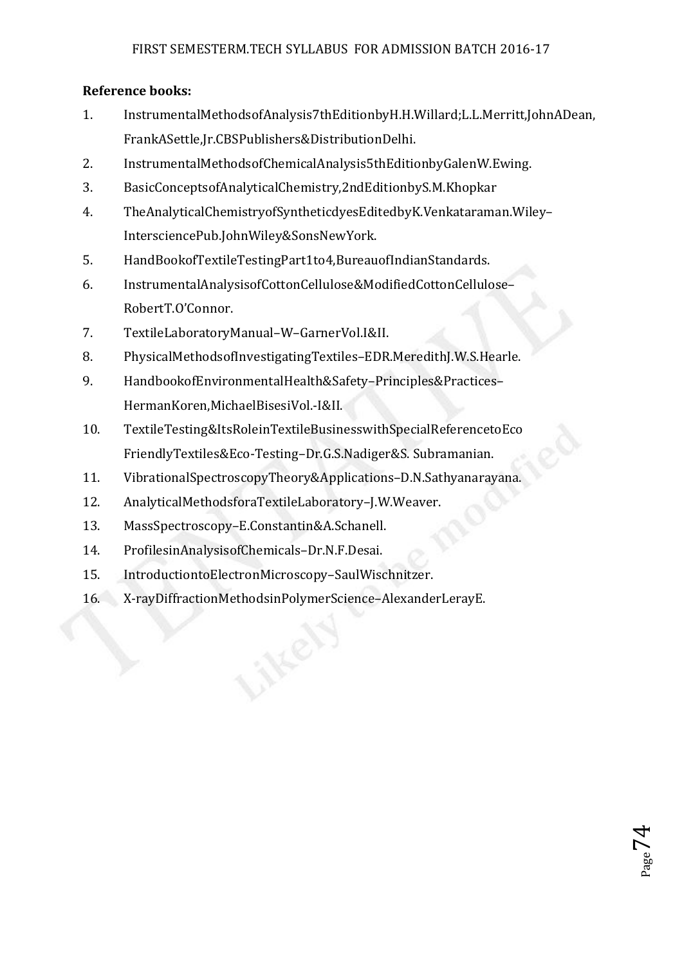## **Reference books:**

- 1. InstrumentalMethodsofAnalysis7thEditionbyH.H.Willard;L.L.Merritt,JohnADean, FrankASettle,Jr.CBSPublishers&DistributionDelhi.
- 2. InstrumentalMethodsofChemicalAnalysis5thEditionbyGalenW.Ewing.
- 3. BasicConceptsofAnalyticalChemistry,2ndEditionbyS.M.Khopkar
- 4. TheAnalyticalChemistryofSyntheticdyesEditedbyK.Venkataraman.Wiley– IntersciencePub.JohnWiley&SonsNewYork.
- 5. HandBookofTextileTestingPart1to4,BureauofIndianStandards.
- 6. InstrumentalAnalysisofCottonCellulose&ModifiedCottonCellulose– RobertT.O'Connor.
- 7. TextileLaboratoryManual–W–GarnerVol.I&II.
- 8. PhysicalMethodsofInvestigatingTextiles–EDR.MeredithJ.W.S.Hearle.
- 9. HandbookofEnvironmentalHealth&Safety–Principles&Practices– HermanKoren,MichaelBisesiVol.-I&II.
- 10. TextileTesting&ItsRoleinTextileBusinesswithSpecialReferencetoEco FriendlyTextiles&Eco-Testing–Dr.G.S.Nadiger&S. Subramanian.
- 11. VibrationalSpectroscopyTheory&Applications–D.N.Sathyanarayana.
- 12. AnalyticalMethodsforaTextileLaboratory–J.W.Weaver.
- 13. MassSpectroscopy–E.Constantin&A.Schanell.
- 14. ProfilesinAnalysisofChemicals–Dr.N.F.Desai.
- 15. IntroductiontoElectronMicroscopy–SaulWischnitzer.
- 16. X-rayDiffractionMethodsinPolymerScience–AlexanderLerayE.

 $_{\rm Page}$ 74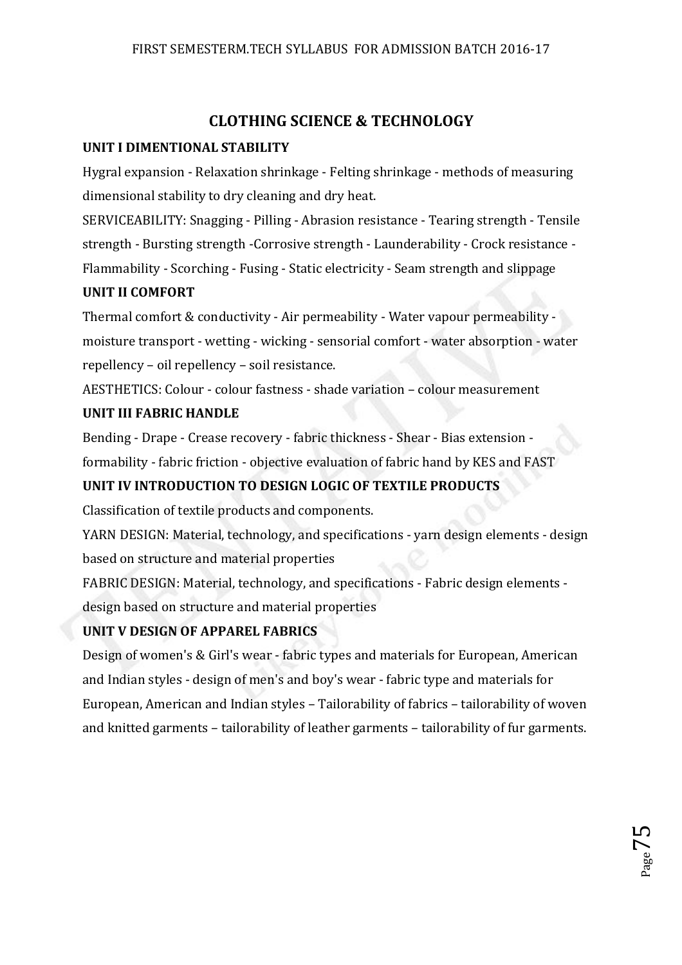# **CLOTHING SCIENCE & TECHNOLOGY**

### **UNIT I DIMENTIONAL STABILITY**

Hygral expansion - Relaxation shrinkage - Felting shrinkage - methods of measuring dimensional stability to dry cleaning and dry heat.

SERVICEABILITY: Snagging - Pilling - Abrasion resistance - Tearing strength - Tensile strength - Bursting strength -Corrosive strength - Launderability - Crock resistance - Flammability - Scorching - Fusing - Static electricity - Seam strength and slippage

### **UNIT II COMFORT**

Thermal comfort & conductivity - Air permeability - Water vapour permeability moisture transport - wetting - wicking - sensorial comfort - water absorption - water repellency – oil repellency – soil resistance.

AESTHETICS: Colour - colour fastness - shade variation – colour measurement

### **UNIT III FABRIC HANDLE**

Bending - Drape - Crease recovery - fabric thickness - Shear - Bias extension formability - fabric friction - objective evaluation of fabric hand by KES and FAST

## **UNIT IV INTRODUCTION TO DESIGN LOGIC OF TEXTILE PRODUCTS**

Classification of textile products and components.

YARN DESIGN: Material, technology, and specifications - yarn design elements - design based on structure and material properties

FABRIC DESIGN: Material, technology, and specifications - Fabric design elements design based on structure and material properties

### **UNIT V DESIGN OF APPAREL FABRICS**

Design of women's & Girl's wear - fabric types and materials for European, American and Indian styles - design of men's and boy's wear - fabric type and materials for European, American and Indian styles – Tailorability of fabrics – tailorability of woven and knitted garments – tailorability of leather garments – tailorability of fur garments.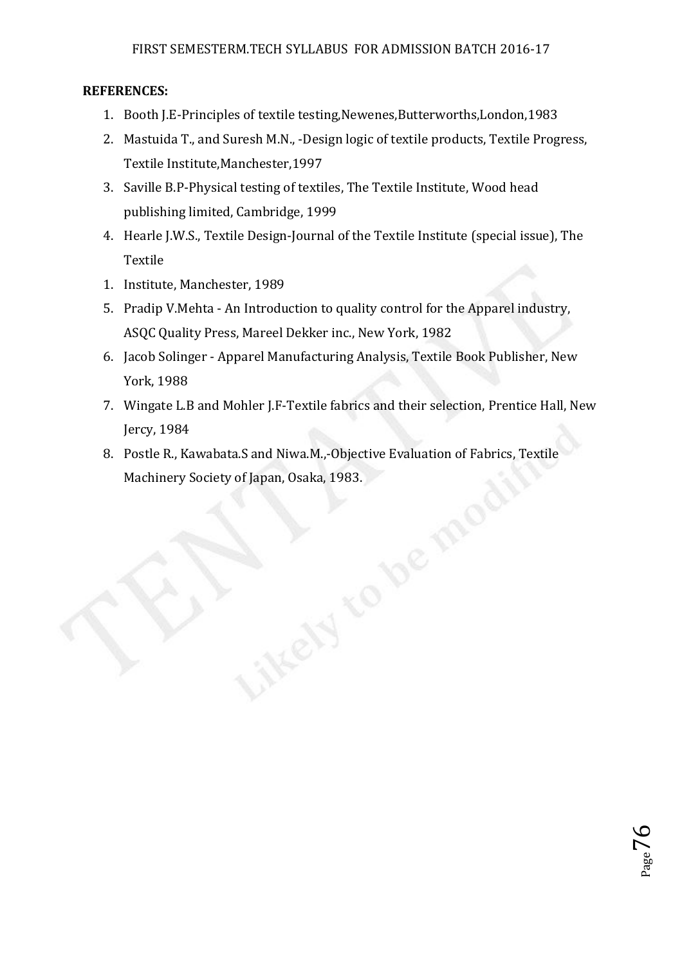### **REFERENCES:**

- 1. Booth J.E-Principles of textile testing,Newenes,Butterworths,London,1983
- 2. Mastuida T., and Suresh M.N., -Design logic of textile products, Textile Progress, Textile Institute,Manchester,1997
- 3. Saville B.P-Physical testing of textiles, The Textile Institute, Wood head publishing limited, Cambridge, 1999
- 4. Hearle J.W.S., Textile Design-Journal of the Textile Institute (special issue), The Textile
- 1. Institute, Manchester, 1989
- 5. Pradip V.Mehta An Introduction to quality control for the Apparel industry, ASQC Quality Press, Mareel Dekker inc., New York, 1982
- 6. Jacob Solinger Apparel Manufacturing Analysis, Textile Book Publisher, New York, 1988
- 7. Wingate L.B and Mohler J.F-Textile fabrics and their selection, Prentice Hall, New Jercy, 1984
- 8. Postle R., Kawabata.S and Niwa.M.,-Objective Evaluation of Fabrics, Textile Machinery Society of Japan, Osaka, 1983.<br>
Alternatives of Japan, Osaka, 1983.<br>
Alternatives of Japan, Osaka, 1983.<br>
Alternatives of Japan, Osaka, 1983.<br>
Alternatives of Japan, Osaka, 1983.<br>
Alternatives of Japan, Osaka, 19

ikeyy

 $_{\rm Page}$ 76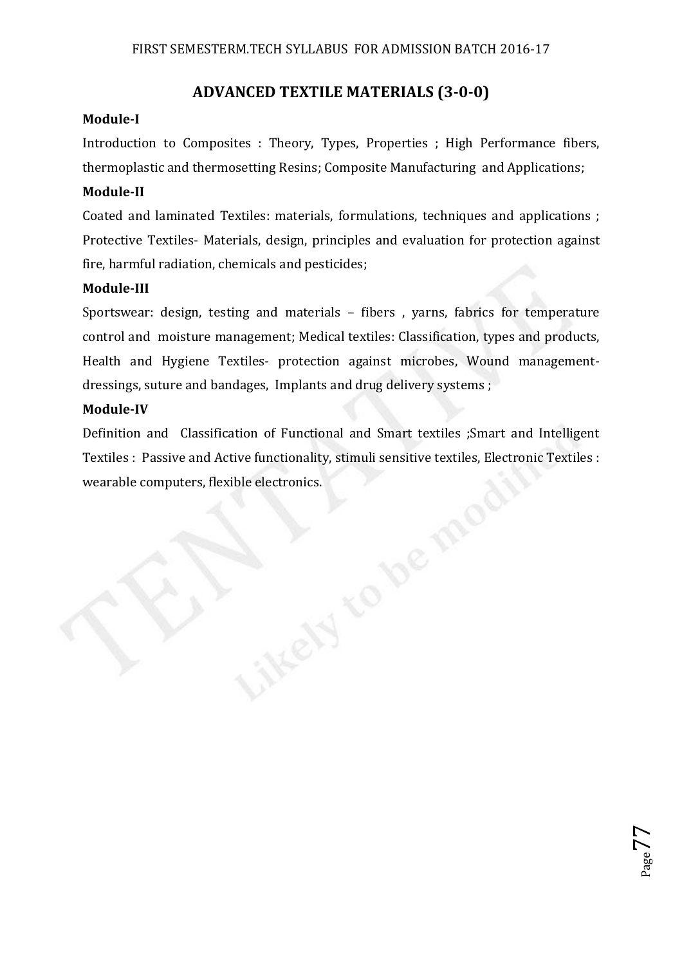## **ADVANCED TEXTILE MATERIALS (3-0-0)**

### **Module-I**

Introduction to Composites : Theory, Types, Properties ; High Performance fibers, thermoplastic and thermosetting Resins; Composite Manufacturing and Applications;

### **Module-II**

Coated and laminated Textiles: materials, formulations, techniques and applications ; Protective Textiles- Materials, design, principles and evaluation for protection against fire, harmful radiation, chemicals and pesticides;

### **Module-III**

Sportswear: design, testing and materials – fibers , yarns, fabrics for temperature control and moisture management; Medical textiles: Classification, types and products, Health and Hygiene Textiles- protection against microbes, Wound managementdressings, suture and bandages, Implants and drug delivery systems ;

### **Module-IV**

Definition and Classification of Functional and Smart textiles ;Smart and Intelligent Textiles : Passive and Active functionality, stimuli sensitive textiles, Electronic Textiles :<br>wearable computers, flexible electronics. wearable computers, flexible electronics.

ikeyy

 $_{\rm Page}$ 77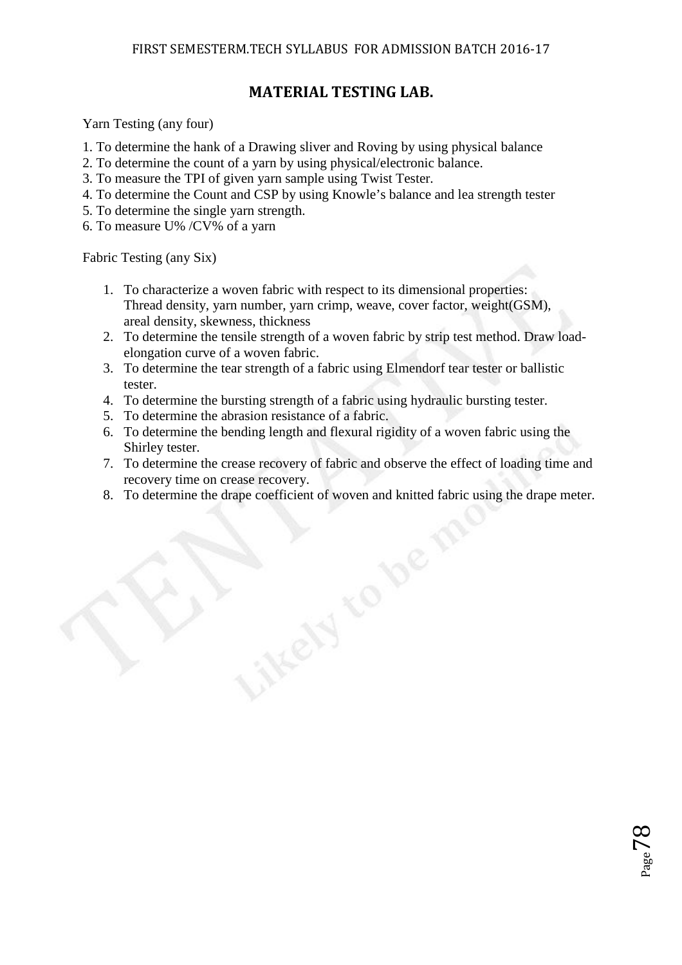# **MATERIAL TESTING LAB.**

Yarn Testing (any four)

- 1. To determine the hank of a Drawing sliver and Roving by using physical balance
- 2. To determine the count of a yarn by using physical/electronic balance.
- 3. To measure the TPI of given yarn sample using Twist Tester.
- 4. To determine the Count and CSP by using Knowle's balance and lea strength tester
- 5. To determine the single yarn strength.
- 6. To measure U% /CV% of a yarn

Fabric Testing (any Six)

- 1. To characterize a woven fabric with respect to its dimensional properties: Thread density, yarn number, yarn crimp, weave, cover factor, weight(GSM), areal density, skewness, thickness
- 2. To determine the tensile strength of a woven fabric by strip test method. Draw loadelongation curve of a woven fabric.
- 3. To determine the tear strength of a fabric using Elmendorf tear tester or ballistic tester.
- 4. To determine the bursting strength of a fabric using hydraulic bursting tester.

NEEYS

- 5. To determine the abrasion resistance of a fabric.
- 6. To determine the bending length and flexural rigidity of a woven fabric using the Shirley tester.
- 7. To determine the crease recovery of fabric and observe the effect of loading time and recovery time on crease recovery.
- 8. To determine the drape coefficient of woven and knitted fabric using the drape meter.

 $_{\rm Page}$ 78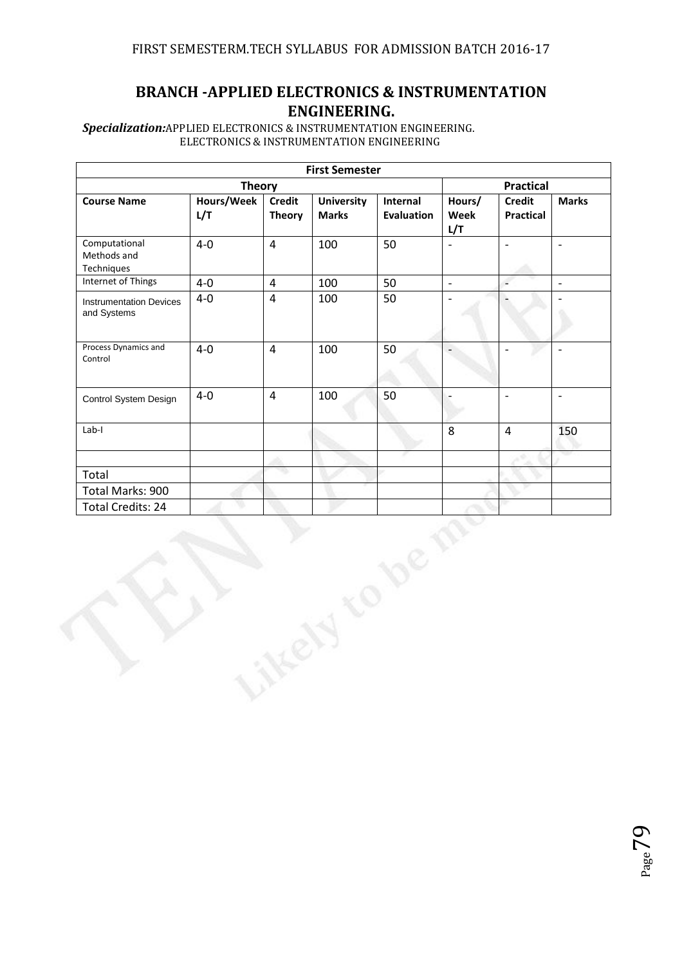# **BRANCH -APPLIED ELECTRONICS & INSTRUMENTATION ENGINEERING.**

*Specialization:*APPLIED ELECTRONICS & INSTRUMENTATION ENGINEERING. ELECTRONICS & INSTRUMENTATION ENGINEERING

|                                               |                   |                                | <b>First Semester</b>             |                               |                          |                                   |                          |
|-----------------------------------------------|-------------------|--------------------------------|-----------------------------------|-------------------------------|--------------------------|-----------------------------------|--------------------------|
|                                               | <b>Theory</b>     |                                |                                   |                               |                          | <b>Practical</b>                  |                          |
| <b>Course Name</b>                            | Hours/Week<br>L/T | <b>Credit</b><br><b>Theory</b> | <b>University</b><br><b>Marks</b> | Internal<br><b>Evaluation</b> | Hours/<br>Week<br>L/T    | <b>Credit</b><br><b>Practical</b> | <b>Marks</b>             |
| Computational<br>Methods and<br>Techniques    | $4-0$             | $\overline{4}$                 | 100                               | 50                            | $\overline{\phantom{0}}$ | $\frac{1}{2}$                     | $\overline{\phantom{a}}$ |
| Internet of Things                            | $4-0$             | $\overline{4}$                 | 100                               | 50                            | $\overline{\phantom{a}}$ | $\overline{\phantom{a}}$          | $\overline{\phantom{a}}$ |
| <b>Instrumentation Devices</b><br>and Systems | $4 - 0$           | $\overline{4}$                 | 100                               | 50                            | $\overline{a}$           | $\overline{a}$                    |                          |
| Process Dynamics and<br>Control               | $4-0$             | $\overline{4}$                 | 100                               | 50                            |                          | $\overline{a}$                    | $\overline{a}$           |
| Control System Design                         | $4-0$             | $\overline{4}$                 | 100                               | 50                            | $\overline{a}$           | $\Box$                            | $\overline{\phantom{a}}$ |
| $Lab-I$                                       |                   |                                |                                   |                               | 8                        | $\overline{4}$                    | 150                      |
|                                               |                   |                                |                                   |                               |                          |                                   |                          |
| Total                                         |                   |                                |                                   |                               |                          |                                   |                          |
| Total Marks: 900                              |                   |                                |                                   |                               |                          |                                   |                          |
| <b>Total Credits: 24</b>                      |                   |                                |                                   |                               |                          |                                   |                          |
|                                               |                   |                                |                                   |                               |                          |                                   |                          |

Page /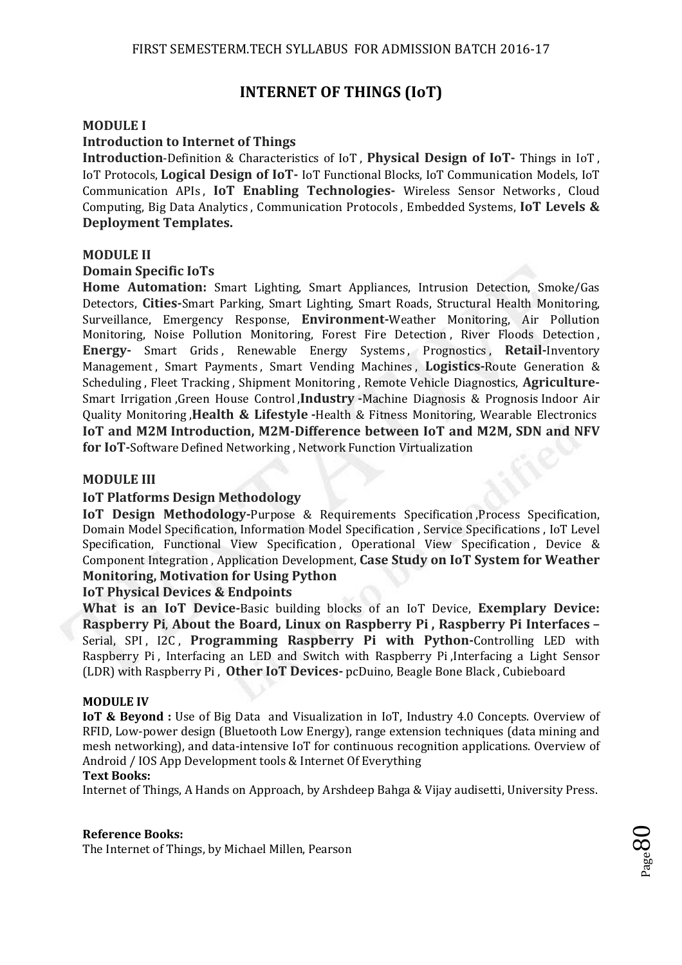## **INTERNET OF THINGS (IoT)**

#### **MODULE I**

#### **Introduction to Internet of Things**

**Introduction**-Definition & Characteristics of IoT , **Physical Design of IoT-** Things in IoT , IoT Protocols, **Logical Design of IoT-** IoT Functional Blocks, IoT Communication Models, IoT Communication APIs , **IoT Enabling Technologies-** Wireless Sensor Networks , Cloud Computing, Big Data Analytics , Communication Protocols , Embedded Systems, **IoT Levels & Deployment Templates.** 

#### **MODULE II**

#### **Domain Specific IoTs**

**Home Automation:** Smart Lighting, Smart Appliances, Intrusion Detection, Smoke/Gas Detectors, **Cities-**Smart Parking, Smart Lighting, Smart Roads, Structural Health Monitoring, Surveillance, Emergency Response, **Environment-**Weather Monitoring, Air Pollution Monitoring, Noise Pollution Monitoring, Forest Fire Detection , River Floods Detection , **Energy-** Smart Grids , Renewable Energy Systems , Prognostics , **Retail-**Inventory Management , Smart Payments , Smart Vending Machines , **Logistics-**Route Generation & Scheduling , Fleet Tracking , Shipment Monitoring , Remote Vehicle Diagnostics, **Agriculture-**Smart Irrigation ,Green House Control ,**Industry -**Machine Diagnosis & Prognosis Indoor Air Quality Monitoring ,**Health & Lifestyle -**Health & Fitness Monitoring, Wearable Electronics **IoT and M2M Introduction, M2M-Difference between IoT and M2M, SDN and NFV for IoT-**Software Defined Networking , Network Function Virtualization

#### **MODULE III**

#### **IoT Platforms Design Methodology**

**IoT Design Methodology-**Purpose & Requirements Specification ,Process Specification, Domain Model Specification, Information Model Specification , Service Specifications , IoT Level Specification, Functional View Specification, Operational View Specification, Device & Component Integration , Application Development, **Case Study on IoT System for Weather Monitoring, Motivation for Using Python** 

#### **IoT Physical Devices & Endpoints**

**What is an IoT Device-**Basic building blocks of an IoT Device, **Exemplary Device: Raspberry Pi**, **About the Board, Linux on Raspberry Pi , Raspberry Pi Interfaces –** Serial, SPI, I2C, **Programming Raspberry Pi with Python-**Controlling LED with Raspberry Pi , Interfacing an LED and Switch with Raspberry Pi ,Interfacing a Light Sensor (LDR) with Raspberry Pi , **Other IoT Devices-** pcDuino, Beagle Bone Black , Cubieboard

#### **MODULE IV**

**IoT & Beyond :** Use of Big Data and Visualization in IoT, Industry 4.0 Concepts. Overview of RFID, Low-power design (Bluetooth Low Energy), range extension techniques (data mining and mesh networking), and data-intensive IoT for continuous recognition applications. Overview of Android / IOS App Development tools & Internet Of Everything

#### **Text Books:**

Internet of Things, A Hands on Approach, by Arshdeep Bahga & Vijay audisetti, University Press.

#### **Reference Books:**

The Internet of Things, by Michael Millen, Pearson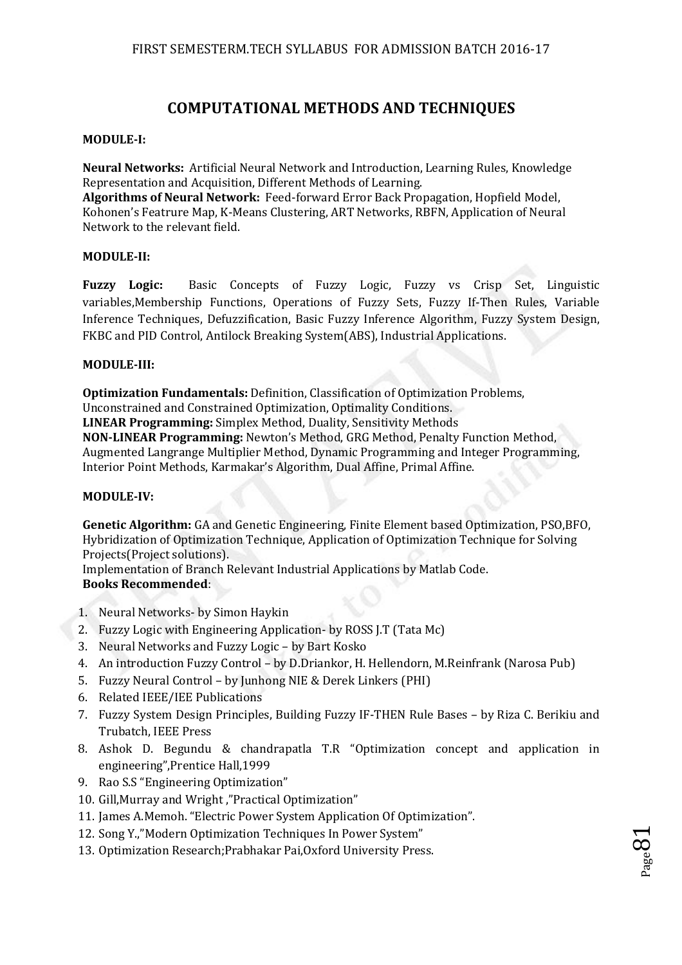## **COMPUTATIONAL METHODS AND TECHNIQUES**

#### **MODULE-I:**

**Neural Networks:** Artificial Neural Network and Introduction, Learning Rules, Knowledge Representation and Acquisition, Different Methods of Learning. **Algorithms of Neural Network:** Feed-forward Error Back Propagation, Hopfield Model, Kohonen's Featrure Map, K-Means Clustering, ART Networks, RBFN, Application of Neural Network to the relevant field.

#### **MODULE-II:**

**Fuzzy Logic:** Basic Concepts of Fuzzy Logic, Fuzzy vs Crisp Set, Linguistic variables,Membership Functions, Operations of Fuzzy Sets, Fuzzy If-Then Rules, Variable Inference Techniques, Defuzzification, Basic Fuzzy Inference Algorithm, Fuzzy System Design, FKBC and PID Control, Antilock Breaking System(ABS), Industrial Applications.

#### **MODULE-III:**

**Optimization Fundamentals:** Definition, Classification of Optimization Problems, Unconstrained and Constrained Optimization, Optimality Conditions. **LINEAR Programming:** Simplex Method, Duality, Sensitivity Methods **NON-LINEAR Programming:** Newton's Method, GRG Method, Penalty Function Method, Augmented Langrange Multiplier Method, Dynamic Programming and Integer Programming, Interior Point Methods, Karmakar's Algorithm, Dual Affine, Primal Affine.

#### **MODULE-IV:**

**Genetic Algorithm:** GA and Genetic Engineering, Finite Element based Optimization, PSO,BFO, Hybridization of Optimization Technique, Application of Optimization Technique for Solving Projects(Project solutions).

Implementation of Branch Relevant Industrial Applications by Matlab Code. **Books Recommended**:

- 1. Neural Networks- by Simon Haykin
- 2. Fuzzy Logic with Engineering Application- by ROSS J.T (Tata Mc)
- 3. Neural Networks and Fuzzy Logic by Bart Kosko
- 4. An introduction Fuzzy Control by D.Driankor, H. Hellendorn, M.Reinfrank (Narosa Pub)
- 5. Fuzzy Neural Control by Junhong NIE & Derek Linkers (PHI)
- 6. Related IEEE/IEE Publications
- 7. Fuzzy System Design Principles, Building Fuzzy IF-THEN Rule Bases by Riza C. Berikiu and Trubatch, IEEE Press
- 8. Ashok D. Begundu & chandrapatla T.R "Optimization concept and application in engineering",Prentice Hall,1999
- 9. Rao S.S "Engineering Optimization"
- 10. Gill,Murray and Wright ,"Practical Optimization"
- 11. James A.Memoh. "Electric Power System Application Of Optimization".
- 12. Song Y.,"Modern Optimization Techniques In Power System"
- 13. Optimization Research;Prabhakar Pai,Oxford University Press.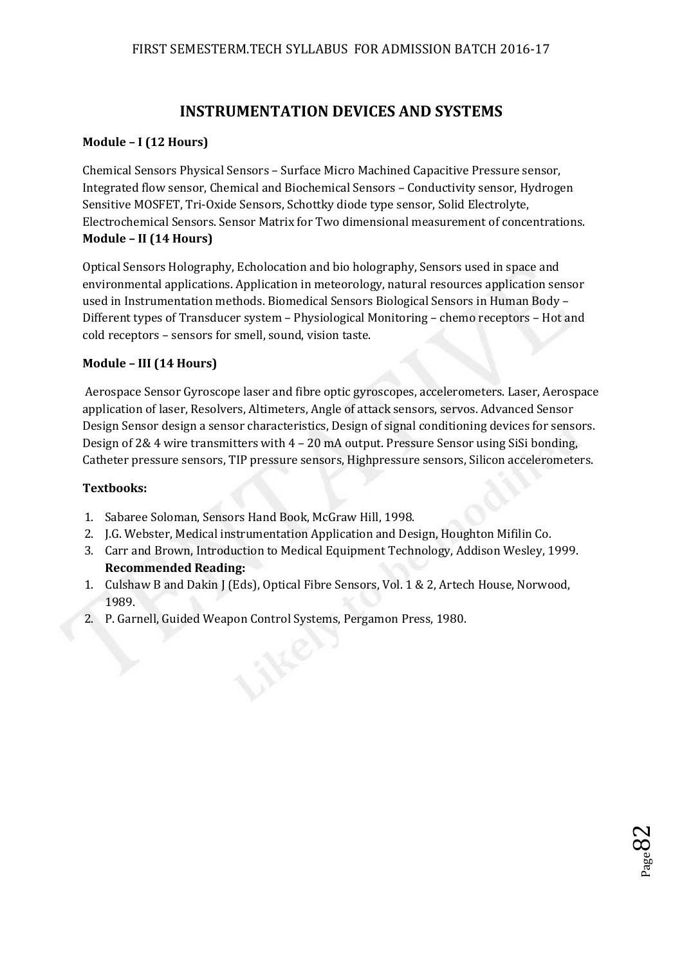# **INSTRUMENTATION DEVICES AND SYSTEMS**

### **Module – I (12 Hours)**

Chemical Sensors Physical Sensors – Surface Micro Machined Capacitive Pressure sensor, Integrated flow sensor, Chemical and Biochemical Sensors – Conductivity sensor, Hydrogen Sensitive MOSFET, Tri-Oxide Sensors, Schottky diode type sensor, Solid Electrolyte, Electrochemical Sensors. Sensor Matrix for Two dimensional measurement of concentrations. **Module – II (14 Hours)**

Optical Sensors Holography, Echolocation and bio holography, Sensors used in space and environmental applications. Application in meteorology, natural resources application sensor used in Instrumentation methods. Biomedical Sensors Biological Sensors in Human Body – Different types of Transducer system – Physiological Monitoring – chemo receptors – Hot and cold receptors – sensors for smell, sound, vision taste.

### **Module – III (14 Hours)**

 Aerospace Sensor Gyroscope laser and fibre optic gyroscopes, accelerometers. Laser, Aerospace application of laser, Resolvers, Altimeters, Angle of attack sensors, servos. Advanced Sensor Design Sensor design a sensor characteristics, Design of signal conditioning devices for sensors. Design of 2& 4 wire transmitters with 4 – 20 mA output. Pressure Sensor using SiSi bonding, Catheter pressure sensors, TIP pressure sensors, Highpressure sensors, Silicon accelerometers.

#### **Textbooks:**

- 1. Sabaree Soloman, Sensors Hand Book, McGraw Hill, 1998.
- 2. J.G. Webster, Medical instrumentation Application and Design, Houghton Mifilin Co.
- 3. Carr and Brown, Introduction to Medical Equipment Technology, Addison Wesley, 1999. **Recommended Reading:**
- 1. Culshaw B and Dakin J (Eds), Optical Fibre Sensors, Vol. 1 & 2, Artech House, Norwood, 1989.
- 2. P. Garnell, Guided Weapon Control Systems, Pergamon Press, 1980.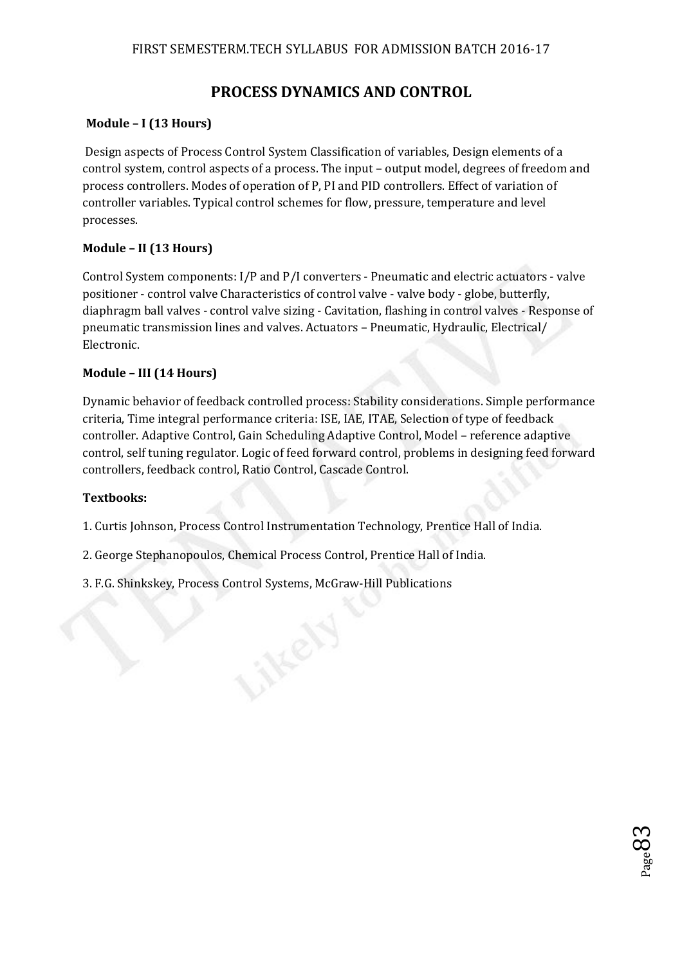# **PROCESS DYNAMICS AND CONTROL**

### **Module – I (13 Hours)**

 Design aspects of Process Control System Classification of variables, Design elements of a control system, control aspects of a process. The input – output model, degrees of freedom and process controllers. Modes of operation of P, PI and PID controllers. Effect of variation of controller variables. Typical control schemes for flow, pressure, temperature and level processes.

### **Module – II (13 Hours)**

Control System components: I/P and P/I converters - Pneumatic and electric actuators - valve positioner - control valve Characteristics of control valve - valve body - globe, butterfly, diaphragm ball valves - control valve sizing - Cavitation, flashing in control valves - Response of pneumatic transmission lines and valves. Actuators – Pneumatic, Hydraulic, Electrical/ Electronic.

### **Module – III (14 Hours)**

Dynamic behavior of feedback controlled process: Stability considerations. Simple performance criteria, Time integral performance criteria: ISE, IAE, ITAE, Selection of type of feedback controller. Adaptive Control, Gain Scheduling Adaptive Control, Model – reference adaptive control, self tuning regulator. Logic of feed forward control, problems in designing feed forward controllers, feedback control, Ratio Control, Cascade Control.

 $_{\rm Page}$ 83

### **Textbooks:**

1. Curtis Johnson, Process Control Instrumentation Technology, Prentice Hall of India.

- 2. George Stephanopoulos, Chemical Process Control, Prentice Hall of India.
- 3. F.G. Shinkskey, Process Control Systems, McGraw-Hill Publications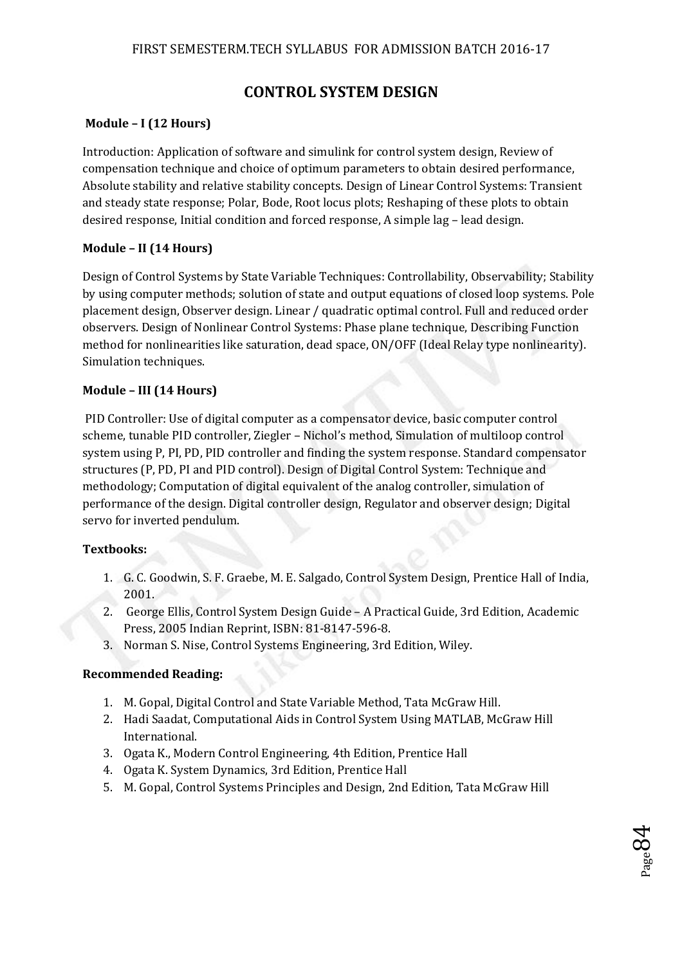## **CONTROL SYSTEM DESIGN**

### **Module – I (12 Hours)**

Introduction: Application of software and simulink for control system design, Review of compensation technique and choice of optimum parameters to obtain desired performance, Absolute stability and relative stability concepts. Design of Linear Control Systems: Transient and steady state response; Polar, Bode, Root locus plots; Reshaping of these plots to obtain desired response, Initial condition and forced response, A simple lag – lead design.

### **Module – II (14 Hours)**

Design of Control Systems by State Variable Techniques: Controllability, Observability; Stability by using computer methods; solution of state and output equations of closed loop systems. Pole placement design, Observer design. Linear / quadratic optimal control. Full and reduced order observers. Design of Nonlinear Control Systems: Phase plane technique, Describing Function method for nonlinearities like saturation, dead space, ON/OFF (Ideal Relay type nonlinearity). Simulation techniques.

### **Module – III (14 Hours)**

 PID Controller: Use of digital computer as a compensator device, basic computer control scheme, tunable PID controller, Ziegler – Nichol's method, Simulation of multiloop control system using P, PI, PD, PID controller and finding the system response. Standard compensator structures (P, PD, PI and PID control). Design of Digital Control System: Technique and methodology; Computation of digital equivalent of the analog controller, simulation of performance of the design. Digital controller design, Regulator and observer design; Digital servo for inverted pendulum.

#### **Textbooks:**

- 1. G. C. Goodwin, S. F. Graebe, M. E. Salgado, Control System Design, Prentice Hall of India, 2001.
- 2. George Ellis, Control System Design Guide A Practical Guide, 3rd Edition, Academic Press, 2005 Indian Reprint, ISBN: 81-8147-596-8.
- 3. Norman S. Nise, Control Systems Engineering, 3rd Edition, Wiley.

#### **Recommended Reading:**

- 1. M. Gopal, Digital Control and State Variable Method, Tata McGraw Hill.
- 2. Hadi Saadat, Computational Aids in Control System Using MATLAB, McGraw Hill International.
- 3. Ogata K., Modern Control Engineering, 4th Edition, Prentice Hall
- 4. Ogata K. System Dynamics, 3rd Edition, Prentice Hall
- 5. M. Gopal, Control Systems Principles and Design, 2nd Edition, Tata McGraw Hill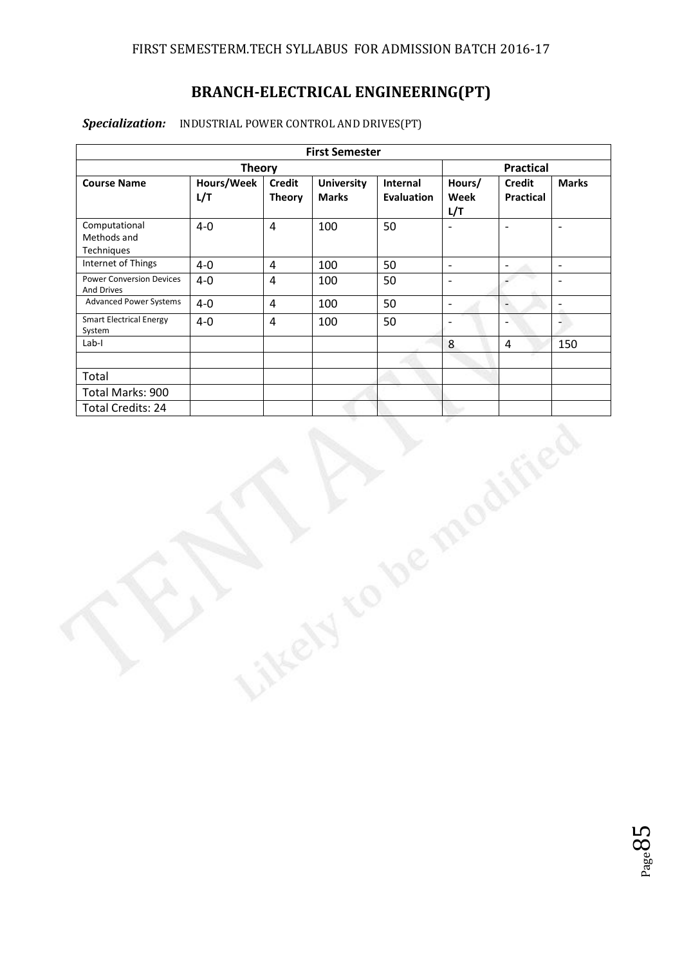# **BRANCH-ELECTRICAL ENGINEERING(PT)**

### *Specialization:* INDUSTRIAL POWER CONTROL AND DRIVES(PT)

|                                               |                   |                                | <b>First Semester</b>             |                               |                       |                                   |                          |
|-----------------------------------------------|-------------------|--------------------------------|-----------------------------------|-------------------------------|-----------------------|-----------------------------------|--------------------------|
|                                               | <b>Theory</b>     |                                |                                   |                               |                       | <b>Practical</b>                  |                          |
| <b>Course Name</b>                            | Hours/Week<br>L/T | <b>Credit</b><br><b>Theory</b> | <b>University</b><br><b>Marks</b> | Internal<br><b>Evaluation</b> | Hours/<br>Week<br>L/T | <b>Credit</b><br><b>Practical</b> | <b>Marks</b>             |
| Computational<br>Methods and<br>Techniques    | $4-0$             | $\overline{4}$                 | 100                               | 50                            | $\frac{1}{2}$         | $\overline{\phantom{a}}$          | $\blacksquare$           |
| Internet of Things                            | $4-0$             | $\overline{4}$                 | 100                               | 50                            | $\mathbb{L}$          | $\overline{\phantom{a}}$          | $\mathbb{L}^+$           |
| <b>Power Conversion Devices</b><br>And Drives | $4-0$             | $\overline{4}$                 | 100                               | 50                            | $\Box$                | $\overline{\phantom{a}}$          | $\mathbb{L}$             |
| <b>Advanced Power Systems</b>                 | $4-0$             | $\overline{4}$                 | 100                               | 50                            | $\blacksquare$        | $\overline{\phantom{a}}$          | $\overline{\phantom{a}}$ |
| <b>Smart Electrical Energy</b><br>System      | $4-0$             | $\overline{4}$                 | 100                               | 50                            | $\frac{1}{2}$         | $\blacksquare$                    | 4                        |
| $Lab-I$                                       |                   |                                |                                   |                               | $\bf 8$               | $\overline{4}$                    | 150                      |
|                                               |                   |                                |                                   |                               |                       |                                   |                          |
| Total                                         |                   |                                |                                   |                               |                       |                                   |                          |
| Total Marks: 900                              |                   |                                |                                   |                               |                       |                                   |                          |
| <b>Total Credits: 24</b>                      |                   |                                |                                   |                               |                       |                                   |                          |
|                                               |                   |                                |                                   | De                            |                       |                                   |                          |

 $_{\rm Page}85$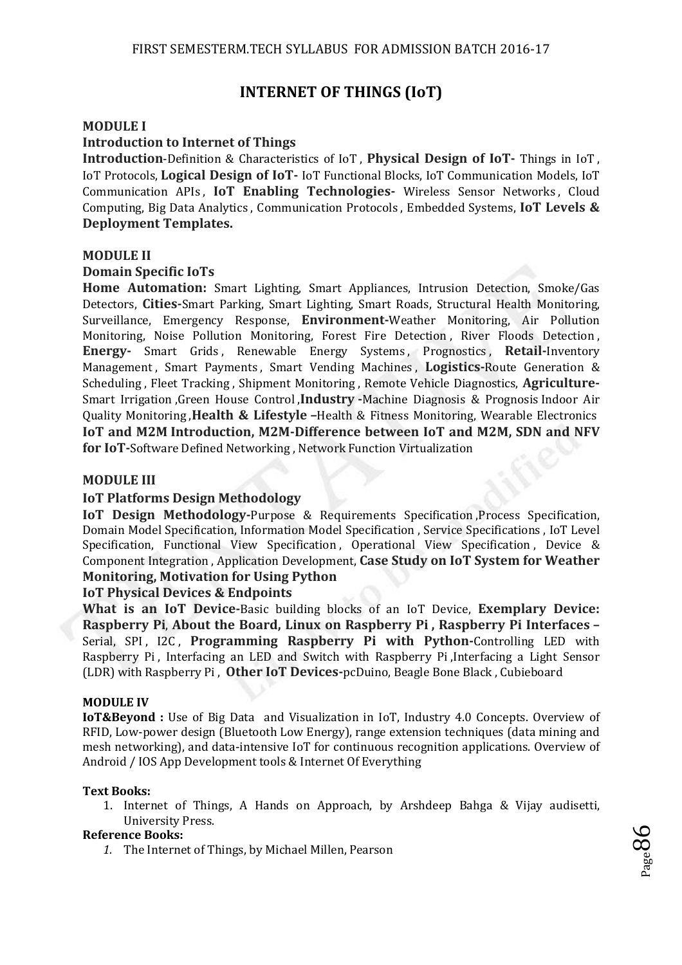## **INTERNET OF THINGS (IoT)**

#### **MODULE I**

#### **Introduction to Internet of Things**

**Introduction**-Definition & Characteristics of IoT , **Physical Design of IoT-** Things in IoT , IoT Protocols, **Logical Design of IoT-** IoT Functional Blocks, IoT Communication Models, IoT Communication APIs , **IoT Enabling Technologies-** Wireless Sensor Networks , Cloud Computing, Big Data Analytics , Communication Protocols , Embedded Systems, **IoT Levels & Deployment Templates.** 

#### **MODULE II**

#### **Domain Specific IoTs**

**Home Automation:** Smart Lighting, Smart Appliances, Intrusion Detection, Smoke/Gas Detectors, **Cities-**Smart Parking, Smart Lighting, Smart Roads, Structural Health Monitoring, Surveillance, Emergency Response, **Environment-**Weather Monitoring, Air Pollution Monitoring, Noise Pollution Monitoring, Forest Fire Detection , River Floods Detection , **Energy-** Smart Grids , Renewable Energy Systems , Prognostics , **Retail-**Inventory Management , Smart Payments , Smart Vending Machines , **Logistics-**Route Generation & Scheduling , Fleet Tracking , Shipment Monitoring , Remote Vehicle Diagnostics, **Agriculture-**Smart Irrigation ,Green House Control ,**Industry -**Machine Diagnosis & Prognosis Indoor Air Quality Monitoring ,**Health & Lifestyle –**Health & Fitness Monitoring, Wearable Electronics **IoT and M2M Introduction, M2M-Difference between IoT and M2M, SDN and NFV for IoT-**Software Defined Networking , Network Function Virtualization

#### **MODULE III**

#### **IoT Platforms Design Methodology**

**IoT Design Methodology-Purpose & Requirements Specification, Process Specification,** Domain Model Specification, Information Model Specification , Service Specifications , IoT Level Specification, Functional View Specification, Operational View Specification, Device & Component Integration , Application Development, **Case Study on IoT System for Weather Monitoring, Motivation for Using Python** 

#### **IoT Physical Devices & Endpoints**

**What is an IoT Device-**Basic building blocks of an IoT Device, **Exemplary Device: Raspberry Pi**, **About the Board, Linux on Raspberry Pi , Raspberry Pi Interfaces –** Serial, SPI, I2C, **Programming Raspberry Pi with Python-**Controlling LED with Raspberry Pi , Interfacing an LED and Switch with Raspberry Pi ,Interfacing a Light Sensor (LDR) with Raspberry Pi , **Other IoT Devices-**pcDuino, Beagle Bone Black , Cubieboard

#### **MODULE IV**

**IoT&Beyond :** Use of Big Data and Visualization in IoT, Industry 4.0 Concepts. Overview of RFID, Low-power design (Bluetooth Low Energy), range extension techniques (data mining and mesh networking), and data-intensive IoT for continuous recognition applications. Overview of Android / IOS App Development tools & Internet Of Everything

#### **Text Books:**

1. Internet of Things, A Hands on Approach, by Arshdeep Bahga & Vijay audisetti, University Press.

#### **Reference Books:**

*1.* The Internet of Things, by Michael Millen, Pearson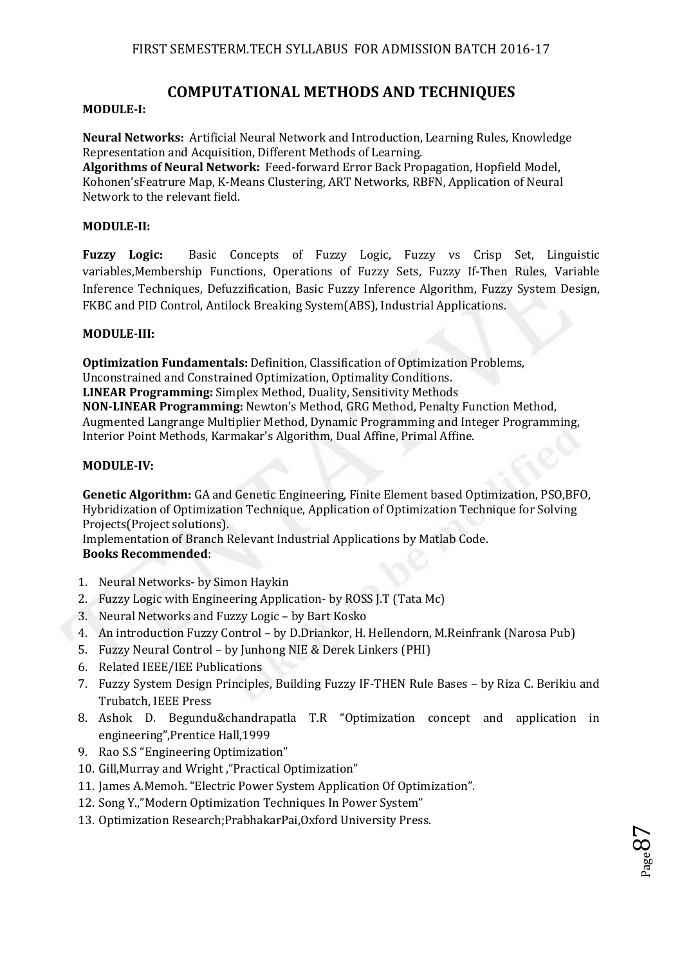## **COMPUTATIONAL METHODS AND TECHNIQUES**

#### **MODULE-I:**

**Neural Networks:** Artificial Neural Network and Introduction, Learning Rules, Knowledge Representation and Acquisition, Different Methods of Learning.

**Algorithms of Neural Network:** Feed-forward Error Back Propagation, Hopfield Model, Kohonen'sFeatrure Map, K-Means Clustering, ART Networks, RBFN, Application of Neural Network to the relevant field.

#### **MODULE-II:**

**Fuzzy Logic:** Basic Concepts of Fuzzy Logic, Fuzzy vs Crisp Set, Linguistic variables,Membership Functions, Operations of Fuzzy Sets, Fuzzy If-Then Rules, Variable Inference Techniques, Defuzzification, Basic Fuzzy Inference Algorithm, Fuzzy System Design, FKBC and PID Control, Antilock Breaking System(ABS), Industrial Applications.

#### **MODULE-III:**

**Optimization Fundamentals:** Definition, Classification of Optimization Problems, Unconstrained and Constrained Optimization, Optimality Conditions. **LINEAR Programming:** Simplex Method, Duality, Sensitivity Methods **NON-LINEAR Programming:** Newton's Method, GRG Method, Penalty Function Method, Augmented Langrange Multiplier Method, Dynamic Programming and Integer Programming, Interior Point Methods, Karmakar's Algorithm, Dual Affine, Primal Affine.

#### **MODULE-IV:**

**Genetic Algorithm:** GA and Genetic Engineering, Finite Element based Optimization, PSO,BFO, Hybridization of Optimization Technique, Application of Optimization Technique for Solving Projects(Project solutions).

Implementation of Branch Relevant Industrial Applications by Matlab Code. **Books Recommended**:

- 1. Neural Networks- by Simon Haykin
- 2. Fuzzy Logic with Engineering Application- by ROSS J.T (Tata Mc)
- 3. Neural Networks and Fuzzy Logic by Bart Kosko
- 4. An introduction Fuzzy Control by D.Driankor, H. Hellendorn, M.Reinfrank (Narosa Pub)
- 5. Fuzzy Neural Control by Junhong NIE & Derek Linkers (PHI)
- 6. Related IEEE/IEE Publications
- 7. Fuzzy System Design Principles, Building Fuzzy IF-THEN Rule Bases by Riza C. Berikiu and Trubatch, IEEE Press
- 8. Ashok D. Begundu&chandrapatla T.R "Optimization concept and application in engineering",Prentice Hall,1999
- 9. Rao S.S "Engineering Optimization"
- 10. Gill,Murray and Wright ,"Practical Optimization"
- 11. James A.Memoh. "Electric Power System Application Of Optimization".
- 12. Song Y.,"Modern Optimization Techniques In Power System"
- 13. Optimization Research;PrabhakarPai,Oxford University Press.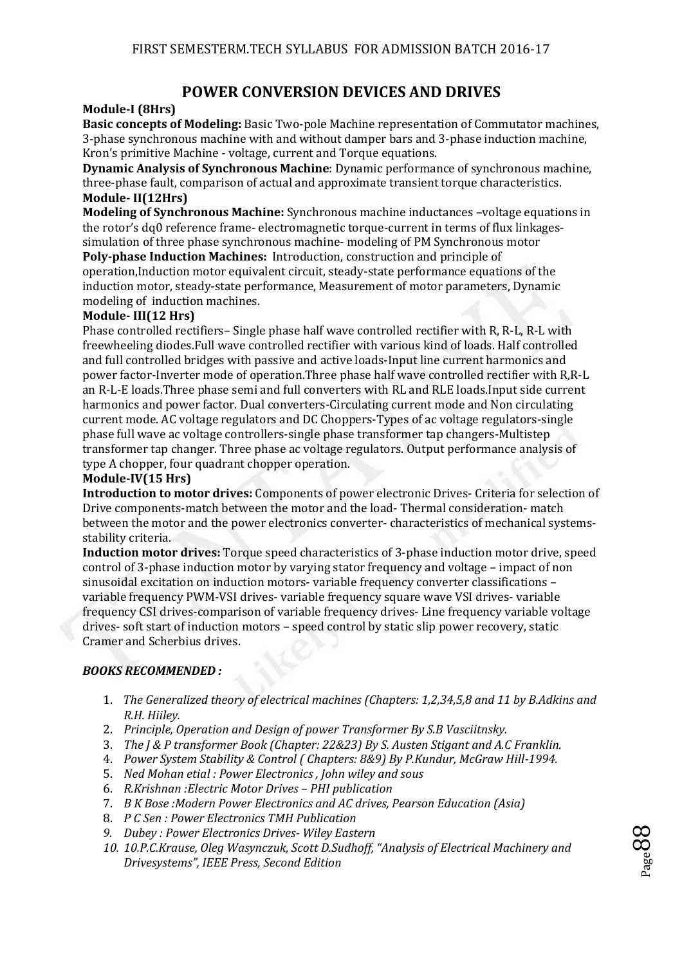## **POWER CONVERSION DEVICES AND DRIVES**

#### **Module-I (8Hrs)**

**Basic concepts of Modeling:** Basic Two-pole Machine representation of Commutator machines, 3-phase synchronous machine with and without damper bars and 3-phase induction machine, Kron's primitive Machine - voltage, current and Torque equations.

**Dynamic Analysis of Synchronous Machine**: Dynamic performance of synchronous machine, three-phase fault, comparison of actual and approximate transient torque characteristics. **Module- II(12Hrs)** 

**Modeling of Synchronous Machine:** Synchronous machine inductances –voltage equations in the rotor's dq0 reference frame- electromagnetic torque-current in terms of flux linkagessimulation of three phase synchronous machine- modeling of PM Synchronous motor

**Poly-phase Induction Machines:** Introduction, construction and principle of operation,Induction motor equivalent circuit, steady-state performance equations of the induction motor, steady-state performance, Measurement of motor parameters, Dynamic modeling of induction machines.

#### **Module- III(12 Hrs)**

Phase controlled rectifiers– Single phase half wave controlled rectifier with R, R-L, R-L with freewheeling diodes.Full wave controlled rectifier with various kind of loads. Half controlled and full controlled bridges with passive and active loads-Input line current harmonics and power factor-Inverter mode of operation.Three phase half wave controlled rectifier with R,R-L an R-L-E loads.Three phase semi and full converters with RL and RLE loads.Input side current harmonics and power factor. Dual converters-Circulating current mode and Non circulating current mode. AC voltage regulators and DC Choppers-Types of ac voltage regulators-single phase full wave ac voltage controllers-single phase transformer tap changers-Multistep transformer tap changer. Three phase ac voltage regulators. Output performance analysis of type A chopper, four quadrant chopper operation.

#### **Module-IV(15 Hrs)**

**Introduction to motor drives:** Components of power electronic Drives- Criteria for selection of Drive components-match between the motor and the load- Thermal consideration- match between the motor and the power electronics converter- characteristics of mechanical systemsstability criteria.

**Induction motor drives:** Torque speed characteristics of 3-phase induction motor drive, speed control of 3-phase induction motor by varying stator frequency and voltage – impact of non sinusoidal excitation on induction motors- variable frequency converter classifications – variable frequency PWM-VSI drives- variable frequency square wave VSI drives- variable frequency CSI drives-comparison of variable frequency drives- Line frequency variable voltage drives- soft start of induction motors – speed control by static slip power recovery, static Cramer and Scherbius drives.

#### *BOOKS RECOMMENDED :*

- 1. *The Generalized theory of electrical machines (Chapters: 1,2,34,5,8 and 11 by B.Adkins and R.H. Hiiley.*
- 2. *Principle, Operation and Design of power Transformer By S.B Vasciitnsky.*
- 3. *The J & P transformer Book (Chapter: 22&23) By S. Austen Stigant and A.C Franklin.*
- 4. *Power System Stability & Control ( Chapters: 8&9) By P.Kundur, McGraw Hill-1994.*
- 5. *Ned Mohan etial : Power Electronics , John wiley and sous*
- 6. *R.Krishnan :Electric Motor Drives PHI publication*
- 7. *B K Bose :Modern Power Electronics and AC drives, Pearson Education (Asia)*
- 8. *P C Sen : Power Electronics TMH Publication*
- *9. Dubey : Power Electronics Drives- Wiley Eastern*
- *10. 10.P.C.Krause, Oleg Wasynczuk, Scott D.Sudhoff, "Analysis of Electrical Machinery and Drivesystems", IEEE Press, Second Edition*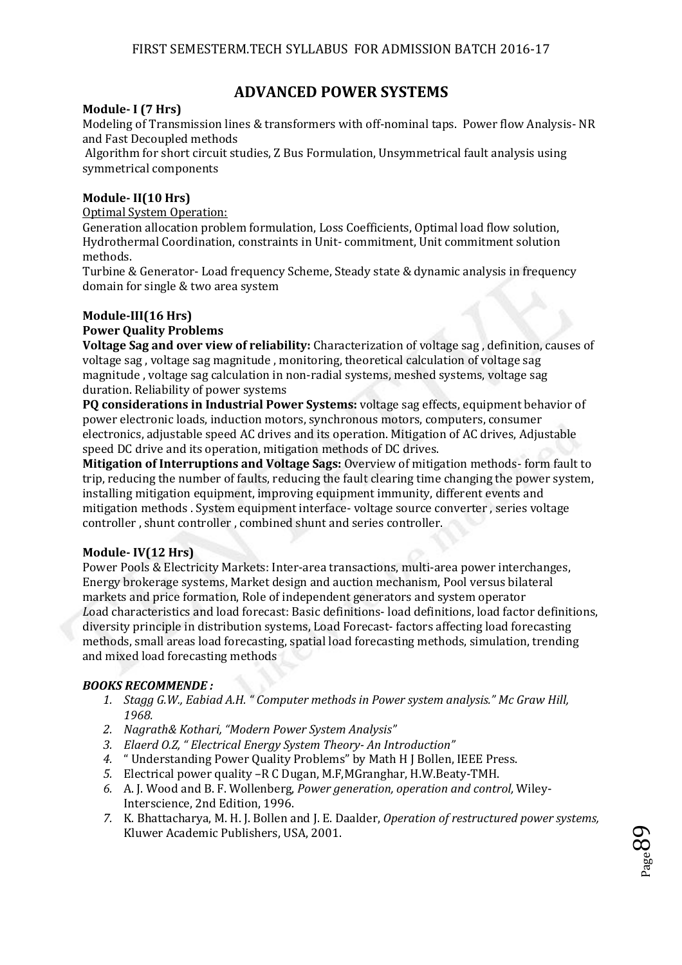## **ADVANCED POWER SYSTEMS**

#### **Module- I (7 Hrs)**

Modeling of Transmission lines & transformers with off-nominal taps. Power flow Analysis- NR and Fast Decoupled methods

 Algorithm for short circuit studies, Z Bus Formulation, Unsymmetrical fault analysis using symmetrical components

#### **Module- II(10 Hrs)**

Optimal System Operation:

Generation allocation problem formulation, Loss Coefficients, Optimal load flow solution, Hydrothermal Coordination, constraints in Unit- commitment, Unit commitment solution methods.

Turbine & Generator- Load frequency Scheme, Steady state & dynamic analysis in frequency domain for single & two area system

#### **Module-III(16 Hrs)**

#### **Power Quality Problems**

**Voltage Sag and over view of reliability:** Characterization of voltage sag , definition, causes of voltage sag , voltage sag magnitude , monitoring, theoretical calculation of voltage sag magnitude , voltage sag calculation in non-radial systems, meshed systems, voltage sag duration. Reliability of power systems

**PQ considerations in Industrial Power Systems:** voltage sag effects, equipment behavior of power electronic loads, induction motors, synchronous motors, computers, consumer electronics, adjustable speed AC drives and its operation. Mitigation of AC drives, Adjustable speed DC drive and its operation, mitigation methods of DC drives.

**Mitigation of Interruptions and Voltage Sags:** Overview of mitigation methods- form fault to trip, reducing the number of faults, reducing the fault clearing time changing the power system, installing mitigation equipment, improving equipment immunity, different events and mitigation methods . System equipment interface- voltage source converter , series voltage controller , shunt controller , combined shunt and series controller.

#### **Module- IV(12 Hrs)**

Power Pools & Electricity Markets: Inter-area transactions, multi-area power interchanges, Energy brokerage systems, Market design and auction mechanism, Pool versus bilateral markets and price formation, Role of independent generators and system operator *L*oad characteristics and load forecast: Basic definitions- load definitions, load factor definitions, diversity principle in distribution systems, Load Forecast- factors affecting load forecasting methods, small areas load forecasting, spatial load forecasting methods, simulation, trending and mixed load forecasting methods

#### *BOOKS RECOMMENDE :*

- *1. Stagg G.W., Eabiad A.H. " Computer methods in Power system analysis." Mc Graw Hill, 1968.*
- *2. Nagrath& Kothari, "Modern Power System Analysis"*
- *3. Elaerd O.Z, " Electrical Energy System Theory- An Introduction"*
- *4.* " Understanding Power Quality Problems" by Math H J Bollen, IEEE Press.
- *5.* Electrical power quality –R C Dugan, M.F,MGranghar, H.W.Beaty-TMH.
- *6.* A. J. Wood and B. F. Wollenberg, *Power generation, operation and control,* Wiley-Interscience, 2nd Edition, 1996.
- *7.* K. Bhattacharya, M. H. J. Bollen and J. E. Daalder, *Operation of restructured power systems,*  Kluwer Academic Publishers, USA, 2001.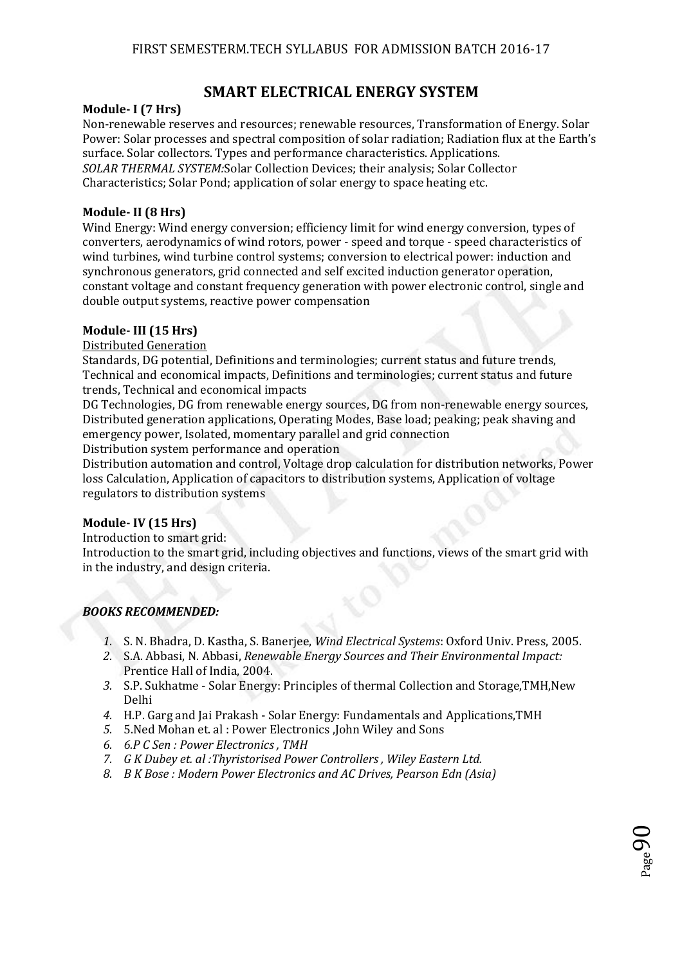# **SMART ELECTRICAL ENERGY SYSTEM**

#### **Module- I (7 Hrs)**

Non-renewable reserves and resources; renewable resources, Transformation of Energy. Solar Power: Solar processes and spectral composition of solar radiation; Radiation flux at the Earth's surface. Solar collectors. Types and performance characteristics. Applications. *SOLAR THERMAL SYSTEM:*Solar Collection Devices; their analysis; Solar Collector Characteristics; Solar Pond; application of solar energy to space heating etc.

#### **Module- II (8 Hrs)**

Wind Energy: Wind energy conversion; efficiency limit for wind energy conversion, types of converters, aerodynamics of wind rotors, power - speed and torque - speed characteristics of wind turbines, wind turbine control systems; conversion to electrical power: induction and synchronous generators, grid connected and self excited induction generator operation, constant voltage and constant frequency generation with power electronic control, single and double output systems, reactive power compensation

#### **Module- III (15 Hrs)**

Distributed Generation

Standards, DG potential, Definitions and terminologies; current status and future trends, Technical and economical impacts, Definitions and terminologies; current status and future trends, Technical and economical impacts

DG Technologies, DG from renewable energy sources, DG from non-renewable energy sources, Distributed generation applications, Operating Modes, Base load; peaking; peak shaving and emergency power, Isolated, momentary parallel and grid connection

Distribution system performance and operation

Distribution automation and control, Voltage drop calculation for distribution networks, Power loss Calculation, Application of capacitors to distribution systems, Application of voltage regulators to distribution systems

#### **Module- IV (15 Hrs)**

Introduction to smart grid:

Introduction to the smart grid, including objectives and functions, views of the smart grid with in the industry, and design criteria.

#### *BOOKS RECOMMENDED:*

- *1.* S. N. Bhadra, D. Kastha, S. Banerjee, *Wind Electrical Systems*: Oxford Univ. Press, 2005.
- *2.* S.A. Abbasi, N. Abbasi, *Renewable Energy Sources and Their Environmental Impact:*  Prentice Hall of India, 2004.
- *3.* S.P. Sukhatme Solar Energy: Principles of thermal Collection and Storage,TMH,New Delhi
- *4.* H.P. Garg and Jai Prakash Solar Energy: Fundamentals and Applications,TMH
- *5.* 5.Ned Mohan et. al : Power Electronics ,John Wiley and Sons
- *6. 6.P C Sen : Power Electronics , TMH*
- *7. G K Dubey et. al :Thyristorised Power Controllers , Wiley Eastern Ltd.*
- *8. B K Bose : Modern Power Electronics and AC Drives, Pearson Edn (Asia)*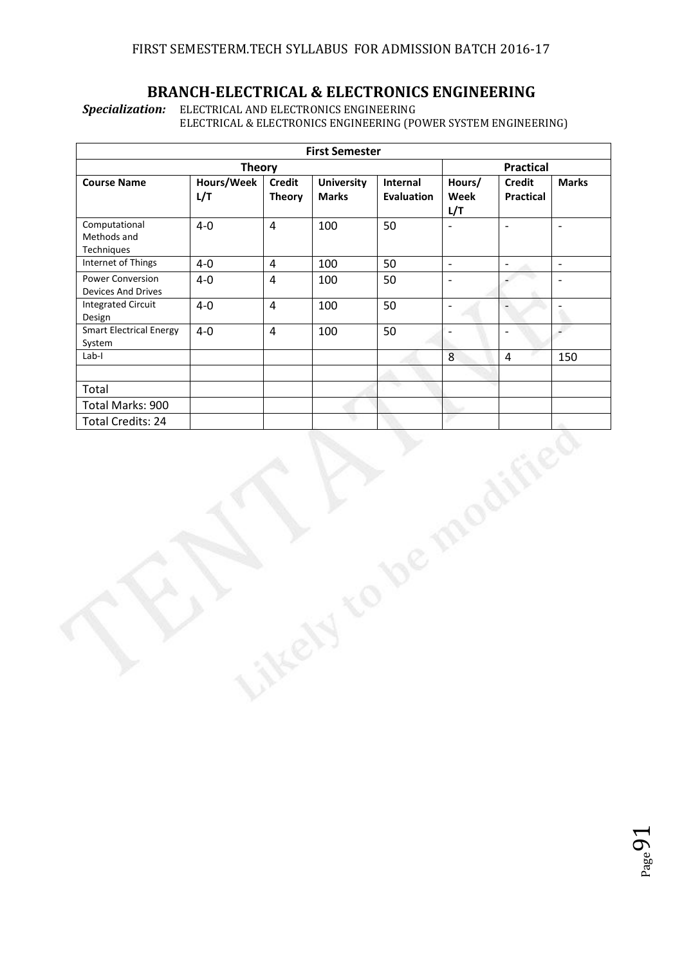## **BRANCH-ELECTRICAL & ELECTRONICS ENGINEERING**

*Specialization:* ELECTRICAL AND ELECTRONICS ENGINEERING ELECTRICAL & ELECTRONICS ENGINEERING (POWER SYSTEM ENGINEERING)

|                                                      |                   |                                | <b>First Semester</b>             |                               |                          |                                   |                          |
|------------------------------------------------------|-------------------|--------------------------------|-----------------------------------|-------------------------------|--------------------------|-----------------------------------|--------------------------|
|                                                      | <b>Theory</b>     |                                |                                   |                               |                          | <b>Practical</b>                  |                          |
| <b>Course Name</b>                                   | Hours/Week<br>L/T | <b>Credit</b><br><b>Theory</b> | <b>University</b><br><b>Marks</b> | Internal<br><b>Evaluation</b> | Hours/<br>Week<br>L/T    | <b>Credit</b><br><b>Practical</b> | <b>Marks</b>             |
| Computational<br>Methods and<br>Techniques           | $4-0$             | $\overline{4}$                 | 100                               | 50                            | $\overline{\phantom{0}}$ | $\overline{\phantom{a}}$          | $\blacksquare$           |
| Internet of Things                                   | $4-0$             | $\overline{4}$                 | 100                               | 50                            | $\mathbb{L}$             | $\bar{\mathcal{L}}$               | $\bar{\mathbb{Z}}$       |
| <b>Power Conversion</b><br><b>Devices And Drives</b> | $4-0$             | $\overline{4}$                 | 100                               | 50                            | $\Box$                   | $\overline{\phantom{a}}$          | $\overline{\phantom{a}}$ |
| <b>Integrated Circuit</b><br>Design                  | $4-0$             | $\overline{4}$                 | 100                               | 50                            | $\overline{\phantom{a}}$ | $\overline{\phantom{a}}$          | $\frac{1}{2}$            |
| <b>Smart Electrical Energy</b><br>System             | $4-0$             | $\overline{4}$                 | 100                               | 50                            | $\blacksquare$           | $\overline{\phantom{a}}$          | L.                       |
| $Lab-I$                                              |                   |                                |                                   |                               | 8                        | $\overline{4}$                    | 150                      |
|                                                      |                   |                                |                                   |                               |                          |                                   |                          |
| Total                                                |                   |                                |                                   |                               |                          |                                   |                          |
| Total Marks: 900<br><b>Total Credits: 24</b>         |                   |                                |                                   |                               |                          |                                   |                          |
|                                                      |                   |                                |                                   |                               |                          |                                   |                          |
|                                                      |                   |                                |                                   |                               |                          |                                   |                          |

 $Page9$ .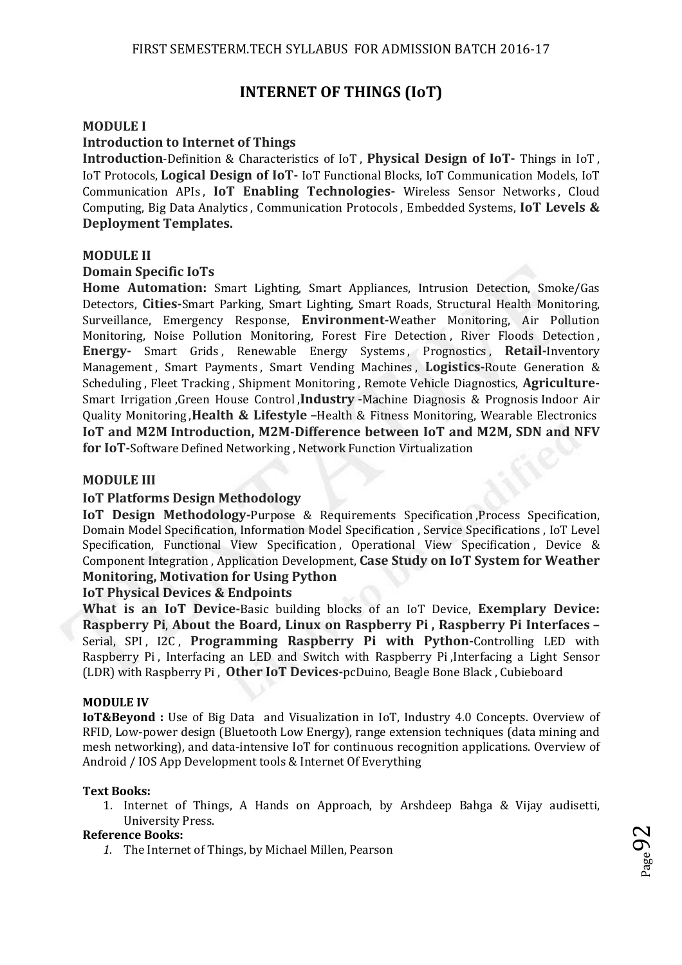## **INTERNET OF THINGS (IoT)**

#### **MODULE I**

#### **Introduction to Internet of Things**

**Introduction**-Definition & Characteristics of IoT , **Physical Design of IoT-** Things in IoT , IoT Protocols, **Logical Design of IoT-** IoT Functional Blocks, IoT Communication Models, IoT Communication APIs , **IoT Enabling Technologies-** Wireless Sensor Networks , Cloud Computing, Big Data Analytics , Communication Protocols , Embedded Systems, **IoT Levels & Deployment Templates.** 

#### **MODULE II**

#### **Domain Specific IoTs**

**Home Automation:** Smart Lighting, Smart Appliances, Intrusion Detection, Smoke/Gas Detectors, **Cities-**Smart Parking, Smart Lighting, Smart Roads, Structural Health Monitoring, Surveillance, Emergency Response, **Environment-**Weather Monitoring, Air Pollution Monitoring, Noise Pollution Monitoring, Forest Fire Detection , River Floods Detection , **Energy-** Smart Grids , Renewable Energy Systems , Prognostics , **Retail-**Inventory Management , Smart Payments , Smart Vending Machines , **Logistics-**Route Generation & Scheduling , Fleet Tracking , Shipment Monitoring , Remote Vehicle Diagnostics, **Agriculture-**Smart Irrigation ,Green House Control ,**Industry -**Machine Diagnosis & Prognosis Indoor Air Quality Monitoring ,**Health & Lifestyle –**Health & Fitness Monitoring, Wearable Electronics **IoT and M2M Introduction, M2M-Difference between IoT and M2M, SDN and NFV for IoT-**Software Defined Networking , Network Function Virtualization

#### **MODULE III**

#### **IoT Platforms Design Methodology**

**IoT Design Methodology-Purpose & Requirements Specification, Process Specification,** Domain Model Specification, Information Model Specification , Service Specifications , IoT Level Specification, Functional View Specification, Operational View Specification, Device & Component Integration , Application Development, **Case Study on IoT System for Weather Monitoring, Motivation for Using Python** 

#### **IoT Physical Devices & Endpoints**

**What is an IoT Device-**Basic building blocks of an IoT Device, **Exemplary Device: Raspberry Pi**, **About the Board, Linux on Raspberry Pi , Raspberry Pi Interfaces –** Serial, SPI, I2C, **Programming Raspberry Pi with Python-**Controlling LED with Raspberry Pi , Interfacing an LED and Switch with Raspberry Pi ,Interfacing a Light Sensor (LDR) with Raspberry Pi , **Other IoT Devices-**pcDuino, Beagle Bone Black , Cubieboard

#### **MODULE IV**

**IoT&Beyond :** Use of Big Data and Visualization in IoT, Industry 4.0 Concepts. Overview of RFID, Low-power design (Bluetooth Low Energy), range extension techniques (data mining and mesh networking), and data-intensive IoT for continuous recognition applications. Overview of Android / IOS App Development tools & Internet Of Everything

#### **Text Books:**

1. Internet of Things, A Hands on Approach, by Arshdeep Bahga & Vijay audisetti, University Press.

#### **Reference Books:**

*1.* The Internet of Things, by Michael Millen, Pearson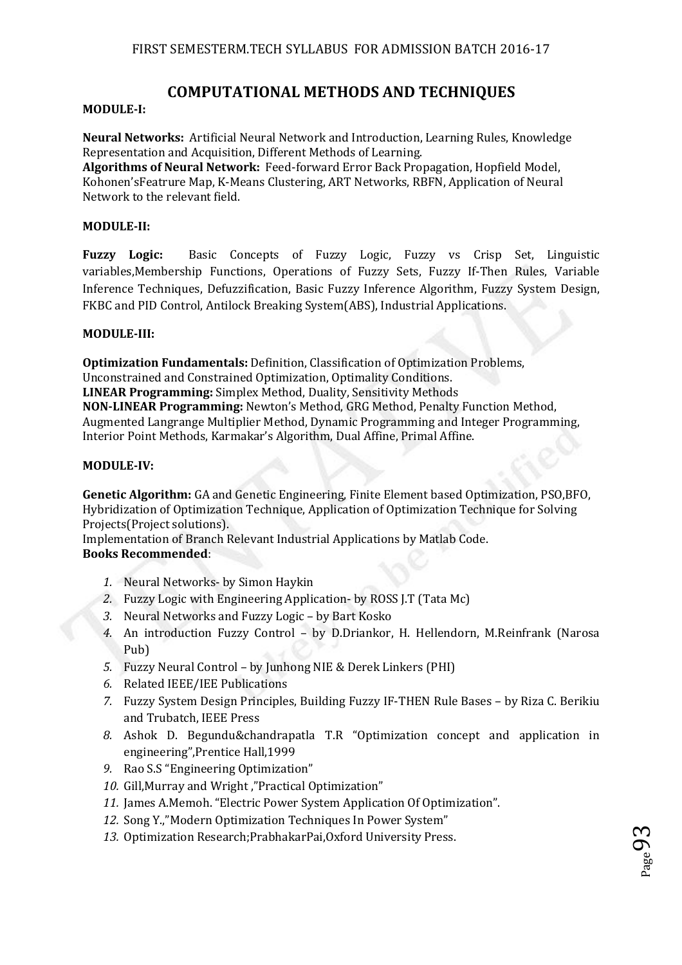## **COMPUTATIONAL METHODS AND TECHNIQUES**

#### **MODULE-I:**

**Neural Networks:** Artificial Neural Network and Introduction, Learning Rules, Knowledge Representation and Acquisition, Different Methods of Learning.

**Algorithms of Neural Network:** Feed-forward Error Back Propagation, Hopfield Model, Kohonen'sFeatrure Map, K-Means Clustering, ART Networks, RBFN, Application of Neural Network to the relevant field.

#### **MODULE-II:**

**Fuzzy Logic:** Basic Concepts of Fuzzy Logic, Fuzzy vs Crisp Set, Linguistic variables,Membership Functions, Operations of Fuzzy Sets, Fuzzy If-Then Rules, Variable Inference Techniques, Defuzzification, Basic Fuzzy Inference Algorithm, Fuzzy System Design, FKBC and PID Control, Antilock Breaking System(ABS), Industrial Applications.

#### **MODULE-III:**

**Optimization Fundamentals:** Definition, Classification of Optimization Problems, Unconstrained and Constrained Optimization, Optimality Conditions. **LINEAR Programming:** Simplex Method, Duality, Sensitivity Methods **NON-LINEAR Programming:** Newton's Method, GRG Method, Penalty Function Method, Augmented Langrange Multiplier Method, Dynamic Programming and Integer Programming, Interior Point Methods, Karmakar's Algorithm, Dual Affine, Primal Affine.

#### **MODULE-IV:**

**Genetic Algorithm:** GA and Genetic Engineering, Finite Element based Optimization, PSO,BFO, Hybridization of Optimization Technique, Application of Optimization Technique for Solving Projects(Project solutions).

Implementation of Branch Relevant Industrial Applications by Matlab Code. **Books Recommended**:

- *1.* Neural Networks- by Simon Haykin
- *2.* Fuzzy Logic with Engineering Application- by ROSS J.T (Tata Mc)
- *3.* Neural Networks and Fuzzy Logic by Bart Kosko
- *4.* An introduction Fuzzy Control by D.Driankor, H. Hellendorn, M.Reinfrank (Narosa Pub)
- *5.* Fuzzy Neural Control by Junhong NIE & Derek Linkers (PHI)
- *6.* Related IEEE/IEE Publications
- *7.* Fuzzy System Design Principles, Building Fuzzy IF-THEN Rule Bases by Riza C. Berikiu and Trubatch, IEEE Press
- *8.* Ashok D. Begundu&chandrapatla T.R "Optimization concept and application in engineering",Prentice Hall,1999
- *9.* Rao S.S "Engineering Optimization"
- *10.* Gill,Murray and Wright ,"Practical Optimization"
- *11.* James A.Memoh. "Electric Power System Application Of Optimization".
- *12.* Song Y.,"Modern Optimization Techniques In Power System"
- *13.* Optimization Research;PrabhakarPai,Oxford University Press.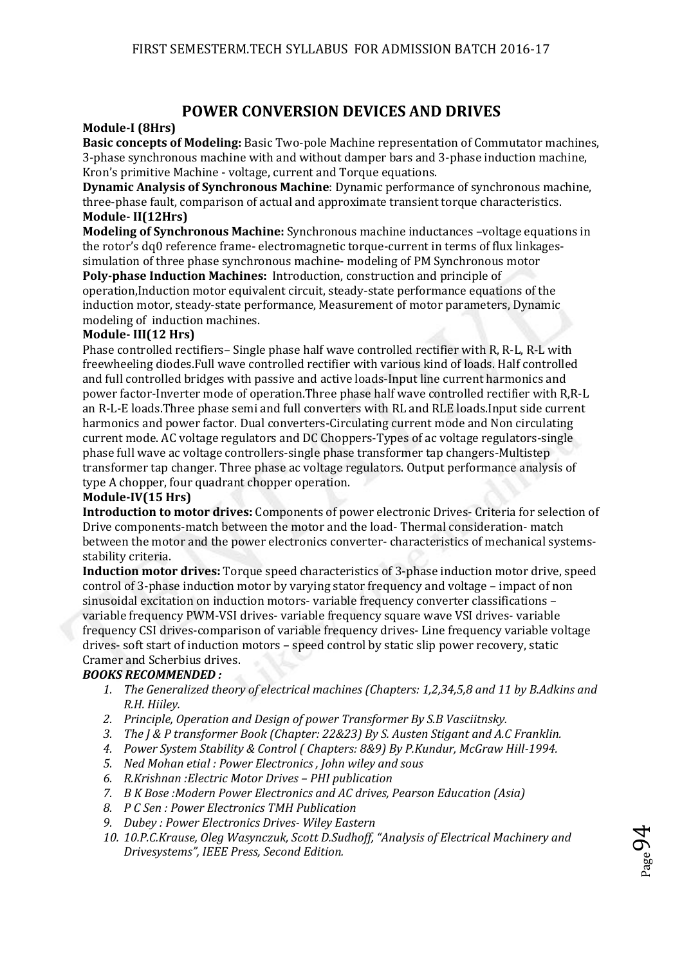## **POWER CONVERSION DEVICES AND DRIVES**

#### **Module-I (8Hrs)**

**Basic concepts of Modeling:** Basic Two-pole Machine representation of Commutator machines, 3-phase synchronous machine with and without damper bars and 3-phase induction machine, Kron's primitive Machine - voltage, current and Torque equations.

**Dynamic Analysis of Synchronous Machine**: Dynamic performance of synchronous machine, three-phase fault, comparison of actual and approximate transient torque characteristics. **Module- II(12Hrs)** 

**Modeling of Synchronous Machine:** Synchronous machine inductances –voltage equations in the rotor's dq0 reference frame- electromagnetic torque-current in terms of flux linkagessimulation of three phase synchronous machine- modeling of PM Synchronous motor

**Poly-phase Induction Machines:** Introduction, construction and principle of operation,Induction motor equivalent circuit, steady-state performance equations of the induction motor, steady-state performance, Measurement of motor parameters, Dynamic modeling of induction machines.

#### **Module- III(12 Hrs)**

Phase controlled rectifiers– Single phase half wave controlled rectifier with R, R-L, R-L with freewheeling diodes.Full wave controlled rectifier with various kind of loads. Half controlled and full controlled bridges with passive and active loads-Input line current harmonics and power factor-Inverter mode of operation.Three phase half wave controlled rectifier with R,R-L an R-L-E loads.Three phase semi and full converters with RL and RLE loads.Input side current harmonics and power factor. Dual converters-Circulating current mode and Non circulating current mode. AC voltage regulators and DC Choppers-Types of ac voltage regulators-single phase full wave ac voltage controllers-single phase transformer tap changers-Multistep transformer tap changer. Three phase ac voltage regulators. Output performance analysis of type A chopper, four quadrant chopper operation.

#### **Module-IV(15 Hrs)**

**Introduction to motor drives:** Components of power electronic Drives- Criteria for selection of Drive components-match between the motor and the load- Thermal consideration- match between the motor and the power electronics converter- characteristics of mechanical systemsstability criteria.

**Induction motor drives:** Torque speed characteristics of 3-phase induction motor drive, speed control of 3-phase induction motor by varying stator frequency and voltage – impact of non sinusoidal excitation on induction motors- variable frequency converter classifications – variable frequency PWM-VSI drives- variable frequency square wave VSI drives- variable frequency CSI drives-comparison of variable frequency drives- Line frequency variable voltage drives- soft start of induction motors – speed control by static slip power recovery, static Cramer and Scherbius drives.

#### *BOOKS RECOMMENDED :*

- *1. The Generalized theory of electrical machines (Chapters: 1,2,34,5,8 and 11 by B.Adkins and R.H. Hiiley.*
- *2. Principle, Operation and Design of power Transformer By S.B Vasciitnsky.*
- *3. The J & P transformer Book (Chapter: 22&23) By S. Austen Stigant and A.C Franklin.*
- *4. Power System Stability & Control ( Chapters: 8&9) By P.Kundur, McGraw Hill-1994.*
- *5. Ned Mohan etial : Power Electronics , John wiley and sous*
- *6. R.Krishnan :Electric Motor Drives PHI publication*
- *7. B K Bose :Modern Power Electronics and AC drives, Pearson Education (Asia)*
- *8. P C Sen : Power Electronics TMH Publication*
- *9. Dubey : Power Electronics Drives- Wiley Eastern*
- *10. 10.P.C.Krause, Oleg Wasynczuk, Scott D.Sudhoff, "Analysis of Electrical Machinery and Drivesystems", IEEE Press, Second Edition.*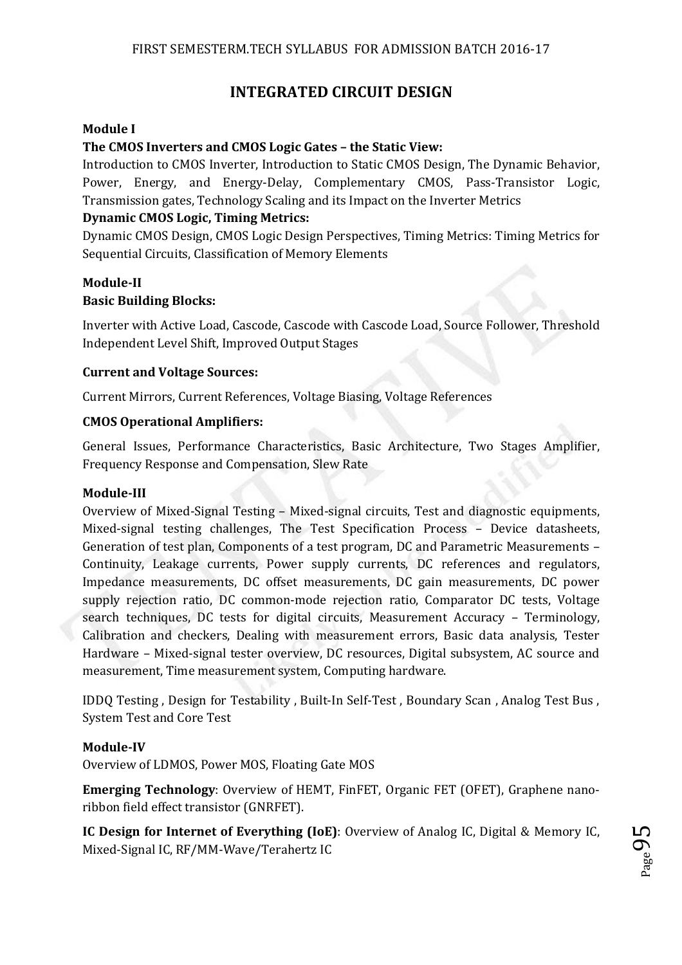# **INTEGRATED CIRCUIT DESIGN**

### **Module I**

### **The CMOS Inverters and CMOS Logic Gates – the Static View:**

Introduction to CMOS Inverter, Introduction to Static CMOS Design, The Dynamic Behavior, Power, Energy, and Energy-Delay, Complementary CMOS, Pass-Transistor Logic, Transmission gates, Technology Scaling and its Impact on the Inverter Metrics

### **Dynamic CMOS Logic, Timing Metrics:**

Dynamic CMOS Design, CMOS Logic Design Perspectives, Timing Metrics: Timing Metrics for Sequential Circuits, Classification of Memory Elements

### **Module-II Basic Building Blocks:**

Inverter with Active Load, Cascode, Cascode with Cascode Load, Source Follower, Threshold Independent Level Shift, Improved Output Stages

### **Current and Voltage Sources:**

Current Mirrors, Current References, Voltage Biasing, Voltage References

### **CMOS Operational Amplifiers:**

General Issues, Performance Characteristics, Basic Architecture, Two Stages Amplifier, Frequency Response and Compensation, Slew Rate

#### **Module-III**

Overview of Mixed-Signal Testing – Mixed-signal circuits, Test and diagnostic equipments, Mixed-signal testing challenges, The Test Specification Process – Device datasheets, Generation of test plan, Components of a test program, DC and Parametric Measurements – Continuity, Leakage currents, Power supply currents, DC references and regulators, Impedance measurements, DC offset measurements, DC gain measurements, DC power supply rejection ratio, DC common-mode rejection ratio, Comparator DC tests, Voltage search techniques, DC tests for digital circuits, Measurement Accuracy – Terminology, Calibration and checkers, Dealing with measurement errors, Basic data analysis, Tester Hardware – Mixed-signal tester overview, DC resources, Digital subsystem, AC source and measurement, Time measurement system, Computing hardware.

IDDQ Testing , Design for Testability , Built-In Self-Test , Boundary Scan , Analog Test Bus , System Test and Core Test

#### **Module-IV**

Overview of LDMOS, Power MOS, Floating Gate MOS

**Emerging Technology**: Overview of HEMT, FinFET, Organic FET (OFET), Graphene nanoribbon field effect transistor (GNRFET).

**IC Design for Internet of Everything (IoE)**: Overview of Analog IC, Digital & Memory IC, Mixed-Signal IC, RF/MM-Wave/Terahertz IC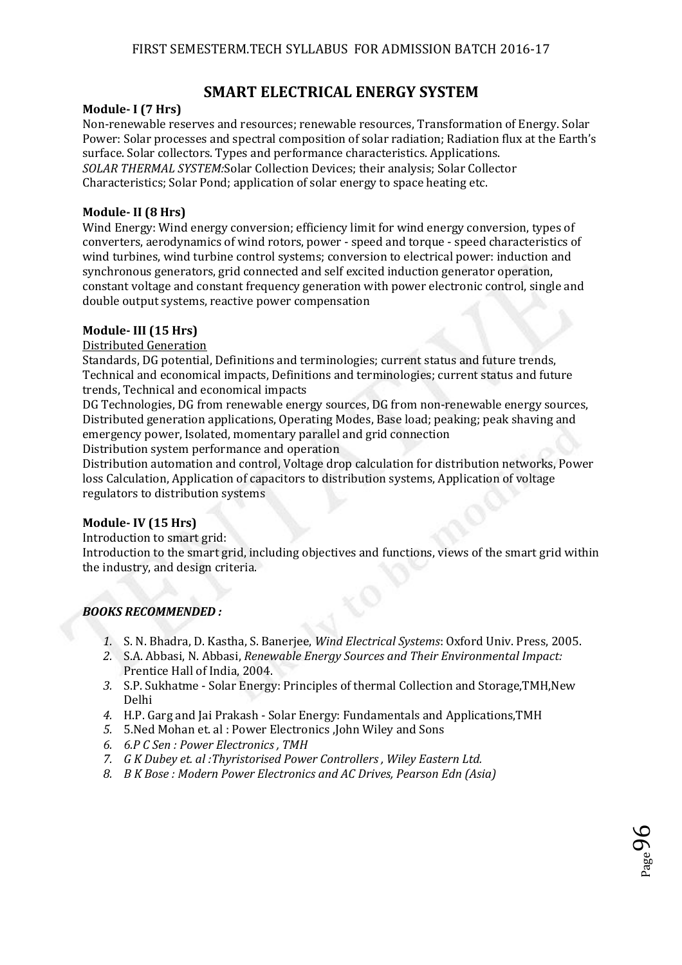# **SMART ELECTRICAL ENERGY SYSTEM**

#### **Module- I (7 Hrs)**

Non-renewable reserves and resources; renewable resources, Transformation of Energy. Solar Power: Solar processes and spectral composition of solar radiation; Radiation flux at the Earth's surface. Solar collectors. Types and performance characteristics. Applications. *SOLAR THERMAL SYSTEM:*Solar Collection Devices; their analysis; Solar Collector Characteristics; Solar Pond; application of solar energy to space heating etc.

#### **Module- II (8 Hrs)**

Wind Energy: Wind energy conversion; efficiency limit for wind energy conversion, types of converters, aerodynamics of wind rotors, power - speed and torque - speed characteristics of wind turbines, wind turbine control systems; conversion to electrical power: induction and synchronous generators, grid connected and self excited induction generator operation, constant voltage and constant frequency generation with power electronic control, single and double output systems, reactive power compensation

#### **Module- III (15 Hrs)**

Distributed Generation

Standards, DG potential, Definitions and terminologies; current status and future trends, Technical and economical impacts, Definitions and terminologies; current status and future trends, Technical and economical impacts

DG Technologies, DG from renewable energy sources, DG from non-renewable energy sources, Distributed generation applications, Operating Modes, Base load; peaking; peak shaving and emergency power, Isolated, momentary parallel and grid connection

Distribution system performance and operation

Distribution automation and control, Voltage drop calculation for distribution networks, Power loss Calculation, Application of capacitors to distribution systems, Application of voltage regulators to distribution systems

#### **Module- IV (15 Hrs)**

Introduction to smart grid:

Introduction to the smart grid, including objectives and functions, views of the smart grid within the industry, and design criteria.

#### *BOOKS RECOMMENDED :*

- *1.* S. N. Bhadra, D. Kastha, S. Banerjee, *Wind Electrical Systems*: Oxford Univ. Press, 2005.
- *2.* S.A. Abbasi, N. Abbasi, *Renewable Energy Sources and Their Environmental Impact:*  Prentice Hall of India, 2004.
- *3.* S.P. Sukhatme Solar Energy: Principles of thermal Collection and Storage,TMH,New Delhi
- *4.* H.P. Garg and Jai Prakash Solar Energy: Fundamentals and Applications,TMH
- *5.* 5.Ned Mohan et. al : Power Electronics ,John Wiley and Sons
- *6. 6.P C Sen : Power Electronics , TMH*
- *7. G K Dubey et. al :Thyristorised Power Controllers , Wiley Eastern Ltd.*
- *8. B K Bose : Modern Power Electronics and AC Drives, Pearson Edn (Asia)*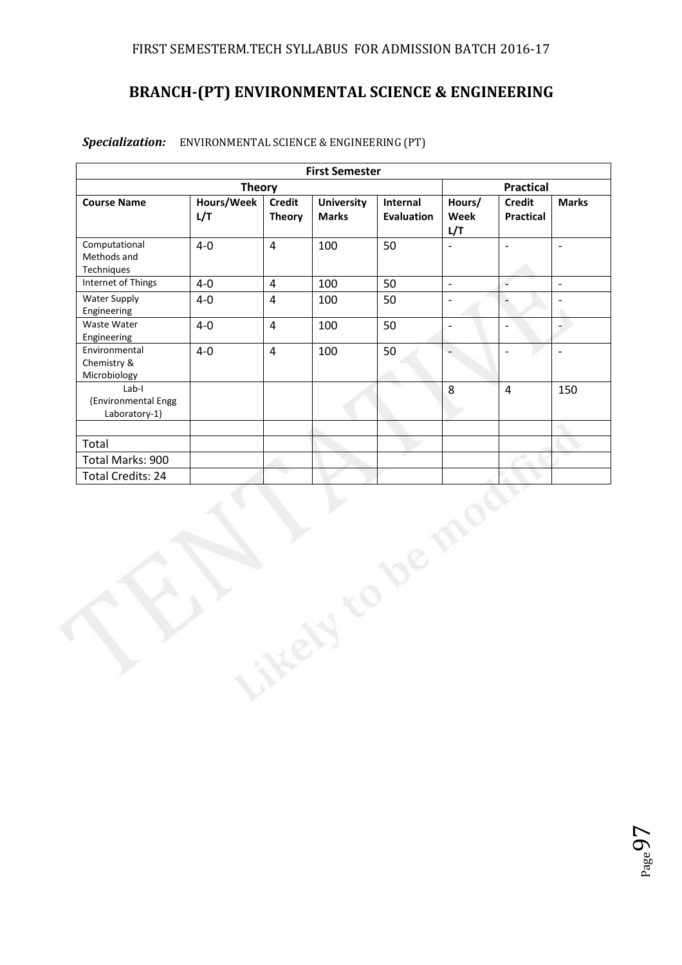# **BRANCH-(PT) ENVIRONMENTAL SCIENCE & ENGINEERING**

|                                               |                   |                                | <b>First Semester</b>             |                               |                          |                                   |                          |
|-----------------------------------------------|-------------------|--------------------------------|-----------------------------------|-------------------------------|--------------------------|-----------------------------------|--------------------------|
|                                               | <b>Theory</b>     |                                |                                   |                               |                          | <b>Practical</b>                  |                          |
| <b>Course Name</b>                            | Hours/Week<br>L/T | <b>Credit</b><br><b>Theory</b> | <b>University</b><br><b>Marks</b> | Internal<br><b>Evaluation</b> | Hours/<br>Week<br>L/T    | <b>Credit</b><br><b>Practical</b> | <b>Marks</b>             |
| Computational<br>Methods and<br>Techniques    | $4-0$             | $\overline{4}$                 | 100                               | 50                            | $\overline{\phantom{a}}$ | $\overline{\phantom{a}}$          | $\overline{\phantom{a}}$ |
| Internet of Things                            | $4-0$             | 4                              | 100                               | 50                            | $\mathbb{R}^2$           | ÷,                                | $\Box$                   |
| <b>Water Supply</b><br>Engineering            | $4-0$             | $\overline{4}$                 | 100                               | 50                            | $\frac{1}{2}$            | $\overline{\phantom{a}}$          | $\overline{\phantom{a}}$ |
| Waste Water<br>Engineering                    | $4 - 0$           | $\overline{4}$                 | 100                               | 50                            | $\overline{\phantom{a}}$ | $\overline{\phantom{a}}$          |                          |
| Environmental<br>Chemistry &<br>Microbiology  | $4-0$             | 4                              | 100                               | 50                            | $\overline{a}$           | $\frac{1}{2}$                     | $\overline{\phantom{a}}$ |
| Lab-I<br>(Environmental Engg<br>Laboratory-1) |                   |                                |                                   |                               | 8                        | $\overline{4}$                    | 150                      |
|                                               |                   |                                |                                   |                               |                          |                                   |                          |
| Total                                         |                   |                                |                                   |                               |                          |                                   |                          |
| Total Marks: 900                              |                   |                                |                                   |                               |                          |                                   |                          |
| Total Credits: 24                             |                   |                                |                                   |                               |                          |                                   |                          |
|                                               |                   |                                |                                   | De                            |                          |                                   |                          |

#### *Specialization:* ENVIRONMENTAL SCIENCE & ENGINEERING (PT)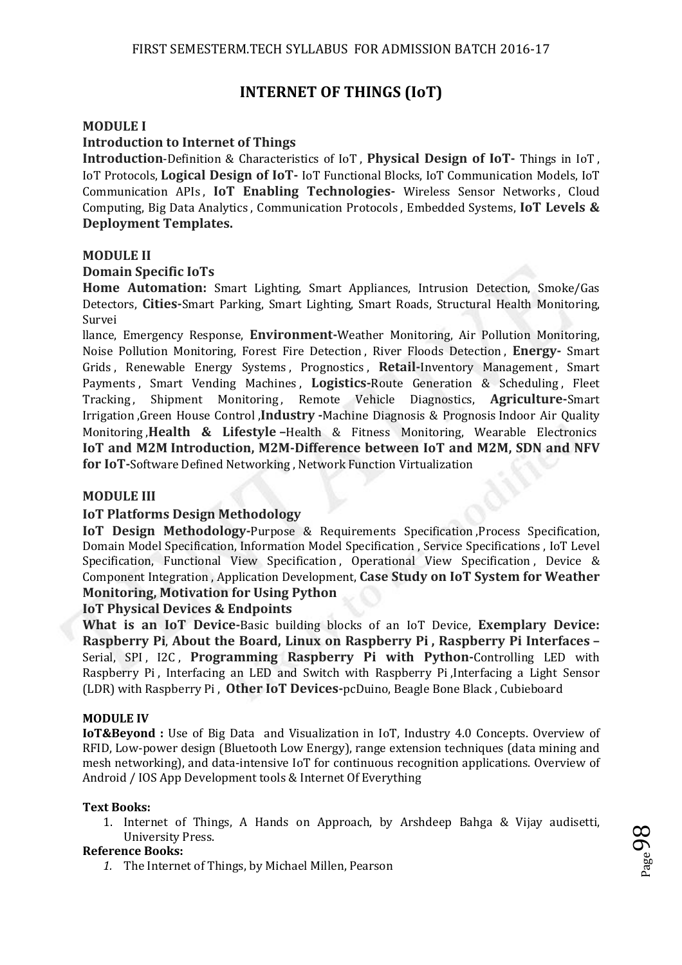# **INTERNET OF THINGS (IoT)**

#### **MODULE I**

#### **Introduction to Internet of Things**

**Introduction**-Definition & Characteristics of IoT , **Physical Design of IoT-** Things in IoT , IoT Protocols, **Logical Design of IoT-** IoT Functional Blocks, IoT Communication Models, IoT Communication APIs , **IoT Enabling Technologies-** Wireless Sensor Networks , Cloud Computing, Big Data Analytics , Communication Protocols , Embedded Systems, **IoT Levels & Deployment Templates.** 

#### **MODULE II**

#### **Domain Specific IoTs**

**Home Automation:** Smart Lighting, Smart Appliances, Intrusion Detection, Smoke/Gas Detectors, **Cities-**Smart Parking, Smart Lighting, Smart Roads, Structural Health Monitoring, Survei

llance, Emergency Response, **Environment-**Weather Monitoring, Air Pollution Monitoring, Noise Pollution Monitoring, Forest Fire Detection , River Floods Detection , **Energy-** Smart Grids , Renewable Energy Systems , Prognostics , **Retail-**Inventory Management , Smart Payments , Smart Vending Machines , **Logistics-**Route Generation & Scheduling , Fleet Tracking, Shipment Monitoring, Remote Vehicle Diagnostics, **Agriculture-**Smart Irrigation ,Green House Control ,**Industry -**Machine Diagnosis & Prognosis Indoor Air Quality Monitoring ,**Health & Lifestyle –**Health & Fitness Monitoring, Wearable Electronics **IoT and M2M Introduction, M2M-Difference between IoT and M2M, SDN and NFV for IoT-**Software Defined Networking , Network Function Virtualization

#### **MODULE III**

#### **IoT Platforms Design Methodology**

**IoT Design Methodology-Purpose & Requirements Specification, Process Specification,** Domain Model Specification, Information Model Specification , Service Specifications , IoT Level Specification, Functional View Specification, Operational View Specification, Device & Component Integration , Application Development, **Case Study on IoT System for Weather Monitoring, Motivation for Using Python** 

#### **IoT Physical Devices & Endpoints**

**What is an IoT Device-**Basic building blocks of an IoT Device, **Exemplary Device: Raspberry Pi**, **About the Board, Linux on Raspberry Pi , Raspberry Pi Interfaces –** Serial, SPI, I2C, **Programming Raspberry Pi with Python-**Controlling LED with Raspberry Pi , Interfacing an LED and Switch with Raspberry Pi ,Interfacing a Light Sensor (LDR) with Raspberry Pi , **Other IoT Devices-**pcDuino, Beagle Bone Black , Cubieboard

#### **MODULE IV**

**IoT&Beyond :** Use of Big Data and Visualization in IoT, Industry 4.0 Concepts. Overview of RFID, Low-power design (Bluetooth Low Energy), range extension techniques (data mining and mesh networking), and data-intensive IoT for continuous recognition applications. Overview of Android / IOS App Development tools & Internet Of Everything

#### **Text Books:**

1. Internet of Things, A Hands on Approach, by Arshdeep Bahga & Vijay audisetti, University Press.

#### **Reference Books:**

*1.* The Internet of Things, by Michael Millen, Pearson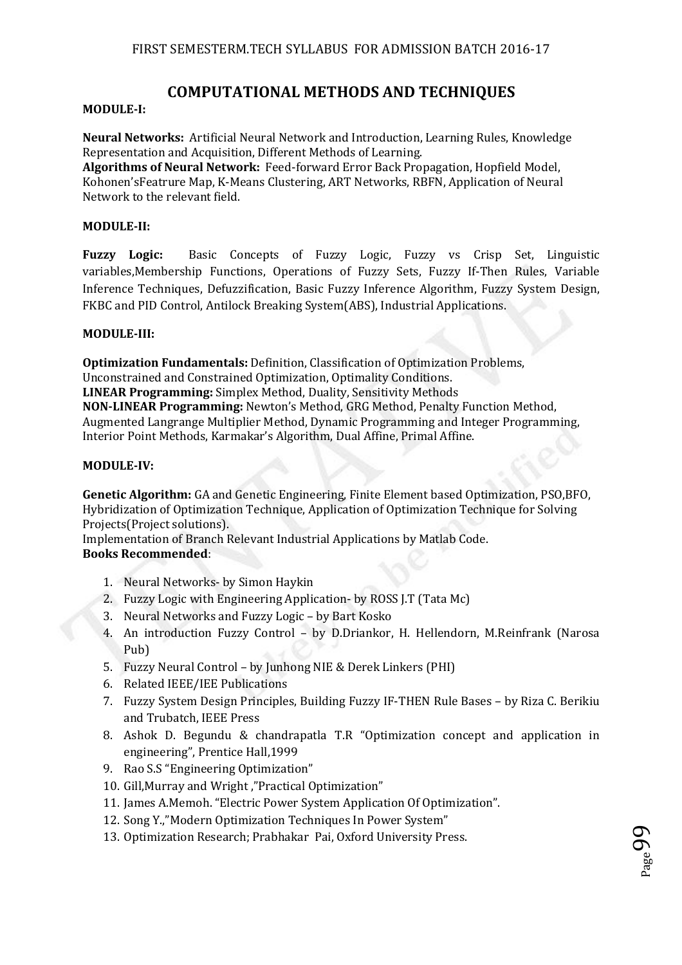## **COMPUTATIONAL METHODS AND TECHNIQUES**

#### **MODULE-I:**

**Neural Networks:** Artificial Neural Network and Introduction, Learning Rules, Knowledge Representation and Acquisition, Different Methods of Learning.

**Algorithms of Neural Network:** Feed-forward Error Back Propagation, Hopfield Model, Kohonen'sFeatrure Map, K-Means Clustering, ART Networks, RBFN, Application of Neural Network to the relevant field.

#### **MODULE-II:**

**Fuzzy Logic:** Basic Concepts of Fuzzy Logic, Fuzzy vs Crisp Set, Linguistic variables,Membership Functions, Operations of Fuzzy Sets, Fuzzy If-Then Rules, Variable Inference Techniques, Defuzzification, Basic Fuzzy Inference Algorithm, Fuzzy System Design, FKBC and PID Control, Antilock Breaking System(ABS), Industrial Applications.

#### **MODULE-III:**

**Optimization Fundamentals:** Definition, Classification of Optimization Problems, Unconstrained and Constrained Optimization, Optimality Conditions. **LINEAR Programming:** Simplex Method, Duality, Sensitivity Methods **NON-LINEAR Programming:** Newton's Method, GRG Method, Penalty Function Method, Augmented Langrange Multiplier Method, Dynamic Programming and Integer Programming, Interior Point Methods, Karmakar's Algorithm, Dual Affine, Primal Affine.

#### **MODULE-IV:**

**Genetic Algorithm:** GA and Genetic Engineering, Finite Element based Optimization, PSO,BFO, Hybridization of Optimization Technique, Application of Optimization Technique for Solving Projects(Project solutions).

Implementation of Branch Relevant Industrial Applications by Matlab Code. **Books Recommended**:

- 1. Neural Networks- by Simon Haykin
- 2. Fuzzy Logic with Engineering Application- by ROSS J.T (Tata Mc)
- 3. Neural Networks and Fuzzy Logic by Bart Kosko
- 4. An introduction Fuzzy Control by D.Driankor, H. Hellendorn, M.Reinfrank (Narosa Pub)
- 5. Fuzzy Neural Control by Junhong NIE & Derek Linkers (PHI)
- 6. Related IEEE/IEE Publications
- 7. Fuzzy System Design Principles, Building Fuzzy IF-THEN Rule Bases by Riza C. Berikiu and Trubatch, IEEE Press
- 8. Ashok D. Begundu & chandrapatla T.R "Optimization concept and application in engineering", Prentice Hall,1999
- 9. Rao S.S "Engineering Optimization"
- 10. Gill,Murray and Wright ,"Practical Optimization"
- 11. James A.Memoh. "Electric Power System Application Of Optimization".
- 12. Song Y.,"Modern Optimization Techniques In Power System"
- 13. Optimization Research; Prabhakar Pai, Oxford University Press.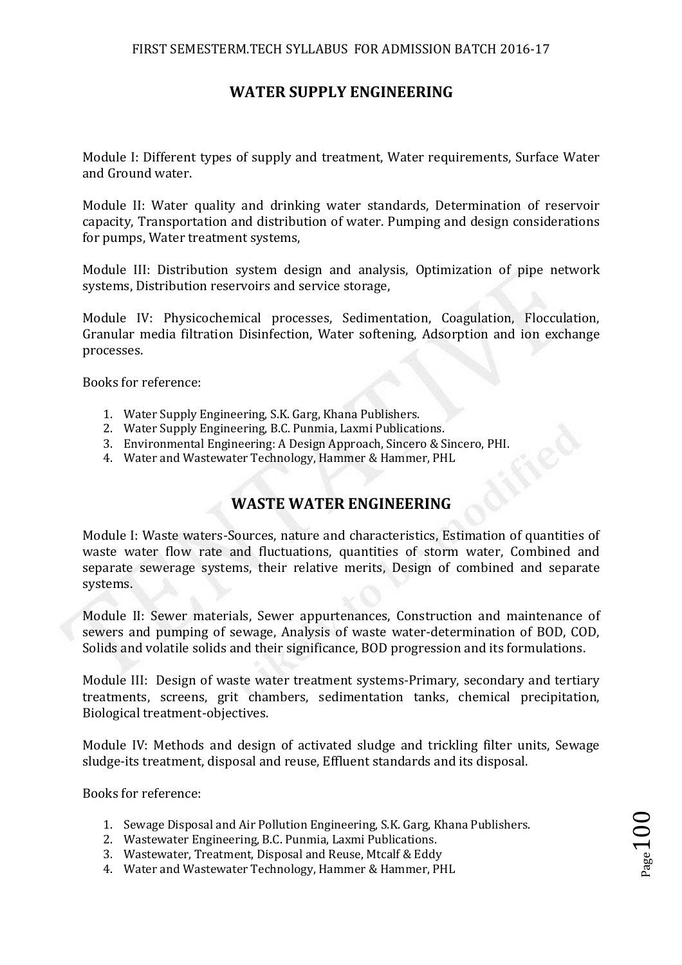# **WATER SUPPLY ENGINEERING**

Module I: Different types of supply and treatment, Water requirements, Surface Water and Ground water.

Module II: Water quality and drinking water standards, Determination of reservoir capacity, Transportation and distribution of water. Pumping and design considerations for pumps, Water treatment systems,

Module III: Distribution system design and analysis, Optimization of pipe network systems, Distribution reservoirs and service storage,

Module IV: Physicochemical processes, Sedimentation, Coagulation, Flocculation, Granular media filtration Disinfection, Water softening, Adsorption and ion exchange processes.

Books for reference:

- 1. Water Supply Engineering, S.K. Garg, Khana Publishers.
- 2. Water Supply Engineering, B.C. Punmia, Laxmi Publications.
- 3. Environmental Engineering: A Design Approach, Sincero & Sincero, PHI.
- 4. Water and Wastewater Technology, Hammer & Hammer, PHL

# **WASTE WATER ENGINEERING**

Module I: Waste waters-Sources, nature and characteristics, Estimation of quantities of waste water flow rate and fluctuations, quantities of storm water, Combined and separate sewerage systems, their relative merits, Design of combined and separate systems.

Module II: Sewer materials, Sewer appurtenances, Construction and maintenance of sewers and pumping of sewage, Analysis of waste water-determination of BOD, COD, Solids and volatile solids and their significance, BOD progression and its formulations.

Module III: Design of waste water treatment systems-Primary, secondary and tertiary treatments, screens, grit chambers, sedimentation tanks, chemical precipitation, Biological treatment-objectives.

Module IV: Methods and design of activated sludge and trickling filter units, Sewage sludge-its treatment, disposal and reuse, Effluent standards and its disposal.

Books for reference:

- 1. Sewage Disposal and Air Pollution Engineering, S.K. Garg, Khana Publishers.
- 2. Wastewater Engineering, B.C. Punmia, Laxmi Publications.
- 3. Wastewater, Treatment, Disposal and Reuse, Mtcalf & Eddy
- 4. Water and Wastewater Technology, Hammer & Hammer, PHL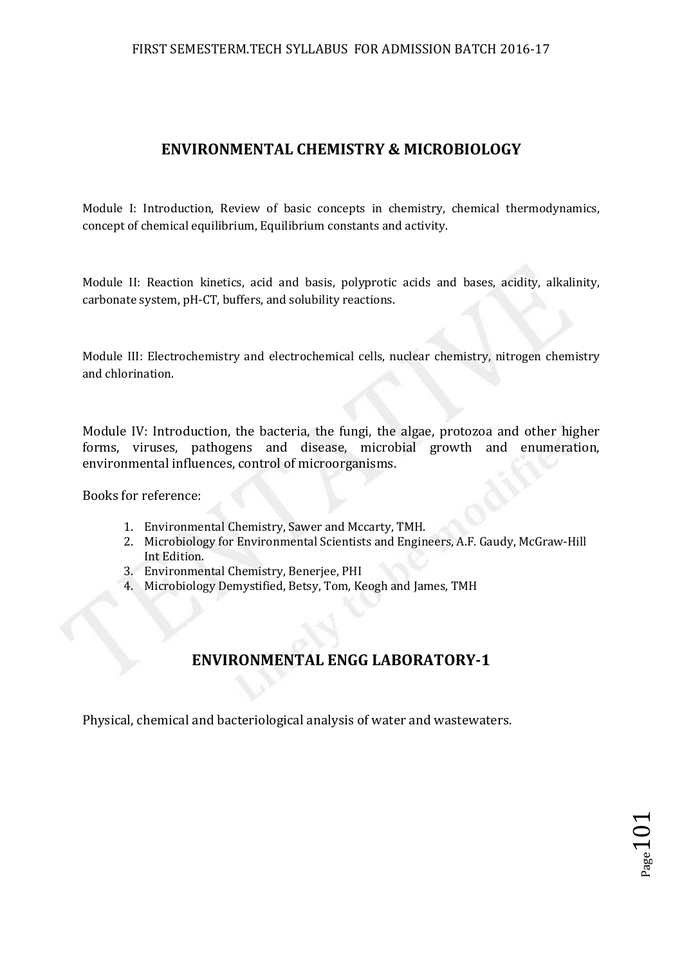### FIRST SEMESTERM.TECH SYLLABUS FOR ADMISSION BATCH 2016-17

## **ENVIRONMENTAL CHEMISTRY & MICROBIOLOGY**

Module I: Introduction, Review of basic concepts in chemistry, chemical thermodynamics, concept of chemical equilibrium, Equilibrium constants and activity.

Module II: Reaction kinetics, acid and basis, polyprotic acids and bases, acidity, alkalinity, carbonate system, pH-CT, buffers, and solubility reactions.

Module III: Electrochemistry and electrochemical cells, nuclear chemistry, nitrogen chemistry and chlorination.

Module IV: Introduction, the bacteria, the fungi, the algae, protozoa and other higher forms, viruses, pathogens and disease, microbial growth and enumeration, environmental influences, control of microorganisms.

Books for reference:

- 1. Environmental Chemistry, Sawer and Mccarty, TMH.
- 2. Microbiology for Environmental Scientists and Engineers, A.F. Gaudy, McGraw-Hill Int Edition.
- 3. Environmental Chemistry, Benerjee, PHI
- 4. Microbiology Demystified, Betsy, Tom, Keogh and James, TMH

# **ENVIRONMENTAL ENGG LABORATORY-1**

Physical, chemical and bacteriological analysis of water and wastewaters.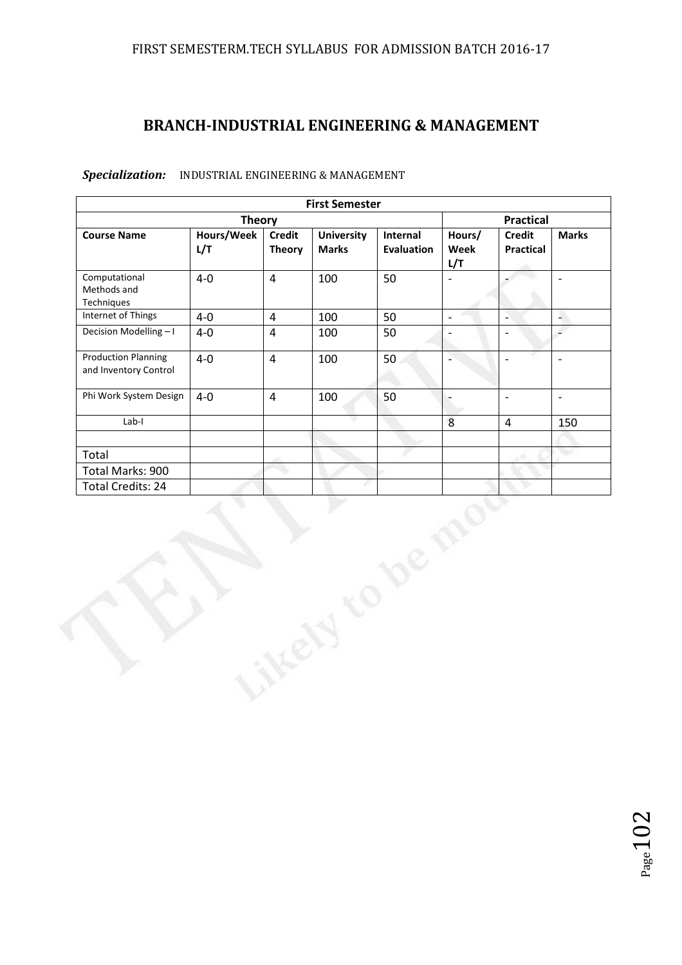# **BRANCH-INDUSTRIAL ENGINEERING & MANAGEMENT**

|                                                     |                   |                                | <b>First Semester</b>             |                               |                          |                                   |                              |
|-----------------------------------------------------|-------------------|--------------------------------|-----------------------------------|-------------------------------|--------------------------|-----------------------------------|------------------------------|
|                                                     | <b>Theory</b>     |                                |                                   |                               |                          | <b>Practical</b>                  |                              |
| <b>Course Name</b>                                  | Hours/Week<br>L/T | <b>Credit</b><br><b>Theory</b> | <b>University</b><br><b>Marks</b> | Internal<br><b>Evaluation</b> | Hours/<br>Week<br>L/T    | <b>Credit</b><br><b>Practical</b> | <b>Marks</b>                 |
| Computational<br>Methods and<br>Techniques          | $4-0$             | $\overline{4}$                 | 100                               | 50                            | $\frac{1}{2}$            |                                   | $\qquad \qquad \blacksquare$ |
| Internet of Things                                  | $4-0$             | $\overline{4}$                 | 100                               | 50                            | $\frac{1}{2}$            | Ξ                                 | ۹                            |
| Decision Modelling-I                                | $4-0$             | $\overline{4}$                 | 100                               | 50                            | $\overline{\phantom{0}}$ | $\overline{a}$                    | $\overline{\phantom{a}}$     |
| <b>Production Planning</b><br>and Inventory Control | $4-0$             | $\overline{4}$                 | 100                               | 50                            | $\overline{a}$           | $\frac{1}{2}$                     | $\blacksquare$               |
| Phi Work System Design                              | $4-0$             | $\overline{4}$                 | 100                               | 50                            | $\overline{a}$           | $\bar{\phantom{a}}$               | $\blacksquare$               |
| $Lab-I$                                             |                   |                                |                                   |                               | $\,8\,$                  | $\overline{4}$                    | 150                          |
|                                                     |                   |                                |                                   |                               |                          |                                   |                              |
| Total                                               |                   |                                |                                   |                               |                          |                                   | ∾                            |
| Total Marks: 900                                    |                   |                                |                                   |                               |                          |                                   |                              |
| <b>Total Credits: 24</b>                            |                   |                                |                                   |                               |                          |                                   |                              |
|                                                     |                   |                                |                                   | De                            |                          |                                   |                              |

#### *Specialization:* INDUSTRIAL ENGINEERING & MANAGEMENT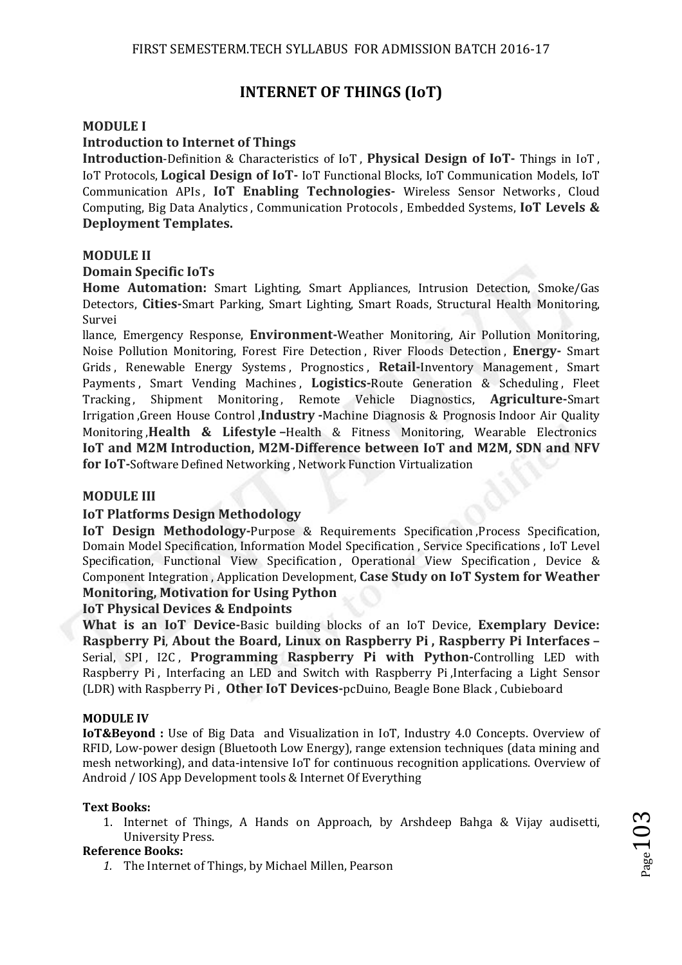# **INTERNET OF THINGS (IoT)**

#### **MODULE I**

#### **Introduction to Internet of Things**

**Introduction**-Definition & Characteristics of IoT , **Physical Design of IoT-** Things in IoT , IoT Protocols, **Logical Design of IoT-** IoT Functional Blocks, IoT Communication Models, IoT Communication APIs , **IoT Enabling Technologies-** Wireless Sensor Networks , Cloud Computing, Big Data Analytics , Communication Protocols , Embedded Systems, **IoT Levels & Deployment Templates.** 

#### **MODULE II**

#### **Domain Specific IoTs**

**Home Automation:** Smart Lighting, Smart Appliances, Intrusion Detection, Smoke/Gas Detectors, **Cities-**Smart Parking, Smart Lighting, Smart Roads, Structural Health Monitoring, Survei

llance, Emergency Response, **Environment-**Weather Monitoring, Air Pollution Monitoring, Noise Pollution Monitoring, Forest Fire Detection , River Floods Detection , **Energy-** Smart Grids , Renewable Energy Systems , Prognostics , **Retail-**Inventory Management , Smart Payments , Smart Vending Machines , **Logistics-**Route Generation & Scheduling , Fleet Tracking, Shipment Monitoring, Remote Vehicle Diagnostics, **Agriculture-**Smart Irrigation ,Green House Control ,**Industry -**Machine Diagnosis & Prognosis Indoor Air Quality Monitoring ,**Health & Lifestyle –**Health & Fitness Monitoring, Wearable Electronics **IoT and M2M Introduction, M2M-Difference between IoT and M2M, SDN and NFV for IoT-**Software Defined Networking , Network Function Virtualization

#### **MODULE III**

#### **IoT Platforms Design Methodology**

**IoT Design Methodology-Purpose & Requirements Specification, Process Specification,** Domain Model Specification, Information Model Specification , Service Specifications , IoT Level Specification, Functional View Specification, Operational View Specification, Device & Component Integration , Application Development, **Case Study on IoT System for Weather Monitoring, Motivation for Using Python** 

#### **IoT Physical Devices & Endpoints**

**What is an IoT Device-**Basic building blocks of an IoT Device, **Exemplary Device: Raspberry Pi**, **About the Board, Linux on Raspberry Pi , Raspberry Pi Interfaces –** Serial, SPI, I2C, **Programming Raspberry Pi with Python-**Controlling LED with Raspberry Pi , Interfacing an LED and Switch with Raspberry Pi ,Interfacing a Light Sensor (LDR) with Raspberry Pi , **Other IoT Devices-**pcDuino, Beagle Bone Black , Cubieboard

#### **MODULE IV**

**IoT&Beyond :** Use of Big Data and Visualization in IoT, Industry 4.0 Concepts. Overview of RFID, Low-power design (Bluetooth Low Energy), range extension techniques (data mining and mesh networking), and data-intensive IoT for continuous recognition applications. Overview of Android / IOS App Development tools & Internet Of Everything

#### **Text Books:**

1. Internet of Things, A Hands on Approach, by Arshdeep Bahga & Vijay audisetti, University Press.

#### **Reference Books:**

*1.* The Internet of Things, by Michael Millen, Pearson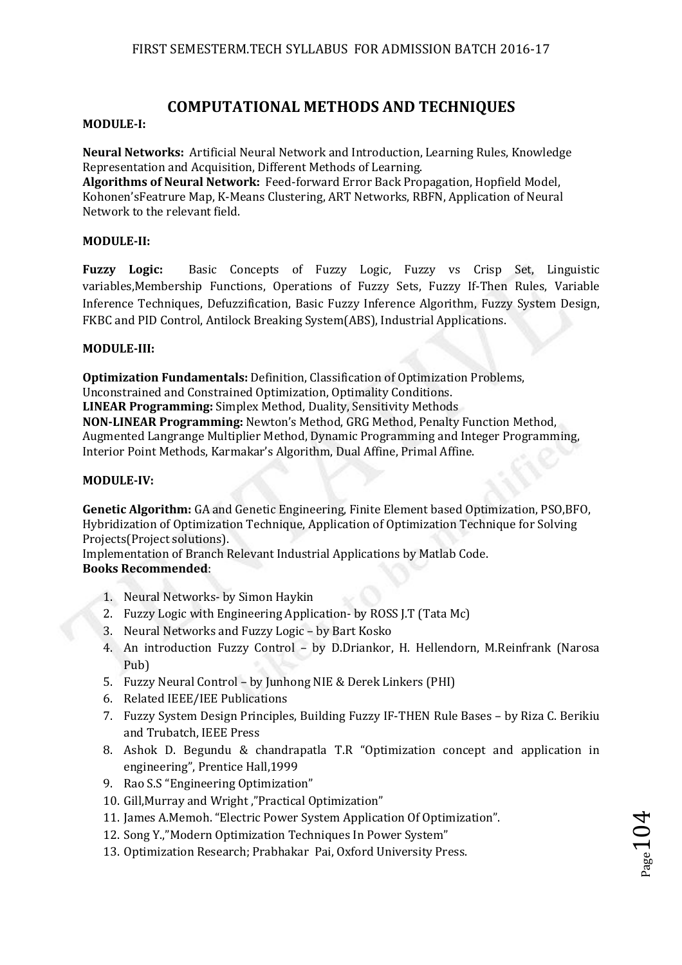## **COMPUTATIONAL METHODS AND TECHNIQUES**

#### **MODULE-I:**

**Neural Networks:** Artificial Neural Network and Introduction, Learning Rules, Knowledge Representation and Acquisition, Different Methods of Learning.

**Algorithms of Neural Network:** Feed-forward Error Back Propagation, Hopfield Model, Kohonen'sFeatrure Map, K-Means Clustering, ART Networks, RBFN, Application of Neural Network to the relevant field.

#### **MODULE-II:**

**Fuzzy Logic:** Basic Concepts of Fuzzy Logic, Fuzzy vs Crisp Set, Linguistic variables,Membership Functions, Operations of Fuzzy Sets, Fuzzy If-Then Rules, Variable Inference Techniques, Defuzzification, Basic Fuzzy Inference Algorithm, Fuzzy System Design, FKBC and PID Control, Antilock Breaking System(ABS), Industrial Applications.

#### **MODULE-III:**

**Optimization Fundamentals:** Definition, Classification of Optimization Problems, Unconstrained and Constrained Optimization, Optimality Conditions. **LINEAR Programming:** Simplex Method, Duality, Sensitivity Methods **NON-LINEAR Programming:** Newton's Method, GRG Method, Penalty Function Method, Augmented Langrange Multiplier Method, Dynamic Programming and Integer Programming, Interior Point Methods, Karmakar's Algorithm, Dual Affine, Primal Affine.

#### **MODULE-IV:**

**Genetic Algorithm:** GA and Genetic Engineering, Finite Element based Optimization, PSO,BFO, Hybridization of Optimization Technique, Application of Optimization Technique for Solving Projects(Project solutions).

Implementation of Branch Relevant Industrial Applications by Matlab Code. **Books Recommended**:

- 1. Neural Networks- by Simon Haykin
- 2. Fuzzy Logic with Engineering Application- by ROSS J.T (Tata Mc)
- 3. Neural Networks and Fuzzy Logic by Bart Kosko
- 4. An introduction Fuzzy Control by D.Driankor, H. Hellendorn, M.Reinfrank (Narosa Pub)
- 5. Fuzzy Neural Control by Junhong NIE & Derek Linkers (PHI)
- 6. Related IEEE/IEE Publications
- 7. Fuzzy System Design Principles, Building Fuzzy IF-THEN Rule Bases by Riza C. Berikiu and Trubatch, IEEE Press
- 8. Ashok D. Begundu & chandrapatla T.R "Optimization concept and application in engineering", Prentice Hall,1999
- 9. Rao S.S "Engineering Optimization"
- 10. Gill,Murray and Wright ,"Practical Optimization"
- 11. James A.Memoh. "Electric Power System Application Of Optimization".
- 12. Song Y.,"Modern Optimization Techniques In Power System"
- 13. Optimization Research; Prabhakar Pai, Oxford University Press.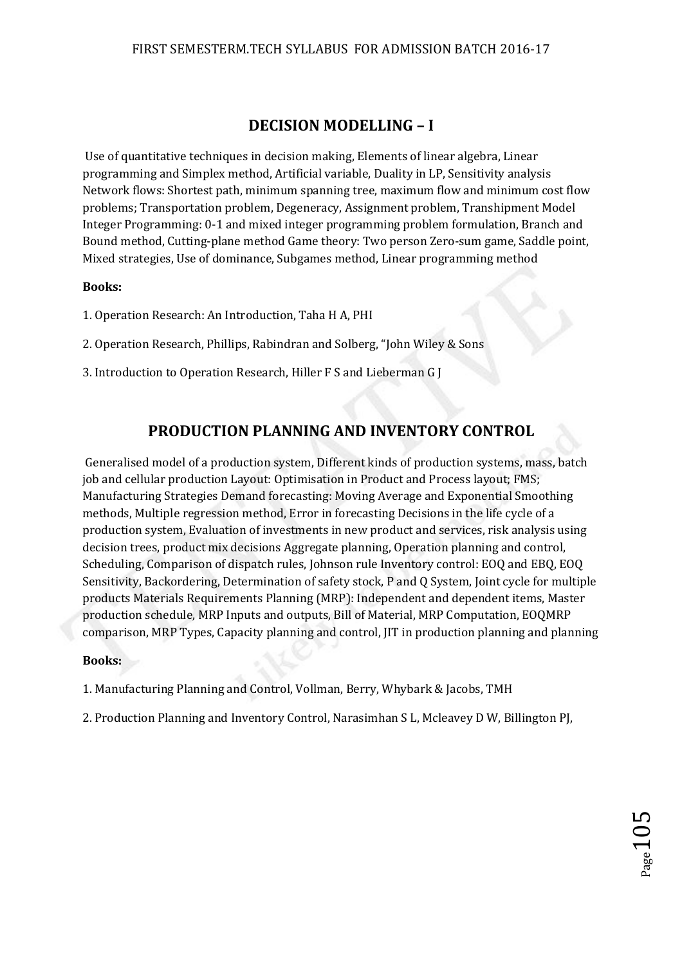# **DECISION MODELLING – I**

 Use of quantitative techniques in decision making, Elements of linear algebra, Linear programming and Simplex method, Artificial variable, Duality in LP, Sensitivity analysis Network flows: Shortest path, minimum spanning tree, maximum flow and minimum cost flow problems; Transportation problem, Degeneracy, Assignment problem, Transhipment Model Integer Programming: 0-1 and mixed integer programming problem formulation, Branch and Bound method, Cutting-plane method Game theory: Two person Zero-sum game, Saddle point, Mixed strategies, Use of dominance, Subgames method, Linear programming method

### **Books:**

1. Operation Research: An Introduction, Taha H A, PHI

2. Operation Research, Phillips, Rabindran and Solberg, "John Wiley & Sons

3. Introduction to Operation Research, Hiller F S and Lieberman G J

# **PRODUCTION PLANNING AND INVENTORY CONTROL**

 Generalised model of a production system, Different kinds of production systems, mass, batch job and cellular production Layout: Optimisation in Product and Process layout; FMS; Manufacturing Strategies Demand forecasting: Moving Average and Exponential Smoothing methods, Multiple regression method, Error in forecasting Decisions in the life cycle of a production system, Evaluation of investments in new product and services, risk analysis using decision trees, product mix decisions Aggregate planning, Operation planning and control, Scheduling, Comparison of dispatch rules, Johnson rule Inventory control: EOQ and EBQ, EOQ Sensitivity, Backordering, Determination of safety stock, P and Q System, Joint cycle for multiple products Materials Requirements Planning (MRP): Independent and dependent items, Master production schedule, MRP Inputs and outputs, Bill of Material, MRP Computation, EOQMRP comparison, MRP Types, Capacity planning and control, JIT in production planning and planning

#### **Books:**

1. Manufacturing Planning and Control, Vollman, Berry, Whybark & Jacobs, TMH

2. Production Planning and Inventory Control, Narasimhan S L, Mcleavey D W, Billington PJ,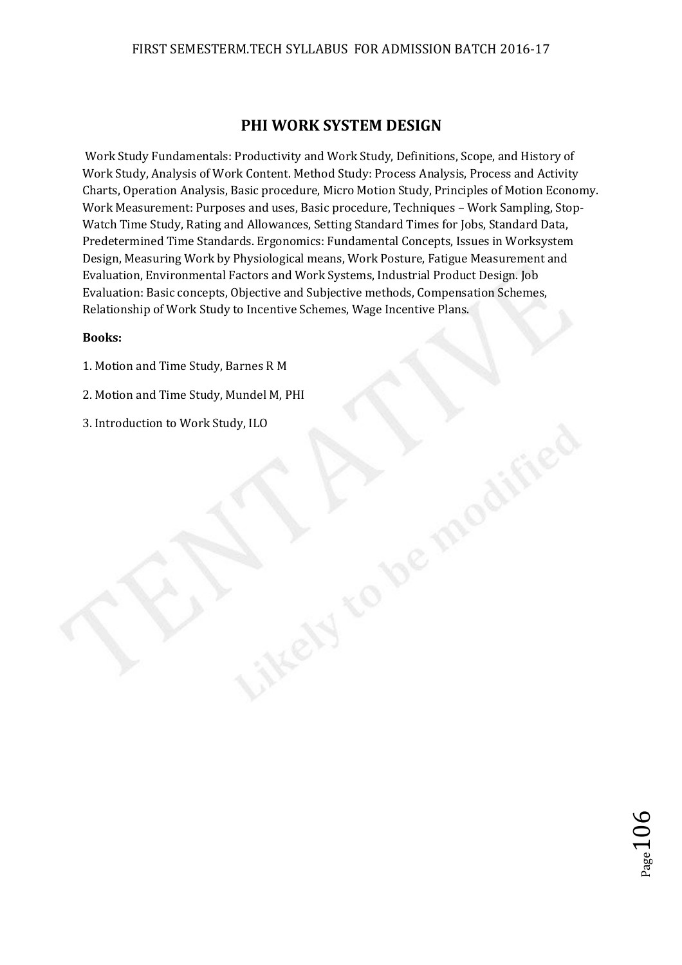### FIRST SEMESTERM.TECH SYLLABUS FOR ADMISSION BATCH 2016-17

## **PHI WORK SYSTEM DESIGN**

 Work Study Fundamentals: Productivity and Work Study, Definitions, Scope, and History of Work Study, Analysis of Work Content. Method Study: Process Analysis, Process and Activity Charts, Operation Analysis, Basic procedure, Micro Motion Study, Principles of Motion Economy. Work Measurement: Purposes and uses, Basic procedure, Techniques – Work Sampling, Stop-Watch Time Study, Rating and Allowances, Setting Standard Times for Jobs, Standard Data, Predetermined Time Standards. Ergonomics: Fundamental Concepts, Issues in Worksystem Design, Measuring Work by Physiological means, Work Posture, Fatigue Measurement and Evaluation, Environmental Factors and Work Systems, Industrial Product Design. Job Evaluation: Basic concepts, Objective and Subjective methods, Compensation Schemes, Relationship of Work Study to Incentive Schemes, Wage Incentive Plans.

ikey

#### **Books:**

- 1. Motion and Time Study, Barnes R M
- 2. Motion and Time Study, Mundel M, PHI
- 3. Introduction to Work Study, ILO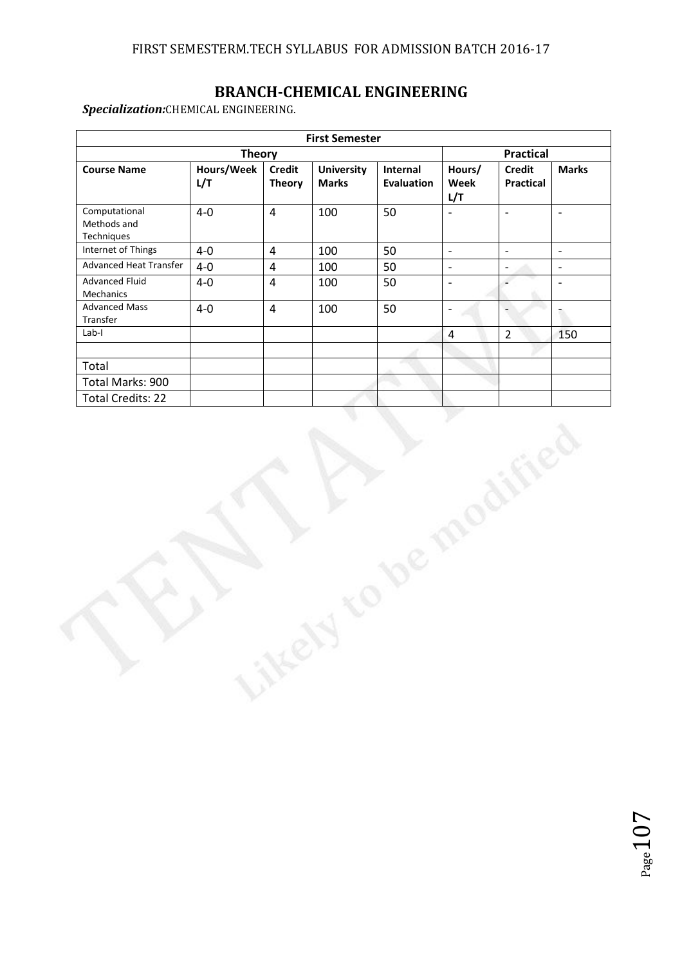# **BRANCH-CHEMICAL ENGINEERING**

*Specialization:*CHEMICAL ENGINEERING.

| <b>Course Name</b><br>Computational          | Hours/Week<br>L/T |                                |                                   |                               |                          |                                   |                          |  |  |
|----------------------------------------------|-------------------|--------------------------------|-----------------------------------|-------------------------------|--------------------------|-----------------------------------|--------------------------|--|--|
|                                              |                   |                                | <b>Theory</b>                     |                               |                          |                                   |                          |  |  |
|                                              |                   | <b>Credit</b><br><b>Theory</b> | <b>University</b><br><b>Marks</b> | Internal<br><b>Evaluation</b> | Hours/<br>Week<br>L/T    | <b>Credit</b><br><b>Practical</b> | <b>Marks</b>             |  |  |
| Methods and<br>Techniques                    | $4 - 0$           | $\overline{4}$                 | 100                               | 50                            | $\blacksquare$           | $\blacksquare$                    | $\overline{\phantom{a}}$ |  |  |
| Internet of Things                           | $4-0$             | $\overline{4}$                 | 100                               | 50                            | $\overline{\phantom{a}}$ | $\overline{\phantom{a}}$          | $\mathbb{L}$             |  |  |
| Advanced Heat Transfer                       | $4-0$             | $\overline{4}$                 | 100                               | 50                            | $\frac{1}{2}$            | $\overline{\phantom{a}}$          | $\blacksquare$           |  |  |
| <b>Advanced Fluid</b><br>Mechanics           | $4-0$             | $\overline{4}$                 | 100                               | 50                            | $\frac{1}{2}$            | $\overline{\phantom{a}}$          | $\blacksquare$           |  |  |
| <b>Advanced Mass</b><br>Transfer             | $4-0$             | $\overline{4}$                 | 100                               | 50                            | $\overline{\phantom{a}}$ | $\overline{a}$                    | Ť.                       |  |  |
| $Lab-I$                                      |                   |                                |                                   |                               | $\overline{4}$           | $\overline{2}$                    | 150                      |  |  |
|                                              |                   |                                |                                   |                               |                          |                                   |                          |  |  |
| Total                                        |                   |                                |                                   |                               |                          |                                   |                          |  |  |
| Total Marks: 900<br><b>Total Credits: 22</b> |                   |                                |                                   |                               |                          |                                   |                          |  |  |
|                                              |                   |                                |                                   |                               |                          |                                   |                          |  |  |

ikey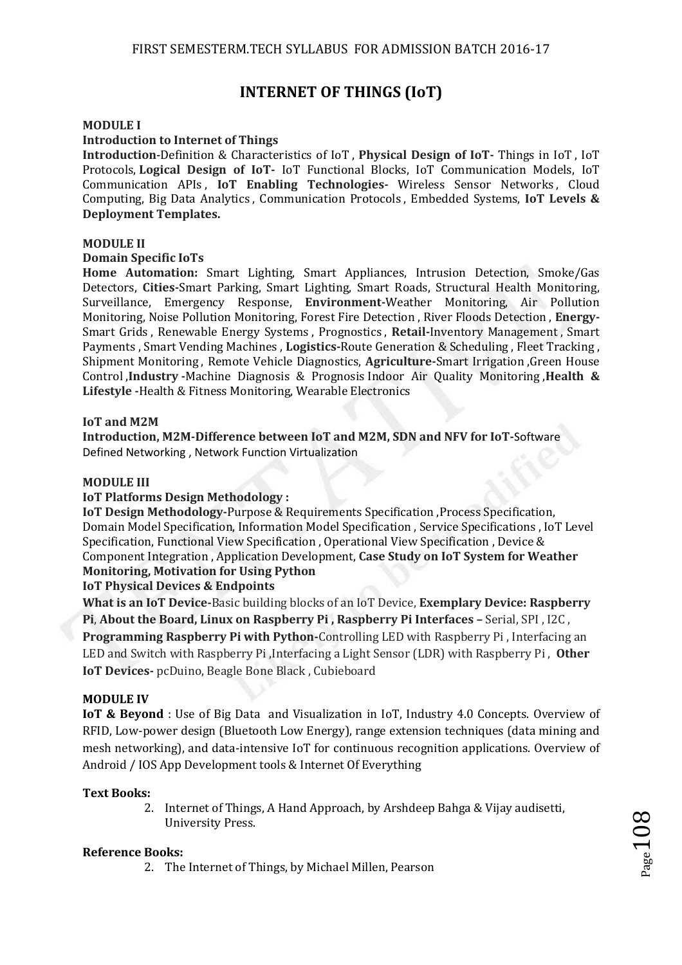# **INTERNET OF THINGS (IoT)**

#### **MODULE I**

#### **Introduction to Internet of Things**

**Introduction**-Definition & Characteristics of IoT , **Physical Design of IoT-** Things in IoT , IoT Protocols, **Logical Design of IoT-** IoT Functional Blocks, IoT Communication Models, IoT Communication APIs , **IoT Enabling Technologies-** Wireless Sensor Networks , Cloud Computing, Big Data Analytics , Communication Protocols , Embedded Systems, **IoT Levels & Deployment Templates.** 

#### **MODULE II**

#### **Domain Specific IoTs**

**Home Automation:** Smart Lighting, Smart Appliances, Intrusion Detection, Smoke/Gas Detectors, **Cities-**Smart Parking, Smart Lighting, Smart Roads, Structural Health Monitoring, Surveillance, Emergency Response, **Environment-**Weather Monitoring, Air Pollution Monitoring, Noise Pollution Monitoring, Forest Fire Detection , River Floods Detection , **Energy-**Smart Grids , Renewable Energy Systems , Prognostics , **Retail-**Inventory Management , Smart Payments , Smart Vending Machines , **Logistics-**Route Generation & Scheduling , Fleet Tracking , Shipment Monitoring , Remote Vehicle Diagnostics, **Agriculture-**Smart Irrigation ,Green House Control ,**Industry -**Machine Diagnosis & Prognosis Indoor Air Quality Monitoring ,**Health & Lifestyle -**Health & Fitness Monitoring, Wearable Electronics

#### **IoT and M2M**

**Introduction, M2M-Difference between IoT and M2M, SDN and NFV for IoT-**Software Defined Networking , Network Function Virtualization

#### **MODULE III**

#### **IoT Platforms Design Methodology :**

**IoT Design Methodology-Purpose & Requirements Specification, Process Specification,** Domain Model Specification, Information Model Specification , Service Specifications , IoT Level Specification, Functional View Specification , Operational View Specification , Device & Component Integration , Application Development, **Case Study on IoT System for Weather Monitoring, Motivation for Using Python** 

#### **IoT Physical Devices & Endpoints**

**What is an IoT Device-**Basic building blocks of an IoT Device, **Exemplary Device: Raspberry Pi**, **About the Board, Linux on Raspberry Pi , Raspberry Pi Interfaces –** Serial, SPI , I2C , **Programming Raspberry Pi with Python-**Controlling LED with Raspberry Pi , Interfacing an LED and Switch with Raspberry Pi ,Interfacing a Light Sensor (LDR) with Raspberry Pi , **Other IoT Devices-** pcDuino, Beagle Bone Black , Cubieboard

#### **MODULE IV**

**IoT & Beyond** : Use of Big Data and Visualization in IoT, Industry 4.0 Concepts. Overview of RFID, Low-power design (Bluetooth Low Energy), range extension techniques (data mining and mesh networking), and data-intensive IoT for continuous recognition applications. Overview of Android / IOS App Development tools & Internet Of Everything

#### **Text Books:**

2. Internet of Things, A Hand Approach, by Arshdeep Bahga & Vijay audisetti, University Press.

#### **Reference Books:**

2. The Internet of Things, by Michael Millen, Pearson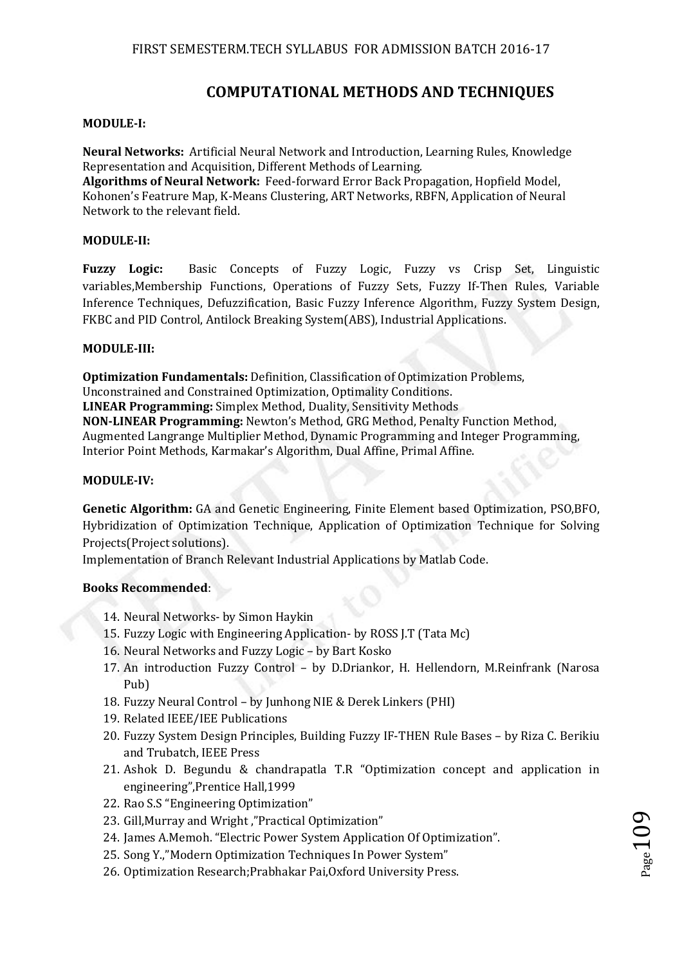## **COMPUTATIONAL METHODS AND TECHNIQUES**

#### **MODULE-I:**

**Neural Networks:** Artificial Neural Network and Introduction, Learning Rules, Knowledge Representation and Acquisition, Different Methods of Learning.

**Algorithms of Neural Network:** Feed-forward Error Back Propagation, Hopfield Model, Kohonen's Featrure Map, K-Means Clustering, ART Networks, RBFN, Application of Neural Network to the relevant field.

#### **MODULE-II:**

**Fuzzy Logic:** Basic Concepts of Fuzzy Logic, Fuzzy vs Crisp Set, Linguistic variables,Membership Functions, Operations of Fuzzy Sets, Fuzzy If-Then Rules, Variable Inference Techniques, Defuzzification, Basic Fuzzy Inference Algorithm, Fuzzy System Design, FKBC and PID Control, Antilock Breaking System(ABS), Industrial Applications.

#### **MODULE-III:**

**Optimization Fundamentals:** Definition, Classification of Optimization Problems, Unconstrained and Constrained Optimization, Optimality Conditions. **LINEAR Programming:** Simplex Method, Duality, Sensitivity Methods **NON-LINEAR Programming:** Newton's Method, GRG Method, Penalty Function Method, Augmented Langrange Multiplier Method, Dynamic Programming and Integer Programming, Interior Point Methods, Karmakar's Algorithm, Dual Affine, Primal Affine.

#### **MODULE-IV:**

**Genetic Algorithm:** GA and Genetic Engineering, Finite Element based Optimization, PSO,BFO, Hybridization of Optimization Technique, Application of Optimization Technique for Solving Projects(Project solutions).

Implementation of Branch Relevant Industrial Applications by Matlab Code.

#### **Books Recommended**:

- 14. Neural Networks- by Simon Haykin
- 15. Fuzzy Logic with Engineering Application- by ROSS J.T (Tata Mc)
- 16. Neural Networks and Fuzzy Logic by Bart Kosko
- 17. An introduction Fuzzy Control by D.Driankor, H. Hellendorn, M.Reinfrank (Narosa Pub)
- 18. Fuzzy Neural Control by Junhong NIE & Derek Linkers (PHI)
- 19. Related IEEE/IEE Publications
- 20. Fuzzy System Design Principles, Building Fuzzy IF-THEN Rule Bases by Riza C. Berikiu and Trubatch, IEEE Press
- 21. Ashok D. Begundu & chandrapatla T.R "Optimization concept and application in engineering",Prentice Hall,1999
- 22. Rao S.S "Engineering Optimization"
- 23. Gill,Murray and Wright ,"Practical Optimization"
- 24. James A.Memoh. "Electric Power System Application Of Optimization".
- 25. Song Y.,"Modern Optimization Techniques In Power System"
- 26. Optimization Research;Prabhakar Pai,Oxford University Press.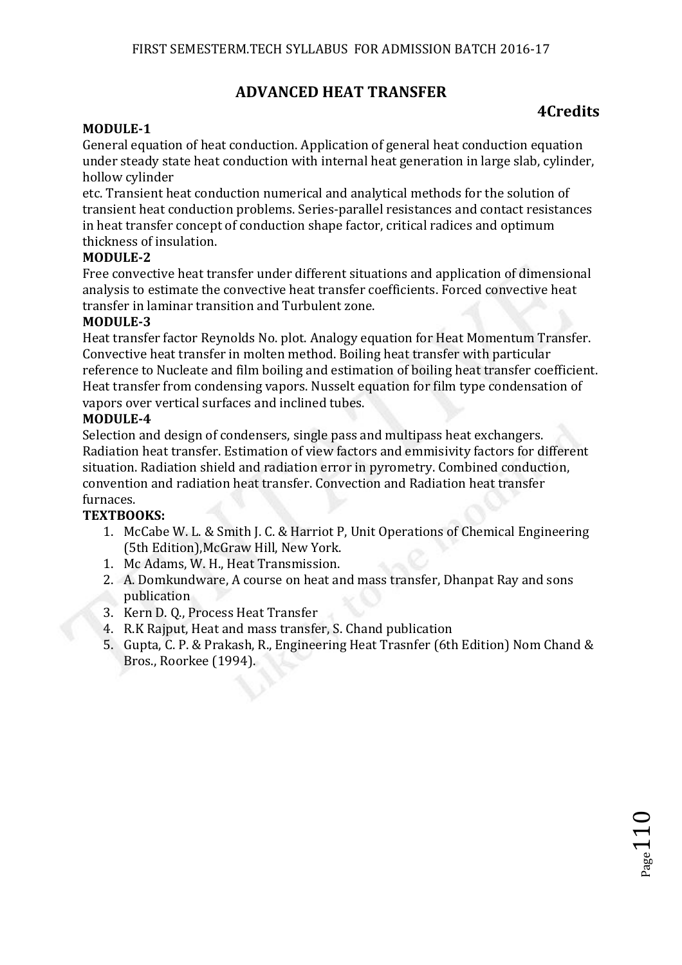# **ADVANCED HEAT TRANSFER**

# **4Credits**

## **MODULE-1**

General equation of heat conduction. Application of general heat conduction equation under steady state heat conduction with internal heat generation in large slab, cylinder, hollow cylinder

etc. Transient heat conduction numerical and analytical methods for the solution of transient heat conduction problems. Series-parallel resistances and contact resistances in heat transfer concept of conduction shape factor, critical radices and optimum thickness of insulation.

## **MODULE-2**

Free convective heat transfer under different situations and application of dimensional analysis to estimate the convective heat transfer coefficients. Forced convective heat transfer in laminar transition and Turbulent zone.

#### **MODULE-3**

Heat transfer factor Reynolds No. plot. Analogy equation for Heat Momentum Transfer. Convective heat transfer in molten method. Boiling heat transfer with particular reference to Nucleate and film boiling and estimation of boiling heat transfer coefficient. Heat transfer from condensing vapors. Nusselt equation for film type condensation of vapors over vertical surfaces and inclined tubes.

#### **MODULE-4**

Selection and design of condensers, single pass and multipass heat exchangers. Radiation heat transfer. Estimation of view factors and emmisivity factors for different situation. Radiation shield and radiation error in pyrometry. Combined conduction, convention and radiation heat transfer. Convection and Radiation heat transfer furnaces.

## **TEXTBOOKS:**

- 1. McCabe W. L. & Smith J. C. & Harriot P, Unit Operations of Chemical Engineering (5th Edition),McGraw Hill, New York.
- 1. Mc Adams, W. H., Heat Transmission.
- 2. A. Domkundware, A course on heat and mass transfer, Dhanpat Ray and sons publication
- 3. Kern D. Q., Process Heat Transfer
- 4. R.K Rajput, Heat and mass transfer, S. Chand publication
- 5. Gupta, C. P. & Prakash, R., Engineering Heat Trasnfer (6th Edition) Nom Chand & Bros., Roorkee (1994).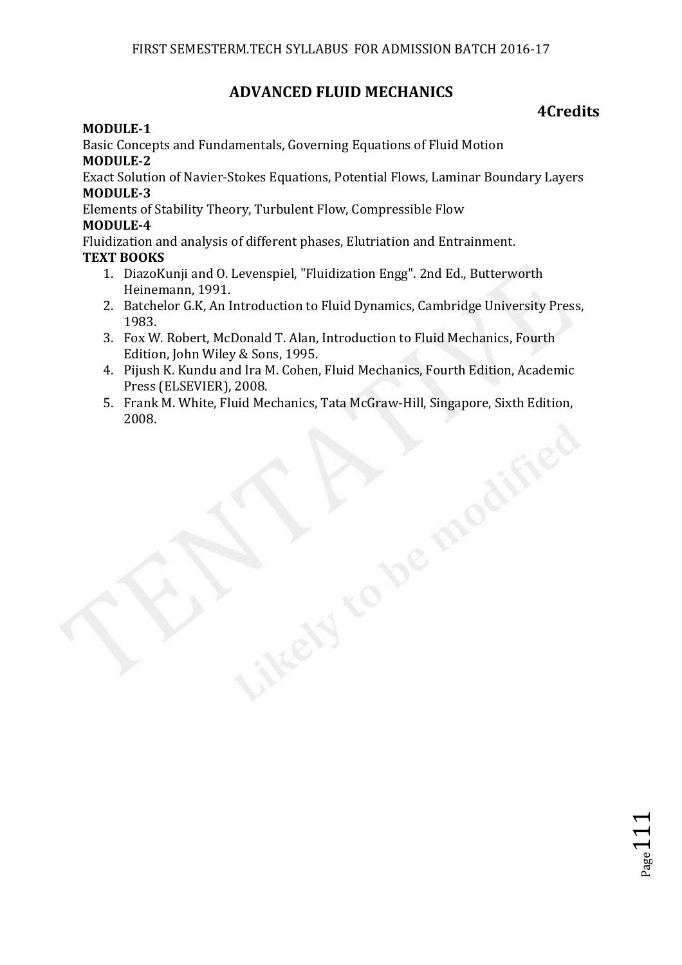# **ADVANCED FLUID MECHANICS**

# **4Credits**

## **MODULE-1**

Basic Concepts and Fundamentals, Governing Equations of Fluid Motion **MODULE-2** 

Exact Solution of Navier-Stokes Equations, Potential Flows, Laminar Boundary Layers **MODULE-3** 

Elements of Stability Theory, Turbulent Flow, Compressible Flow **MODULE-4** 

Fluidization and analysis of different phases, Elutriation and Entrainment. **TEXT BOOKS** 

- 1. DiazoKunji and O. Levenspiel, "Fluidization Engg". 2nd Ed., Butterworth Heinemann, 1991.
- 2. Batchelor G.K, An Introduction to Fluid Dynamics, Cambridge University Press, 1983.
- 3. Fox W. Robert, McDonald T. Alan, Introduction to Fluid Mechanics, Fourth Edition, John Wiley & Sons, 1995.
- 4. Pijush K. Kundu and Ira M. Cohen, Fluid Mechanics, Fourth Edition, Academic Press (ELSEVIER), 2008.
- 5. Frank M. White, Fluid Mechanics, Tata McGraw-Hill, Singapore, Sixth Edition, 2008.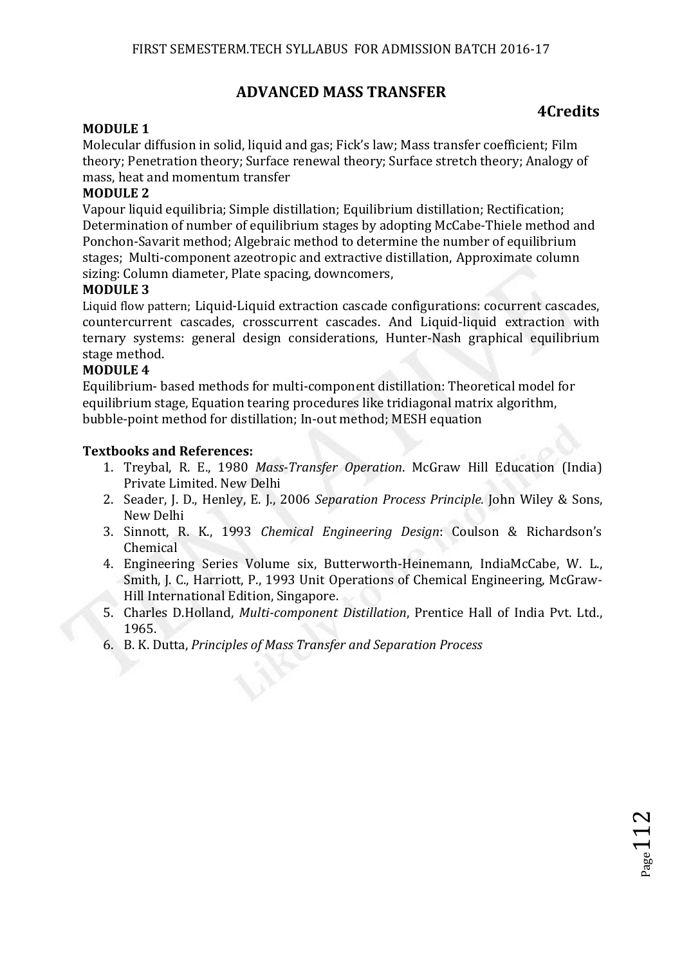# **ADVANCED MASS TRANSFER**

# **4Credits**

## **MODULE 1**

Molecular diffusion in solid, liquid and gas; Fick's law; Mass transfer coefficient; Film theory; Penetration theory; Surface renewal theory; Surface stretch theory; Analogy of mass, heat and momentum transfer

## **MODULE 2**

Vapour liquid equilibria; Simple distillation; Equilibrium distillation; Rectification; Determination of number of equilibrium stages by adopting McCabe-Thiele method and Ponchon-Savarit method; Algebraic method to determine the number of equilibrium stages; Multi-component azeotropic and extractive distillation, Approximate column sizing: Column diameter, Plate spacing, downcomers,

#### **MODULE 3**

Liquid flow pattern; Liquid-Liquid extraction cascade configurations: cocurrent cascades, countercurrent cascades, crosscurrent cascades. And Liquid-liquid extraction with ternary systems: general design considerations, Hunter-Nash graphical equilibrium stage method.

#### **MODULE 4**

Equilibrium- based methods for multi-component distillation: Theoretical model for equilibrium stage, Equation tearing procedures like tridiagonal matrix algorithm, bubble-point method for distillation; In-out method; MESH equation

#### **Textbooks and References:**

- 1. Treybal, R. E., 1980 *Mass-Transfer Operation*. McGraw Hill Education (India) Private Limited. New Delhi
- 2. Seader, J. D., Henley, E. J., 2006 *Separation Process Principle.* John Wiley & Sons, New Delhi
- 3. Sinnott, R. K., 1993 *Chemical Engineering Design*: Coulson & Richardson's Chemical
- 4. Engineering Series Volume six, Butterworth-Heinemann, IndiaMcCabe, W. L., Smith, J. C., Harriott, P., 1993 Unit Operations of Chemical Engineering, McGraw-Hill International Edition, Singapore.
- 5. Charles D.Holland, *Multi-component Distillation*, Prentice Hall of India Pvt. Ltd., 1965.
- 6. B. K. Dutta, *Principles of Mass Transfer and Separation Process*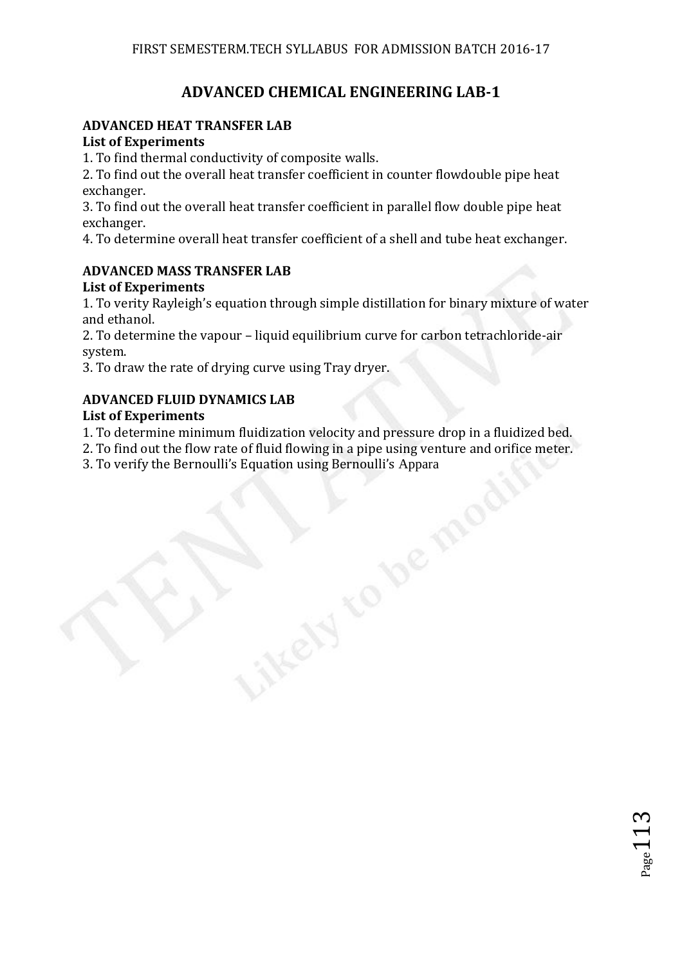# **ADVANCED CHEMICAL ENGINEERING LAB-1**

## **ADVANCED HEAT TRANSFER LAB**

## **List of Experiments**

1. To find thermal conductivity of composite walls.

2. To find out the overall heat transfer coefficient in counter flowdouble pipe heat exchanger.

3. To find out the overall heat transfer coefficient in parallel flow double pipe heat exchanger.

4. To determine overall heat transfer coefficient of a shell and tube heat exchanger.

## **ADVANCED MASS TRANSFER LAB**

## **List of Experiments**

1. To verity Rayleigh's equation through simple distillation for binary mixture of water and ethanol.

2. To determine the vapour – liquid equilibrium curve for carbon tetrachloride-air system.

3. To draw the rate of drying curve using Tray dryer.

## **ADVANCED FLUID DYNAMICS LAB**

## **List of Experiments**

1. To determine minimum fluidization velocity and pressure drop in a fluidized bed.

2. To find out the flow rate of fluid flowing in a pipe using venture and orifice meter.

3. To verify the Bernoulli's Equation using Bernoulli's Appara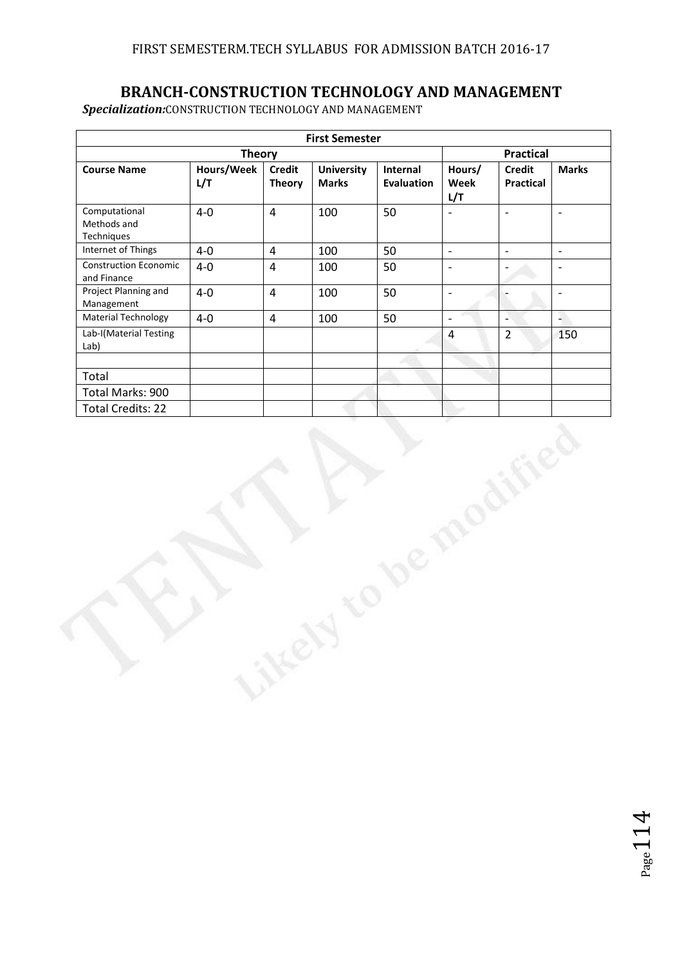# **BRANCH-CONSTRUCTION TECHNOLOGY AND MANAGEMENT**

*Specialization:*CONSTRUCTION TECHNOLOGY AND MANAGEMENT

| <b>First Semester</b>                       |                   |                                |                                   |                               |                          |                                   |                          |
|---------------------------------------------|-------------------|--------------------------------|-----------------------------------|-------------------------------|--------------------------|-----------------------------------|--------------------------|
| <b>Theory</b>                               |                   |                                |                                   |                               | <b>Practical</b>         |                                   |                          |
| <b>Course Name</b>                          | Hours/Week<br>L/T | <b>Credit</b><br><b>Theory</b> | <b>University</b><br><b>Marks</b> | Internal<br><b>Evaluation</b> | Hours/<br>Week<br>L/T    | <b>Credit</b><br><b>Practical</b> | <b>Marks</b>             |
| Computational<br>Methods and<br>Techniques  | $4-0$             | $\overline{4}$                 | 100                               | 50                            | $\overline{a}$           | $\overline{a}$                    | $\overline{\phantom{a}}$ |
| Internet of Things                          | $4-0$             | $\overline{4}$                 | 100                               | 50                            | $\mathbb{L}$             | $\Box$                            | $\equiv$                 |
| <b>Construction Economic</b><br>and Finance | $4-0$             | $\overline{4}$                 | 100                               | 50                            | $\overline{\phantom{a}}$ | $\frac{1}{2}$                     | $\blacksquare$           |
| Project Planning and<br>Management          | $4-0$             | $\overline{4}$                 | 100                               | 50                            | $\frac{1}{2}$            | $\overline{a}$                    | $\overline{\phantom{a}}$ |
| <b>Material Technology</b>                  | $4-0$             | $\overline{4}$                 | 100                               | 50                            | $\bar{\phantom{a}}$      | $\overline{\phantom{a}}$          | A.                       |
| Lab-I(Material Testing<br>Lab)              |                   |                                |                                   |                               | $\overline{4}$           | $\overline{2}$                    | 150                      |
| Total                                       |                   |                                |                                   |                               |                          |                                   |                          |
| Total Marks: 900                            |                   |                                |                                   |                               |                          |                                   |                          |
| <b>Total Credits: 22</b>                    |                   |                                |                                   |                               |                          |                                   |                          |
|                                             |                   |                                |                                   | V,                            |                          |                                   |                          |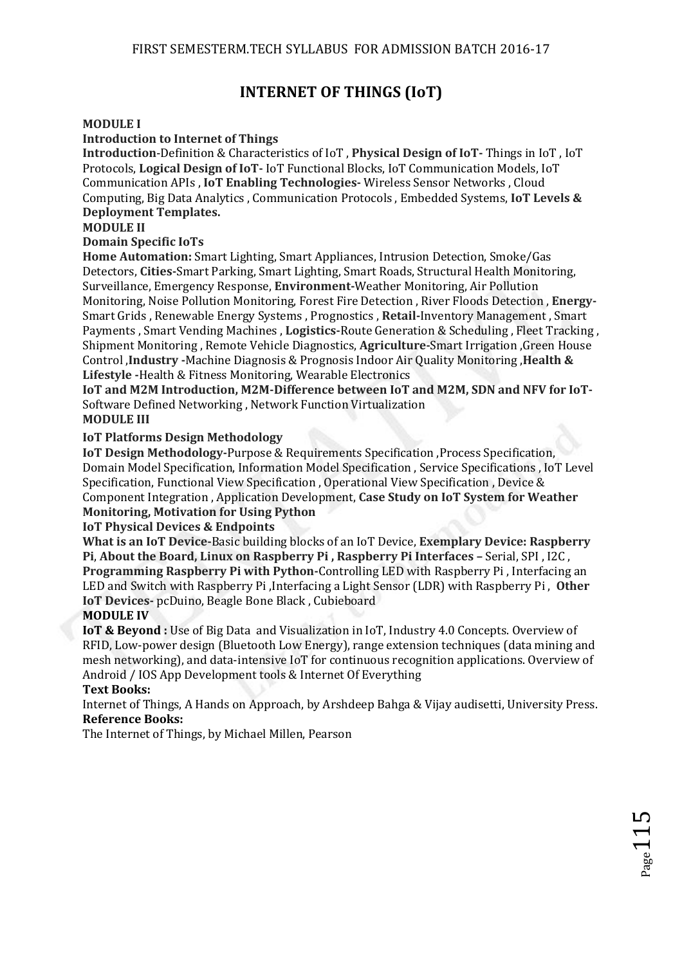# **INTERNET OF THINGS (IoT)**

#### **MODULE I**

#### **Introduction to Internet of Things**

**Introduction**-Definition & Characteristics of IoT , **Physical Design of IoT-** Things in IoT , IoT Protocols, **Logical Design of IoT-** IoT Functional Blocks, IoT Communication Models, IoT Communication APIs , **IoT Enabling Technologies-** Wireless Sensor Networks , Cloud Computing, Big Data Analytics , Communication Protocols , Embedded Systems, **IoT Levels & Deployment Templates.** 

#### **MODULE II**

#### **Domain Specific IoTs**

**Home Automation:** Smart Lighting, Smart Appliances, Intrusion Detection, Smoke/Gas Detectors, **Cities-**Smart Parking, Smart Lighting, Smart Roads, Structural Health Monitoring, Surveillance, Emergency Response, **Environment-**Weather Monitoring, Air Pollution Monitoring, Noise Pollution Monitoring, Forest Fire Detection , River Floods Detection , **Energy-**Smart Grids , Renewable Energy Systems , Prognostics , **Retail-**Inventory Management , Smart Payments , Smart Vending Machines , **Logistics-**Route Generation & Scheduling , Fleet Tracking , Shipment Monitoring , Remote Vehicle Diagnostics, **Agriculture-**Smart Irrigation ,Green House Control ,**Industry -**Machine Diagnosis & Prognosis Indoor Air Quality Monitoring ,**Health & Lifestyle -**Health & Fitness Monitoring, Wearable Electronics

**IoT and M2M Introduction, M2M-Difference between IoT and M2M, SDN and NFV for IoT-**Software Defined Networking , Network Function Virtualization **MODULE III** 

#### **IoT Platforms Design Methodology**

**IoT Design Methodology-Purpose & Requirements Specification, Process Specification,** Domain Model Specification, Information Model Specification , Service Specifications , IoT Level Specification, Functional View Specification , Operational View Specification , Device & Component Integration , Application Development, **Case Study on IoT System for Weather Monitoring, Motivation for Using Python** 

#### **IoT Physical Devices & Endpoints**

**What is an IoT Device-**Basic building blocks of an IoT Device, **Exemplary Device: Raspberry Pi**, **About the Board, Linux on Raspberry Pi , Raspberry Pi Interfaces –** Serial, SPI , I2C , **Programming Raspberry Pi with Python-**Controlling LED with Raspberry Pi , Interfacing an LED and Switch with Raspberry Pi ,Interfacing a Light Sensor (LDR) with Raspberry Pi , **Other IoT Devices-** pcDuino, Beagle Bone Black , Cubieboard

#### **MODULE IV**

**IoT & Beyond :** Use of Big Data and Visualization in IoT, Industry 4.0 Concepts. Overview of RFID, Low-power design (Bluetooth Low Energy), range extension techniques (data mining and mesh networking), and data-intensive IoT for continuous recognition applications. Overview of Android / IOS App Development tools & Internet Of Everything

#### **Text Books:**

Internet of Things, A Hands on Approach, by Arshdeep Bahga & Vijay audisetti, University Press. **Reference Books:** 

The Internet of Things, by Michael Millen, Pearson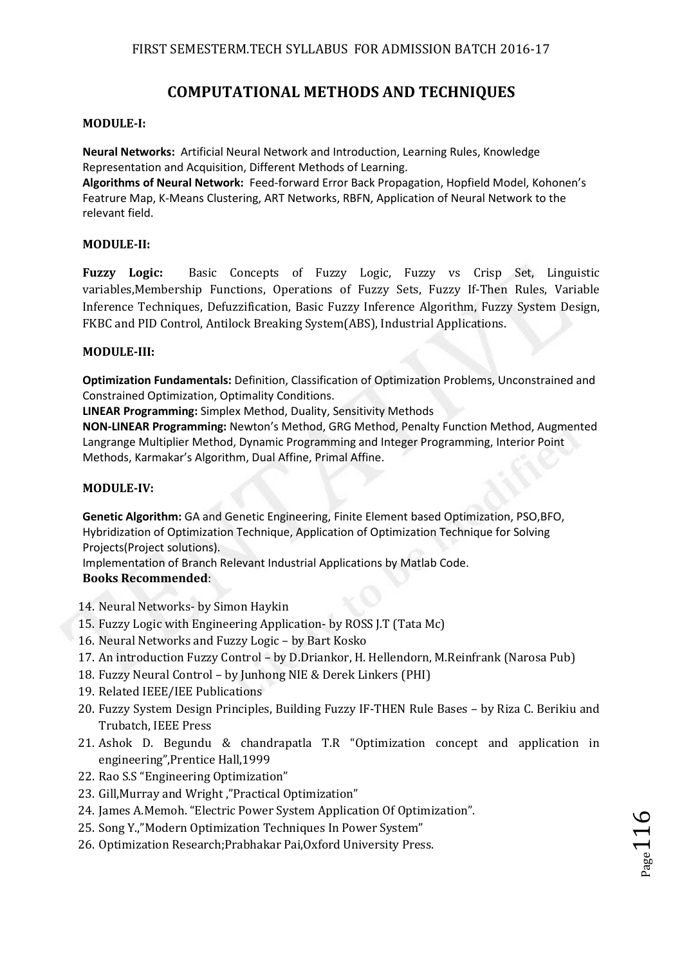# **COMPUTATIONAL METHODS AND TECHNIQUES**

#### **MODULE-I:**

**Neural Networks:** Artificial Neural Network and Introduction, Learning Rules, Knowledge Representation and Acquisition, Different Methods of Learning.

**Algorithms of Neural Network:** Feed-forward Error Back Propagation, Hopfield Model, Kohonen's Featrure Map, K-Means Clustering, ART Networks, RBFN, Application of Neural Network to the relevant field.

#### **MODULE-II:**

**Fuzzy Logic:** Basic Concepts of Fuzzy Logic, Fuzzy vs Crisp Set, Linguistic variables,Membership Functions, Operations of Fuzzy Sets, Fuzzy If-Then Rules, Variable Inference Techniques, Defuzzification, Basic Fuzzy Inference Algorithm, Fuzzy System Design, FKBC and PID Control, Antilock Breaking System(ABS), Industrial Applications.

#### **MODULE-III:**

**Optimization Fundamentals:** Definition, Classification of Optimization Problems, Unconstrained and Constrained Optimization, Optimality Conditions.

**LINEAR Programming:** Simplex Method, Duality, Sensitivity Methods

**NON-LINEAR Programming:** Newton's Method, GRG Method, Penalty Function Method, Augmented Langrange Multiplier Method, Dynamic Programming and Integer Programming, Interior Point Methods, Karmakar's Algorithm, Dual Affine, Primal Affine.

#### **MODULE-IV:**

**Genetic Algorithm:** GA and Genetic Engineering, Finite Element based Optimization, PSO,BFO, Hybridization of Optimization Technique, Application of Optimization Technique for Solving Projects(Project solutions).

Implementation of Branch Relevant Industrial Applications by Matlab Code.

#### **Books Recommended**:

- 14. Neural Networks- by Simon Haykin
- 15. Fuzzy Logic with Engineering Application- by ROSS J.T (Tata Mc)
- 16. Neural Networks and Fuzzy Logic by Bart Kosko
- 17. An introduction Fuzzy Control by D.Driankor, H. Hellendorn, M.Reinfrank (Narosa Pub)
- 18. Fuzzy Neural Control by Junhong NIE & Derek Linkers (PHI)
- 19. Related IEEE/IEE Publications
- 20. Fuzzy System Design Principles, Building Fuzzy IF-THEN Rule Bases by Riza C. Berikiu and Trubatch, IEEE Press
- 21. Ashok D. Begundu & chandrapatla T.R "Optimization concept and application in engineering",Prentice Hall,1999
- 22. Rao S.S "Engineering Optimization"
- 23. Gill,Murray and Wright ,"Practical Optimization"
- 24. James A.Memoh. "Electric Power System Application Of Optimization".
- 25. Song Y.,"Modern Optimization Techniques In Power System"
- 26. Optimization Research;Prabhakar Pai,Oxford University Press.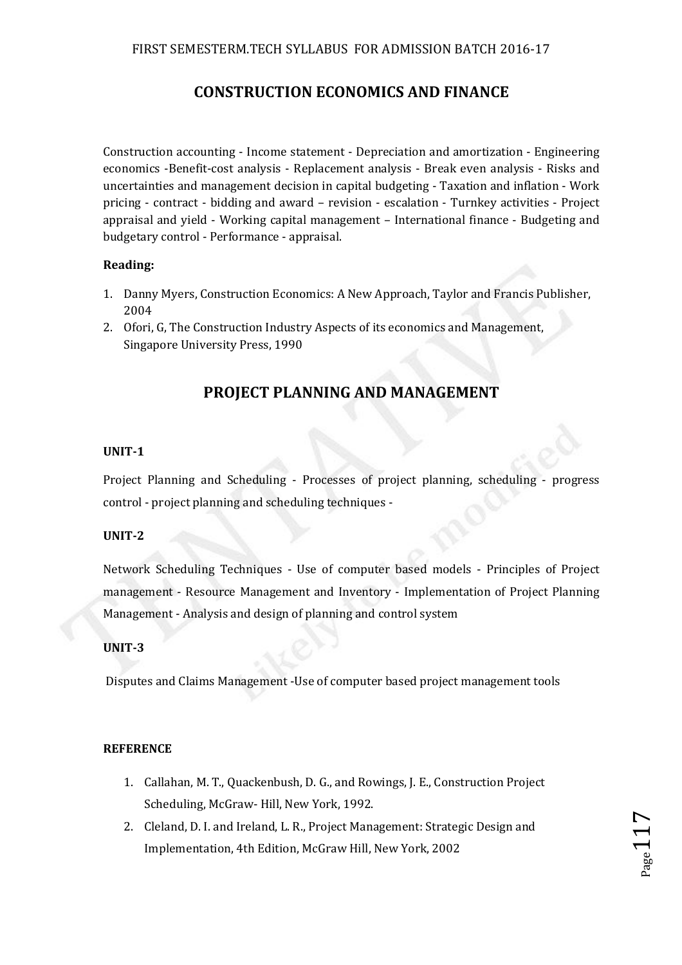# **CONSTRUCTION ECONOMICS AND FINANCE**

Construction accounting - Income statement - Depreciation and amortization - Engineering economics -Benefit-cost analysis - Replacement analysis - Break even analysis - Risks and uncertainties and management decision in capital budgeting - Taxation and inflation - Work pricing - contract - bidding and award – revision - escalation - Turnkey activities - Project appraisal and yield - Working capital management – International finance - Budgeting and budgetary control - Performance - appraisal.

#### **Reading:**

- 1. Danny Myers, Construction Economics: A New Approach, Taylor and Francis Publisher, 2004
- 2. Ofori, G, The Construction Industry Aspects of its economics and Management, Singapore University Press, 1990

# **PROJECT PLANNING AND MANAGEMENT**

#### **UNIT-1**

Project Planning and Scheduling - Processes of project planning, scheduling - progress control - project planning and scheduling techniques -

#### **UNIT-2**

Network Scheduling Techniques - Use of computer based models - Principles of Project management - Resource Management and Inventory - Implementation of Project Planning Management - Analysis and design of planning and control system

#### **UNIT-3**

Disputes and Claims Management -Use of computer based project management tools

#### **REFERENCE**

- 1. Callahan, M. T., Quackenbush, D. G., and Rowings, J. E., Construction Project Scheduling, McGraw- Hill, New York, 1992.
- 2. Cleland, D. I. and Ireland, L. R., Project Management: Strategic Design and Implementation, 4th Edition, McGraw Hill, New York, 2002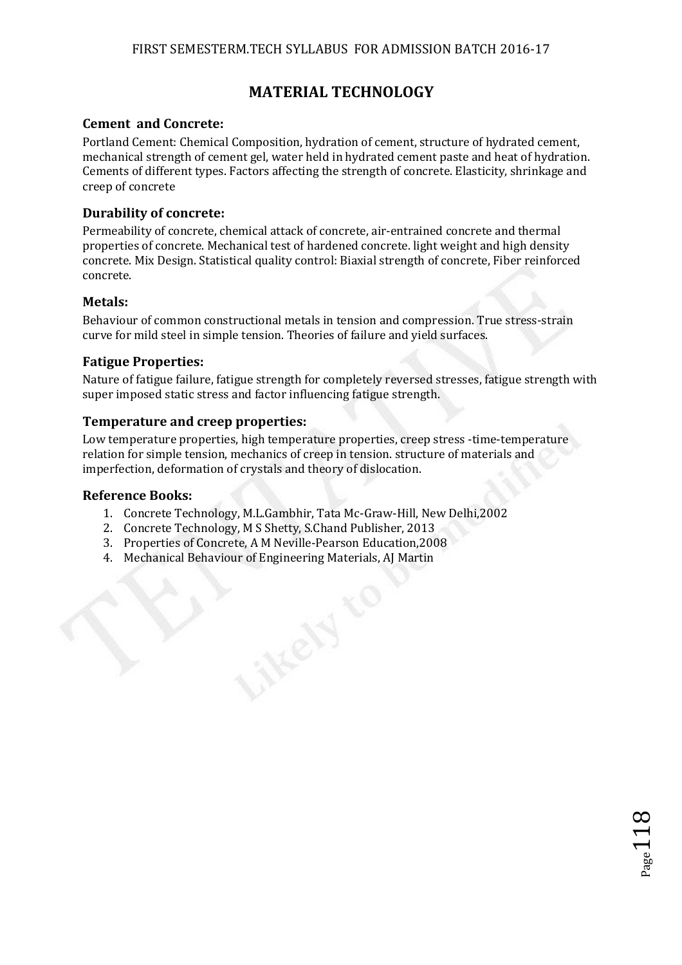# **MATERIAL TECHNOLOGY**

#### **Cement and Concrete:**

Portland Cement: Chemical Composition, hydration of cement, structure of hydrated cement, mechanical strength of cement gel, water held in hydrated cement paste and heat of hydration. Cements of different types. Factors affecting the strength of concrete. Elasticity, shrinkage and creep of concrete

#### **Durability of concrete:**

Permeability of concrete, chemical attack of concrete, air-entrained concrete and thermal properties of concrete. Mechanical test of hardened concrete. light weight and high density concrete. Mix Design. Statistical quality control: Biaxial strength of concrete, Fiber reinforced concrete.

#### **Metals:**

Behaviour of common constructional metals in tension and compression. True stress-strain curve for mild steel in simple tension. Theories of failure and yield surfaces.

#### **Fatigue Properties:**

Nature of fatigue failure, fatigue strength for completely reversed stresses, fatigue strength with super imposed static stress and factor influencing fatigue strength.

 $_{\rm Page}118$ 

#### **Temperature and creep properties:**

Low temperature properties, high temperature properties, creep stress -time-temperature relation for simple tension, mechanics of creep in tension. structure of materials and imperfection, deformation of crystals and theory of dislocation.

#### **Reference Books:**

- 1. Concrete Technology, M.L.Gambhir, Tata Mc-Graw-Hill, New Delhi,2002
- 2. Concrete Technology, M S Shetty, S.Chand Publisher, 2013
- 3. Properties of Concrete, A M Neville-Pearson Education,2008
- 4. Mechanical Behaviour of Engineering Materials, AJ Martin